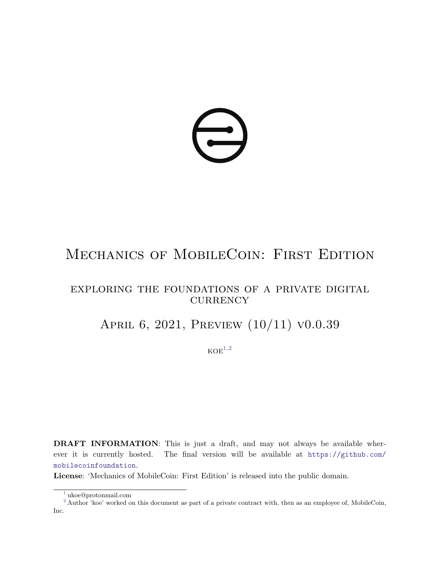

# MECHANICS OF MOBILECOIN: FIRST EDITION

# exploring the foundations of a private digital CURRENCY

# APRIL 6, 2021, PREVIEW (10/11) v0.0.39

<span id="page-0-3"></span><span id="page-0-2"></span> $KOE<sup>1,2</sup>$  $KOE<sup>1,2</sup>$  $KOE<sup>1,2</sup>$  $KOE<sup>1,2</sup>$  $KOE<sup>1,2</sup>$ 

DRAFT INFORMATION: This is just a draft, and may not always be available wherever it is currently hosted. The final version will be available at [https://github.com/](https://github.com/mobilecoinfoundation) [mobilecoinfoundation](https://github.com/mobilecoinfoundation).

License: 'Mechanics of MobileCoin: First Edition' is released into the public domain.

<span id="page-0-1"></span><span id="page-0-0"></span>[<sup>1</sup>](#page-0-2) ukoe@protonmail.com

<sup>&</sup>lt;sup>[2](#page-0-3)</sup> Author 'koe' worked on this document as part of a private contract with, then as an employee of, MobileCoin, Inc.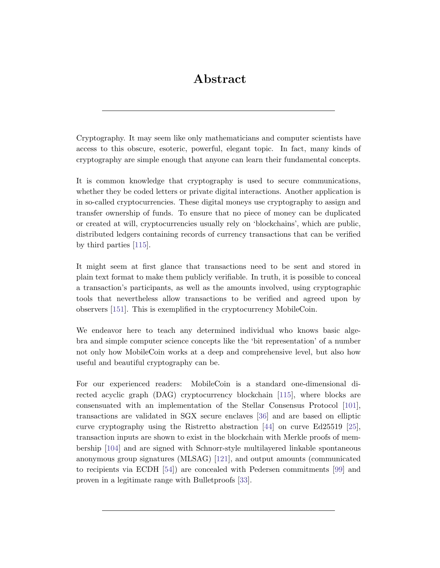# Abstract

Cryptography. It may seem like only mathematicians and computer scientists have access to this obscure, esoteric, powerful, elegant topic. In fact, many kinds of cryptography are simple enough that anyone can learn their fundamental concepts.

It is common knowledge that cryptography is used to secure communications, whether they be coded letters or private digital interactions. Another application is in so-called cryptocurrencies. These digital moneys use cryptography to assign and transfer ownership of funds. To ensure that no piece of money can be duplicated or created at will, cryptocurrencies usually rely on 'blockchains', which are public, distributed ledgers containing records of currency transactions that can be verified by third parties [\[115\]](#page-127-0).

It might seem at first glance that transactions need to be sent and stored in plain text format to make them publicly verifiable. In truth, it is possible to conceal a transaction's participants, as well as the amounts involved, using cryptographic tools that nevertheless allow transactions to be verified and agreed upon by observers [\[151\]](#page-128-0). This is exemplified in the cryptocurrency MobileCoin.

We endeavor here to teach any determined individual who knows basic algebra and simple computer science concepts like the 'bit representation' of a number not only how MobileCoin works at a deep and comprehensive level, but also how useful and beautiful cryptography can be.

For our experienced readers: MobileCoin is a standard one-dimensional directed acyclic graph (DAG) cryptocurrency blockchain [\[115\]](#page-127-0), where blocks are consensuated with an implementation of the Stellar Consensus Protocol [\[101\]](#page-126-0), transactions are validated in SGX secure enclaves [\[36\]](#page-123-0) and are based on elliptic curve cryptography using the Ristretto abstraction [\[44\]](#page-123-1) on curve Ed25519 [\[25\]](#page-122-0), transaction inputs are shown to exist in the blockchain with Merkle proofs of membership [\[104\]](#page-126-1) and are signed with Schnorr-style multilayered linkable spontaneous anonymous group signatures (MLSAG) [\[121\]](#page-127-1), and output amounts (communicated to recipients via ECDH [\[54\]](#page-123-2)) are concealed with Pedersen commitments [\[99\]](#page-126-2) and proven in a legitimate range with Bulletproofs [\[33\]](#page-122-1).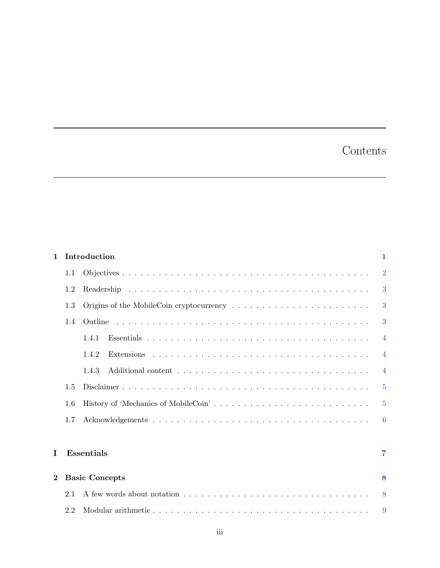# Contents

| $\mathbf{1}$ |     | Introduction          | 1.             |
|--------------|-----|-----------------------|----------------|
|              | 1.1 |                       | $\overline{2}$ |
|              | 1.2 |                       | 3              |
|              | 1.3 |                       | 3              |
|              | 1.4 |                       | 3              |
|              |     | 1.4.1                 | $\overline{4}$ |
|              |     | 1.4.2                 | $\overline{4}$ |
|              |     | 1.4.3                 | $\overline{4}$ |
|              | 1.5 |                       | $\overline{5}$ |
|              | 1.6 |                       | $\overline{5}$ |
|              | 1.7 |                       | 6              |
|              |     |                       |                |
| Ι            |     | <b>Essentials</b>     | 7              |
| $\bf{2}$     |     | <b>Basic Concepts</b> | 8              |
|              | 2.1 |                       | 8              |
|              | 2.2 |                       | 9              |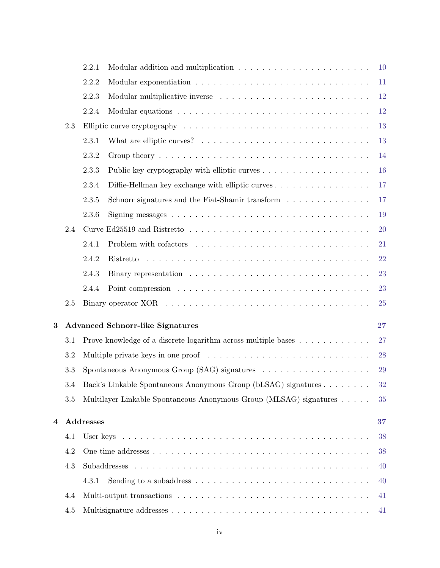|   |     | 2.2.1     |                                                                                                     | <b>10</b> |
|---|-----|-----------|-----------------------------------------------------------------------------------------------------|-----------|
|   |     | 2.2.2     |                                                                                                     | 11        |
|   |     | 2.2.3     |                                                                                                     | 12        |
|   |     | 2.2.4     |                                                                                                     | <b>12</b> |
|   | 2.3 |           |                                                                                                     | 13        |
|   |     | 2.3.1     |                                                                                                     | 13        |
|   |     | 2.3.2     |                                                                                                     | 14        |
|   |     | 2.3.3     |                                                                                                     | 16        |
|   |     | 2.3.4     | Diffie-Hellman key exchange with elliptic curves                                                    | 17        |
|   |     | 2.3.5     | Schnorr signatures and the Fiat-Shamir transform                                                    | 17        |
|   |     | 2.3.6     |                                                                                                     | 19        |
|   | 2.4 |           |                                                                                                     | 20        |
|   |     | 2.4.1     |                                                                                                     | 21        |
|   |     | 2.4.2     |                                                                                                     | 22        |
|   |     | 2.4.3     |                                                                                                     | 23        |
|   |     | 2.4.4     |                                                                                                     | 23        |
|   | 2.5 |           |                                                                                                     | 25        |
| 3 |     |           | <b>Advanced Schnorr-like Signatures</b>                                                             | 27        |
|   | 3.1 |           | Prove knowledge of a discrete logarithm across multiple bases                                       | 27        |
|   | 3.2 |           | Multiple private keys in one proof $\ldots \ldots \ldots \ldots \ldots \ldots \ldots \ldots \ldots$ | 28        |
|   | 3.3 |           | Spontaneous Anonymous Group $(SAG)$ signatures $\ldots \ldots \ldots \ldots \ldots$                 | 29        |
|   | 3.4 |           | Back's Linkable Spontaneous Anonymous Group (bLSAG) signatures                                      | 32        |
|   | 3.5 |           | Multilayer Linkable Spontaneous Anonymous Group (MLSAG) signatures                                  | 35        |
|   |     |           |                                                                                                     |           |
| 4 |     | Addresses |                                                                                                     | 37        |
|   | 4.1 |           |                                                                                                     | 38        |
|   | 4.2 |           |                                                                                                     | 38        |
|   | 4.3 |           |                                                                                                     | 40        |
|   |     | 4.3.1     | Sending to a subaddress $\ldots \ldots \ldots \ldots \ldots \ldots \ldots \ldots \ldots \ldots$     | 40        |
|   | 4.4 |           |                                                                                                     | 41        |
|   | 4.5 |           |                                                                                                     | 41        |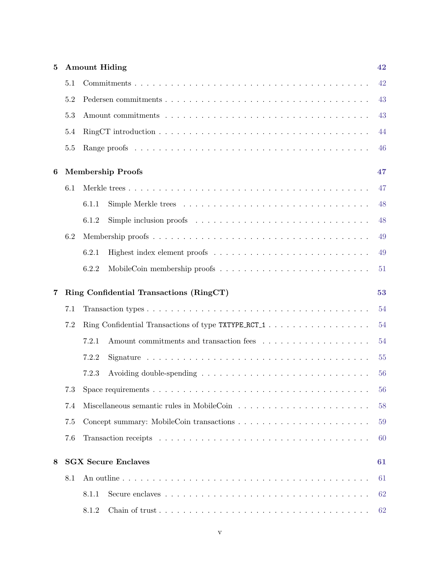| $\bf{5}$ |     | <b>Amount Hiding</b>                                | 42 |  |  |
|----------|-----|-----------------------------------------------------|----|--|--|
|          | 5.1 |                                                     | 42 |  |  |
|          | 5.2 |                                                     | 43 |  |  |
|          | 5.3 |                                                     | 43 |  |  |
|          | 5.4 |                                                     | 44 |  |  |
|          | 5.5 |                                                     | 46 |  |  |
| 6        |     | <b>Membership Proofs</b>                            | 47 |  |  |
|          | 6.1 |                                                     | 47 |  |  |
|          |     | 6.1.1                                               | 48 |  |  |
|          |     | 6.1.2                                               | 48 |  |  |
|          | 6.2 |                                                     | 49 |  |  |
|          |     | 6.2.1                                               | 49 |  |  |
|          |     | 6.2.2                                               | 51 |  |  |
| 7        |     | Ring Confidential Transactions (RingCT)             | 53 |  |  |
|          | 7.1 |                                                     | 54 |  |  |
|          | 7.2 | Ring Confidential Transactions of type TXTYPE_RCT_1 | 54 |  |  |
|          |     | 7.2.1                                               | 54 |  |  |
|          |     | 7.2.2                                               | 55 |  |  |
|          |     | 7.2.3                                               | 56 |  |  |
|          | 7.3 |                                                     | 56 |  |  |
|          | 7.4 | 58                                                  |    |  |  |
|          | 7.5 |                                                     | 59 |  |  |
|          | 7.6 |                                                     | 60 |  |  |
| 8        |     | <b>SGX Secure Enclaves</b>                          | 61 |  |  |
|          | 8.1 |                                                     | 61 |  |  |
|          |     | 8.1.1                                               | 62 |  |  |
|          |     | 8.1.2                                               | 62 |  |  |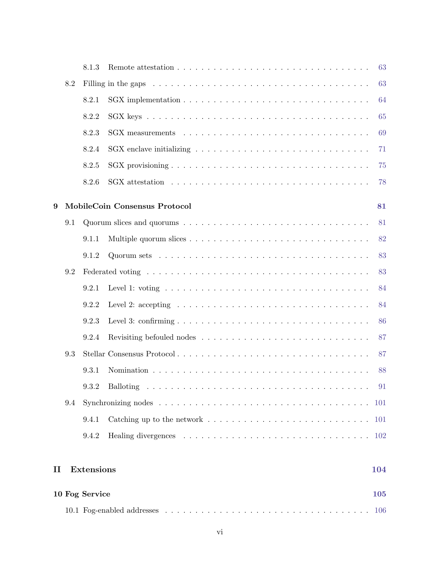|          |     | 8.1.3             |                                                                                                       | 63         |
|----------|-----|-------------------|-------------------------------------------------------------------------------------------------------|------------|
|          | 8.2 |                   |                                                                                                       | 63         |
|          |     | 8.2.1             |                                                                                                       | 64         |
|          |     | 8.2.2             |                                                                                                       | 65         |
|          |     | 8.2.3             |                                                                                                       | 69         |
|          |     | 8.2.4             | SGX enclave initializing $\ldots \ldots \ldots \ldots \ldots \ldots \ldots \ldots \ldots \ldots$      | 71         |
|          |     | 8.2.5             |                                                                                                       | 75         |
|          |     | 8.2.6             |                                                                                                       | 78         |
| 9        |     |                   | MobileCoin Consensus Protocol                                                                         | 81         |
|          | 9.1 |                   |                                                                                                       | 81         |
|          |     | 9.1.1             |                                                                                                       | 82         |
|          |     | 9.1.2             |                                                                                                       | 83         |
|          | 9.2 |                   |                                                                                                       | 83         |
|          |     | 9.2.1             | Level 1: voting $\dots \dots \dots \dots \dots \dots \dots \dots \dots \dots \dots \dots \dots \dots$ | 84         |
|          |     | 9.2.2             | Level 2: accepting $\ldots \ldots \ldots \ldots \ldots \ldots \ldots \ldots \ldots \ldots \ldots$     | 84         |
|          |     | 9.2.3             |                                                                                                       | 86         |
|          |     | 9.2.4             |                                                                                                       | 87         |
|          | 9.3 |                   | Stellar Consensus Protocol                                                                            | 87         |
|          |     | 9.3.1             |                                                                                                       | 88         |
|          |     | 9.3.2             |                                                                                                       | -91        |
|          | 9.4 |                   |                                                                                                       | 101        |
|          |     | 9.4.1             |                                                                                                       |            |
|          |     | 9.4.2             |                                                                                                       |            |
| $\rm II$ |     | <b>Extensions</b> |                                                                                                       | 104        |
|          |     | 10 Fog Service    |                                                                                                       | <b>105</b> |
|          |     |                   |                                                                                                       |            |

10.1 Fog-enabled addresses . . . . . . . . . . . . . . . . . . . . . . . . . . . . . . . . . . [106](#page-111-1)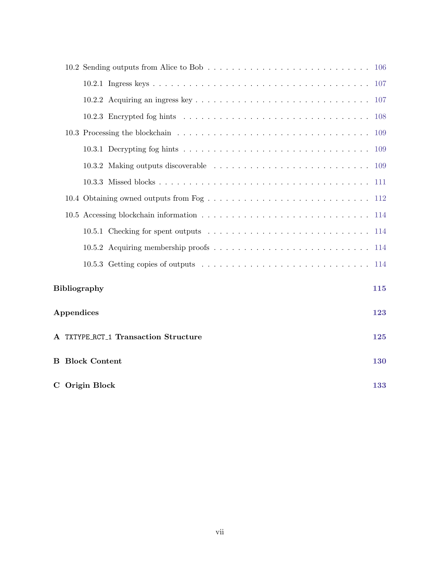|            | 10.5.3 Getting copies of outputs $\ldots \ldots \ldots \ldots \ldots \ldots \ldots \ldots \ldots \ldots 114$ |            |
|------------|--------------------------------------------------------------------------------------------------------------|------------|
|            | <b>Bibliography</b>                                                                                          | 115        |
| Appendices |                                                                                                              | 123        |
|            | A TXTYPE_RCT_1 Transaction Structure                                                                         | 125        |
|            | <b>B</b> Block Content                                                                                       | <b>130</b> |
|            | C Origin Block                                                                                               | 133        |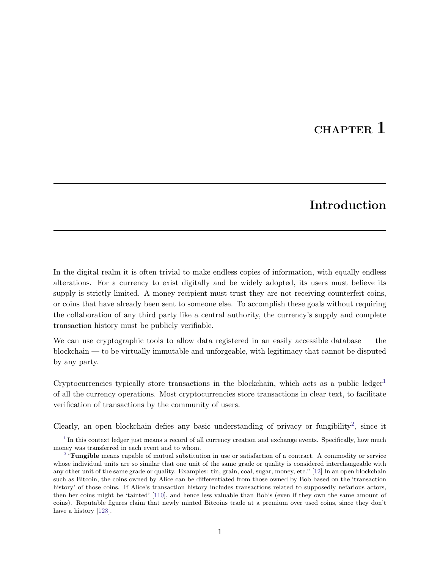# CHAPTER<sub>1</sub>

# <span id="page-7-4"></span><span id="page-7-3"></span>Introduction

<span id="page-7-0"></span>In the digital realm it is often trivial to make endless copies of information, with equally endless alterations. For a currency to exist digitally and be widely adopted, its users must believe its supply is strictly limited. A money recipient must trust they are not receiving counterfeit coins, or coins that have already been sent to someone else. To accomplish these goals without requiring the collaboration of any third party like a central authority, the currency's supply and complete transaction history must be publicly verifiable.

We can use cryptographic tools to allow data registered in an easily accessible database — the blockchain — to be virtually immutable and unforgeable, with legitimacy that cannot be disputed by any party.

Cryptocurrencies typically store transactions in the blockchain, which acts as a public ledger<sup>[1](#page-7-1)</sup> of all the currency operations. Most cryptocurrencies store transactions in clear text, to facilitate verification of transactions by the community of users.

Clearly, an open blockchain defies any basic understanding of privacy or fungibility<sup>[2](#page-7-2)</sup>, since it

<span id="page-7-1"></span> $1$  In this context ledger just means a record of all currency creation and exchange events. Specifically, how much money was transferred in each event and to whom.

<span id="page-7-2"></span><sup>&</sup>lt;sup>[2](#page-7-4)</sup> "**Fungible** means capable of mutual substitution in use or satisfaction of a contract. A commodity or service whose individual units are so similar that one unit of the same grade or quality is considered interchangeable with any other unit of the same grade or quality. Examples: tin, grain, coal, sugar, money, etc." [\[12\]](#page-121-0) In an open blockchain such as Bitcoin, the coins owned by Alice can be differentiated from those owned by Bob based on the 'transaction history' of those coins. If Alice's transaction history includes transactions related to supposedly nefarious actors, then her coins might be 'tainted' [\[110\]](#page-126-3), and hence less valuable than Bob's (even if they own the same amount of coins). Reputable figures claim that newly minted Bitcoins trade at a premium over used coins, since they don't have a history [\[128\]](#page-127-2).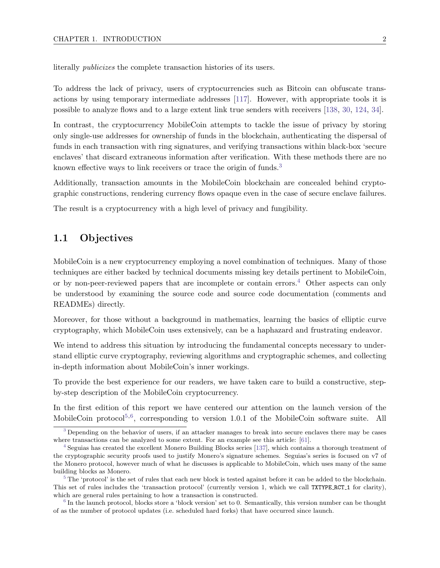literally publicizes the complete transaction histories of its users.

To address the lack of privacy, users of cryptocurrencies such as Bitcoin can obfuscate transactions by using temporary intermediate addresses [\[117\]](#page-127-3). However, with appropriate tools it is possible to analyze flows and to a large extent link true senders with receivers [\[138,](#page-128-1) [30,](#page-122-2) [124,](#page-127-4) [34\]](#page-122-3).

In contrast, the cryptocurrency MobileCoin attempts to tackle the issue of privacy by storing only single-use addresses for ownership of funds in the blockchain, authenticating the dispersal of funds in each transaction with ring signatures, and verifying transactions within black-box 'secure enclaves' that discard extraneous information after verification. With these methods there are no known effective ways to link receivers or trace the origin of funds.<sup>[3](#page-8-1)</sup>

<span id="page-8-5"></span>Additionally, transaction amounts in the MobileCoin blockchain are concealed behind cryptographic constructions, rendering currency flows opaque even in the case of secure enclave failures.

<span id="page-8-0"></span>The result is a cryptocurrency with a high level of privacy and fungibility.

## 1.1 Objectives

<span id="page-8-6"></span>MobileCoin is a new cryptocurrency employing a novel combination of techniques. Many of those techniques are either backed by technical documents missing key details pertinent to MobileCoin, or by non-peer-reviewed papers that are incomplete or contain errors.<sup>[4](#page-8-2)</sup> Other aspects can only be understood by examining the source code and source code documentation (comments and READMEs) directly.

Moreover, for those without a background in mathematics, learning the basics of elliptic curve cryptography, which MobileCoin uses extensively, can be a haphazard and frustrating endeavor.

We intend to address this situation by introducing the fundamental concepts necessary to understand elliptic curve cryptography, reviewing algorithms and cryptographic schemes, and collecting in-depth information about MobileCoin's inner workings.

To provide the best experience for our readers, we have taken care to build a constructive, stepby-step description of the MobileCoin cryptocurrency.

<span id="page-8-8"></span><span id="page-8-7"></span>In the first edition of this report we have centered our attention on the launch version of the MobileCoin protocol<sup>[5](#page-8-3)[,6](#page-8-4)</sup>, corresponding to version 1.0.1 of the MobileCoin software suite. All

<span id="page-8-1"></span><sup>&</sup>lt;sup>[3](#page-8-5)</sup> Depending on the behavior of users, if an attacker manages to break into secure enclaves there may be cases where transactions can be analyzed to some extent. For an example see this article: [\[61\]](#page-124-0).

<span id="page-8-2"></span>[<sup>4</sup>](#page-8-6) Seguias has created the excellent Monero Building Blocks series [\[137\]](#page-128-2), which contains a thorough treatment of the cryptographic security proofs used to justify Monero's signature schemes. Seguias's series is focused on v7 of the Monero protocol, however much of what he discusses is applicable to MobileCoin, which uses many of the same building blocks as Monero.

<span id="page-8-3"></span> $5$  The 'protocol' is the set of rules that each new block is tested against before it can be added to the blockchain. This set of rules includes the 'transaction protocol' (currently version 1, which we call TXTYPE RCT 1 for clarity), which are general rules pertaining to how a transaction is constructed.

<span id="page-8-4"></span><sup>&</sup>lt;sup>[6](#page-8-8)</sup> In the launch protocol, blocks store a 'block version' set to 0. Semantically, this version number can be thought of as the number of protocol updates (i.e. scheduled hard forks) that have occurred since launch.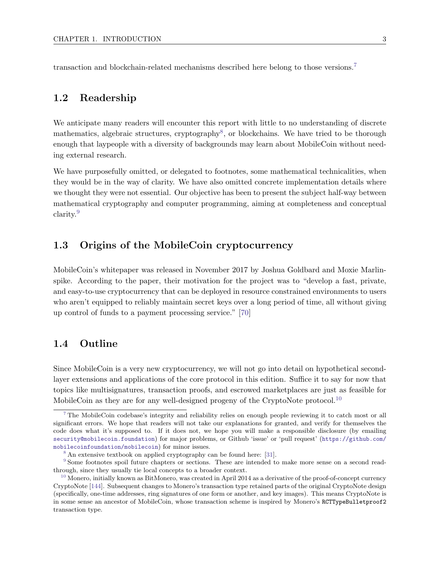<span id="page-9-8"></span><span id="page-9-0"></span>transaction and blockchain-related mechanisms described here belong to those versions.[7](#page-9-4)

## 1.2 Readership

<span id="page-9-9"></span>We anticipate many readers will encounter this report with little to no understanding of discrete mathematics, algebraic structures, cryptography<sup>[8](#page-9-5)</sup>, or blockchains. We have tried to be thorough enough that laypeople with a diversity of backgrounds may learn about MobileCoin without needing external research.

We have purposefully omitted, or delegated to footnotes, some mathematical technicalities, when they would be in the way of clarity. We have also omitted concrete implementation details where we thought they were not essential. Our objective has been to present the subject half-way between mathematical cryptography and computer programming, aiming at completeness and conceptual clarity.[9](#page-9-6)

## <span id="page-9-10"></span><span id="page-9-1"></span>1.3 Origins of the MobileCoin cryptocurrency

MobileCoin's whitepaper was released in November 2017 by Joshua Goldbard and Moxie Marlinspike. According to the paper, their motivation for the project was to "develop a fast, private, and easy-to-use cryptocurrency that can be deployed in resource constrained environments to users who aren't equipped to reliably maintain secret keys over a long period of time, all without giving up control of funds to a payment processing service." [\[70\]](#page-124-1)

# <span id="page-9-2"></span>1.4 Outline

Since MobileCoin is a very new cryptocurrency, we will not go into detail on hypothetical secondlayer extensions and applications of the core protocol in this edition. Suffice it to say for now that topics like multisignatures, transaction proofs, and escrowed marketplaces are just as feasible for MobileCoin as they are for any well-designed progeny of the CryptoNote protocol.<sup>[10](#page-9-7)</sup>

<span id="page-9-4"></span><span id="page-9-3"></span><sup>&</sup>lt;sup>[7](#page-9-8)</sup> The MobileCoin codebase's integrity and reliability relies on enough people reviewing it to catch most or all significant errors. We hope that readers will not take our explanations for granted, and verify for themselves the code does what it's supposed to. If it does not, we hope you will make a responsible disclosure (by emailing <security@mobilecoin.foundation>) for major problems, or Github 'issue' or 'pull request' ([https://github.com/](https://github.com/mobilecoinfoundation/mobilecoin) [mobilecoinfoundation/mobilecoin](https://github.com/mobilecoinfoundation/mobilecoin)) for minor issues.

<span id="page-9-11"></span><span id="page-9-6"></span><span id="page-9-5"></span><sup>&</sup>lt;sup>[8](#page-9-9)</sup> An extensive textbook on applied cryptography can be found here: [\[31\]](#page-122-4).

[<sup>9</sup>](#page-9-10) Some footnotes spoil future chapters or sections. These are intended to make more sense on a second readthrough, since they usually tie local concepts to a broader context.

<span id="page-9-7"></span> $10$  Monero, initially known as BitMonero, was created in April 2014 as a derivative of the proof-of-concept currency CryptoNote [\[144\]](#page-128-3). Subsequent changes to Monero's transaction type retained parts of the original CryptoNote design (specifically, one-time addresses, ring signatures of one form or another, and key images). This means CryptoNote is in some sense an ancestor of MobileCoin, whose transaction scheme is inspired by Monero's RCTTypeBulletproof2 transaction type.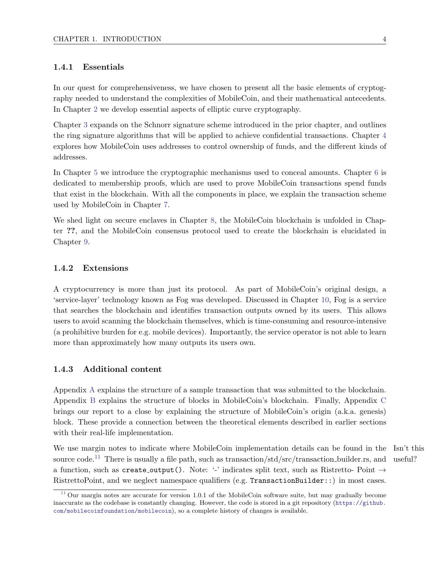### 1.4.1 Essentials

In our quest for comprehensiveness, we have chosen to present all the basic elements of cryptography needed to understand the complexities of MobileCoin, and their mathematical antecedents. In Chapter [2](#page-14-0) we develop essential aspects of elliptic curve cryptography.

Chapter [3](#page-33-0) expands on the Schnorr signature scheme introduced in the prior chapter, and outlines the ring signature algorithms that will be applied to achieve confidential transactions. Chapter [4](#page-43-0) explores how MobileCoin uses addresses to control ownership of funds, and the different kinds of addresses.

In Chapter [5](#page-48-0) we introduce the cryptographic mechanisms used to conceal amounts. Chapter [6](#page-53-0) is dedicated to membership proofs, which are used to prove MobileCoin transactions spend funds that exist in the blockchain. With all the components in place, we explain the transaction scheme used by MobileCoin in Chapter [7.](#page-59-0)

We shed light on secure enclaves in Chapter [8,](#page-67-0) the MobileCoin blockchain is unfolded in Chapter ??, and the MobileCoin consensus protocol used to create the blockchain is elucidated in Chapter [9.](#page-87-0)

#### <span id="page-10-0"></span>1.4.2 Extensions

A cryptocurrency is more than just its protocol. As part of MobileCoin's original design, a 'service-layer' technology known as Fog was developed. Discussed in Chapter [10,](#page-111-0) Fog is a service that searches the blockchain and identifies transaction outputs owned by its users. This allows users to avoid scanning the blockchain themselves, which is time-consuming and resource-intensive (a prohibitive burden for e.g. mobile devices). Importantly, the service operator is not able to learn more than approximately how many outputs its users own.

#### <span id="page-10-1"></span>1.4.3 Additional content

Appendix [A](#page-131-0) explains the structure of a sample transaction that was submitted to the blockchain. Appendix [B](#page-136-0) explains the structure of blocks in MobileCoin's blockchain. Finally, Appendix [C](#page-139-0) brings our report to a close by explaining the structure of MobileCoin's origin (a.k.a. genesis) block. These provide a connection between the theoretical elements described in earlier sections with their real-life implementation.

<span id="page-10-3"></span>We use margin notes to indicate where MobileCoin implementation details can be found in the Isn't this source code.<sup>[11](#page-10-2)</sup> There is usually a file path, such as transaction/std/src/transaction\_builder.rs, and a function, such as create\_output(). Note: '-' indicates split text, such as Ristretto- Point  $\rightarrow$ RistrettoPoint, and we neglect namespace qualifiers (e.g. TransactionBuilder::) in most cases.

<span id="page-10-2"></span><sup>&</sup>lt;sup>[11](#page-10-3)</sup> Our margin notes are accurate for version 1.0.1 of the MobileCoin software suite, but may gradually become inaccurate as the codebase is constantly changing. However, the code is stored in a git repository ([https://github.](https://github.com/mobilecoinfoundation/mobilecoin) [com/mobilecoinfoundation/mobilecoin](https://github.com/mobilecoinfoundation/mobilecoin)), so a complete history of changes is available.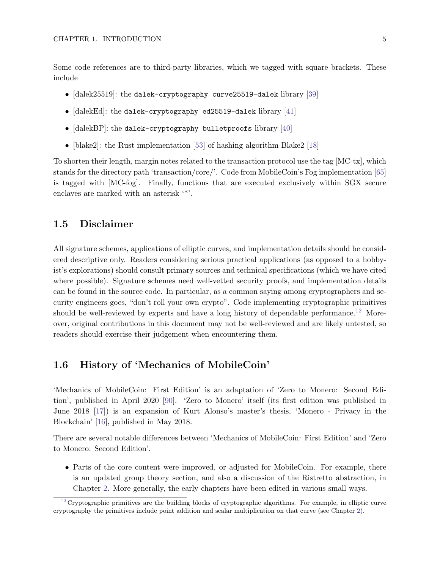Some code references are to third-party libraries, which we tagged with square brackets. These include

- [dalek25519]: the dalek-cryptography curve25519-dalek library [\[39\]](#page-123-3)
- [dalekEd]: the dalek-cryptography ed25519-dalek library [\[41\]](#page-123-4)
- [dalekBP]: the dalek-cryptography bulletproofs library [\[40\]](#page-123-5)
- [blake2]: the Rust implementation [\[53\]](#page-123-6) of hashing algorithm Blake2 [\[18\]](#page-122-5)

To shorten their length, margin notes related to the transaction protocol use the tag [MC-tx], which stands for the directory path 'transaction/core/'. Code from MobileCoin's Fog implementation [\[65\]](#page-124-2) is tagged with [MC-fog]. Finally, functions that are executed exclusively within SGX secure enclaves are marked with an asterisk '\*'.

### <span id="page-11-0"></span>1.5 Disclaimer

All signature schemes, applications of elliptic curves, and implementation details should be considered descriptive only. Readers considering serious practical applications (as opposed to a hobbyist's explorations) should consult primary sources and technical specifications (which we have cited where possible). Signature schemes need well-vetted security proofs, and implementation details can be found in the source code. In particular, as a common saying among cryptographers and security engineers goes, "don't roll your own crypto". Code implementing cryptographic primitives should be well-reviewed by experts and have a long history of dependable performance.<sup>[12](#page-11-2)</sup> Moreover, original contributions in this document may not be well-reviewed and are likely untested, so readers should exercise their judgement when encountering them.

## <span id="page-11-3"></span><span id="page-11-1"></span>1.6 History of 'Mechanics of MobileCoin'

'Mechanics of MobileCoin: First Edition' is an adaptation of 'Zero to Monero: Second Edition', published in April 2020 [\[90\]](#page-125-0). 'Zero to Monero' itself (its first edition was published in June 2018 [\[17\]](#page-122-6)) is an expansion of Kurt Alonso's master's thesis, 'Monero - Privacy in the Blockchain' [\[16\]](#page-122-7), published in May 2018.

There are several notable differences between 'Mechanics of MobileCoin: First Edition' and 'Zero to Monero: Second Edition'.

• Parts of the core content were improved, or adjusted for MobileCoin. For example, there is an updated group theory section, and also a discussion of the Ristretto abstraction, in Chapter [2.](#page-14-0) More generally, the early chapters have been edited in various small ways.

<span id="page-11-2"></span> $12$  Cryptographic primitives are the building blocks of cryptographic algorithms. For example, in elliptic curve cryptography the primitives include point addition and scalar multiplication on that curve (see Chapter [2\)](#page-14-0).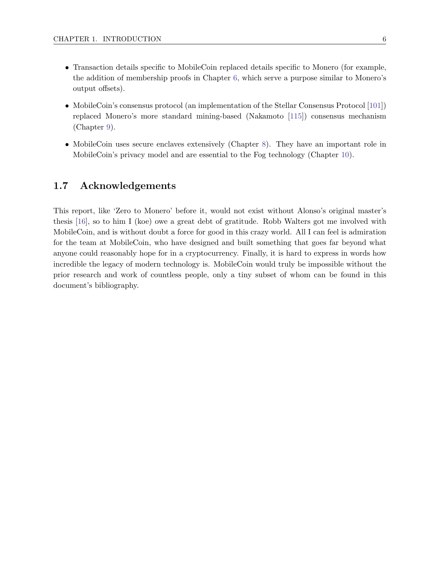- Transaction details specific to MobileCoin replaced details specific to Monero (for example, the addition of membership proofs in Chapter [6,](#page-53-0) which serve a purpose similar to Monero's output offsets).
- MobileCoin's consensus protocol (an implementation of the Stellar Consensus Protocol [\[101\]](#page-126-0)) replaced Monero's more standard mining-based (Nakamoto [\[115\]](#page-127-0)) consensus mechanism (Chapter [9\)](#page-87-0).
- MobileCoin uses secure enclaves extensively (Chapter [8\)](#page-67-0). They have an important role in MobileCoin's privacy model and are essential to the Fog technology (Chapter [10\)](#page-111-0).

## <span id="page-12-0"></span>1.7 Acknowledgements

This report, like 'Zero to Monero' before it, would not exist without Alonso's original master's thesis [\[16\]](#page-122-7), so to him I (koe) owe a great debt of gratitude. Robb Walters got me involved with MobileCoin, and is without doubt a force for good in this crazy world. All I can feel is admiration for the team at MobileCoin, who have designed and built something that goes far beyond what anyone could reasonably hope for in a cryptocurrency. Finally, it is hard to express in words how incredible the legacy of modern technology is. MobileCoin would truly be impossible without the prior research and work of countless people, only a tiny subset of whom can be found in this document's bibliography.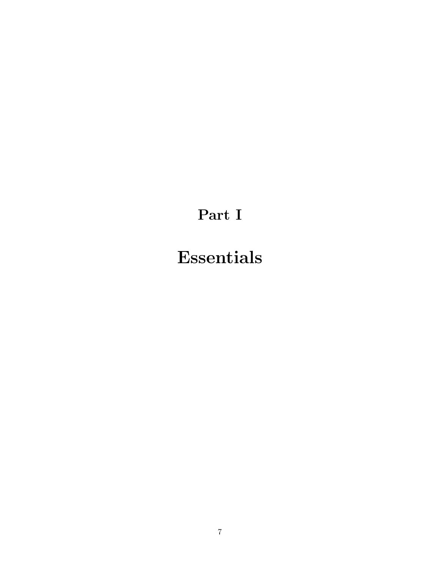# Part I

# <span id="page-13-0"></span>Essentials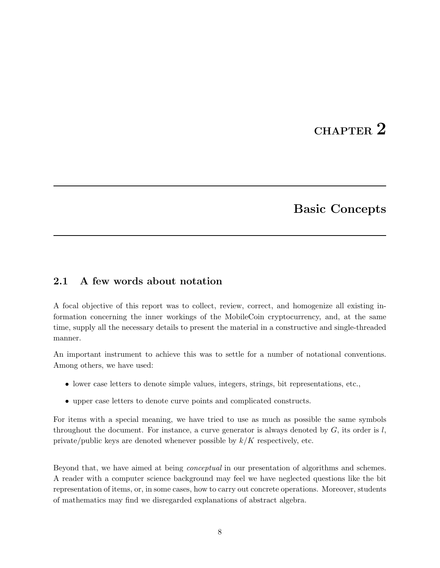# CHAPTER 2

# Basic Concepts

# <span id="page-14-1"></span><span id="page-14-0"></span>2.1 A few words about notation

A focal objective of this report was to collect, review, correct, and homogenize all existing information concerning the inner workings of the MobileCoin cryptocurrency, and, at the same time, supply all the necessary details to present the material in a constructive and single-threaded manner.

An important instrument to achieve this was to settle for a number of notational conventions. Among others, we have used:

- lower case letters to denote simple values, integers, strings, bit representations, etc.,
- upper case letters to denote curve points and complicated constructs.

For items with a special meaning, we have tried to use as much as possible the same symbols throughout the document. For instance, a curve generator is always denoted by  $G$ , its order is  $l$ , private/public keys are denoted whenever possible by  $k/K$  respectively, etc.

Beyond that, we have aimed at being *conceptual* in our presentation of algorithms and schemes. A reader with a computer science background may feel we have neglected questions like the bit representation of items, or, in some cases, how to carry out concrete operations. Moreover, students of mathematics may find we disregarded explanations of abstract algebra.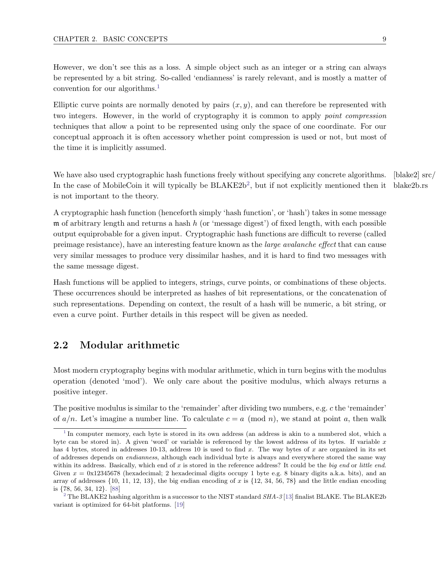<span id="page-15-3"></span>However, we don't see this as a loss. A simple object such as an integer or a string can always be represented by a bit string. So-called 'endianness' is rarely relevant, and is mostly a matter of convention for our algorithms.<sup>[1](#page-15-1)</sup>

Elliptic curve points are normally denoted by pairs  $(x, y)$ , and can therefore be represented with two integers. However, in the world of cryptography it is common to apply point compression techniques that allow a point to be represented using only the space of one coordinate. For our conceptual approach it is often accessory whether point compression is used or not, but most of the time it is implicitly assumed.

<span id="page-15-4"></span>We have also used cryptographic hash functions freely without specifying any concrete algorithms. [blake2]  $\text{src}/$ blake2b.rs In the case of MobileCoin it will typically be  $BLAKE2b<sup>2</sup>$  $BLAKE2b<sup>2</sup>$  $BLAKE2b<sup>2</sup>$ , but if not explicitly mentioned then it is not important to the theory.

A cryptographic hash function (henceforth simply 'hash function', or 'hash') takes in some message  $m$  of arbitrary length and returns a hash h (or 'message digest') of fixed length, with each possible output equiprobable for a given input. Cryptographic hash functions are difficult to reverse (called preimage resistance), have an interesting feature known as the large avalanche effect that can cause very similar messages to produce very dissimilar hashes, and it is hard to find two messages with the same message digest.

Hash functions will be applied to integers, strings, curve points, or combinations of these objects. These occurrences should be interpreted as hashes of bit representations, or the concatenation of such representations. Depending on context, the result of a hash will be numeric, a bit string, or even a curve point. Further details in this respect will be given as needed.

### <span id="page-15-0"></span>2.2 Modular arithmetic

Most modern cryptography begins with modular arithmetic, which in turn begins with the modulus operation (denoted 'mod'). We only care about the positive modulus, which always returns a positive integer.

The positive modulus is similar to the 'remainder' after dividing two numbers, e.g. c the 'remainder' of  $a/n$ . Let's imagine a number line. To calculate  $c = a \pmod{n}$ , we stand at point a, then walk

<span id="page-15-1"></span><sup>&</sup>lt;sup>[1](#page-15-3)</sup> In computer memory, each byte is stored in its own address (an address is akin to a numbered slot, which a byte can be stored in). A given 'word' or variable is referenced by the lowest address of its bytes. If variable  $x$ has 4 bytes, stored in addresses 10-13, address 10 is used to find  $x$ . The way bytes of  $x$  are organized in its set of addresses depends on endianness, although each individual byte is always and everywhere stored the same way within its address. Basically, which end of  $x$  is stored in the reference address? It could be the big end or little end. Given  $x = 0x12345678$  (hexadecimal; 2 hexadecimal digits occupy 1 byte e.g. 8 binary digits a.k.a. bits), and an array of addresses  $\{10, 11, 12, 13\}$ , the big endian encoding of x is  $\{12, 34, 56, 78\}$  and the little endian encoding is {78, 56, 34, 12}. [\[88\]](#page-125-1)

<span id="page-15-2"></span><sup>&</sup>lt;sup>[2](#page-15-4)</sup> The BLAKE2 hashing algorithm is a successor to the NIST standard  $SHA-3$  [\[13\]](#page-121-1) finalist BLAKE. The BLAKE2b variant is optimized for 64-bit platforms. [\[19\]](#page-122-8)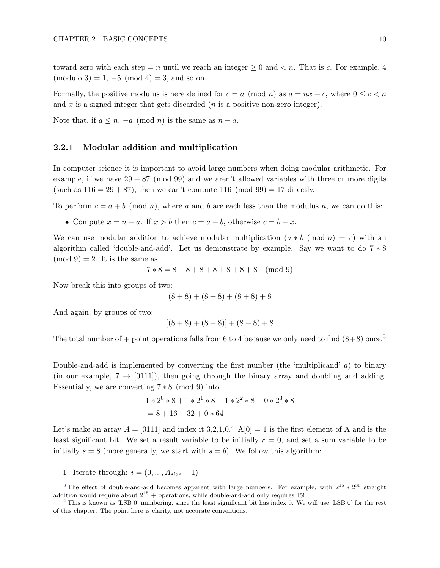toward zero with each step = n until we reach an integer  $\geq 0$  and  $\lt n$ . That is c. For example, 4  $(modulo 3) = 1, -5 (mod 4) = 3, and so on.$ 

Formally, the positive modulus is here defined for  $c = a \pmod{n}$  as  $a = nx + c$ , where  $0 \leq c < n$ and  $x$  is a signed integer that gets discarded ( $n$  is a positive non-zero integer).

<span id="page-16-0"></span>Note that, if  $a \leq n$ ,  $-a \pmod{n}$  is the same as  $n - a$ .

#### 2.2.1 Modular addition and multiplication

In computer science it is important to avoid large numbers when doing modular arithmetic. For example, if we have  $29 + 87 \pmod{99}$  and we aren't allowed variables with three or more digits (such as  $116 = 29 + 87$ ), then we can't compute 116 (mod 99) = 17 directly.

To perform  $c = a + b \pmod{n}$ , where a and b are each less than the modulus n, we can do this:

• Compute  $x = n - a$ . If  $x > b$  then  $c = a + b$ , otherwise  $c = b - x$ .

We can use modular addition to achieve modular multiplication  $(a * b \pmod{n} = c)$  with an algorithm called 'double-and-add'. Let us demonstrate by example. Say we want to do 7 ∗ 8  $\pmod{9} = 2$ . It is the same as

$$
7 * 8 = 8 + 8 + 8 + 8 + 8 + 8 + 8
$$
 (mod 9)

Now break this into groups of two:

$$
(8+8) + (8+8) + (8+8) + 8
$$

And again, by groups of two:

<span id="page-16-3"></span>
$$
[(8+8) + (8+8)] + (8+8) + 8
$$

The total number of + point operations falls from 6 to 4 because we only need to find  $(8+8)$  once.<sup>[3](#page-16-1)</sup>

Double-and-add is implemented by converting the first number (the 'multiplicand'  $a$ ) to binary (in our example,  $7 \rightarrow [0111]$ ), then going through the binary array and doubling and adding. Essentially, we are converting  $7 * 8 \pmod{9}$  into

<span id="page-16-4"></span>
$$
1 * 20 * 8 + 1 * 21 * 8 + 1 * 22 * 8 + 0 * 23 * 8
$$
  
= 8 + 16 + 32 + 0 \* 64

Let's make an array  $A = [0111]$  and index it 3,2,1,0.<sup>[4](#page-16-2)</sup> A[0] = 1 is the first element of A and is the least significant bit. We set a result variable to be initially  $r = 0$ , and set a sum variable to be initially  $s = 8$  (more generally, we start with  $s = b$ ). We follow this algorithm:

<span id="page-16-1"></span>1. Iterate through:  $i = (0, ..., A_{size} - 1)$ 

<sup>&</sup>lt;sup>[3](#page-16-3)</sup>The effect of double-and-add becomes apparent with large numbers. For example, with  $2^{15} * 2^{30}$  straight addition would require about  $2^{15}$  + operations, while double-and-add only requires 15!

<span id="page-16-2"></span>[<sup>4</sup>](#page-16-4) This is known as 'LSB 0' numbering, since the least significant bit has index 0. We will use 'LSB 0' for the rest of this chapter. The point here is clarity, not accurate conventions.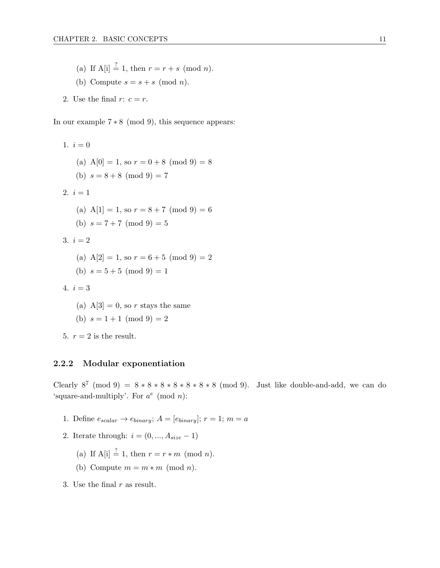- (a) If  $A[i] \stackrel{?}{=} 1$ , then  $r = r + s \pmod{n}$ .
- (b) Compute  $s = s + s \pmod{n}$ .
- 2. Use the final  $r: c = r$ .

In our example 7 ∗ 8 (mod 9), this sequence appears:

1.  $i = 0$ (a)  $A[0] = 1$ , so  $r = 0 + 8 \pmod{9} = 8$ (b)  $s = 8 + 8 \pmod{9} = 7$ 2.  $i = 1$ (a)  $A[1] = 1$ , so  $r = 8 + 7 \pmod{9} = 6$ (b)  $s = 7 + 7 \pmod{9} = 5$ 3.  $i = 2$ (a)  $A[2] = 1$ , so  $r = 6 + 5 \pmod{9} = 2$ (b)  $s = 5 + 5 \pmod{9} = 1$ 4.  $i = 3$ 

(a)  $A[3] = 0$ , so r stays the same

(b) 
$$
s = 1 + 1 \pmod{9} = 2
$$

5.  $r = 2$  is the result.

#### <span id="page-17-0"></span>2.2.2 Modular exponentiation

Clearly  $8^7 \pmod{9} = 8 * 8 * 8 * 8 * 8 * 8 * 8 \pmod{9}$ . Just like double-and-add, we can do 'square-and-multiply'. For  $a^e \pmod{n}$ :

- 1. Define  $e_{scalar} \rightarrow e_{binary}$ ;  $A = [e_{binary}]$ ;  $r = 1$ ;  $m = a$
- 2. Iterate through:  $i = (0, ..., A_{size} 1)$ 
	- (a) If  $A[i] \stackrel{?}{=} 1$ , then  $r = r * m \pmod{n}$ .
	- (b) Compute  $m = m * m \pmod{n}$ .
- <span id="page-17-1"></span>3. Use the final  $r$  as result.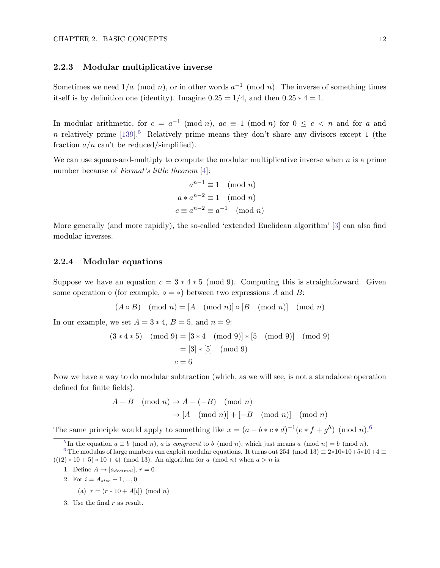#### 2.2.3 Modular multiplicative inverse

Sometimes we need  $1/a \pmod{n}$ , or in other words  $a^{-1} \pmod{n}$ . The inverse of something times itself is by definition one (identity). Imagine  $0.25 = 1/4$ , and then  $0.25 * 4 = 1$ .

In modular arithmetic, for  $c = a^{-1} \pmod{n}$ ,  $ac \equiv 1 \pmod{n}$  for  $0 \le c < n$  and for a and n relatively prime  $[139]$ <sup>[5](#page-18-2)</sup> Relatively prime means they don't share any divisors except 1 (the fraction  $a/n$  can't be reduced/simplified).

We can use square-and-multiply to compute the modular multiplicative inverse when  $n$  is a prime number because of *Fermat's little theorem* [\[4\]](#page-121-2):

<span id="page-18-4"></span>
$$
a^{n-1} \equiv 1 \pmod{n}
$$

$$
a * a^{n-2} \equiv 1 \pmod{n}
$$

$$
c \equiv a^{n-2} \equiv a^{-1} \pmod{n}
$$

<span id="page-18-0"></span>More generally (and more rapidly), the so-called 'extended Euclidean algorithm' [\[3\]](#page-121-3) can also find modular inverses.

#### 2.2.4 Modular equations

Suppose we have an equation  $c = 3 * 4 * 5 \pmod{9}$ . Computing this is straightforward. Given some operation  $\circ$  (for example,  $\circ = \ast$ ) between two expressions A and B:

$$
(A \circ B) \pmod{n} = [A \pmod{n}] \circ [B \pmod{n}] \pmod{n}
$$

In our example, we set  $A = 3 * 4$ ,  $B = 5$ , and  $n = 9$ :

$$
(3 * 4 * 5)
$$
 (mod 9) =  $[3 * 4 \pmod{9}] * [5 \pmod{9}] \pmod{9}$   
 =  $[3] * [5]$  (mod 9)  
 $c = 6$ 

Now we have a way to do modular subtraction (which, as we will see, is not a standalone operation defined for finite fields).

<span id="page-18-5"></span>
$$
A - B \pmod{n} \to A + (-B) \pmod{n}
$$
  
 
$$
\to [A \pmod{n}] + [-B \pmod{n}] \pmod{n}
$$

<span id="page-18-1"></span>The same principle would apply to something like  $x = (a - b * c * d)^{-1} (e * f + g^h) \pmod{n}$ .<sup>[6](#page-18-3)</sup>

<span id="page-18-3"></span><span id="page-18-2"></span><sup>[5](#page-18-4)</sup> In the equation  $a \equiv b \pmod{n}$ , a is congruent to b (mod n), which just means a (mod n) = b (mod n).

- 1. Define  $A \rightarrow [a_{decimal}]; r = 0$
- 2. For  $i = A_{size} 1, ..., 0$ 
	- (a)  $r = (r * 10 + A[i]) \pmod{n}$
- 3. Use the final  $r$  as result.

<sup>&</sup>lt;sup>[6](#page-18-5)</sup> The modulus of large numbers can exploit modular equations. It turns out 254 (mod 13)  $\equiv 2*10*10+5*10+4 \equiv$  $(((2) * 10 + 5) * 10 + 4)$  (mod 13). An algorithm for a (mod n) when  $a > n$  is: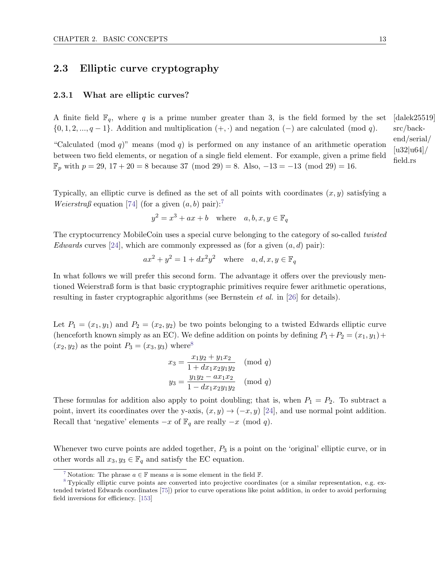# 2.3 Elliptic curve cryptography

#### <span id="page-19-0"></span>2.3.1 What are elliptic curves?

A finite field  $\mathbb{F}_q$ , where q is a prime number greater than 3, is the field formed by the set [dalek25519]  $\{0, 1, 2, ..., q - 1\}$ . Addition and multiplication  $(+, \cdot)$  and negation  $(-)$  are calculated (mod q).

"Calculated (mod q)" means (mod q) is performed on any instance of an arithmetic operation between two field elements, or negation of a single field element. For example, given a prime field  $\mathbb{F}_p$  with  $p = 29, 17 + 20 = 8$  because 37 (mod 29) = 8. Also,  $-13 = -13$  (mod 29) = 16.

Typically, an elliptic curve is defined as the set of all points with coordinates  $(x, y)$  satisfying a *Weierstraß* equation [\[74\]](#page-125-2) (for a given  $(a, b)$  pair):<sup>[7](#page-19-2)</sup>

<span id="page-19-4"></span>
$$
y^2 = x^3 + ax + b \quad \text{where} \quad a, b, x, y \in \mathbb{F}_q
$$

The cryptocurrency MobileCoin uses a special curve belonging to the category of so-called twisted Edwards curves [\[24\]](#page-122-9), which are commonly expressed as (for a given  $(a, d)$  pair):

$$
ax^2 + y^2 = 1 + dx^2y^2 \quad \text{where} \quad a, d, x, y \in \mathbb{F}_q
$$

In what follows we will prefer this second form. The advantage it offers over the previously mentioned Weierstraß form is that basic cryptographic primitives require fewer arithmetic operations, resulting in faster cryptographic algorithms (see Bernstein et al. in [\[26\]](#page-122-10) for details).

Let  $P_1 = (x_1, y_1)$  and  $P_2 = (x_2, y_2)$  be two points belonging to a twisted Edwards elliptic curve (henceforth known simply as an EC). We define addition on points by defining  $P_1+P_2=(x_1, y_1)+P_2$  $(x_2, y_2)$  as the point  $P_3 = (x_3, y_3)$  where<sup>[8](#page-19-3)</sup>

<span id="page-19-5"></span>
$$
x_3 = \frac{x_1y_2 + y_1x_2}{1 + dx_1x_2y_1y_2} \pmod{q}
$$
  

$$
y_3 = \frac{y_1y_2 - ax_1x_2}{1 - dx_1x_2y_1y_2} \pmod{q}
$$

These formulas for addition also apply to point doubling; that is, when  $P_1 = P_2$ . To subtract a point, invert its coordinates over the y-axis,  $(x, y) \rightarrow (-x, y)$  [\[24\]](#page-122-9), and use normal point addition. Recall that 'negative' elements  $-x$  of  $\mathbb{F}_q$  are really  $-x \pmod{q}$ .

Whenever two curve points are added together,  $P_3$  is a point on the 'original' elliptic curve, or in other words all  $x_3, y_3 \in \mathbb{F}_q$  and satisfy the EC equation.

src/backend/serial/ [u32|u64]/ field.rs

<span id="page-19-3"></span><span id="page-19-2"></span><span id="page-19-1"></span>Notation: The phrase  $a \in \mathbb{F}$  means a is some element in the field  $\mathbb{F}$ .

[<sup>8</sup>](#page-19-5) Typically elliptic curve points are converted into projective coordinates (or a similar representation, e.g. extended twisted Edwards coordinates [\[75\]](#page-125-3)) prior to curve operations like point addition, in order to avoid performing field inversions for efficiency. [\[153\]](#page-129-1)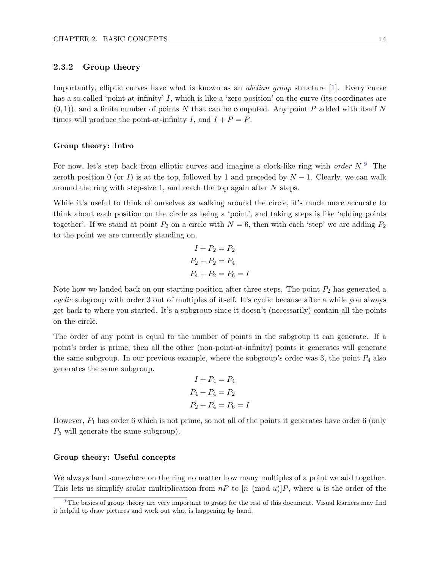#### 2.3.2 Group theory

Importantly, elliptic curves have what is known as an abelian group structure [\[1\]](#page-121-4). Every curve has a so-called 'point-at-infinity' I, which is like a 'zero position' on the curve (its coordinates are  $(0, 1)$ , and a finite number of points N that can be computed. Any point P added with itself N times will produce the point-at-infinity I, and  $I + P = P$ .

#### Group theory: Intro

For now, let's step back from elliptic curves and imagine a clock-like ring with *order*  $N$ .<sup>[9](#page-20-0)</sup> The zeroth position 0 (or I) is at the top, followed by 1 and preceded by  $N-1$ . Clearly, we can walk around the ring with step-size 1, and reach the top again after N steps.

While it's useful to think of ourselves as walking around the circle, it's much more accurate to think about each position on the circle as being a 'point', and taking steps is like 'adding points together'. If we stand at point  $P_2$  on a circle with  $N = 6$ , then with each 'step' we are adding  $P_2$ to the point we are currently standing on.

<span id="page-20-1"></span>
$$
I + P_2 = P_2
$$

$$
P_2 + P_2 = P_4
$$

$$
P_4 + P_2 = P_6 = I
$$

Note how we landed back on our starting position after three steps. The point  $P_2$  has generated a cyclic subgroup with order 3 out of multiples of itself. It's cyclic because after a while you always get back to where you started. It's a subgroup since it doesn't (necessarily) contain all the points on the circle.

The order of any point is equal to the number of points in the subgroup it can generate. If a point's order is prime, then all the other (non-point-at-infinity) points it generates will generate the same subgroup. In our previous example, where the subgroup's order was 3, the point  $P_4$  also generates the same subgroup.

$$
I + P_4 = P_4
$$
  

$$
P_4 + P_4 = P_2
$$
  

$$
P_2 + P_4 = P_6 = I
$$

However,  $P_1$  has order 6 which is not prime, so not all of the points it generates have order 6 (only  $P_5$  will generate the same subgroup).

#### Group theory: Useful concepts

We always land somewhere on the ring no matter how many multiples of a point we add together. This lets us simplify scalar multiplication from  $nP$  to  $[n \pmod{u}]P$ , where u is the order of the

<span id="page-20-0"></span>[<sup>9</sup>](#page-20-1) The basics of group theory are very important to grasp for the rest of this document. Visual learners may find it helpful to draw pictures and work out what is happening by hand.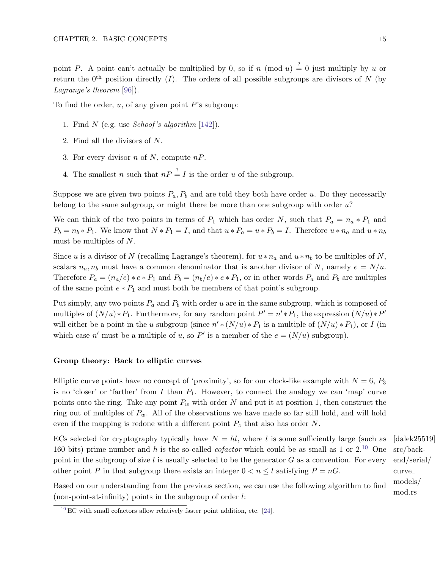point P. A point can't actually be multiplied by 0, so if n (mod u)  $\frac{?}{=}$  0 just multiply by u or return the  $0^{th}$  position directly (I). The orders of all possible subgroups are divisors of N (by Lagrange's theorem [\[96\]](#page-126-4)).

To find the order,  $u$ , of any given point  $P$ 's subgroup:

- 1. Find N (e.g. use *Schoof's algorithm* [\[142\]](#page-128-5)).
- 2. Find all the divisors of N.
- 3. For every divisor *n* of *N*, compute  $nP$ .
- 4. The smallest n such that  $nP \stackrel{?}{=} I$  is the order u of the subgroup.

Suppose we are given two points  $P_a$ ,  $P_b$  and are told they both have order u. Do they necessarily belong to the same subgroup, or might there be more than one subgroup with order  $u$ ?

We can think of the two points in terms of  $P_1$  which has order N, such that  $P_a = n_a * P_1$  and  $P_b = n_b * P_1$ . We know that  $N * P_1 = I$ , and that  $u * P_a = u * P_b = I$ . Therefore  $u * n_a$  and  $u * n_b$ must be multiples of N.

Since u is a divisor of N (recalling Lagrange's theorem), for  $u * n_a$  and  $u * n_b$  to be multiples of N, scalars  $n_a, n_b$  must have a common denominator that is another divisor of N, namely  $e = N/u$ . Therefore  $P_a = (n_a/e) * e * P_1$  and  $P_b = (n_b/e) * e * P_1$ , or in other words  $P_a$  and  $P_b$  are multiples of the same point  $e * P_1$  and must both be members of that point's subgroup.

Put simply, any two points  $P_a$  and  $P_b$  with order u are in the same subgroup, which is composed of multiples of  $(N/u)*P_1$ . Furthermore, for any random point  $P' = n' * P_1$ , the expression  $(N/u)*P'$ will either be a point in the u subgroup (since  $n' * (N/u) * P_1$  is a multiple of  $(N/u) * P_1$ ), or I (in which case n' must be a multiple of u, so P' is a member of the  $e = (N/u)$  subgroup).

#### Group theory: Back to elliptic curves

Elliptic curve points have no concept of 'proximity', so for our clock-like example with  $N = 6, P_3$ is no 'closer' or 'farther' from I than  $P_1$ . However, to connect the analogy we can 'map' curve points onto the ring. Take any point  $P_w$  with order N and put it at position 1, then construct the ring out of multiples of  $P_w$ . All of the observations we have made so far still hold, and will hold even if the mapping is redone with a different point  $P_z$  that also has order N.

ECs selected for cryptography typically have  $N = hl$ , where l is some sufficiently large (such as [dalek25519] 160 bits) prime number and h is the so-called *cofactor* which could be as small as 1 or  $2^{10}$  $2^{10}$  $2^{10}$  One point in the subgroup of size  $l$  is usually selected to be the generator  $G$  as a convention. For every other point P in that subgroup there exists an integer  $0 < n \leq l$  satisfying  $P = nG$ .

<span id="page-21-1"></span>src/backend/serial/ curve models/ mod.rs

Based on our understanding from the previous section, we can use the following algorithm to find (non-point-at-infinity) points in the subgroup of order  $l$ :

<span id="page-21-0"></span> $10$  EC with small cofactors allow relatively faster point addition, etc. [\[24\]](#page-122-9).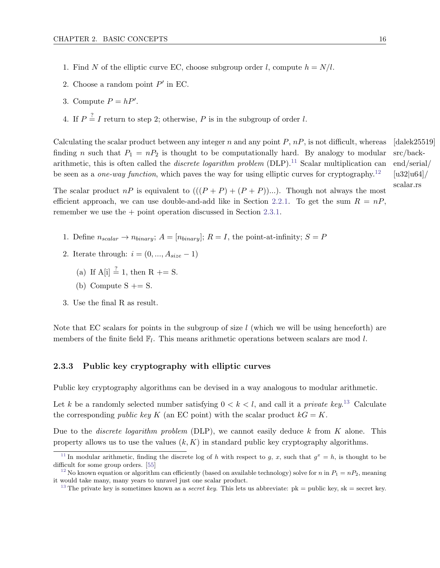- 1. Find N of the elliptic curve EC, choose subgroup order l, compute  $h = N/l$ .
- 2. Choose a random point  $P'$  in EC.
- 3. Compute  $P = hP'$ .
- 4. If  $P \stackrel{?}{=} I$  return to step 2; otherwise, P is in the subgroup of order l.

Calculating the scalar product between any integer n and any point  $P$ ,  $nP$ , is not difficult, whereas [dalek25519] src/backend/serial/  $[u32|u64]$ finding n such that  $P_1 = nP_2$  is thought to be computationally hard. By analogy to modular arithmetic, this is often called the *discrete logarithm problem* (DLP).<sup>[11](#page-22-2)</sup> Scalar multiplication can be seen as a *one-way function*, which paves the way for using elliptic curves for cryptography.<sup>[12](#page-22-3)</sup>

The scalar product  $nP$  is equivalent to  $((P + P) + (P + P))...$ . Though not always the most efficient approach, we can use double-and-add like in Section [2.2.1.](#page-16-0) To get the sum  $R = nP$ , remember we use the + point operation discussed in Section [2.3.1.](#page-19-0)

- 1. Define  $n_{scalar} \rightarrow n_{binary}$ ;  $A = [n_{binary}]$ ;  $R = I$ , the point-at-infinity;  $S = P$
- 2. Iterate through:  $i = (0, ..., A_{size} 1)$ 
	- (a) If  $A[i] \stackrel{?}{=} 1$ , then  $R \stackrel{.}{=} S$ .
	- (b) Compute  $S \stackrel{\text{def}}{=} S$ .
- 3. Use the final R as result.

<span id="page-22-0"></span>Note that EC scalars for points in the subgroup of size  $l$  (which we will be using henceforth) are members of the finite field  $\mathbb{F}_l$ . This means arithmetic operations between scalars are mod l.

#### 2.3.3 Public key cryptography with elliptic curves

Public key cryptography algorithms can be devised in a way analogous to modular arithmetic.

Let k be a randomly selected number satisfying  $0 < k < l$ , and call it a *private key*.<sup>[13](#page-22-4)</sup> Calculate the corresponding *public key K* (an EC point) with the scalar product  $kG = K$ .

Due to the *discrete logarithm problem* (DLP), we cannot easily deduce k from K alone. This property allows us to use the values  $(k, K)$  in standard public key cryptography algorithms.

<span id="page-22-7"></span><span id="page-22-6"></span><span id="page-22-5"></span>scalar.rs

<span id="page-22-2"></span><span id="page-22-1"></span><sup>&</sup>lt;sup>[11](#page-22-5)</sup> In modular arithmetic, finding the discrete log of h with respect to g, x, such that  $g^x = h$ , is thought to be difficult for some group orders. [\[55\]](#page-123-7)

<span id="page-22-3"></span><sup>&</sup>lt;sup>[12](#page-22-6)</sup> No known equation or algorithm can efficiently (based on available technology) solve for n in  $P_1 = nP_2$ , meaning it would take many, many years to unravel just one scalar product.

<span id="page-22-4"></span><sup>&</sup>lt;sup>[13](#page-22-7)</sup> The private key is sometimes known as a *secret key*. This lets us abbreviate:  $pk = public key$ ,  $sk = secret key$ .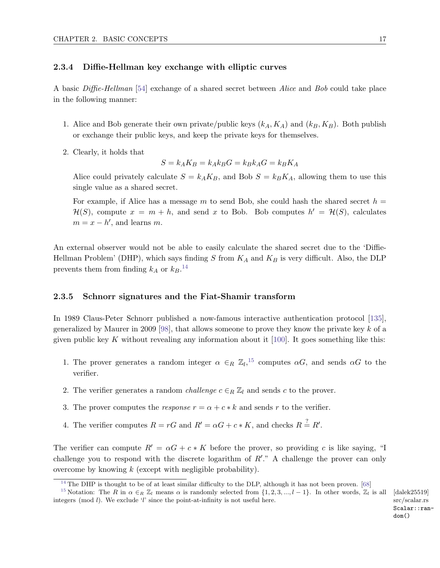#### 2.3.4 Diffie-Hellman key exchange with elliptic curves

A basic Diffie-Hellman [\[54\]](#page-123-2) exchange of a shared secret between Alice and Bob could take place in the following manner:

- 1. Alice and Bob generate their own private/public keys  $(k_A, K_A)$  and  $(k_B, K_B)$ . Both publish or exchange their public keys, and keep the private keys for themselves.
- 2. Clearly, it holds that

<span id="page-23-3"></span>
$$
S = k_A K_B = k_A k_B G = k_B k_A G = k_B K_A
$$

Alice could privately calculate  $S = k_A K_B$ , and Bob  $S = k_B K_A$ , allowing them to use this single value as a shared secret.

For example, if Alice has a message m to send Bob, she could hash the shared secret  $h =$  $\mathcal{H}(S)$ , compute  $x = m + h$ , and send x to Bob. Bob computes  $h' = \mathcal{H}(S)$ , calculates  $m = x - h'$ , and learns m.

An external observer would not be able to easily calculate the shared secret due to the 'Diffie-Hellman Problem' (DHP), which says finding S from  $K_A$  and  $K_B$  is very difficult. Also, the DLP prevents them from finding  $k_A$  or  $k_B$ .<sup>[14](#page-23-1)</sup>

#### <span id="page-23-0"></span>2.3.5 Schnorr signatures and the Fiat-Shamir transform

In 1989 Claus-Peter Schnorr published a now-famous interactive authentication protocol [\[135\]](#page-128-6), generalized by Maurer in 2009 [\[98\]](#page-126-5), that allows someone to prove they know the private key k of a given public key K without revealing any information about it [\[100\]](#page-126-6). It goes something like this:

- <span id="page-23-4"></span>1. The prover generates a random integer  $\alpha \in_R \mathbb{Z}_l$ ,  $^{15}$  $^{15}$  $^{15}$  computes  $\alpha G$ , and sends  $\alpha G$  to the verifier.
- 2. The verifier generates a random *challenge*  $c \in_R \mathbb{Z}_l$  and sends c to the prover.
- 3. The prover computes the response  $r = \alpha + c * k$  and sends r to the verifier.
- 4. The verifier computes  $R = rG$  and  $R' = \alpha G + c * K$ , and checks  $R = R'$ .

The verifier can compute  $R' = \alpha G + c * K$  before the prover, so providing c is like saying, "I challenge you to respond with the discrete logarithm of  $R'$ ." A challenge the prover can only overcome by knowing  $k$  (except with negligible probability).

src/scalar.rs Scalar::random()

<span id="page-23-2"></span><span id="page-23-1"></span> $14$  The DHP is thought to be of at least similar difficulty to the DLP, although it has not been proven. [\[68\]](#page-124-3)

<sup>&</sup>lt;sup>[15](#page-23-4)</sup> Notation: The R in  $\alpha \in_R \mathbb{Z}_l$  means  $\alpha$  is randomly selected from  $\{1, 2, 3, ..., l-1\}$ . In other words,  $\mathbb{Z}_l$  is all [dalek25519] integers (mod  $l$ ). We exclude 'l' since the point-at-infinity is not useful here.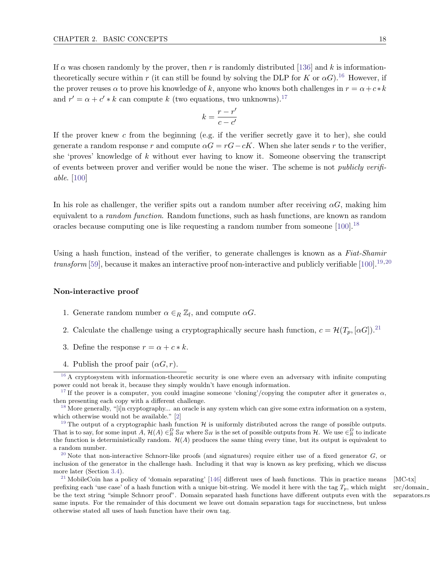If  $\alpha$  was chosen randomly by the prover, then r is randomly distributed [\[136\]](#page-128-7) and k is informationtheoretically secure within r (it can still be found by solving the DLP for K or  $\alpha G$ ).<sup>[16](#page-24-0)</sup> However, if the prover reuses  $\alpha$  to prove his knowledge of k, anyone who knows both challenges in  $r = \alpha + c * k$ and  $r' = \alpha + c' * k$  can compute k (two equations, two unknowns).<sup>[17](#page-24-1)</sup>

<span id="page-24-11"></span><span id="page-24-10"></span><span id="page-24-9"></span><span id="page-24-8"></span><span id="page-24-7"></span><span id="page-24-6"></span>
$$
k = \frac{r - r'}{c - c'}
$$

If the prover knew c from the beginning (e.g. if the verifier secretly gave it to her), she could generate a random response r and compute  $\alpha G = rG - cK$ . When she later sends r to the verifier, she 'proves' knowledge of  $k$  without ever having to know it. Someone observing the transcript of events between prover and verifier would be none the wiser. The scheme is not publicly verifiable. [\[100\]](#page-126-6)

In his role as challenger, the verifier spits out a random number after receiving  $\alpha G$ , making him equivalent to a random function. Random functions, such as hash functions, are known as random oracles because computing one is like requesting a random number from someone  $[100]$ .<sup>[18](#page-24-2)</sup>

Using a hash function, instead of the verifier, to generate challenges is known as a Fiat-Shamir transform [\[59\]](#page-124-4), because it makes an interactive proof non-interactive and publicly verifiable [\[100\]](#page-126-6).<sup>[19,](#page-24-3)[20](#page-24-4)</sup>

#### Non-interactive proof

- 1. Generate random number  $\alpha \in_R \mathbb{Z}_l$ , and compute  $\alpha G$ .
- 2. Calculate the challenge using a cryptographically secure hash function,  $c = \mathcal{H}(T_p, [\alpha G])^{21}$  $c = \mathcal{H}(T_p, [\alpha G])^{21}$  $c = \mathcal{H}(T_p, [\alpha G])^{21}$
- 3. Define the response  $r = \alpha + c * k$ .
- <span id="page-24-0"></span>4. Publish the proof pair  $(\alpha G, r)$ .

 $16$  A cryptosystem with information-theoretic security is one where even an adversary with infinite computing power could not break it, because they simply wouldn't have enough information.

<span id="page-24-1"></span><sup>&</sup>lt;sup>[17](#page-24-7)</sup> If the prover is a computer, you could imagine someone 'cloning'/copying the computer after it generates  $\alpha$ , then presenting each copy with a different challenge.

<span id="page-24-2"></span><sup>&</sup>lt;sup>[18](#page-24-8)</sup> More generally, "[i]n cryptography... an oracle is any system which can give some extra information on a system, which otherwise would not be available." [\[2\]](#page-121-5)

<span id="page-24-3"></span><sup>&</sup>lt;sup>[19](#page-24-9)</sup> The output of a cryptographic hash function  $\mathcal H$  is uniformly distributed across the range of possible outputs. That is to say, for some input  $A, H(A) \in_R^D \mathbb{S}_H$  where  $\mathbb{S}_H$  is the set of possible outputs from H. We use  $\in_R^D$  to indicate the function is deterministically random.  $H(A)$  produces the same thing every time, but its output is equivalent to a random number.

<span id="page-24-4"></span><sup>&</sup>lt;sup>[20](#page-24-10)</sup> Note that non-interactive Schnorr-like proofs (and signatures) require either use of a fixed generator  $G$ , or inclusion of the generator in the challenge hash. Including it that way is known as key prefixing, which we discuss more later (Section [3.4\)](#page-38-0).

<span id="page-24-5"></span><sup>&</sup>lt;sup>[21](#page-24-11)</sup> MobileCoin has a policy of 'domain separating' [\[146\]](#page-128-8) different uses of hash functions. This in practice means [MC-tx] prefixing each 'use case' of a hash function with a unique bit-string. We model it here with the tag  $T_p$ , which might be the text string "simple Schnorr proof". Domain separated hash functions have different outputs even with the same inputs. For the remainder of this document we leave out domain separation tags for succinctness, but unless otherwise stated all uses of hash function have their own tag.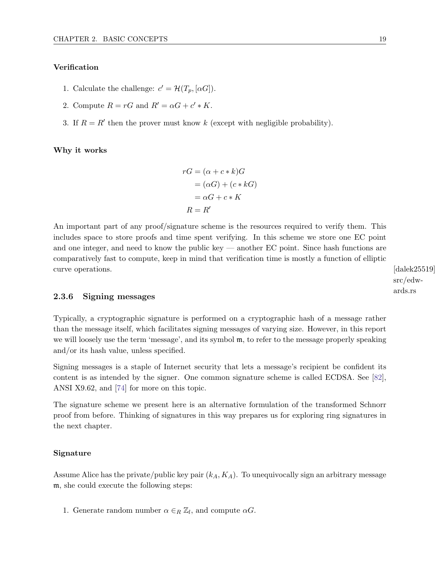#### Verification

- 1. Calculate the challenge:  $c' = \mathcal{H}(T_p, [\alpha G]).$
- 2. Compute  $R = rG$  and  $R' = \alpha G + c' * K$ .
- 3. If  $R = R'$  then the prover must know k (except with negligible probability).

Why it works

$$
rG = (\alpha + c * k)G
$$

$$
= (\alpha G) + (c * kG)
$$

$$
= \alpha G + c * K
$$

$$
R = R'
$$

An important part of any proof/signature scheme is the resources required to verify them. This includes space to store proofs and time spent verifying. In this scheme we store one EC point and one integer, and need to know the public key — another EC point. Since hash functions are comparatively fast to compute, keep in mind that verification time is mostly a function of elliptic curve operations. [dalek25519]

src/edwards.rs

#### <span id="page-25-0"></span>2.3.6 Signing messages

Typically, a cryptographic signature is performed on a cryptographic hash of a message rather than the message itself, which facilitates signing messages of varying size. However, in this report we will loosely use the term 'message', and its symbol  $m$ , to refer to the message properly speaking and/or its hash value, unless specified.

Signing messages is a staple of Internet security that lets a message's recipient be confident its content is as intended by the signer. One common signature scheme is called ECDSA. See [\[82\]](#page-125-4), ANSI X9.62, and [\[74\]](#page-125-2) for more on this topic.

The signature scheme we present here is an alternative formulation of the transformed Schnorr proof from before. Thinking of signatures in this way prepares us for exploring ring signatures in the next chapter.

#### Signature

Assume Alice has the private/public key pair  $(k_A, K_A)$ . To unequivocally sign an arbitrary message m, she could execute the following steps:

1. Generate random number  $\alpha \in_R \mathbb{Z}_l$ , and compute  $\alpha G$ .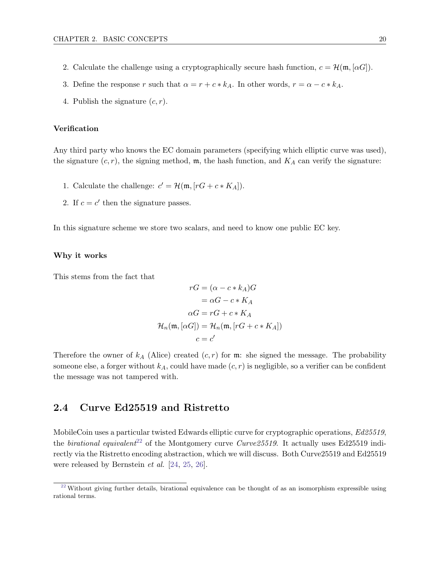- 2. Calculate the challenge using a cryptographically secure hash function,  $c = \mathcal{H}(\mathfrak{m}, \alpha G)$ .
- 3. Define the response r such that  $\alpha = r + c * k_A$ . In other words,  $r = \alpha c * k_A$ .
- 4. Publish the signature  $(c, r)$ .

#### Verification

Any third party who knows the EC domain parameters (specifying which elliptic curve was used), the signature  $(c, r)$ , the signing method, m, the hash function, and  $K_A$  can verify the signature:

- 1. Calculate the challenge:  $c' = \mathcal{H}(\mathfrak{m}, [rG + c * K_A]).$
- 2. If  $c = c'$  then the signature passes.

In this signature scheme we store two scalars, and need to know one public EC key.

#### Why it works

This stems from the fact that

$$
rG = (\alpha - c * k_A)G
$$

$$
= \alpha G - c * K_A
$$

$$
\alpha G = rG + c * K_A
$$

$$
\mathcal{H}_n(\mathfrak{m}, [\alpha G]) = \mathcal{H}_n(\mathfrak{m}, [rG + c * K_A])
$$

$$
c = c'
$$

Therefore the owner of  $k_A$  (Alice) created  $(c, r)$  for m: she signed the message. The probability someone else, a forger without  $k_A$ , could have made  $(c, r)$  is negligible, so a verifier can be confident the message was not tampered with.

### <span id="page-26-0"></span>2.4 Curve Ed25519 and Ristretto

<span id="page-26-2"></span>MobileCoin uses a particular twisted Edwards elliptic curve for cryptographic operations,  $Ed25519$ , the birational equivalent<sup>[22](#page-26-1)</sup> of the Montgomery curve Curve25519. It actually uses Ed25519 indirectly via the Ristretto encoding abstraction, which we will discuss. Both Curve25519 and Ed25519 were released by Bernstein et al. [\[24,](#page-122-9) [25,](#page-122-0) [26\]](#page-122-10).

<span id="page-26-1"></span><sup>&</sup>lt;sup>[22](#page-26-2)</sup> Without giving further details, birational equivalence can be thought of as an isomorphism expressible using rational terms.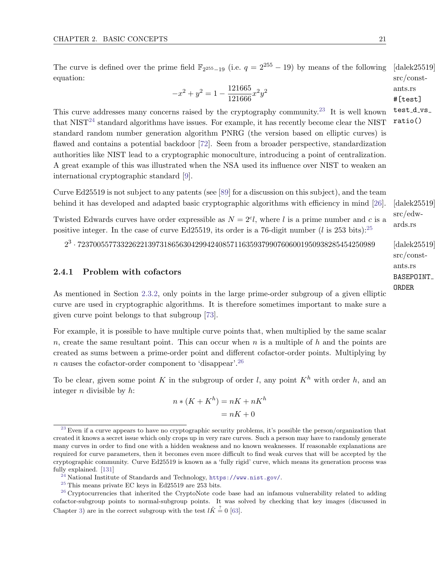The curve is defined over the prime field  $\mathbb{F}_{2^{255}-19}$  (i.e.  $q=2^{255}-19$ ) by means of the following [dalek25519] src/constequation:

$$
-x^2 + y^2 = 1 - \frac{121665}{121666}x^2y^2
$$

$$
-x^2 + y^2 = 1 - \frac{121000}{121666}x^2y^2
$$

<span id="page-27-6"></span>This curve addresses many concerns raised by the cryptography community.[23](#page-27-1) It is well known that  $NIST^{24}$  $NIST^{24}$  $NIST^{24}$  standard algorithms have issues. For example, it has recently become clear the NIST standard random number generation algorithm PNRG (the version based on elliptic curves) is flawed and contains a potential backdoor [\[72\]](#page-124-5). Seen from a broader perspective, standardization authorities like NIST lead to a cryptographic monoculture, introducing a point of centralization. A great example of this was illustrated when the NSA used its influence over NIST to weaken an international cryptographic standard [\[9\]](#page-121-6).

Curve Ed25519 is not subject to any patents (see [\[89\]](#page-125-5) for a discussion on this subject), and the team behind it has developed and adapted basic cryptographic algorithms with efficiency in mind [\[26\]](#page-122-10). [dalek25519]

Twisted Edwards curves have order expressible as  $N = 2^{c_l}$ , where l is a prime number and c is a positive integer. In the case of curve Ed[25](#page-27-3)519, its order is a 76-digit number (l is 253 bits):<sup>25</sup>

<span id="page-27-0"></span>2 3 · 7237005577332262213973186563042994240857116359379907606001950938285454250989 [dalek25519]

#### 2.4.1 Problem with cofactors

As mentioned in Section [2.3.2,](#page-19-1) only points in the large prime-order subgroup of a given elliptic curve are used in cryptographic algorithms. It is therefore sometimes important to make sure a given curve point belongs to that subgroup [\[73\]](#page-124-6).

For example, it is possible to have multiple curve points that, when multiplied by the same scalar  $n$ , create the same resultant point. This can occur when n is a multiple of  $h$  and the points are created as sums between a prime-order point and different cofactor-order points. Multiplying by  $n$  causes the cofactor-order component to 'disappear'.<sup>[26](#page-27-4)</sup>

To be clear, given some point K in the subgroup of order l, any point  $K<sup>h</sup>$  with order h, and an integer  $n$  divisible by  $h$ :

<span id="page-27-8"></span>
$$
n * (K + Kh) = nK + nKh
$$

$$
= nK + 0
$$

src/constants.rs BASEPOINT ORDER

<span id="page-27-7"></span>src/edwards.rs

<span id="page-27-5"></span>test\_d\_vs\_ ratio()

<span id="page-27-1"></span> $^{23}$  $^{23}$  $^{23}$  Even if a curve appears to have no cryptographic security problems, it's possible the person/organization that created it knows a secret issue which only crops up in very rare curves. Such a person may have to randomly generate many curves in order to find one with a hidden weakness and no known weaknesses. If reasonable explanations are required for curve parameters, then it becomes even more difficult to find weak curves that will be accepted by the cryptographic community. Curve Ed25519 is known as a 'fully rigid' curve, which means its generation process was fully explained. [\[131\]](#page-127-5)

<span id="page-27-2"></span>[<sup>24</sup>](#page-27-6) National Institute of Standards and Technology, <https://www.nist.gov/>.

<span id="page-27-4"></span><span id="page-27-3"></span> $^{\rm 25}$  $^{\rm 25}$  $^{\rm 25}$  This means private EC keys in Ed25519 are 253 bits.

<sup>&</sup>lt;sup>[26](#page-27-8)</sup> Cryptocurrencies that inherited the CryptoNote code base had an infamous vulnerability related to adding cofactor-subgroup points to normal-subgroup points. It was solved by checking that key images (discussed in Chapter [3\)](#page-33-0) are in the correct subgroup with the test  $l\tilde{K} \stackrel{?}{=} 0$  [\[63\]](#page-124-7).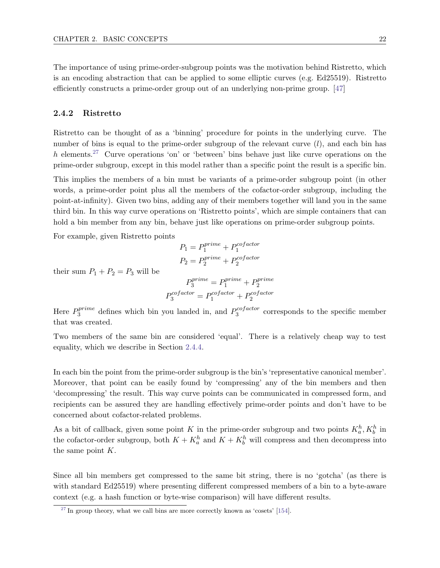The importance of using prime-order-subgroup points was the motivation behind Ristretto, which is an encoding abstraction that can be applied to some elliptic curves (e.g. Ed25519). Ristretto efficiently constructs a prime-order group out of an underlying non-prime group. [\[47\]](#page-123-8)

#### <span id="page-28-0"></span>2.4.2 Ristretto

<span id="page-28-3"></span>Ristretto can be thought of as a 'binning' procedure for points in the underlying curve. The number of bins is equal to the prime-order subgroup of the relevant curve  $(l)$ , and each bin has  $h$  elements.<sup>[27](#page-28-2)</sup> Curve operations 'on' or 'between' bins behave just like curve operations on the prime-order subgroup, except in this model rather than a specific point the result is a specific bin.

This implies the members of a bin must be variants of a prime-order subgroup point (in other words, a prime-order point plus all the members of the cofactor-order subgroup, including the point-at-infinity). Given two bins, adding any of their members together will land you in the same third bin. In this way curve operations on 'Ristretto points', which are simple containers that can hold a bin member from any bin, behave just like operations on prime-order subgroup points.

For example, given Ristretto points

$$
P_1 = P_1^{prime} + P_1^{cofactor}
$$

$$
P_2 = P_2^{prime} + P_2^{cofactor}
$$

their sum  $P_1 + P_2 = P_3$  will be

$$
P_3^{prime}=P_1^{prime}+P_2^{prime}
$$
  

$$
P_3^{cofactor}=P_1^{cofactor}+P_2^{cofactor}
$$

Here  $P_3^{prime}$  $a_3^{prime}$  defines which bin you landed in, and  $P_3^{cofactor}$  $\frac{1}{3}$ <sup>corresponds</sup> to the specific member that was created.

Two members of the same bin are considered 'equal'. There is a relatively cheap way to test equality, which we describe in Section [2.4.4.](#page-29-0)

In each bin the point from the prime-order subgroup is the bin's 'representative canonical member'. Moreover, that point can be easily found by 'compressing' any of the bin members and then 'decompressing' the result. This way curve points can be communicated in compressed form, and recipients can be assured they are handling effectively prime-order points and don't have to be concerned about cofactor-related problems.

As a bit of callback, given some point K in the prime-order subgroup and two points  $K_a^h, K_b^h$  in the cofactor-order subgroup, both  $K + K_a^h$  and  $K + K_b^h$  will compress and then decompress into the same point K.

Since all bin members get compressed to the same bit string, there is no 'gotcha' (as there is with standard Ed25519) where presenting different compressed members of a bin to a byte-aware context (e.g. a hash function or byte-wise comparison) will have different results.

<span id="page-28-2"></span><span id="page-28-1"></span> $27$  In group theory, what we call bins are more correctly known as 'cosets' [\[154\]](#page-129-2).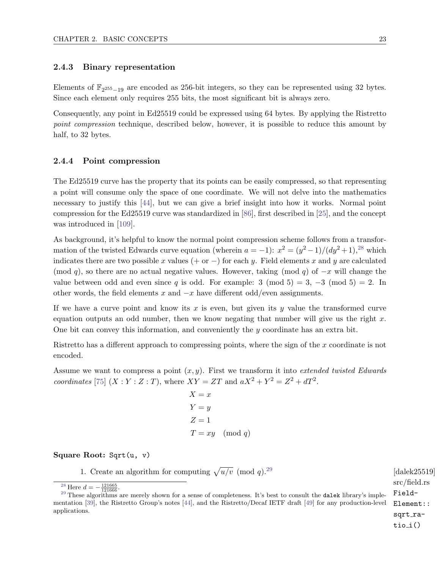#### 2.4.3 Binary representation

Elements of  $\mathbb{F}_{2^{255}-19}$  are encoded as 256-bit integers, so they can be represented using 32 bytes. Since each element only requires 255 bits, the most significant bit is always zero.

Consequently, any point in Ed25519 could be expressed using 64 bytes. By applying the Ristretto point compression technique, described below, however, it is possible to reduce this amount by half, to 32 bytes.

#### <span id="page-29-0"></span>2.4.4 Point compression

The Ed25519 curve has the property that its points can be easily compressed, so that representing a point will consume only the space of one coordinate. We will not delve into the mathematics necessary to justify this [\[44\]](#page-123-1), but we can give a brief insight into how it works. Normal point compression for the Ed25519 curve was standardized in [\[86\]](#page-125-6), first described in [\[25\]](#page-122-0), and the concept was introduced in [\[109\]](#page-126-7).

As background, it's helpful to know the normal point compression scheme follows from a transformation of the twisted Edwards curve equation (wherein  $a = -1$ ):  $x^2 = (y^2 - 1)/(dy^2 + 1)^{28}$  $x^2 = (y^2 - 1)/(dy^2 + 1)^{28}$  $x^2 = (y^2 - 1)/(dy^2 + 1)^{28}$  which indicates there are two possible x values (+ or  $-$ ) for each y. Field elements x and y are calculated (mod q), so there are no actual negative values. However, taking (mod q) of  $-x$  will change the value between odd and even since q is odd. For example: 3 (mod 5) = 3, -3 (mod 5) = 2. In other words, the field elements x and  $-x$  have different odd/even assignments.

If we have a curve point and know its x is even, but given its y value the transformed curve equation outputs an odd number, then we know negating that number will give us the right  $x$ . One bit can convey this information, and conveniently the  $y$  coordinate has an extra bit.

Ristretto has a different approach to compressing points, where the sign of the x coordinate is not encoded.

Assume we want to compress a point  $(x, y)$ . First we transform it into *extended twisted Edwards* coordinates [\[75\]](#page-125-3)  $(X:Y:Z:T)$ , where  $XY = ZT$  and  $aX^2 + Y^2 = Z^2 + dT^2$ .

> <span id="page-29-4"></span><span id="page-29-3"></span> $X = x$  $Y = y$  $Z=1$  $T = xy \pmod{q}$

#### Square Root: Sqrt(u, v)

1. Create an algorithm for computing  $\sqrt{u/v}$  (mod q).<sup>[29](#page-29-2)</sup> [dalek25519]

```
src/field.rs
Field-
Element::
sqrt_ra-
tio_i()
```
<span id="page-29-2"></span><span id="page-29-1"></span><sup>[28](#page-29-3)</sup> Here  $d = -\frac{121665}{121666}$ .

<sup>&</sup>lt;sup>[29](#page-29-4)</sup> These algorithms are merely shown for a sense of completeness. It's best to consult the **dalek** library's implementation [\[39\]](#page-123-3), the Ristretto Group's notes [\[44\]](#page-123-1), and the Ristretto/Decaf IETF draft [\[49\]](#page-123-9) for any production-level applications.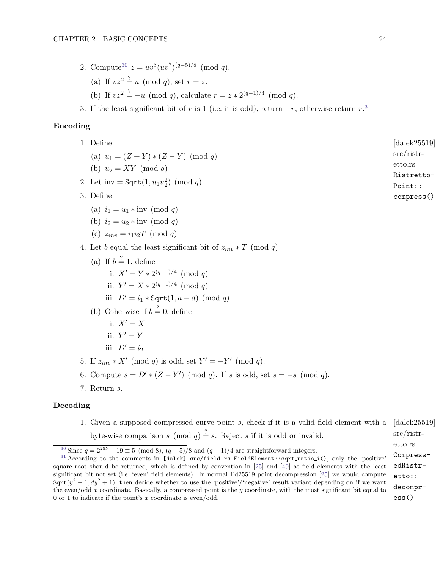- <span id="page-30-2"></span>2. Compute<sup>[30](#page-30-0)</sup>  $z = uv^3(uv^7)^{(q-5)/8} \pmod{q}$ . (a) If  $vz^2 \stackrel{?}{=} u \pmod{q}$ , set  $r = z$ . (b) If  $vz^2 = -u \pmod{q}$ , calculate  $r = z * 2^{(q-1)/4} \pmod{q}$ .
- <span id="page-30-3"></span>3. If the least significant bit of r is 1 (i.e. it is odd), return  $-r$ , otherwise return r.<sup>[31](#page-30-1)</sup>

#### Encoding

- 1. Define  $\begin{bmatrix} \text{dalek} 25519 \end{bmatrix}$ src/ristretto.rs Ristretto-Point:: compress() (a)  $u_1 = (Z + Y) * (Z - Y) \pmod{q}$ (b)  $u_2 = XY \pmod{q}$ 2. Let inv =  $Sqrt(1, u_1u_2^2) \pmod{q}$ . 3. Define (a)  $i_1 = u_1 * inv \pmod{q}$ (b)  $i_2 = u_2 * inv \pmod{q}$ (c)  $z_{inv} = i_1 i_2 T \pmod{q}$ 4. Let b equal the least significant bit of  $z_{inv} * T \pmod{q}$ (a) If  $b = 1$ , define i.  $X' = Y * 2^{(q-1)/4} \pmod{q}$ ii.  $Y' = X * 2^{(q-1)/4} \pmod{q}$ iii.  $D' = i_1 * \text{Sqrt}(1, a - d) \pmod{q}$ (b) Otherwise if  $b = 0$ , define i.  $X' = X$ ii.  $Y' = Y$ iii.  $D' = i_2$ 5. If  $z_{inv} * X' \pmod{q}$  is odd, set  $Y' = -Y' \pmod{q}$ . 6. Compute  $s = D' * (Z - Y') \pmod{q}$ . If s is odd, set  $s = -s \pmod{q}$ . 7. Return s. Decoding
	- 1. Given a supposed compressed curve point s, check if it is a valid field element with a  $\left[$ dalek25519 $\right]$ src/ristretto.rs byte-wise comparison s (mod q)  $\stackrel{?}{=}$  s. Reject s if it is odd or invalid.

<span id="page-30-1"></span><span id="page-30-0"></span><sup>&</sup>lt;sup>[30](#page-30-2)</sup> Since  $q = 2^{255} - 19 \equiv 5 \pmod{8}$ ,  $(q - 5)/8$  and  $(q - 1)/4$  are straightforward integers.

CompressedRistretto:: decompress()  $31$  According to the comments in [dalek] src/field.rs FieldElement::sqrt\_ratio\_i(), only the 'positive' square root should be returned, which is defined by convention in [\[25\]](#page-122-0) and [\[49\]](#page-123-9) as field elements with the least significant bit not set (i.e. 'even' field elements). In normal Ed25519 point decompression [\[25\]](#page-122-0) we would compute  $Sqrt(y^2 - 1, dy^2 + 1)$ , then decide whether to use the 'positive'/'negative' result variant depending on if we want the even/odd x coordinate. Basically, a compressed point is the y coordinate, with the most significant bit equal to 0 or 1 to indicate if the point's x coordinate is even/odd.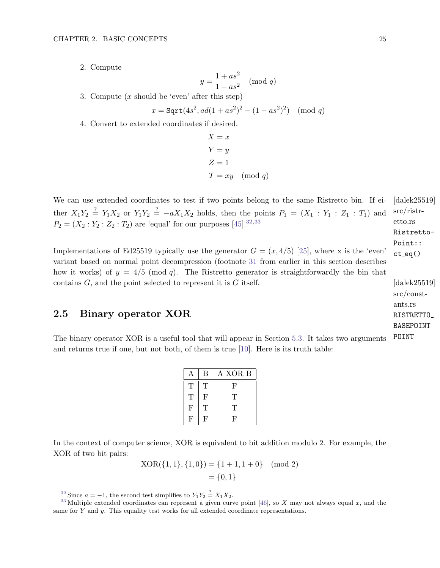2. Compute

$$
y = \frac{1 + as^2}{1 - as^2} \pmod{q}
$$

3. Compute  $(x \text{ should be 'even' after this step})$ 

$$
x = \text{Sqrt}(4s^2, ad(1+as^2)^2 - (1-as^2)^2) \pmod{q}
$$

4. Convert to extended coordinates if desired.

<span id="page-31-4"></span><span id="page-31-3"></span>
$$
X = x
$$
  
\n
$$
Y = y
$$
  
\n
$$
Z = 1
$$
  
\n
$$
T = xy \pmod{q}
$$

We can use extended coordinates to test if two points belong to the same Ristretto bin. If ei- [dalek25519] etto.rs ther  $X_1Y_2 \stackrel{?}{=} Y_1X_2$  or  $Y_1Y_2 \stackrel{?}{=} -aX_1X_2$  holds, then the points  $P_1 = (X_1 : Y_1 : Z_1 : T_1)$  and  $P_2 = (X_2 : Y_2 : Z_2 : T_2)$  are 'equal' for our purposes [\[45\]](#page-123-10).<sup>[32,](#page-31-1)[33](#page-31-2)</sup>

Implementations of Ed25519 typically use the generator  $G = (x, 4/5)$  [\[25\]](#page-122-0), where x is the 'even' variant based on normal point decompression (footnote [31](#page-30-1) from earlier in this section describes how it works) of  $y = 4/5 \pmod{q}$ . The Ristretto generator is straightforwardly the bin that contains  $G$ , and the point selected to represent it is  $G$  itself.  $\qquad \qquad$  [dalek25519]

### <span id="page-31-0"></span>2.5 Binary operator XOR

The binary operator XOR is a useful tool that will appear in Section [5.3.](#page-49-1) It takes two arguments and returns true if one, but not both, of them is true [\[10\]](#page-121-7). Here is its truth table:

| А | B | A XOR B |
|---|---|---------|
| Т | T | F       |
| Т | F | T       |
| F | Т | T       |
| F | F | F       |

In the context of computer science, XOR is equivalent to bit addition modulo 2. For example, the XOR of two bit pairs:

> $XOR({1, 1}, {1, 0}) = {1 + 1, 1 + 0} \pmod{2}$  $= \{0, 1\}$

src/ristr-Ristretto-Point::  $ct_eq()$ 

src/constants.rs RISTRETTO BASEPOINT POINT

<span id="page-31-2"></span><span id="page-31-1"></span><sup>&</sup>lt;sup>[32](#page-31-3)</sup> Since  $a = -1$ , the second test simplifies to  $Y_1 Y_2 \stackrel{?}{=} X_1 X_2$ .

 $33$  Multiple extended coordinates can represent a given curve point [\[46\]](#page-123-11), so X may not always equal x, and the same for Y and y. This equality test works for all extended coordinate representations.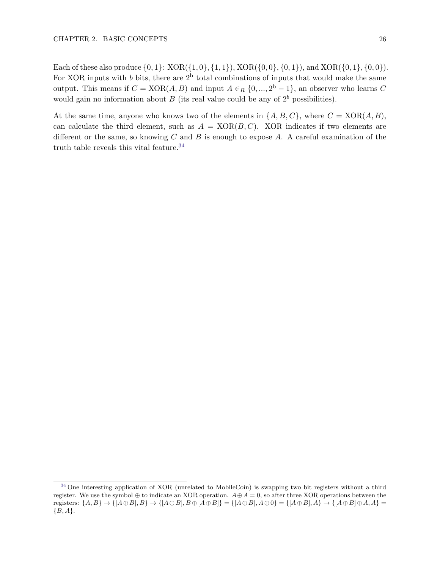Each of these also produce  $\{0, 1\}$ :  $XOR(\{1, 0\}, \{1, 1\})$ ,  $XOR(\{0, 0\}, \{0, 1\})$ , and  $XOR(\{0, 1\}, \{0, 0\})$ . For XOR inputs with b bits, there are  $2^b$  total combinations of inputs that would make the same output. This means if  $C = XOR(A, B)$  and input  $A \in_R \{0, ..., 2^b - 1\}$ , an observer who learns C would gain no information about  $B$  (its real value could be any of  $2<sup>b</sup>$  possibilities).

<span id="page-32-1"></span>At the same time, anyone who knows two of the elements in  $\{A, B, C\}$ , where  $C = XOR(A, B)$ , can calculate the third element, such as  $A = XOR(B, C)$ . XOR indicates if two elements are different or the same, so knowing  $C$  and  $B$  is enough to expose  $A$ . A careful examination of the truth table reveals this vital feature.  $34$ 

<span id="page-32-0"></span><sup>&</sup>lt;sup>[34](#page-32-1)</sup> One interesting application of XOR (unrelated to MobileCoin) is swapping two bit registers without a third register. We use the symbol  $\oplus$  to indicate an XOR operation.  $A \oplus A = 0$ , so after three XOR operations between the registers:  $\{A, B\} \rightarrow \{[A \oplus B], B\} \rightarrow \{[A \oplus B], B \oplus [A \oplus B]\} = \{[A \oplus B], A \oplus 0\} = \{[A \oplus B], A\} \rightarrow \{[A \oplus B] \oplus A, A\} =$  ${B, A}.$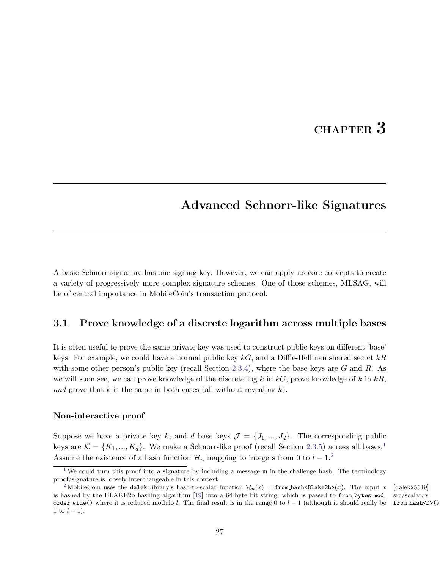# CHAPTER 3

# <span id="page-33-0"></span>Advanced Schnorr-like Signatures

A basic Schnorr signature has one signing key. However, we can apply its core concepts to create a variety of progressively more complex signature schemes. One of those schemes, MLSAG, will be of central importance in MobileCoin's transaction protocol.

## <span id="page-33-1"></span>3.1 Prove knowledge of a discrete logarithm across multiple bases

It is often useful to prove the same private key was used to construct public keys on different 'base' keys. For example, we could have a normal public key  $kG$ , and a Diffie-Hellman shared secret  $kR$ with some other person's public key (recall Section [2.3.4\)](#page-22-1), where the base keys are G and R. As we will soon see, we can prove knowledge of the discrete log k in  $kG$ , prove knowledge of k in  $kR$ , and prove that k is the same in both cases (all without revealing  $k$ ).

#### Non-interactive proof

Suppose we have a private key k, and d base keys  $\mathcal{J} = \{J_1, ..., J_d\}$ . The corresponding public keys are  $\mathcal{K} = \{K_1, ..., K_d\}$  $\mathcal{K} = \{K_1, ..., K_d\}$  $\mathcal{K} = \{K_1, ..., K_d\}$ . We make a Schnorr-like proof (recall Section [2.3.5\)](#page-23-0) across all bases.<sup>1</sup> Assume the existence of a hash function  $\mathcal{H}_n$  mapping to integers from 0 to  $l-1$ .<sup>[2](#page-33-3)</sup>

<span id="page-33-5"></span><span id="page-33-4"></span>src/scalar.rs from hash<D>()

<span id="page-33-2"></span><sup>&</sup>lt;sup>[1](#page-33-4)</sup> We could turn this proof into a signature by including a message  $m$  in the challenge hash. The terminology proof/signature is loosely interchangeable in this context.

<span id="page-33-3"></span><sup>&</sup>lt;sup>[2](#page-33-5)</sup> MobileCoin uses the dalek library's hash-to-scalar function  $\mathcal{H}_n(x) = \texttt{from}$  hash<Blake2b>(x). The input x [dalek25519] is hashed by the BLAKE2b hashing algorithm [\[19\]](#page-122-8) into a 64-byte bit string, which is passed to from bytes mod order wide() where it is reduced modulo l. The final result is in the range 0 to  $l - 1$  (although it should really be 1 to  $l - 1$ ).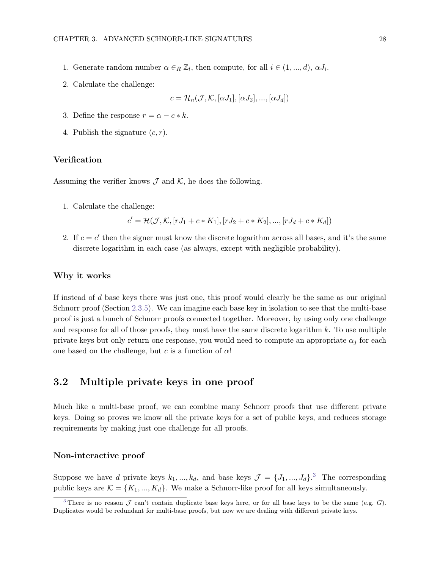- 1. Generate random number  $\alpha \in_R \mathbb{Z}_l$ , then compute, for all  $i \in (1, ..., d)$ ,  $\alpha J_i$ .
- 2. Calculate the challenge:

$$
c = \mathcal{H}_n(\mathcal{J}, \mathcal{K}, [\alpha J_1], [\alpha J_2], ..., [\alpha J_d])
$$

- 3. Define the response  $r = \alpha c * k$ .
- 4. Publish the signature  $(c, r)$ .

#### Verification

Assuming the verifier knows  $\mathcal J$  and  $\mathcal K$ , he does the following.

1. Calculate the challenge:

$$
c' = \mathcal{H}(\mathcal{J}, \mathcal{K}, [rJ_1 + c * K_1], [rJ_2 + c * K_2], ..., [rJ_d + c * K_d])
$$

2. If  $c = c'$  then the signer must know the discrete logarithm across all bases, and it's the same discrete logarithm in each case (as always, except with negligible probability).

#### Why it works

If instead of  $d$  base keys there was just one, this proof would clearly be the same as our original Schnorr proof (Section [2.3.5\)](#page-23-0). We can imagine each base key in isolation to see that the multi-base proof is just a bunch of Schnorr proofs connected together. Moreover, by using only one challenge and response for all of those proofs, they must have the same discrete logarithm  $k$ . To use multiple private keys but only return one response, you would need to compute an appropriate  $\alpha_j$  for each one based on the challenge, but c is a function of  $\alpha$ !

### <span id="page-34-0"></span>3.2 Multiple private keys in one proof

Much like a multi-base proof, we can combine many Schnorr proofs that use different private keys. Doing so proves we know all the private keys for a set of public keys, and reduces storage requirements by making just one challenge for all proofs.

#### Non-interactive proof

<span id="page-34-2"></span>Suppose we have d private keys  $k_1, ..., k_d$ , and base keys  $\mathcal{J} = \{J_1, ..., J_d\}$ .<sup>[3](#page-34-1)</sup> The corresponding public keys are  $\mathcal{K} = \{K_1, ..., K_d\}$ . We make a Schnorr-like proof for all keys simultaneously.

<span id="page-34-1"></span><sup>&</sup>lt;sup>[3](#page-34-2)</sup> There is no reason  $\mathcal J$  can't contain duplicate base keys here, or for all base keys to be the same (e.g. G). Duplicates would be redundant for multi-base proofs, but now we are dealing with different private keys.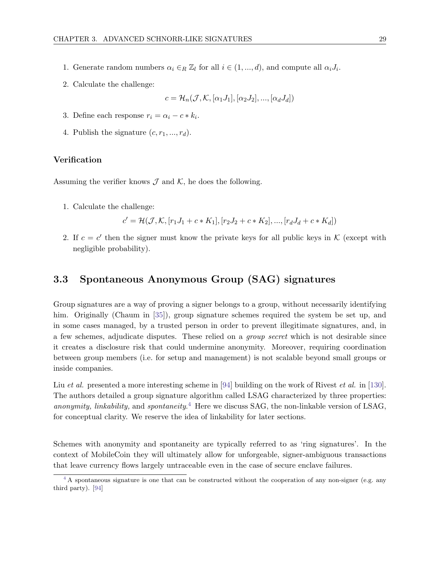- 1. Generate random numbers  $\alpha_i \in_R \mathbb{Z}_l$  for all  $i \in (1, ..., d)$ , and compute all  $\alpha_i J_i$ .
- 2. Calculate the challenge:

$$
c = \mathcal{H}_n(\mathcal{J}, \mathcal{K}, [\alpha_1 J_1], [\alpha_2 J_2], ..., [\alpha_d J_d])
$$

- 3. Define each response  $r_i = \alpha_i c * k_i$ .
- 4. Publish the signature  $(c, r_1, ..., r_d)$ .

#### Verification

Assuming the verifier knows  $\mathcal J$  and  $\mathcal K$ , he does the following.

1. Calculate the challenge:

$$
c' = \mathcal{H}(\mathcal{J}, \mathcal{K}, [r_1 J_1 + c * K_1], [r_2 J_2 + c * K_2], ..., [r_d J_d + c * K_d])
$$

2. If  $c = c'$  then the signer must know the private keys for all public keys in K (except with negligible probability).

## <span id="page-35-0"></span>3.3 Spontaneous Anonymous Group (SAG) signatures

Group signatures are a way of proving a signer belongs to a group, without necessarily identifying him. Originally (Chaum in [\[35\]](#page-122-11)), group signature schemes required the system be set up, and in some cases managed, by a trusted person in order to prevent illegitimate signatures, and, in a few schemes, adjudicate disputes. These relied on a group secret which is not desirable since it creates a disclosure risk that could undermine anonymity. Moreover, requiring coordination between group members (i.e. for setup and management) is not scalable beyond small groups or inside companies.

<span id="page-35-2"></span>Liu *et al.* presented a more interesting scheme in [\[94\]](#page-126-8) building on the work of Rivest *et al.* in [\[130\]](#page-127-6). The authors detailed a group signature algorithm called LSAG characterized by three properties: anonymity, linkability, and spontaneity.<sup>[4](#page-35-1)</sup> Here we discuss SAG, the non-linkable version of LSAG, for conceptual clarity. We reserve the idea of linkability for later sections.

Schemes with anonymity and spontaneity are typically referred to as 'ring signatures'. In the context of MobileCoin they will ultimately allow for unforgeable, signer-ambiguous transactions that leave currency flows largely untraceable even in the case of secure enclave failures.

<span id="page-35-1"></span><sup>&</sup>lt;sup>[4](#page-35-2)</sup> A spontaneous signature is one that can be constructed without the cooperation of any non-signer (e.g. any third party). [\[94\]](#page-126-8)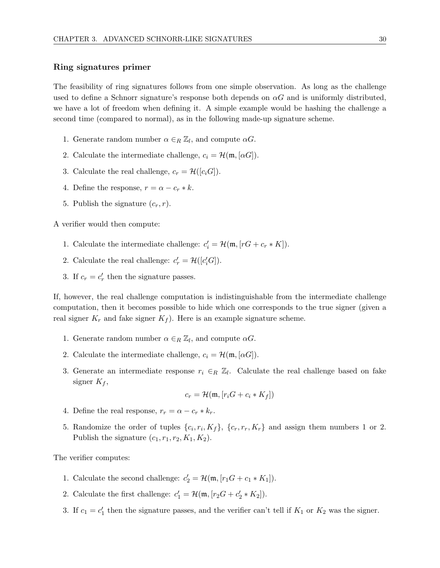#### Ring signatures primer

The feasibility of ring signatures follows from one simple observation. As long as the challenge used to define a Schnorr signature's response both depends on  $\alpha G$  and is uniformly distributed, we have a lot of freedom when defining it. A simple example would be hashing the challenge a second time (compared to normal), as in the following made-up signature scheme.

- 1. Generate random number  $\alpha \in_R \mathbb{Z}_l$ , and compute  $\alpha G$ .
- 2. Calculate the intermediate challenge,  $c_i = \mathcal{H}(\mathfrak{m}, [\alpha G])$ .
- 3. Calculate the real challenge,  $c_r = \mathcal{H}([c_i G]).$
- 4. Define the response,  $r = \alpha c_r * k$ .
- 5. Publish the signature  $(c_r, r)$ .

A verifier would then compute:

- 1. Calculate the intermediate challenge:  $c_i' = \mathcal{H}(\mathfrak{m}, [rG + c_r * K]).$
- 2. Calculate the real challenge:  $c'_r = \mathcal{H}([c'_i G])$ .
- 3. If  $c_r = c'_r$  then the signature passes.

If, however, the real challenge computation is indistinguishable from the intermediate challenge computation, then it becomes possible to hide which one corresponds to the true signer (given a real signer  $K_r$  and fake signer  $K_f$ ). Here is an example signature scheme.

- 1. Generate random number  $\alpha \in_R \mathbb{Z}_l$ , and compute  $\alpha G$ .
- 2. Calculate the intermediate challenge,  $c_i = \mathcal{H}(\mathfrak{m}, [\alpha G]).$
- 3. Generate an intermediate response  $r_i \in_R \mathbb{Z}_l$ . Calculate the real challenge based on fake signer  $K_f$ ,

$$
c_r = \mathcal{H}(\mathfrak{m}, [r_i G + c_i * K_f])
$$

- 4. Define the real response,  $r_r = \alpha c_r * k_r$ .
- 5. Randomize the order of tuples  $\{c_i, r_i, K_f\}$ ,  $\{c_r, r_r, K_r\}$  and assign them numbers 1 or 2. Publish the signature  $(c_1, r_1, r_2, K_1, K_2)$ .

The verifier computes:

- 1. Calculate the second challenge:  $c'_2 = \mathcal{H}(\mathfrak{m}, [r_1G + c_1 * K_1]).$
- 2. Calculate the first challenge:  $c'_1 = \mathcal{H}(\mathfrak{m}, [r_2G + c'_2 * K_2]).$
- 3. If  $c_1 = c'_1$  then the signature passes, and the verifier can't tell if  $K_1$  or  $K_2$  was the signer.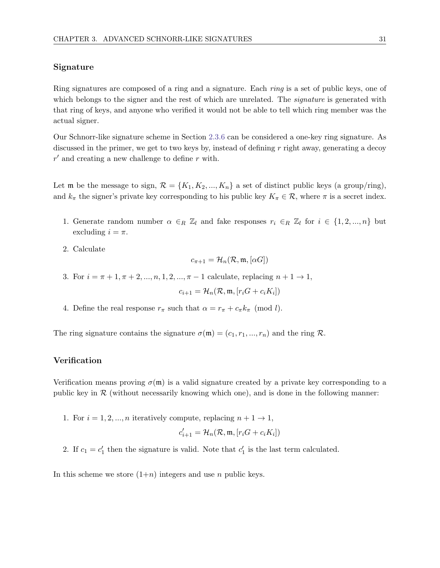#### Signature

Ring signatures are composed of a ring and a signature. Each ring is a set of public keys, one of which belongs to the signer and the rest of which are unrelated. The *signature* is generated with that ring of keys, and anyone who verified it would not be able to tell which ring member was the actual signer.

Our Schnorr-like signature scheme in Section [2.3.6](#page-25-0) can be considered a one-key ring signature. As discussed in the primer, we get to two keys by, instead of defining  $r$  right away, generating a decoy  $r'$  and creating a new challenge to define r with.

Let **m** be the message to sign,  $\mathcal{R} = \{K_1, K_2, ..., K_n\}$  a set of distinct public keys (a group/ring), and  $k_{\pi}$  the signer's private key corresponding to his public key  $K_{\pi} \in \mathcal{R}$ , where  $\pi$  is a secret index.

- 1. Generate random number  $\alpha \in_R \mathbb{Z}_l$  and fake responses  $r_i \in_R \mathbb{Z}_l$  for  $i \in \{1, 2, ..., n\}$  but excluding  $i = \pi$ .
- 2. Calculate

$$
c_{\pi+1} = \mathcal{H}_n(\mathcal{R}, \mathfrak{m}, [\alpha G])
$$

3. For  $i = \pi + 1, \pi + 2, ..., n, 1, 2, ..., \pi - 1$  calculate, replacing  $n + 1 \rightarrow 1$ ,

$$
c_{i+1} = \mathcal{H}_n(\mathcal{R}, \mathfrak{m}, [r_i G + c_i K_i])
$$

4. Define the real response  $r_{\pi}$  such that  $\alpha = r_{\pi} + c_{\pi} k_{\pi} \pmod{l}$ .

The ring signature contains the signature  $\sigma(\mathfrak{m}) = (c_1, r_1, ..., r_n)$  and the ring R.

#### Verification

Verification means proving  $\sigma(\mathfrak{m})$  is a valid signature created by a private key corresponding to a public key in  $\mathcal R$  (without necessarily knowing which one), and is done in the following manner:

1. For  $i = 1, 2, ..., n$  iteratively compute, replacing  $n + 1 \rightarrow 1$ ,

$$
c_{i+1}' = \mathcal{H}_n(\mathcal{R}, \mathfrak{m}, [r_iG + c_iK_i])
$$

2. If  $c_1 = c'_1$  then the signature is valid. Note that  $c'_1$  is the last term calculated.

In this scheme we store  $(1+n)$  integers and use n public keys.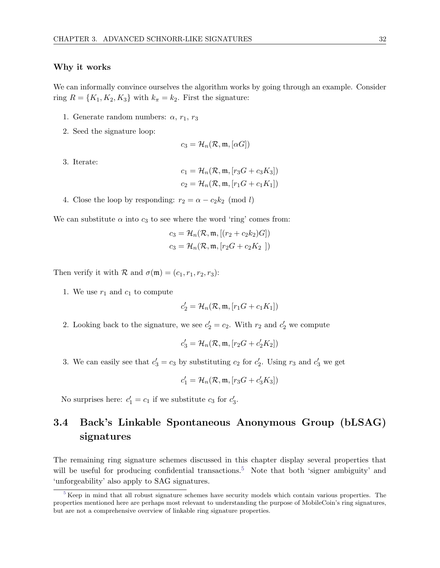#### Why it works

We can informally convince ourselves the algorithm works by going through an example. Consider ring  $R = \{K_1, K_2, K_3\}$  with  $k_{\pi} = k_2$ . First the signature:

- 1. Generate random numbers:  $\alpha$ ,  $r_1$ ,  $r_3$
- 2. Seed the signature loop:

$$
c_3 = \mathcal{H}_n(\mathcal{R}, \mathfrak{m}, [\alpha G])
$$

3. Iterate:

$$
c_1 = \mathcal{H}_n(\mathcal{R}, \mathfrak{m}, [r_3G + c_3K_3])
$$
  

$$
c_2 = \mathcal{H}_n(\mathcal{R}, \mathfrak{m}, [r_1G + c_1K_1])
$$

4. Close the loop by responding:  $r_2 = \alpha - c_2 k_2 \pmod{l}$ 

We can substitute  $\alpha$  into  $c_3$  to see where the word 'ring' comes from:

$$
c_3 = \mathcal{H}_n(\mathcal{R}, \mathfrak{m}, [(r_2 + c_2k_2)G])
$$
  

$$
c_3 = \mathcal{H}_n(\mathcal{R}, \mathfrak{m}, [r_2G + c_2K_2])
$$

Then verify it with  $\mathcal R$  and  $\sigma(\mathfrak m) = (c_1, r_1, r_2, r_3)$ :

1. We use  $r_1$  and  $c_1$  to compute

$$
c_2' = \mathcal{H}_n(\mathcal{R}, \mathfrak{m}, [r_1G + c_1K_1])
$$

2. Looking back to the signature, we see  $c'_2 = c_2$ . With  $r_2$  and  $c'_2$  we compute

$$
c_3' = \mathcal{H}_n(\mathcal{R}, \mathfrak{m}, [r_2G + c_2'K_2])
$$

3. We can easily see that  $c'_3 = c_3$  by substituting  $c_2$  for  $c'_2$ . Using  $r_3$  and  $c'_3$  we get

<span id="page-38-1"></span>
$$
c'_1 = \mathcal{H}_n(\mathcal{R}, \mathfrak{m}, [r_3G + c'_3K_3])
$$

No surprises here:  $c'_1 = c_1$  if we substitute  $c_3$  for  $c'_3$ .

# 3.4 Back's Linkable Spontaneous Anonymous Group (bLSAG) signatures

The remaining ring signature schemes discussed in this chapter display several properties that will be useful for producing confidential transactions.<sup>[5](#page-38-0)</sup> Note that both 'signer ambiguity' and 'unforgeability' also apply to SAG signatures.

<span id="page-38-0"></span>[<sup>5</sup>](#page-38-1) Keep in mind that all robust signature schemes have security models which contain various properties. The properties mentioned here are perhaps most relevant to understanding the purpose of MobileCoin's ring signatures, but are not a comprehensive overview of linkable ring signature properties.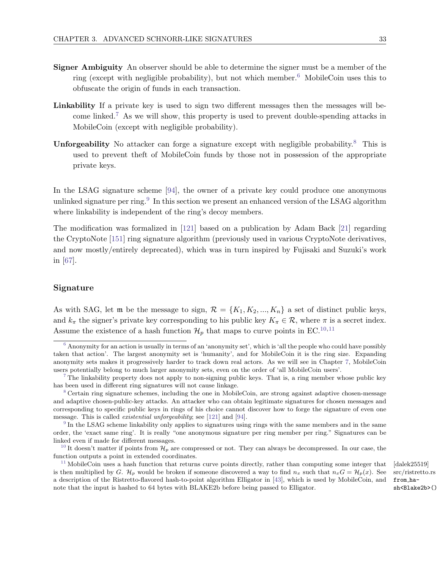- <span id="page-39-6"></span>Signer Ambiguity An observer should be able to determine the signer must be a member of the ring (except with negligible probability), but not which member.<sup>[6](#page-39-0)</sup> MobileCoin uses this to obfuscate the origin of funds in each transaction.
- <span id="page-39-7"></span>Linkability If a private key is used to sign two different messages then the messages will be-come linked.<sup>[7](#page-39-1)</sup> As we will show, this property is used to prevent double-spending attacks in MobileCoin (except with negligible probability).
- <span id="page-39-8"></span>Unforgeability No attacker can forge a signature except with negligible probability.<sup>[8](#page-39-2)</sup> This is used to prevent theft of MobileCoin funds by those not in possession of the appropriate private keys.

<span id="page-39-9"></span>In the LSAG signature scheme [\[94\]](#page-126-0), the owner of a private key could produce one anonymous unlinked signature per ring.<sup>[9](#page-39-3)</sup> In this section we present an enhanced version of the LSAG algorithm where linkability is independent of the ring's decoy members.

The modification was formalized in [\[121\]](#page-127-0) based on a publication by Adam Back [\[21\]](#page-122-0) regarding the CryptoNote [\[151\]](#page-128-0) ring signature algorithm (previously used in various CryptoNote derivatives, and now mostly/entirely deprecated), which was in turn inspired by Fujisaki and Suzuki's work in [\[67\]](#page-124-0).

#### Signature

As with SAG, let m be the message to sign,  $\mathcal{R} = \{K_1, K_2, ..., K_n\}$  a set of distinct public keys, and  $k_{\pi}$  the signer's private key corresponding to his public key  $K_{\pi} \in \mathcal{R}$ , where  $\pi$  is a secret index. Assume the existence of a hash function  $\mathcal{H}_p$  that maps to curve points in EC.<sup>[10,](#page-39-4)[11](#page-39-5)</sup>

<span id="page-39-11"></span><span id="page-39-10"></span>src/ristretto.rs from hash<Blake2b>()

<span id="page-39-0"></span> $6$  Anonymity for an action is usually in terms of an 'anonymity set', which is 'all the people who could have possibly taken that action'. The largest anonymity set is 'humanity', and for MobileCoin it is the ring size. Expanding anonymity sets makes it progressively harder to track down real actors. As we will see in Chapter [7,](#page-59-0) MobileCoin users potentially belong to much larger anonymity sets, even on the order of 'all MobileCoin users'.

<span id="page-39-1"></span>[<sup>7</sup>](#page-39-7) The linkability property does not apply to non-signing public keys. That is, a ring member whose public key has been used in different ring signatures will not cause linkage.

<span id="page-39-2"></span>[<sup>8</sup>](#page-39-8) Certain ring signature schemes, including the one in MobileCoin, are strong against adaptive chosen-message and adaptive chosen-public-key attacks. An attacker who can obtain legitimate signatures for chosen messages and corresponding to specific public keys in rings of his choice cannot discover how to forge the signature of even one message. This is called existential unforgeability; see [\[121\]](#page-127-0) and [\[94\]](#page-126-0).

<span id="page-39-3"></span><sup>&</sup>lt;sup>[9](#page-39-9)</sup> In the LSAG scheme linkability only applies to signatures using rings with the same members and in the same order, the 'exact same ring'. It is really "one anonymous signature per ring member per ring." Signatures can be linked even if made for different messages.

<span id="page-39-4"></span><sup>&</sup>lt;sup>[10](#page-39-10)</sup> It doesn't matter if points from  $\mathcal{H}_p$  are compressed or not. They can always be decompressed. In our case, the function outputs a point in extended coordinates.

<span id="page-39-5"></span><sup>&</sup>lt;sup>[11](#page-39-11)</sup> MobileCoin uses a hash function that returns curve points directly, rather than computing some integer that [dalek25519] is then multiplied by G.  $\mathcal{H}_p$  would be broken if someone discovered a way to find  $n_x$  such that  $n_xG = \mathcal{H}_p(x)$ . See a description of the Ristretto-flavored hash-to-point algorithm Elligator in [\[43\]](#page-123-0), which is used by MobileCoin, and note that the input is hashed to 64 bytes with BLAKE2b before being passed to Elligator.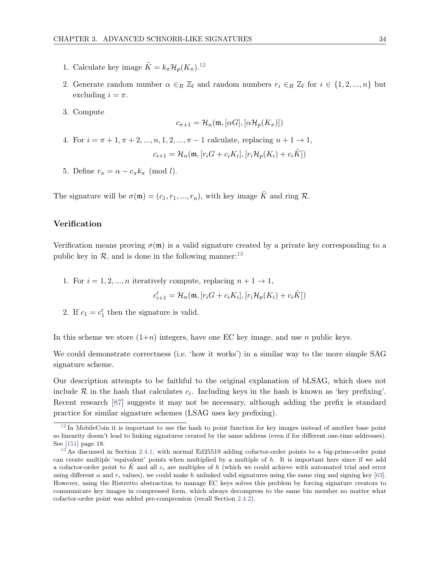- 1. Calculate key image  $\tilde{K} = k_{\pi} \mathcal{H}_p(K_{\pi}).^{12}$  $\tilde{K} = k_{\pi} \mathcal{H}_p(K_{\pi}).^{12}$  $\tilde{K} = k_{\pi} \mathcal{H}_p(K_{\pi}).^{12}$
- 2. Generate random number  $\alpha \in_R \mathbb{Z}_l$  and random numbers  $r_i \in_R \mathbb{Z}_l$  for  $i \in \{1, 2, ..., n\}$  but excluding  $i = \pi$ .
- 3. Compute

<span id="page-40-2"></span>
$$
c_{\pi+1} = \mathcal{H}_n(\mathfrak{m}, [\alpha G], [\alpha \mathcal{H}_p(K_{\pi})])
$$

4. For  $i = \pi + 1, \pi + 2, ..., n, 1, 2, ..., \pi - 1$  calculate, replacing  $n + 1 \rightarrow 1$ ,

$$
c_{i+1} = \mathcal{H}_n(\mathfrak{m}, [r_i G + c_i K_i], [r_i \mathcal{H}_p(K_i) + c_i \tilde{K}])
$$

5. Define  $r_{\pi} = \alpha - c_{\pi} k_{\pi} \pmod{l}$ .

The signature will be  $\sigma(\mathfrak{m}) = (c_1, r_1, ..., r_n)$ , with key image  $\tilde{K}$  and ring  $\mathcal{R}$ .

#### Verification

Verification means proving  $\sigma(\mathfrak{m})$  is a valid signature created by a private key corresponding to a public key in  $\mathcal{R}$ , and is done in the following manner:<sup>[13](#page-40-1)</sup>

1. For  $i = 1, 2, ..., n$  iteratively compute, replacing  $n + 1 \rightarrow 1$ ,

<span id="page-40-3"></span>
$$
c_{i+1}' = \mathcal{H}_n(\mathfrak{m}, [r_iG + c_iK_i], [r_i\mathcal{H}_p(K_i) + c_i\tilde{K}])
$$

2. If  $c_1 = c'_1$  then the signature is valid.

In this scheme we store  $(1+n)$  integers, have one EC key image, and use n public keys.

We could demonstrate correctness (i.e. 'how it works') in a similar way to the more simple SAG signature scheme.

Our description attempts to be faithful to the original explanation of bLSAG, which does not include  $R$  in the hash that calculates  $c_i$ . Including keys in the hash is known as 'key prefixing'. Recent research [\[87\]](#page-125-0) suggests it may not be necessary, although adding the prefix is standard practice for similar signature schemes (LSAG uses key prefixing).

<span id="page-40-0"></span> $12 \text{ In MobileCoin it is important to use the hash to point function for key images instead of another base point.}$  $12 \text{ In MobileCoin it is important to use the hash to point function for key images instead of another base point.}$ so linearity doesn't lead to linking signatures created by the same address (even if for different one-time addresses). See [\[151\]](#page-128-0) page 18.

<span id="page-40-1"></span>[<sup>13</sup>](#page-40-3) As discussed in Section [2.4.1,](#page-27-0) with normal Ed25519 adding cofactor-order points to a big-prime-order point can create multiple 'equivalent' points when multiplied by a multiple of  $h$ . It is important here since if we add a cofactor-order point to K and all  $c_i$  are multiples of h (which we could achieve with automated trial and error using different  $\alpha$  and  $r_i$  values), we could make h unlinked valid signatures using the same ring and signing key [\[63\]](#page-124-1). However, using the Ristretto abstraction to manage EC keys solves this problem by forcing signature creators to communicate key images in compressed form, which always decompress to the same bin member no matter what cofactor-order point was added pre-compression (recall Section [2.4.2\)](#page-28-0).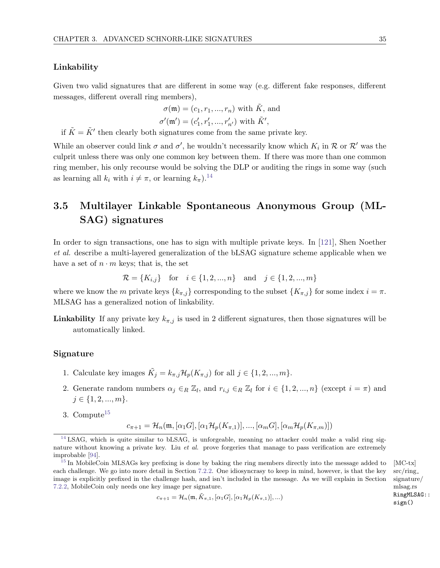#### Linkability

Given two valid signatures that are different in some way (e.g. different fake responses, different messages, different overall ring members),

$$
\sigma(\mathfrak{m}) = (c_1, r_1, ..., r_n) \text{ with } \tilde{K}, \text{ and}
$$

$$
\sigma'(\mathfrak{m}') = (c_1' \cdot r_1' \cdot r_2') \text{ with } \tilde{K}'
$$

<span id="page-41-2"></span>
$$
\sigma'(\mathfrak{m}') = (c'_1, r'_1, ..., r'_{n'}) \text{ with } \tilde{K}',
$$

if  $\tilde{K} = \tilde{K}'$  then clearly both signatures come from the same private key.

While an observer could link  $\sigma$  and  $\sigma'$ , he wouldn't necessarily know which  $K_i$  in  $\mathcal R$  or  $\mathcal R'$  was the culprit unless there was only one common key between them. If there was more than one common ring member, his only recourse would be solving the DLP or auditing the rings in some way (such as learning all  $k_i$  with  $i \neq \pi$ , or learning  $k_\pi$ ).<sup>[14](#page-41-0)</sup>

# <span id="page-41-4"></span>3.5 Multilayer Linkable Spontaneous Anonymous Group (ML-SAG) signatures

In order to sign transactions, one has to sign with multiple private keys. In [\[121\]](#page-127-0), Shen Noether et al. describe a multi-layered generalization of the bLSAG signature scheme applicable when we have a set of  $n \cdot m$  keys; that is, the set

$$
\mathcal{R} = \{K_{i,j}\}\
$$
 for  $i \in \{1, 2, ..., n\}\$  and  $j \in \{1, 2, ..., m\}$ 

where we know the m private keys  $\{k_{\pi,j}\}$  corresponding to the subset  $\{K_{\pi,j}\}$  for some index  $i = \pi$ . MLSAG has a generalized notion of linkability.

**Linkability** If any private key  $k_{\pi,j}$  is used in 2 different signatures, then those signatures will be automatically linked.

#### Signature

- 1. Calculate key images  $\tilde{K}_j = k_{\pi,j} \mathcal{H}_p(K_{\pi,j})$  for all  $j \in \{1, 2, ..., m\}$ .
- 2. Generate random numbers  $\alpha_j \in_R \mathbb{Z}_l$ , and  $r_{i,j} \in_R \mathbb{Z}_l$  for  $i \in \{1, 2, ..., n\}$  (except  $i = \pi$ ) and  $j \in \{1, 2, ..., m\}.$
- 3. Compute $15$

<span id="page-41-3"></span>
$$
c_{\pi+1} = \mathcal{H}_n(\mathfrak{m}, [\alpha_1 G], [\alpha_1 \mathcal{H}_p(K_{\pi,1})], ..., [\alpha_m G], [\alpha_m \mathcal{H}_p(K_{\pi,m})])
$$

$$
c_{\pi+1} = \mathcal{H}_n(\mathfrak{m}, \tilde{K}_{\pi,1}, [\alpha_1 G], [\alpha_1 \mathcal{H}_p(K_{\pi,1})], \ldots)
$$

src/ring signature/ mlsag.rs RingMLSAG:: sign()

<span id="page-41-0"></span> $14$  LSAG, which is quite similar to bLSAG, is unforgeable, meaning no attacker could make a valid ring signature without knowing a private key. Liu et al. prove forgeries that manage to pass verification are extremely improbable [\[94\]](#page-126-0).

<span id="page-41-1"></span><sup>&</sup>lt;sup>[15](#page-41-3)</sup> In MobileCoin MLSAGs key prefixing is done by baking the ring members directly into the message added to [MC-tx] each challenge. We go into more detail in Section [7.2.2.](#page-61-0) One idiosyncrasy to keep in mind, however, is that the key image is explicitly prefixed in the challenge hash, and isn't included in the message. As we will explain in Section [7.2.2,](#page-61-0) MobileCoin only needs one key image per signature.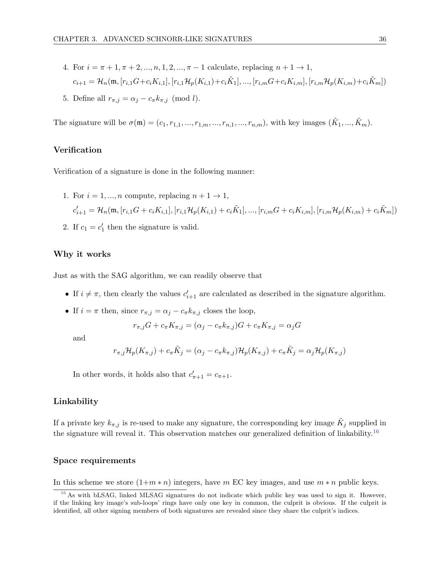4. For 
$$
i = \pi + 1, \pi + 2, ..., n, 1, 2, ..., \pi - 1
$$
 calculate, replacing  $n + 1 \to 1$ ,  
\n
$$
c_{i+1} = \mathcal{H}_n(\mathfrak{m}, [r_{i,1}G + c_i K_{i,1}], [r_{i,1} \mathcal{H}_p(K_{i,1}) + c_i \tilde{K}_1], ..., [r_{i,m} G + c_i K_{i,m}], [r_{i,m} \mathcal{H}_p(K_{i,m}) + c_i \tilde{K}_m])
$$

5. Define all  $r_{\pi,j} = \alpha_j - c_{\pi} k_{\pi,j} \pmod{l}$ .

The signature will be  $\sigma(\mathfrak{m}) = (c_1, r_{1,1}, ..., r_{1,m}, ..., r_{n,1}, ..., r_{n,m})$ , with key images  $(\tilde{K}_1, ..., \tilde{K}_m)$ .

#### Verification

Verification of a signature is done in the following manner:

- 1. For  $i = 1, ..., n$  compute, replacing  $n + 1 \rightarrow 1$ ,  $c_{i+1}' = \mathcal{H}_n (\mathfrak{m} , [r_{i,1} G + c_i K_{i,1}], [r_{i,1} \mathcal{H}_p (K_{i,1}) + c_i \tilde{K}_1], ..., [r_{i,m} G + c_i K_{i,m}], [r_{i,m} \mathcal{H}_p (K_{i,m}) + c_i \tilde{K}_m])$
- 2. If  $c_1 = c'_1$  then the signature is valid.

#### Why it works

Just as with the SAG algorithm, we can readily observe that

- If  $i \neq \pi$ , then clearly the values  $c'_{i+1}$  are calculated as described in the signature algorithm.
- If  $i = \pi$  then, since  $r_{\pi,j} = \alpha_j c_{\pi} k_{\pi,j}$  closes the loop,

<span id="page-42-1"></span>
$$
r_{\pi,j}G + c_{\pi}K_{\pi,j} = (\alpha_j - c_{\pi}k_{\pi,j})G + c_{\pi}K_{\pi,j} = \alpha_jG
$$

and

$$
r_{\pi,j} \mathcal{H}_p(K_{\pi,j}) + c_{\pi} \tilde{K}_j = (\alpha_j - c_{\pi} k_{\pi,j}) \mathcal{H}_p(K_{\pi,j}) + c_{\pi} \tilde{K}_j = \alpha_j \mathcal{H}_p(K_{\pi,j})
$$

In other words, it holds also that  $c'_{\pi+1} = c_{\pi+1}$ .

#### Linkability

If a private key  $k_{\pi,j}$  is re-used to make any signature, the corresponding key image  $\tilde{K}_j$  supplied in the signature will reveal it. This observation matches our generalized definition of linkability.<sup>[16](#page-42-0)</sup>

#### Space requirements

In this scheme we store  $(1+m*n)$  integers, have m EC key images, and use  $m*n$  public keys.

<span id="page-42-0"></span><sup>&</sup>lt;sup>[16](#page-42-1)</sup> As with bLSAG, linked MLSAG signatures do not indicate which public key was used to sign it. However, if the linking key image's sub-loops' rings have only one key in common, the culprit is obvious. If the culprit is identified, all other signing members of both signatures are revealed since they share the culprit's indices.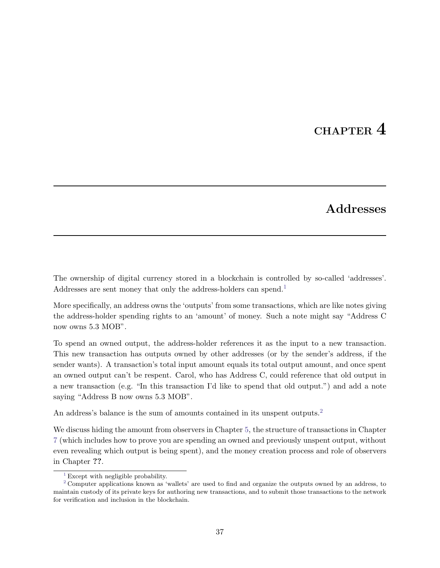# CHAPTER 4

# <span id="page-43-3"></span><span id="page-43-2"></span>Addresses

<span id="page-43-4"></span>The ownership of digital currency stored in a blockchain is controlled by so-called 'addresses'. Addresses are sent money that only the address-holders can spend.<sup>[1](#page-43-0)</sup>

More specifically, an address owns the 'outputs' from some transactions, which are like notes giving the address-holder spending rights to an 'amount' of money. Such a note might say "Address C now owns 5.3 MOB".

To spend an owned output, the address-holder references it as the input to a new transaction. This new transaction has outputs owned by other addresses (or by the sender's address, if the sender wants). A transaction's total input amount equals its total output amount, and once spent an owned output can't be respent. Carol, who has Address C, could reference that old output in a new transaction (e.g. "In this transaction I'd like to spend that old output.") and add a note saying "Address B now owns 5.3 MOB".

An address's balance is the sum of amounts contained in its unspent outputs.<sup>[2](#page-43-1)</sup>

We discuss hiding the amount from observers in Chapter [5,](#page-48-0) the structure of transactions in Chapter [7](#page-59-0) (which includes how to prove you are spending an owned and previously unspent output, without even revealing which output is being spent), and the money creation process and role of observers in Chapter ??.

<span id="page-43-1"></span><span id="page-43-0"></span> $1$  Except with negligible probability.

 $2$  Computer applications known as 'wallets' are used to find and organize the outputs owned by an address, to maintain custody of its private keys for authoring new transactions, and to submit those transactions to the network for verification and inclusion in the blockchain.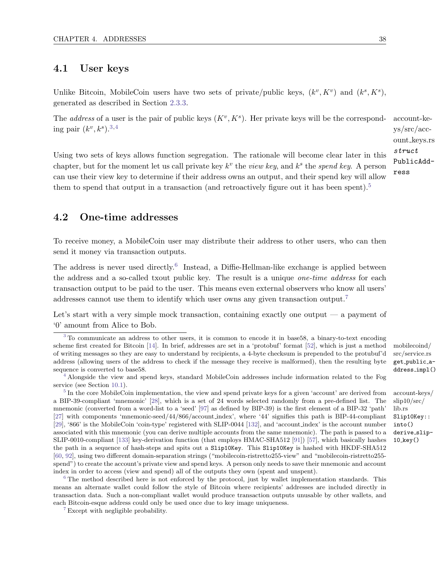## 4.1 User keys

Unlike Bitcoin, MobileCoin users have two sets of private/public keys,  $(k^v, K^v)$  and  $(k^s, K^s)$ , generated as described in Section [2.3.3.](#page-22-0)

<span id="page-44-6"></span><span id="page-44-5"></span>The *address* of a user is the pair of public keys  $(K^v, K^s)$ . Her private keys will be the correspond- account-keing pair  $(k^v, k^s)$ .<sup>[3](#page-44-0)[,4](#page-44-1)</sup>

Using two sets of keys allows function segregation. The rationale will become clear later in this chapter, but for the moment let us call private key  $k^v$  the *view key*, and  $k^s$  the *spend key*. A person can use their view key to determine if their address owns an output, and their spend key will allow them to spend that output in a transaction (and retroactively figure out it has been spent).<sup>[5](#page-44-2)</sup>

# <span id="page-44-10"></span>4.2 One-time addresses

To receive money, a MobileCoin user may distribute their address to other users, who can then send it money via transaction outputs.

<span id="page-44-8"></span>The address is never used directly.<sup>[6](#page-44-3)</sup> Instead, a Diffie-Hellman-like exchange is applied between the address and a so-called txout public key. The result is a unique one-time address for each transaction output to be paid to the user. This means even external observers who know all users' addresses cannot use them to identify which user owns any given transaction output.[7](#page-44-4)

Let's start with a very simple mock transaction, containing exactly one output — a payment of '0' amount from Alice to Bob.

<span id="page-44-2"></span><sup>[5](#page-44-7)</sup> In the core MobileCoin implementation, the view and spend private keys for a given 'account' are derived from account-keys/ a BIP-39-compliant 'mnemonic' [\[28\]](#page-122-1), which is a set of 24 words selected randomly from a pre-defined list. The mnemonic (converted from a word-list to a 'seed' [\[97\]](#page-126-1) as defined by BIP-39) is the first element of a BIP-32 'path' [\[27\]](#page-122-2) with components 'mnemonic-seed/44/866/account index', where '44' signifies this path is BIP-44-compliant [\[29\]](#page-122-3), '866' is the MobileCoin 'coin-type' registered with SLIP-0044 [\[132\]](#page-127-1), and 'account index' is the account number associated with this mnemonic (you can derive multiple accounts from the same mnemonic). The path is passed to a derive\_slip-SLIP-0010-compliant [\[133\]](#page-128-1) key-derivation function (that employs HMAC-SHA512 [\[91\]](#page-125-1)) [\[57\]](#page-123-2), which basically hashes the path in a sequence of hash-steps and spits out a Slip10Key. This Slip10Key is hashed with HKDF-SHA512 [\[60,](#page-124-2) [92\]](#page-125-2), using two different domain-separation strings ("mobilecoin-ristretto255-view" and "mobilecoin-ristretto255 spend") to create the account's private view and spend keys. A person only needs to save their mnemonic and account index in order to access (view and spend) all of the outputs they own (spent and unspent).

<span id="page-44-3"></span><sup>[6](#page-44-8)</sup> The method described here is not enforced by the protocol, just by wallet implementation standards. This means an alternate wallet could follow the style of Bitcoin where recipients' addresses are included directly in transaction data. Such a non-compliant wallet would produce transaction outputs unusable by other wallets, and each Bitcoin-esque address could only be used once due to key image uniqueness.

<span id="page-44-4"></span>[7](#page-44-9) Except with negligible probability.

<span id="page-44-9"></span>src/service.rs get public address impl()

slip10/src/ lib.rs Slip10Key:: into()  $10$  key $()$ 

<span id="page-44-7"></span>ys/src/account keys.rs struct PublicAddress

<span id="page-44-0"></span><sup>&</sup>lt;sup>[3](#page-44-5)</sup> To communicate an address to other users, it is common to encode it in base58, a binary-to-text encoding scheme first created for Bitcoin [\[14\]](#page-121-0). In brief, addresses are set in a 'protobuf' format [52], which is just a method mobilecoind/ of writing messages so they are easy to understand by recipients, a 4-byte checksum is prepended to the protubuf'd address (allowing users of the address to check if the message they receive is malformed), then the resulting byte sequence is converted to base58.

<span id="page-44-1"></span> $4$  Alongside the view and spend keys, standard MobileCoin addresses include information related to the Fog service (see Section [10.1\)](#page-111-0).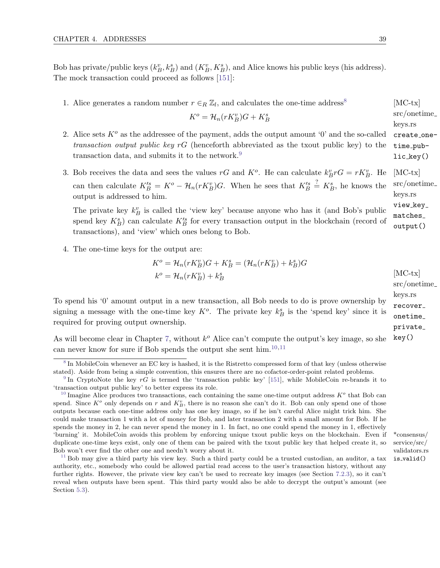Bob has private/public keys  $(k_B^v, k_B^s)$  and  $(K_B^v, K_B^s)$ , and Alice knows his public keys (his address). The mock transaction could proceed as follows [\[151\]](#page-128-0):

1. Alice generates a random number  $r \in_R \mathbb{Z}_l$ , and calculates the one-time address<sup>[8](#page-45-0)</sup> [MC-tx]

<span id="page-45-5"></span>
$$
K^o = \mathcal{H}_n(rK_B^v)G + K_B^s
$$

- $lic$  $key()$ 2. Alice sets  $K^o$  as the addressee of the payment, adds the output amount '0' and the so-called transaction output public key  $rG$  (henceforth abbreviated as the txout public key) to the transaction data, and submits it to the network.<sup>[9](#page-45-1)</sup>
- 3. Bob receives the data and sees the values rG and  $K^o$ . He can calculate  $k_B^v r G = r K_B^v$ . He [MC-tx] can then calculate  $K_B^s = K^o - \mathcal{H}_n(rK_B^v)G$ . When he sees that  $K_B^s \stackrel{?}{=} K_B^s$ , he knows the output is addressed to him.

The private key  $k_B^v$  is called the 'view key' because anyone who has it (and Bob's public spend key  $K_B^s$ ) can calculate  $K_B'^s$  for every transaction output in the blockchain (record of transactions), and 'view' which ones belong to Bob.

4. The one-time keys for the output are:

$$
K^{o} = \mathcal{H}_{n}(rK_{B}^{v})G + K_{B}^{s} = (\mathcal{H}_{n}(rK_{B}^{v}) + k_{B}^{s})G
$$
  
\n
$$
k^{o} = \mathcal{H}_{n}(rK_{B}^{v}) + k_{B}^{s}
$$
 [MC-tx]  
\nsrc/onetime

To spend his '0' amount output in a new transaction, all Bob needs to do is prove ownership by signing a message with the one-time key  $K^o$ . The private key  $k_B^s$  is the 'spend key' since it is required for proving output ownership.

key() As will become clear in Chapter [7,](#page-59-0) without  $k^o$  Alice can't compute the output's key image, so she can never know for sure if Bob spends the output she sent him.<sup>[10,](#page-45-2)[11](#page-45-3)</sup>

service/src/ validators.rs is valid()

<span id="page-45-4"></span>src/onetime keys.rs create onetime\_pub-

src/onetime keys.rs view\_key\_ matches output()

<span id="page-45-7"></span><span id="page-45-6"></span>keys.rs recover onetime private

<span id="page-45-0"></span><sup>&</sup>lt;sup>[8](#page-45-4)</sup> In MobileCoin whenever an EC key is hashed, it is the Ristretto compressed form of that key (unless otherwise stated). Aside from being a simple convention, this ensures there are no cofactor-order-point related problems.

<span id="page-45-1"></span><sup>&</sup>lt;sup>[9](#page-45-5)</sup> In CryptoNote the key  $rG$  is termed the 'transaction public key' [\[151\]](#page-128-0), while MobileCoin re-brands it to 'transaction output public key' to better express its role.

<span id="page-45-2"></span><sup>&</sup>lt;sup>[10](#page-45-6)</sup> Imagine Alice produces two transactions, each containing the same one-time output address  $K^o$  that Bob can spend. Since  $K^o$  only depends on r and  $K_B^v$ , there is no reason she can't do it. Bob can only spend one of those outputs because each one-time address only has one key image, so if he isn't careful Alice might trick him. She could make transaction 1 with a lot of money for Bob, and later transaction 2 with a small amount for Bob. If he spends the money in 2, he can never spend the money in 1. In fact, no one could spend the money in 1, effectively 'burning' it. MobileCoin avoids this problem by enforcing unique txout public keys on the blockchain. Even if \*consensus/ duplicate one-time keys exist, only one of them can be paired with the txout public key that helped create it, so Bob won't ever find the other one and needn't worry about it.

<span id="page-45-3"></span><sup>&</sup>lt;sup>[11](#page-45-7)</sup> Bob may give a third party his view key. Such a third party could be a trusted custodian, an auditor, a tax authority, etc., somebody who could be allowed partial read access to the user's transaction history, without any further rights. However, the private view key can't be used to recreate key images (see Section [7.2.3\)](#page-62-0), so it can't reveal when outputs have been spent. This third party would also be able to decrypt the output's amount (see Section [5.3\)](#page-49-0).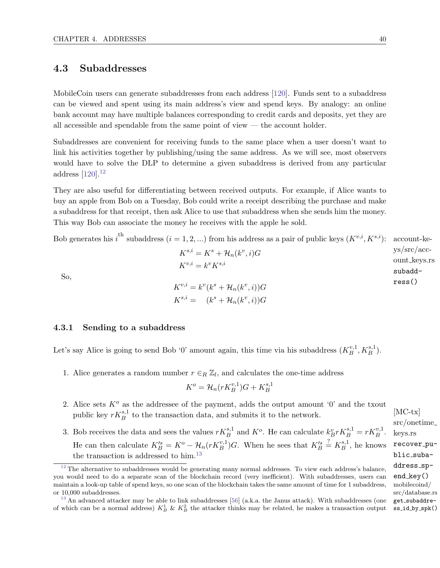# 4.3 Subaddresses

MobileCoin users can generate subaddresses from each address [\[120\]](#page-127-2). Funds sent to a subaddress can be viewed and spent using its main address's view and spend keys. By analogy: an online bank account may have multiple balances corresponding to credit cards and deposits, yet they are all accessible and spendable from the same point of view — the account holder.

Subaddresses are convenient for receiving funds to the same place when a user doesn't want to link his activities together by publishing/using the same address. As we will see, most observers would have to solve the DLP to determine a given subaddress is derived from any particular address [\[120\]](#page-127-2).[12](#page-46-0)

<span id="page-46-2"></span>They are also useful for differentiating between received outputs. For example, if Alice wants to buy an apple from Bob on a Tuesday, Bob could write a receipt describing the purchase and make a subaddress for that receipt, then ask Alice to use that subaddress when she sends him the money. This way Bob can associate the money he receives with the apple he sold.

|     | Bob generates his i <sup>th</sup> subaddress (i = 1, 2, ) from his address as a pair of public keys $(K^{v,i}, K^{s,i})$ : account-ke- |                                                |
|-----|----------------------------------------------------------------------------------------------------------------------------------------|------------------------------------------------|
| So, | $K^{s,i} = K^s + \mathcal{H}_n(k^v,i)G$                                                                                                | ys/sec/acc<br>ount_keys.r<br>subadd-<br>ress() |
|     | $K^{v,i} = k^v K^{s,i}$                                                                                                                |                                                |
|     | $K^{v,i} = k^v(k^s + \mathcal{H}_n(k^v, i))G$                                                                                          |                                                |
|     | $K^{s,i} = (k^s + \mathcal{H}_n(k^v, i))G$                                                                                             |                                                |

#### 4.3.1 Sending to a subaddress

Let's say Alice is going to send Bob '0' amount again, this time via his subaddress  $(K_R^{v,1})$  $_{B}^{v,1}, K_{B}^{s,1}).$ 

1. Alice generates a random number  $r \in_R \mathbb{Z}_l$ , and calculates the one-time address

<span id="page-46-3"></span>
$$
K^o = \mathcal{H}_n(rK_B^{v,1})G + K_B^{s,1}
$$

- 2. Alice sets  $K^{\circ}$  as the addressee of the payment, adds the output amount '0' and the txout public key  $rK_B^{s,1}$  to the transaction data, and submits it to the network.
- 3. Bob receives the data and sees the values  $rK_B^{s,1}$  and  $K^o$ . He can calculate  $k_B^v rK_B^{s,1} = rK_B^{v,1}$ . He can then calculate  $K_B^s = K^o - \mathcal{H}_n(rK_B^{v,1})G$ . When he sees that  $K_B^s \stackrel{?}{=} K_B^{s,1}$  $B^{s,1}$ , he knows the transaction is addressed to  $\text{him.}^{13}$  $\text{him.}^{13}$  $\text{him.}^{13}$

ys/src/account keys.rs

<span id="page-46-0"></span> $12$  The alternative to subaddresses would be generating many normal addresses. To view each address's balance, you would need to do a separate scan of the blockchain record (very inefficient). With subaddresses, users can maintain a look-up table of spend keys, so one scan of the blockchain takes the same amount of time for 1 subaddress, mobilecoind/ or 10,000 subaddresses.

<span id="page-46-1"></span> $13$  An advanced attacker may be able to link subaddresses [\[56\]](#page-123-3) (a.k.a. the Janus attack). With subaddresses (one of which can be a normal address)  $K_B^1$  &  $K_B^2$  the attacker thinks may be related, he makes a transaction output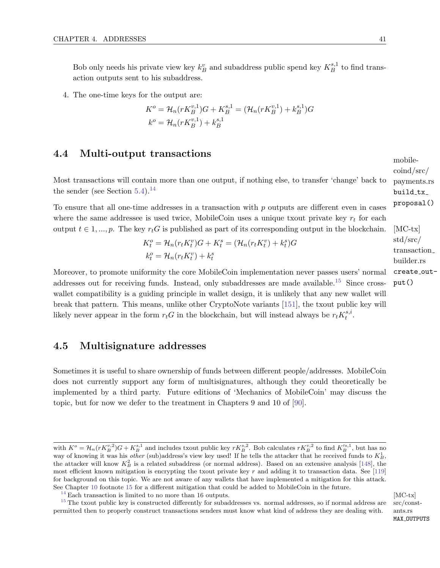Bob only needs his private view key  $k_B^v$  and subaddress public spend key  $K_B^{s,1}$  $B^{s,1}$  to find transaction outputs sent to his subaddress.

4. The one-time keys for the output are:

$$
K^{o} = \mathcal{H}_{n}(rK_{B}^{v,1})G + K_{B}^{s,1} = (\mathcal{H}_{n}(rK_{B}^{v,1}) + k_{B}^{s,1})G
$$

$$
k^{o} = \mathcal{H}_{n}(rK_{B}^{v,1}) + k_{B}^{s,1}
$$

### <span id="page-47-4"></span>4.4 Multi-output transactions

Most transactions will contain more than one output, if nothing else, to transfer 'change' back to the sender (see Section  $5.4$ ).<sup>[14](#page-47-0)</sup>

To ensure that all one-time addresses in a transaction with  $p$  outputs are different even in cases where the same addressee is used twice, MobileCoin uses a unique txout private key  $r_t$  for each output  $t \in 1, ..., p$ . The key  $r_t G$  is published as part of its corresponding output in the blockchain.

<span id="page-47-2"></span>
$$
K_t^o = \mathcal{H}_n(r_t K_t^v) G + K_t^s = (\mathcal{H}_n(r_t K_t^v) + k_t^s) G
$$
  

$$
k_t^o = \mathcal{H}_n(r_t K_t^v) + k_t^s
$$

Moreover, to promote uniformity the core MobileCoin implementation never passes users' normal addresses out for receiving funds. Instead, only subaddresses are made available.<sup>[15](#page-47-1)</sup> Since crosswallet compatibility is a guiding principle in wallet design, it is unlikely that any new wallet will break that pattern. This means, unlike other CryptoNote variants [\[151\]](#page-128-0), the txout public key will likely never appear in the form  $r_t G$  in the blockchain, but will instead always be  $r_t K_t^{s,i}$  $\frac{s, i}{t}$  .

### 4.5 Multisignature addresses

Sometimes it is useful to share ownership of funds between different people/addresses. MobileCoin does not currently support any form of multisignatures, although they could theoretically be implemented by a third party. Future editions of 'Mechanics of MobileCoin' may discuss the topic, but for now we defer to the treatment in Chapters 9 and 10 of [\[90\]](#page-125-3).

src/constants.rs MAX\_OUTPUTS

coind/src/ payments.rs build\_tx\_ proposal() [MC-tx]

mobile-

$$
std/src/\ntransaction_builder.rs
$$

<span id="page-47-3"></span>create\_output()

with  $K^o = \mathcal{H}_n(rK_B^{v,2})G + K_B^{s,1}$  and includes txout public key  $rK_B^{s,2}$ . Bob calculates  $rK_B^{v,2}$  to find  $K_B'^{s,1}$ , but has no way of knowing it was his *other* (sub)address's view key used! If he tells the attacker that he received funds to  $K_B^1$ , the attacker will know  $K_B^2$  is a related subaddress (or normal address). Based on an extensive analysis [\[148\]](#page-128-2), the most efficient known mitigation is encrypting the txout private key  $r$  and adding it to transaction data. See [\[119\]](#page-127-3) for background on this topic. We are not aware of any wallets that have implemented a mitigation for this attack. See Chapter [10](#page-111-1) footnote [15](#page-114-0) for a different mitigation that could be added to MobileCoin in the future.

<span id="page-47-1"></span><span id="page-47-0"></span><sup>&</sup>lt;sup>[14](#page-47-2)</sup> Each transaction is limited to no more than 16 outputs.  $[MC-tx]$ 

 $15$  The txout public key is constructed differently for subaddresses vs. normal addresses, so if normal address are permitted then to properly construct transactions senders must know what kind of address they are dealing with.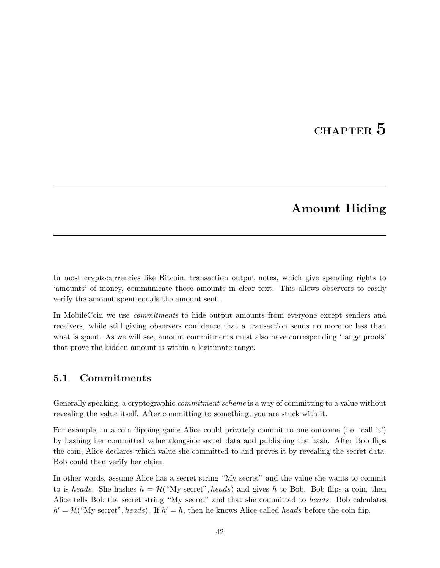# CHAPTER 5

# Amount Hiding

<span id="page-48-0"></span>In most cryptocurrencies like Bitcoin, transaction output notes, which give spending rights to 'amounts' of money, communicate those amounts in clear text. This allows observers to easily verify the amount spent equals the amount sent.

In MobileCoin we use *commitments* to hide output amounts from everyone except senders and receivers, while still giving observers confidence that a transaction sends no more or less than what is spent. As we will see, amount commitments must also have corresponding 'range proofs' that prove the hidden amount is within a legitimate range.

### 5.1 Commitments

Generally speaking, a cryptographic *commitment scheme* is a way of committing to a value without revealing the value itself. After committing to something, you are stuck with it.

For example, in a coin-flipping game Alice could privately commit to one outcome (i.e. 'call it') by hashing her committed value alongside secret data and publishing the hash. After Bob flips the coin, Alice declares which value she committed to and proves it by revealing the secret data. Bob could then verify her claim.

In other words, assume Alice has a secret string "My secret" and the value she wants to commit to is heads. She hashes  $h = H("My secret", heads)$  and gives h to Bob. Bob flips a coin, then Alice tells Bob the secret string "My secret" and that she committed to *heads*. Bob calculates  $h' = H("My secret", heads).$  If  $h' = h$ , then he knows Alice called *heads* before the coin flip.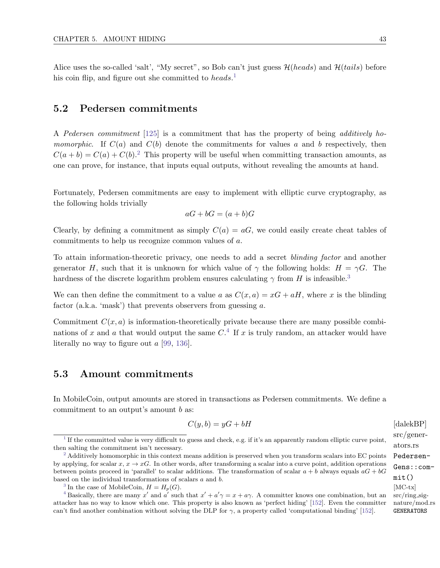Alice uses the so-called 'salt', "My secret", so Bob can't just guess  $\mathcal{H}(heads)$  and  $\mathcal{H}(tails)$  before his coin flip, and figure out she committed to  $heads.^1$  $heads.^1$ 

### 5.2 Pedersen commitments

A Pedersen commitment [\[125\]](#page-127-4) is a commitment that has the property of being additively ho*momorphic.* If  $C(a)$  and  $C(b)$  denote the commitments for values a and b respectively, then  $C(a + b) = C(a) + C(b)^2$  $C(a + b) = C(a) + C(b)^2$ . This property will be useful when committing transaction amounts, as one can prove, for instance, that inputs equal outputs, without revealing the amounts at hand.

Fortunately, Pedersen commitments are easy to implement with elliptic curve cryptography, as the following holds trivially

<span id="page-49-6"></span><span id="page-49-5"></span>
$$
aG + bG = (a+b)G
$$

Clearly, by defining a commitment as simply  $C(a) = aG$ , we could easily create cheat tables of commitments to help us recognize common values of a.

To attain information-theoretic privacy, one needs to add a secret blinding factor and another generator H, such that it is unknown for which value of  $\gamma$  the following holds:  $H = \gamma G$ . The hardness of the discrete logarithm problem ensures calculating  $\gamma$  from  $H$  is infeasible.<sup>[3](#page-49-3)</sup>

We can then define the commitment to a value a as  $C(x, a) = xG + aH$ , where x is the blinding factor (a.k.a. 'mask') that prevents observers from guessing a.

Commitment  $C(x, a)$  is information-theoretically private because there are many possible combinations of x and a that would output the same  $C^4$  $C^4$ . If x is truly random, an attacker would have literally no way to figure out a [\[99,](#page-126-2) [136\]](#page-128-3).

### <span id="page-49-0"></span>5.3 Amount commitments

In MobileCoin, output amounts are stored in transactions as Pedersen commitments. We define a commitment to an output's amount b as:

<span id="page-49-8"></span>
$$
C(y, b) = yG + bH
$$
 [dalekBP]

<span id="page-49-7"></span>src/generators.rs Pedersen-Gens::commit()  $src/ring\_sig$ nature/mod.rs GENERATORS

<span id="page-49-1"></span> $<sup>1</sup>$  $<sup>1</sup>$  $<sup>1</sup>$  If the committed value is very difficult to guess and check, e.g. if it's an apparently random elliptic curve point,</sup> then salting the commitment isn't necessary.

<span id="page-49-2"></span><sup>&</sup>lt;sup>[2](#page-49-6)</sup> Additively homomorphic in this context means addition is preserved when you transform scalars into EC points by applying, for scalar  $x, x \to xG$ . In other words, after transforming a scalar into a curve point, addition operations between points proceed in 'parallel' to scalar additions. The transformation of scalar  $a + b$  always equals  $aG + bG$ based on the individual transformations of scalars a and b.

<span id="page-49-4"></span><span id="page-49-3"></span><sup>&</sup>lt;sup>[3](#page-49-7)</sup> In the case of MobileCoin,  $H = H_p(G)$ . [MC-tx]

<sup>&</sup>lt;sup>[4](#page-49-8)</sup> Basically, there are many x' and a' such that  $x' + a' \gamma = x + a \gamma$ . A committer knows one combination, but an attacker has no way to know which one. This property is also known as 'perfect hiding' [\[152\]](#page-128-4). Even the committer can't find another combination without solving the DLP for  $\gamma$ , a property called 'computational binding' [\[152\]](#page-128-4).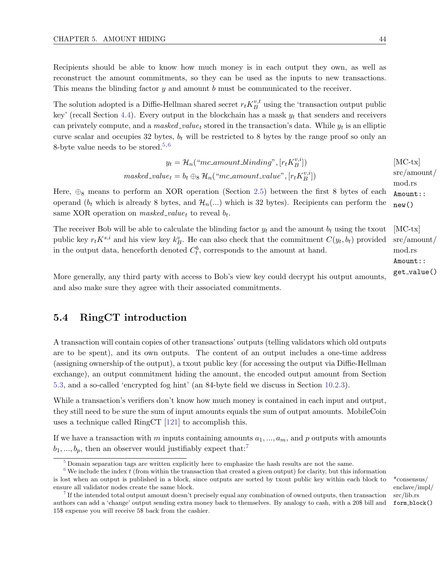Recipients should be able to know how much money is in each output they own, as well as reconstruct the amount commitments, so they can be used as the inputs to new transactions. This means the blinding factor  $y$  and amount b must be communicated to the receiver.

The solution adopted is a Diffie-Hellman shared secret  $r_t K_B^{v,t}$  $B_B^{v,t}$  using the 'transaction output public key' (recall Section [4.4\)](#page-47-4). Every output in the blockchain has a mask  $y_t$  that senders and receivers can privately compute, and a *masked\_value<sub>t</sub>* stored in the transaction's data. While  $y_t$  is an elliptic curve scalar and occupies 32 bytes,  $b_t$  will be restricted to 8 bytes by the range proof so only an 8-byte value needs to be stored.<sup>[5,](#page-50-1)[6](#page-50-2)</sup>

<span id="page-50-5"></span><span id="page-50-4"></span>
$$
y_t = \mathcal{H}_n("mc\text{-}amount\text{-}blinding", [r_t K_B^{v,i}])
$$
 [MC-tx]  
masked\text{-}value<sub>t</sub> = b<sub>t</sub> ⊕<sub>8</sub>  $\mathcal{H}_n("mc\text{-}amount\text{-}value", [r_t K_B^{v,i}])$  src/amount

Here,  $\oplus_8$  means to perform an XOR operation (Section [2.5\)](#page-31-0) between the first 8 bytes of each operand ( $b_t$  which is already 8 bytes, and  $\mathcal{H}_n(...)$  which is 32 bytes). Recipients can perform the same XOR operation on  $masked\_value_t$  to reveal  $b_t$ .

The receiver Bob will be able to calculate the blinding factor  $y_t$  and the amount  $b_t$  using the txout [MC-tx] public key  $r_t K^{s,i}$  and his view key  $k_B^v$ . He can also check that the commitment  $C(y_t, b_t)$  provided in the output data, henceforth denoted  $C_t^b$ , corresponds to the amount at hand.

<span id="page-50-0"></span>More generally, any third party with access to Bob's view key could decrypt his output amounts, and also make sure they agree with their associated commitments.

### 5.4 RingCT introduction

A transaction will contain copies of other transactions' outputs (telling validators which old outputs are to be spent), and its own outputs. The content of an output includes a one-time address (assigning ownership of the output), a txout public key (for accessing the output via Diffie-Hellman exchange), an output commitment hiding the amount, the encoded output amount from Section [5.3,](#page-49-0) and a so-called 'encrypted fog hint' (an 84-byte field we discuss in Section [10.2.3\)](#page-114-1).

While a transaction's verifiers don't know how much money is contained in each input and output, they still need to be sure the sum of input amounts equals the sum of output amounts. MobileCoin uses a technique called RingCT [\[121\]](#page-127-0) to accomplish this.

If we have a transaction with m inputs containing amounts  $a_1, ..., a_m$ , and p outputs with amounts  $b_1, ..., b_p$ , then an observer would justifiably expect that:<sup>[7](#page-50-3)</sup>

<span id="page-50-6"></span>enclave/impl/ src/lib.rs form block()

ıt / mod.rs Amount:: new()

src/amount/ mod.rs Amount:: get\_value()

<span id="page-50-2"></span><span id="page-50-1"></span>[<sup>5</sup>](#page-50-4) Domain separation tags are written explicitly here to emphasize the hash results are not the same.

 $6$  We include the index t (from within the transaction that created a given output) for clarity, but this information is lost when an output is published in a block, since outputs are sorted by txout public key within each block to \*consensus/ ensure all validator nodes create the same block.

<span id="page-50-3"></span>[<sup>7</sup>](#page-50-6) If the intended total output amount doesn't precisely equal any combination of owned outputs, then transaction authors can add a 'change' output sending extra money back to themselves. By analogy to cash, with a 20\$ bill and 15\$ expense you will receive 5\$ back from the cashier.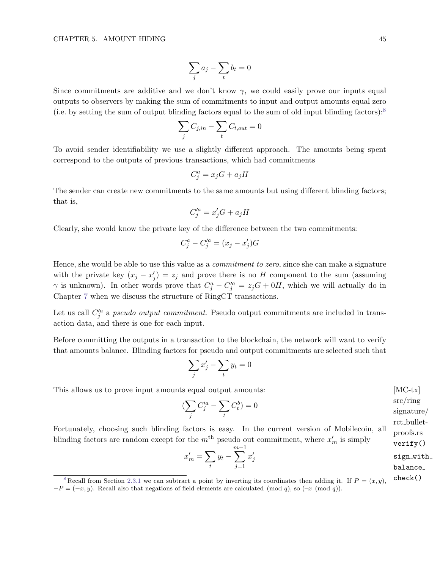<span id="page-51-1"></span>
$$
\sum_j a_j - \sum_t b_t = 0
$$

Since commitments are additive and we don't know  $\gamma$ , we could easily prove our inputs equal outputs to observers by making the sum of commitments to input and output amounts equal zero (i.e. by setting the sum of output blinding factors equal to the sum of old input blinding factors):<sup>[8](#page-51-0)</sup>

$$
\sum_{j} C_{j,in} - \sum_{t} C_{t,out} = 0
$$

To avoid sender identifiability we use a slightly different approach. The amounts being spent correspond to the outputs of previous transactions, which had commitments

$$
C_j^a = x_j G + a_j H
$$

The sender can create new commitments to the same amounts but using different blinding factors; that is,

$$
C_j^{\prime a} = x_j^\prime G + a_j H
$$

Clearly, she would know the private key of the difference between the two commitments:

$$
C_j^a - C_j^{\prime a} = (x_j - x_j^{\prime})G
$$

Hence, she would be able to use this value as a *commitment to zero*, since she can make a signature with the private key  $(x_j - x'_j) = z_j$  and prove there is no H component to the sum (assuming  $\gamma$  is unknown). In other words prove that  $C_j^a - C_j'^a = z_j G + 0H$ , which we will actually do in Chapter [7](#page-59-0) when we discuss the structure of RingCT transactions.

Let us call  $C_j^{\prime a}$  a *pseudo output commitment*. Pseudo output commitments are included in transaction data, and there is one for each input.

Before committing the outputs in a transaction to the blockchain, the network will want to verify that amounts balance. Blinding factors for pseudo and output commitments are selected such that

$$
\sum_j x'_j - \sum_t y_t = 0
$$

This allows us to prove input amounts equal output amounts: [MC-tx]

$$
\left(\sum_{j} C_j^{\prime a} - \sum_{t} C_t^b\right) = 0
$$

Fortunately, choosing such blinding factors is easy. In the current version of Mobilecoin, all blinding factors are random except for the  $m<sup>th</sup>$  pseudo out commitment, where  $x'_m$  is simply

$$
x'_{m} = \sum_{t} y_{t} - \sum_{j=1}^{m-1} x'_{j}
$$
sign\_with balance\_

 $c/ring$  $\frac{1}{2}$ sharah rct bulletproofs.rs verify() ice\_

<span id="page-51-0"></span><sup>&</sup>lt;sup>[8](#page-51-1)</sup> Recall from Section [2.3.1](#page-19-0) we can subtract a point by inverting its coordinates then adding it. If  $P = (x, y)$ , check()  $-P = (-x, y)$ . Recall also that negations of field elements are calculated (mod q), so  $(-x \pmod{q})$ .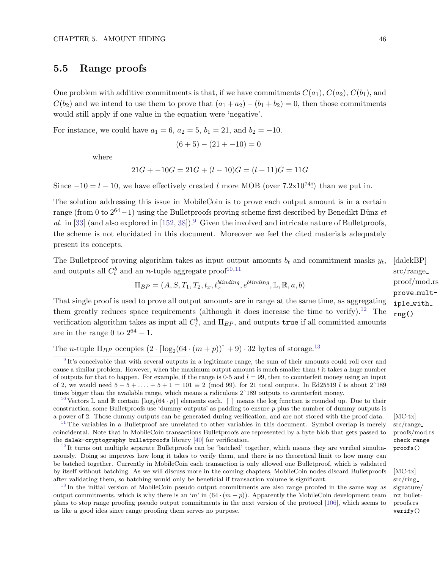## 5.5 Range proofs

One problem with additive commitments is that, if we have commitments  $C(a_1), C(a_2), C(b_1)$ , and  $C(b_2)$  and we intend to use them to prove that  $(a_1 + a_2) - (b_1 + b_2) = 0$ , then those commitments would still apply if one value in the equation were 'negative'.

For instance, we could have  $a_1 = 6$ ,  $a_2 = 5$ ,  $b_1 = 21$ , and  $b_2 = -10$ .

<span id="page-52-5"></span>
$$
(6+5) - (21 + -10) = 0
$$

where

$$
21G + -10G = 21G + (l - 10)G = (l + 11)G = 11G
$$

Since  $-10 = l - 10$ , we have effectively created l more MOB (over 7.2x10<sup>74</sup>!) than we put in.

The solution addressing this issue in MobileCoin is to prove each output amount is in a certain range (from 0 to  $2^{64}-1$ ) using the Bulletproofs proving scheme first described by Benedikt Bünz et al. in [\[33\]](#page-122-4) (and also explored in [\[152,](#page-128-4) [38\]](#page-123-4)).<sup>[9](#page-52-0)</sup> Given the involved and intricate nature of Bulletproofs, the scheme is not elucidated in this document. Moreover we feel the cited materials adequately present its concepts.

The Bullet proving algorithm takes as input output amounts  $b_t$  and commitment masks  $y_t$ , [dalekBP] and outputs all  $C_t^b$  and an *n*-tuple aggregate proof<sup>[10](#page-52-1)[,11](#page-52-2)</sup>

<span id="page-52-7"></span><span id="page-52-6"></span>
$$
\Pi_{BP} = (A, S, T_1, T_2, t_x, t_x^{binding}, e^{binding}, \mathbb{L}, \mathbb{R}, a, b)
$$

That single proof is used to prove all output amounts are in range at the same time, as aggregating them greatly reduces space requirements (although it does increase the time to verify).<sup>[12](#page-52-3)</sup> The verification algorithm takes as input all  $C_t^b$ , and  $\Pi_{BP}$ , and outputs  $\tt true$  if all committed amounts are in the range 0 to  $2^{64} - 1$ .

The *n*-tuple  $\Pi_{BP}$  occupies  $(2 \cdot \lceil \log_2(64 \cdot (m+p)) \rceil + 9) \cdot 32$  bytes of storage.<sup>[13](#page-52-4)</sup>

<span id="page-52-4"></span><sup>[13](#page-52-9)</sup> In the initial version of MobileCoin pseudo output commitments are also range proofed in the same way as output commitments, which is why there is an 'm' in  $(64 \cdot (m+p))$ . Apparently the MobileCoin development team plans to stop range proofing pseudo output commitments in the next version of the protocol [\[106\]](#page-126-3), which seems to us like a good idea since range proofing them serves no purpose.

<span id="page-52-9"></span><span id="page-52-8"></span>src/range proof/mod.rs prove multiple with rng()

src/ring signature/ rct bulletproofs.rs verify()

<span id="page-52-0"></span><sup>&</sup>lt;sup>[9](#page-52-5)</sup> It's conceivable that with several outputs in a legitimate range, the sum of their amounts could roll over and cause a similar problem. However, when the maximum output amount is much smaller than l it takes a huge number of outputs for that to happen. For example, if the range is 0-5 and  $l = 99$ , then to counterfeit money using an input of 2, we would need  $5 + 5 + \ldots + 5 + 1 = 101 \equiv 2 \pmod{99}$ , for 21 total outputs. In Ed25519 l is about 2^189 times bigger than the available range, which means a ridiculous 2ˆ189 outputs to counterfeit money.

<span id="page-52-1"></span><sup>&</sup>lt;sup>[10](#page-52-6)</sup> Vectors L and R contain  $\lceil \log_2(64 \cdot p) \rceil$  elements each.  $\lceil \cdot \rceil$  means the log function is rounded up. Due to their construction, some Bulletproofs use 'dummy outputs' as padding to ensure p plus the number of dummy outputs is a power of 2. Those dummy outputs can be generated during verification, and are not stored with the proof data. [MC-tx]

<span id="page-52-2"></span> $11$  The variables in a Bulletproof are unrelated to other variables in this document. Symbol overlap is merely coincidental. Note that in MobileCoin transactions Bulletproofs are represented by a byte blob that gets passed to the dalek-cryptography bulletproofs library [\[40\]](#page-123-5) for verification.

<span id="page-52-3"></span> $12$  It turns out multiple separate Bulletproofs can be 'batched' together, which means they are verified simultaneously. Doing so improves how long it takes to verify them, and there is no theoretical limit to how many can be batched together. Currently in MobileCoin each transaction is only allowed one Bulletproof, which is validated by itself without batching. As we will discuss more in the coming chapters, MobileCoin nodes discard Bulletproofs [MC-tx] after validating them, so batching would only be beneficial if transaction volume is significant.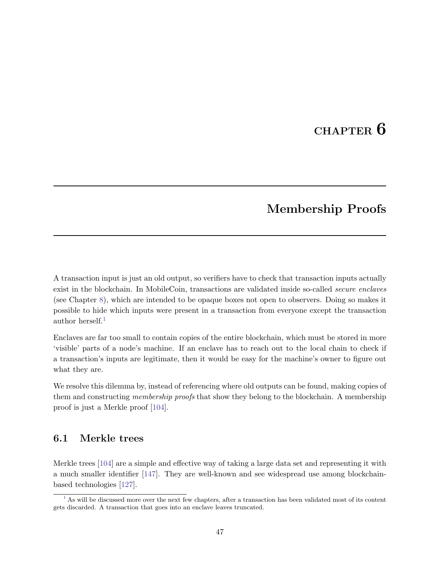# CHAPTER 6

# Membership Proofs

A transaction input is just an old output, so verifiers have to check that transaction inputs actually exist in the blockchain. In MobileCoin, transactions are validated inside so-called *secure enclaves* (see Chapter [8\)](#page-67-0), which are intended to be opaque boxes not open to observers. Doing so makes it possible to hide which inputs were present in a transaction from everyone except the transaction author herself. $<sup>1</sup>$  $<sup>1</sup>$  $<sup>1</sup>$ </sup>

<span id="page-53-1"></span>Enclaves are far too small to contain copies of the entire blockchain, which must be stored in more 'visible' parts of a node's machine. If an enclave has to reach out to the local chain to check if a transaction's inputs are legitimate, then it would be easy for the machine's owner to figure out what they are.

We resolve this dilemma by, instead of referencing where old outputs can be found, making copies of them and constructing membership proofs that show they belong to the blockchain. A membership proof is just a Merkle proof [\[104\]](#page-126-4).

## 6.1 Merkle trees

Merkle trees [\[104\]](#page-126-4) are a simple and effective way of taking a large data set and representing it with a much smaller identifier [\[147\]](#page-128-5). They are well-known and see widespread use among blockchainbased technologies [\[127\]](#page-127-5).

<span id="page-53-0"></span> $1$  As will be discussed more over the next few chapters, after a transaction has been validated most of its content gets discarded. A transaction that goes into an enclave leaves truncated.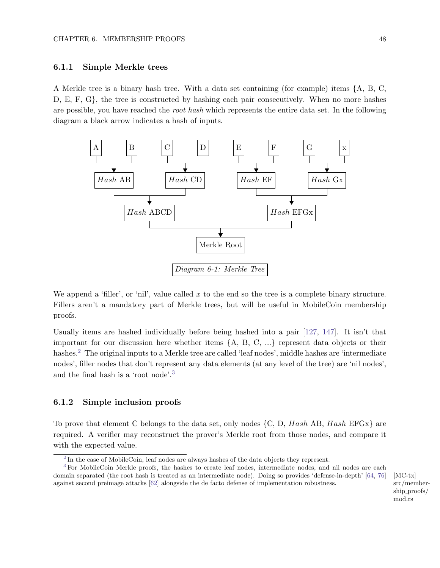#### 6.1.1 Simple Merkle trees

A Merkle tree is a binary hash tree. With a data set containing (for example) items {A, B, C, D, E, F, G}, the tree is constructed by hashing each pair consecutively. When no more hashes are possible, you have reached the root hash which represents the entire data set. In the following diagram a black arrow indicates a hash of inputs.



We append a 'filler', or 'nil', value called  $x$  to the end so the tree is a complete binary structure. Fillers aren't a mandatory part of Merkle trees, but will be useful in MobileCoin membership proofs.

<span id="page-54-2"></span>Usually items are hashed individually before being hashed into a pair [\[127,](#page-127-5) [147\]](#page-128-5). It isn't that important for our discussion here whether items {A, B, C, ...} represent data objects or their hashes.[2](#page-54-0) The original inputs to a Merkle tree are called 'leaf nodes', middle hashes are 'intermediate nodes', filler nodes that don't represent any data elements (at any level of the tree) are 'nil nodes', and the final hash is a 'root node'.[3](#page-54-1)

#### <span id="page-54-3"></span>6.1.2 Simple inclusion proofs

To prove that element C belongs to the data set, only nodes  $\{C, D, Hash\ AB, Hash\ EFGx\}$  are required. A verifier may reconstruct the prover's Merkle root from those nodes, and compare it with the expected value.

[MC-tx] src/membership proofs/ mod.rs

<span id="page-54-1"></span><span id="page-54-0"></span> $2 \text{ In the case of MobileCoin, leaf nodes are always hashes of the data objects they represent.}$  $2 \text{ In the case of MobileCoin, leaf nodes are always hashes of the data objects they represent.}$ 

[<sup>3</sup>](#page-54-3) For MobileCoin Merkle proofs, the hashes to create leaf nodes, intermediate nodes, and nil nodes are each domain separated (the root hash is treated as an intermediate node). Doing so provides 'defense-in-depth' [\[64,](#page-124-3) [76\]](#page-125-4) against second preimage attacks [\[62\]](#page-124-4) alongside the de facto defense of implementation robustness.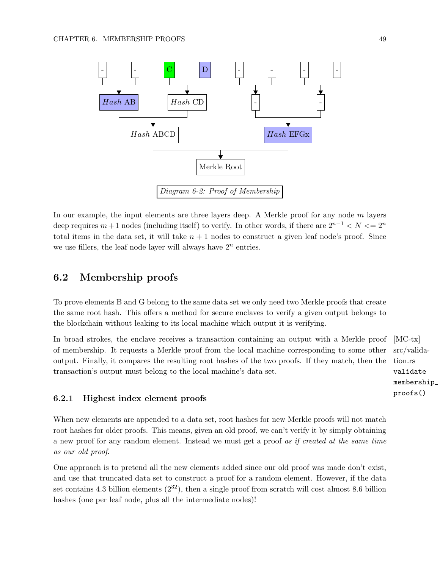

In our example, the input elements are three layers deep. A Merkle proof for any node  $m$  layers deep requires  $m+1$  nodes (including itself) to verify. In other words, if there are  $2^{n-1} < N < 2^n$ total items in the data set, it will take  $n + 1$  nodes to construct a given leaf node's proof. Since we use fillers, the leaf node layer will always have  $2<sup>n</sup>$  entries.

# 6.2 Membership proofs

To prove elements B and G belong to the same data set we only need two Merkle proofs that create the same root hash. This offers a method for secure enclaves to verify a given output belongs to the blockchain without leaking to its local machine which output it is verifying.

In broad strokes, the enclave receives a transaction containing an output with a Merkle proof [MC-tx] of membership. It requests a Merkle proof from the local machine corresponding to some other output. Finally, it compares the resulting root hashes of the two proofs. If they match, then the transaction's output must belong to the local machine's data set.

#### 6.2.1 Highest index element proofs

When new elements are appended to a data set, root hashes for new Merkle proofs will not match root hashes for older proofs. This means, given an old proof, we can't verify it by simply obtaining a new proof for any random element. Instead we must get a proof as if created at the same time as our old proof.

One approach is to pretend all the new elements added since our old proof was made don't exist, and use that truncated data set to construct a proof for a random element. However, if the data set contains 4.3 billion elements  $(2^{32})$ , then a single proof from scratch will cost almost 8.6 billion hashes (one per leaf node, plus all the intermediate nodes)!

src/validation.rs validate membership proofs()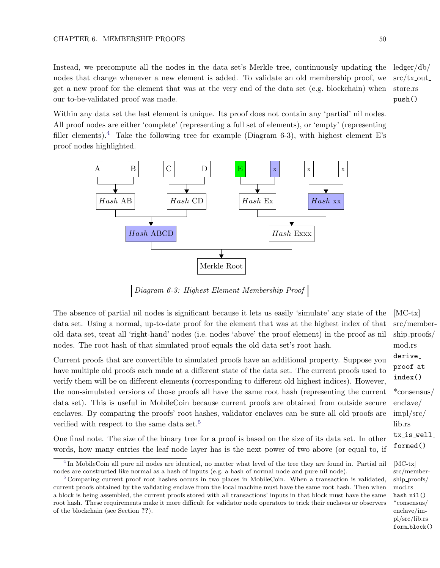Instead, we precompute all the nodes in the data set's Merkle tree, continuously updating the  $\frac{\text{ledger}}{\text{db}}$ push() nodes that change whenever a new element is added. To validate an old membership proof, we get a new proof for the element that was at the very end of the data set (e.g. blockchain) when our to-be-validated proof was made.

Within any data set the last element is unique. Its proof does not contain any 'partial' nil nodes. All proof nodes are either 'complete' (representing a full set of elements), or 'empty' (representing filler elements).<sup>[4](#page-56-0)</sup> Take the following tree for example (Diagram 6-3), with highest element E's proof nodes highlighted.

<span id="page-56-2"></span>

<span id="page-56-3"></span>Diagram 6-3: Highest Element Membership Proof

The absence of partial nil nodes is significant because it lets us easily 'simulate' any state of the  $[MC-tx]$ src/memberdata set. Using a normal, up-to-date proof for the element that was at the highest index of that old data set, treat all 'right-hand' nodes (i.e. nodes 'above' the proof element) in the proof as nil nodes. The root hash of that simulated proof equals the old data set's root hash.

Current proofs that are convertible to simulated proofs have an additional property. Suppose you have multiple old proofs each made at a different state of the data set. The current proofs used to verify them will be on different elements (corresponding to different old highest indices). However, the non-simulated versions of those proofs all have the same root hash (representing the current data set). This is useful in MobileCoin because current proofs are obtained from outside secure enclaves. By comparing the proofs' root hashes, validator enclaves can be sure all old proofs are verified with respect to the same data set.<sup>[5](#page-56-1)</sup>

One final note. The size of the binary tree for a proof is based on the size of its data set. In other words, how many entries the leaf node layer has is the next power of two above (or equal to, if

ship proofs/ mod.rs derive proof at index() \*consensus/ enclave/ impl/src/ lib.rs tx is well formed() src/membership proofs/

\*consensus/ enclave/impl/src/lib.rs form block()

mod.rs hash nil()

<span id="page-56-0"></span><sup>&</sup>lt;sup>[4](#page-56-2)</sup> In MobileCoin all pure nil nodes are identical, no matter what level of the tree they are found in. Partial nil [MC-tx] nodes are constructed like normal as a hash of inputs (e.g. a hash of normal node and pure nil node).

<span id="page-56-1"></span><sup>&</sup>lt;sup>[5](#page-56-3)</sup> Comparing current proof root hashes occurs in two places in MobileCoin. When a transaction is validated, current proofs obtained by the validating enclave from the local machine must have the same root hash. Then when a block is being assembled, the current proofs stored with all transactions' inputs in that block must have the same root hash. These requirements make it more difficult for validator node operators to trick their enclaves or observers of the blockchain (see Section ??).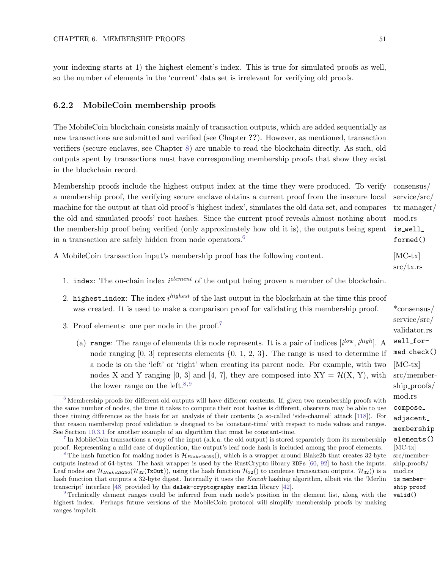<span id="page-57-8"></span>your indexing starts at 1) the highest element's index. This is true for simulated proofs as well, so the number of elements in the 'current' data set is irrelevant for verifying old proofs.

#### 6.2.2 MobileCoin membership proofs

The MobileCoin blockchain consists mainly of transaction outputs, which are added sequentially as new transactions are submitted and verified (see Chapter ??). However, as mentioned, transaction verifiers (secure enclaves, see Chapter [8\)](#page-67-0) are unable to read the blockchain directly. As such, old outputs spent by transactions must have corresponding membership proofs that show they exist in the blockchain record.

Membership proofs include the highest output index at the time they were produced. To verify consensus/ service/src/ tx manager/ a membership proof, the verifying secure enclave obtains a current proof from the insecure local machine for the output at that old proof's 'highest index', simulates the old data set, and compares the old and simulated proofs' root hashes. Since the current proof reveals almost nothing about the membership proof being verified (only approximately how old it is), the outputs being spent in a transaction are safely hidden from node operators.<sup>[6](#page-57-0)</sup>

A MobileCoin transaction input's membership proof has the following content. [MC-tx]

- 1. index: The on-chain index  $i^{element}$  of the output being proven a member of the blockchain.
- 2. highest\_index: The index  $i^{highest}$  of the last output in the blockchain at the time this proof was created. It is used to make a comparison proof for validating this membership proof. \*consensus/
- <span id="page-57-5"></span>3. Proof elements: one per node in the proof.[7](#page-57-1)
	- (a) range: The range of elements this node represents. It is a pair of indices  $[i^{low}, i^{high}]$ . A node ranging  $[0, 3]$  represents elements  $\{0, 1, 2, 3\}$ . The range is used to determine if a node is on the 'left' or 'right' when creating its parent node. For example, with two [MC-tx] nodes X and Y ranging [0, 3] and [4, 7], they are composed into  $XY = \mathcal{H}(X, Y)$ , with the lower range on the left.<sup>[8,](#page-57-2)[9](#page-57-3)</sup>

<span id="page-57-1"></span>In MobileCoin transactions a copy of the input (a.k.a. the old output) is stored separately from its membership proof. Representing a mild case of duplication, the output's leaf node hash is included among the proof elements.  $[MC-tx]$ 

<span id="page-57-4"></span>mod.rs is\_well\_ formed() src/tx.rs service/src/ validator.rs well\_formed check()

src/membership proofs/ mod.rs compose adjacent membership elements()

src/membership proofs/ mod.rs is membership proof valid()

<span id="page-57-7"></span><span id="page-57-6"></span><span id="page-57-0"></span> $6$  Membership proofs for different old outputs will have different contents. If, given two membership proofs with the same number of nodes, the time it takes to compute their root hashes is different, observers may be able to use those timing differences as the basis for an analysis of their contents (a so-called 'side-channel' attack [\[118\]](#page-127-6)). For that reason membership proof validation is designed to be 'constant-time' with respect to node values and ranges. See Section [10.3.1](#page-115-0) for another example of an algorithm that must be constant-time.

<span id="page-57-2"></span><sup>&</sup>lt;sup>[8](#page-57-6)</sup> The hash function for making nodes is  $\mathcal{H}_{Blacke2b256}$ ), which is a wrapper around Blake2b that creates 32-byte outputs instead of 64-bytes. The hash wrapper is used by the RustCrypto library KDFs [\[60,](#page-124-2) [92\]](#page-125-2) to hash the inputs. Leaf nodes are  $\mathcal{H}_{Blacke2b256}(\mathcal{H}_{32}(Tx\text{Out})),$  using the hash function  $\mathcal{H}_{32}$ () to condense transaction outputs.  $\mathcal{H}_{32}$ () is a hash function that outputs a 32-byte digest. Internally it uses the Keccak hashing algorithm, albeit via the 'Merlin transcript' interface [\[48\]](#page-123-6) provided by the dalek-cryptography merlin library [\[42\]](#page-123-7).

<span id="page-57-3"></span>[<sup>9</sup>](#page-57-7) Technically element ranges could be inferred from each node's position in the element list, along with the highest index. Perhaps future versions of the MobileCoin protocol will simplify membership proofs by making ranges implicit.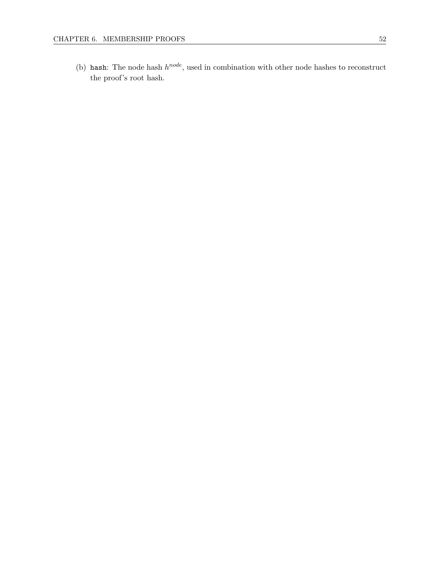(b) hash: The node hash  $h^{node}$ , used in combination with other node hashes to reconstruct the proof's root hash.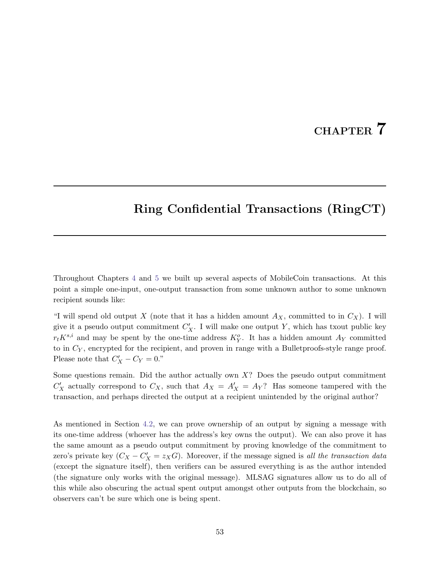# CHAPTER 7

# <span id="page-59-0"></span>Ring Confidential Transactions (RingCT)

Throughout Chapters [4](#page-43-4) and [5](#page-48-0) we built up several aspects of MobileCoin transactions. At this point a simple one-input, one-output transaction from some unknown author to some unknown recipient sounds like:

"I will spend old output X (note that it has a hidden amount  $A_X$ , committed to in  $C_X$ ). I will give it a pseudo output commitment  $C_X'$ . I will make one output Y, which has txout public key  $r_t K^{s,i}$  and may be spent by the one-time address  $K_Y^o$ . It has a hidden amount  $A_Y$  committed to in  $C_Y$ , encrypted for the recipient, and proven in range with a Bullet proofs-style range proof. Please note that  $C'_X - C_Y = 0$ ."

Some questions remain. Did the author actually own  $X$ ? Does the pseudo output commitment  $C'_X$  actually correspond to  $C_X$ , such that  $A_X = A'_X = A_Y$ ? Has someone tampered with the transaction, and perhaps directed the output at a recipient unintended by the original author?

As mentioned in Section [4.2,](#page-44-10) we can prove ownership of an output by signing a message with its one-time address (whoever has the address's key owns the output). We can also prove it has the same amount as a pseudo output commitment by proving knowledge of the commitment to zero's private key  $(C_X - C'_X = z_X G)$ . Moreover, if the message signed is all the transaction data (except the signature itself), then verifiers can be assured everything is as the author intended (the signature only works with the original message). MLSAG signatures allow us to do all of this while also obscuring the actual spent output amongst other outputs from the blockchain, so observers can't be sure which one is being spent.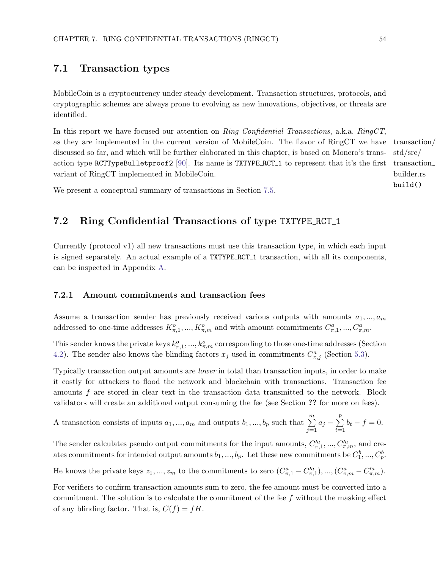# 7.1 Transaction types

MobileCoin is a cryptocurrency under steady development. Transaction structures, protocols, and cryptographic schemes are always prone to evolving as new innovations, objectives, or threats are identified.

In this report we have focused our attention on Ring Confidential Transactions, a.k.a. RingCT, as they are implemented in the current version of MobileCoin. The flavor of RingCT we have transaction/ discussed so far, and which will be further elaborated in this chapter, is based on Monero's transaction type RCTTypeBulletproof2 [\[90\]](#page-125-3). Its name is TXTYPE RCT 1 to represent that it's the first variant of RingCT implemented in MobileCoin.

We present a conceptual summary of transactions in Section [7.5.](#page-65-0)

# 7.2 Ring Confidential Transactions of type TXTYPE RCT 1

Currently (protocol v1) all new transactions must use this transaction type, in which each input is signed separately. An actual example of a TXTYPE RCT 1 transaction, with all its components, can be inspected in Appendix [A.](#page-131-0)

#### 7.2.1 Amount commitments and transaction fees

Assume a transaction sender has previously received various outputs with amounts  $a_1, ..., a_m$ addressed to one-time addresses  $K^o_{\pi,1}, ..., K^o_{\pi,m}$  and with amount commitments  $C^a_{\pi,1}, ..., C^a_{\pi,m}$ .

This sender knows the private keys  $k_{\pi,1}^o, ..., k_{\pi,m}^o$  corresponding to those one-time addresses (Section [4.2\)](#page-44-10). The sender also knows the blinding factors  $x_j$  used in commitments  $C_{\pi,j}^a$  (Section [5.3\)](#page-49-0).

Typically transaction output amounts are lower in total than transaction inputs, in order to make it costly for attackers to flood the network and blockchain with transactions. Transaction fee amounts f are stored in clear text in the transaction data transmitted to the network. Block validators will create an additional output consuming the fee (see Section ?? for more on fees).

A transaction consists of inputs  $a_1, ..., a_m$  and outputs  $b_1, ..., b_p$  such that  $\sum^m$  $j=1$  $a_j - \sum$ p  $t=1$  $b_t - f = 0.$ 

The sender calculates pseudo output commitments for the input amounts,  $C'^a_{\pi,1},..., C'^a_{\pi,m}$ , and creates commitments for intended output amounts  $b_1, ..., b_p$ . Let these new commitments be  $C_1^b, ..., C_p^b$ .

He knows the private keys  $z_1, ..., z_m$  to the commitments to zero  $(C_{\pi,1}^a - C_{\pi,1}^{\prime a}), ..., (C_{\pi,m}^a - C_{\pi,m}^{\prime a}).$ 

For verifiers to confirm transaction amounts sum to zero, the fee amount must be converted into a commitment. The solution is to calculate the commitment of the fee  $f$  without the masking effect of any blinding factor. That is,  $C(f) = fH$ .

std/src/ transaction builder.rs build()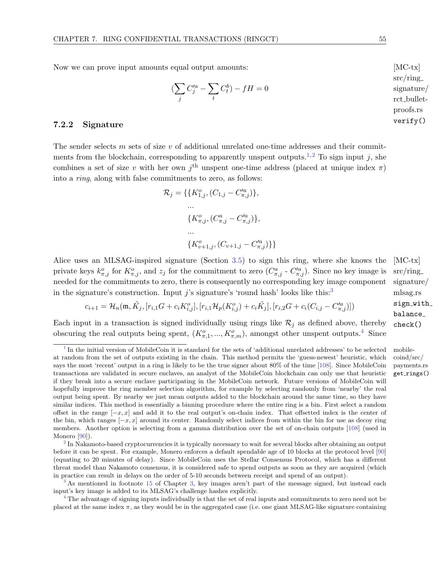Now we can prove input amounts equal output amounts:  $[MC-tx]$ 

$$
(\sum_j C_j'^a - \sum_t C_t^b) - fH = 0
$$

#### <span id="page-61-0"></span>7.2.2 Signature

The sender selects m sets of size  $v$  of additional unrelated one-time addresses and their commit-ments from the blockchain, corresponding to apparently unspent outputs.<sup>[1](#page-61-1)[,2](#page-61-2)</sup> To sign input *i*, she combines a set of size v with her own  $j<sup>th</sup>$  unspent one-time address (placed at unique index  $\pi$ ) into a ring, along with false commitments to zero, as follows:

$$
\mathcal{R}_{j} = \{ \{ K_{1,j}^{o}, (C_{1,j} - C_{\pi,j}^{'a}) \},
$$
  
...  

$$
\{ K_{\pi,j}^{o}, (C_{\pi,j}^{a} - C_{\pi,j}^{'a}) \},
$$
  
...  

$$
\{ K_{v+1,j}^{o}, (C_{v+1,j} - C_{\pi,j}^{'a}) \} \}
$$

Alice uses an MLSAG-inspired signature (Section [3.5\)](#page-41-4) to sign this ring, where she knows the  $[MC-tx]$ private keys  $k_{\pi,j}^o$  for  $K_{\pi,j}^o$ , and  $z_j$  for the commitment to zero  $(C_{\pi,j}^a \cdot C_{\pi,j}'^a)$ . Since no key image is needed for the commitments to zero, there is consequently no corresponding key image component in the signature's construction. Input j's signature's 'round hash' looks like this: $3$ 

$$
c_{i+1} = \mathcal{H}_n(\mathfrak{m}, \tilde{K}_j, [r_{i,1}G + c_i K_{i,j}^o], [r_{i,1} \mathcal{H}_p(K_{i,j}^o) + c_i \tilde{K}_j], [r_{i,2}G + c_i(C_{i,j} - C_{\pi,j}^{'a})])
$$

Each input in a transaction is signed individually using rings like  $\mathcal{R}_i$  as defined above, thereby obscuring the real outputs being spent,  $(K^o_{\pi,1},...,K^o_{\pi,m})$ , amongst other unspent outputs.<sup>[4](#page-61-4)</sup> Since

<span id="page-61-7"></span> $src/ring$ signature/ mlsag.rs sign with balance check()

<span id="page-61-8"></span>coind/src/ payments.rs get\_rings()

<span id="page-61-6"></span><span id="page-61-5"></span> $src/ring$ signature/ rct bulletproofs.rs verify()

<span id="page-61-1"></span> $<sup>1</sup>$  $<sup>1</sup>$  $<sup>1</sup>$  In the initial version of MobileCoin it is standard for the sets of 'additional unrelated addresses' to be selected mobile-</sup> at random from the set of outputs existing in the chain. This method permits the 'guess-newest' heuristic, which says the most 'recent' output in a ring is likely to be the true signer about 80% of the time [\[108\]](#page-126-5). Since MobileCoin transactions are validated in secure enclaves, an analyst of the MobileCoin blockchain can only use that heuristic if they break into a secure enclave participating in the MobileCoin network. Future versions of MobileCoin will hopefully improve the ring member selection algorithm, for example by selecting randomly from 'nearby' the real output being spent. By nearby we just mean outputs added to the blockchain around the same time, so they have similar indices. This method is essentially a binning procedure where the entire ring is a bin. First select a random offset in the range  $[-x, x]$  and add it to the real output's on-chain index. That offsetted index is the center of the bin, which ranges  $[-x, x]$  around its center. Randomly select indices from within the bin for use as decoy ring members. Another option is selecting from a gamma distribution over the set of on-chain outputs [\[108\]](#page-126-5) (used in Monero [\[90\]](#page-125-3)).

<span id="page-61-2"></span> $2 \text{ In Nakamoto-based cryptographic}$  $2 \text{ In Nakamoto-based cryptographic}$  it is typically necessary to wait for several blocks after obtaining an output before it can be spent. For example, Monero enforces a default spendable age of 10 blocks at the protocol level [\[90\]](#page-125-3) (equating to 20 minutes of delay). Since MobileCoin uses the Stellar Consensus Protocol, which has a different threat model than Nakamoto consensus, it is considered safe to spend outputs as soon as they are acquired (which in practice can result in delays on the order of 5-10 seconds between receipt and spend of an output).

<span id="page-61-3"></span>[<sup>3</sup>](#page-61-7) As mentioned in footnote [15](#page-41-1) of Chapter [3,](#page-33-0) key images aren't part of the message signed, but instead each input's key image is added to its MLSAG's challenge hashes explicitly.

<span id="page-61-4"></span>[<sup>4</sup>](#page-61-8) The advantage of signing inputs individually is that the set of real inputs and commitments to zero need not be placed at the same index  $\pi$ , as they would be in the aggregated case (i.e. one giant MLSAG-like signature containing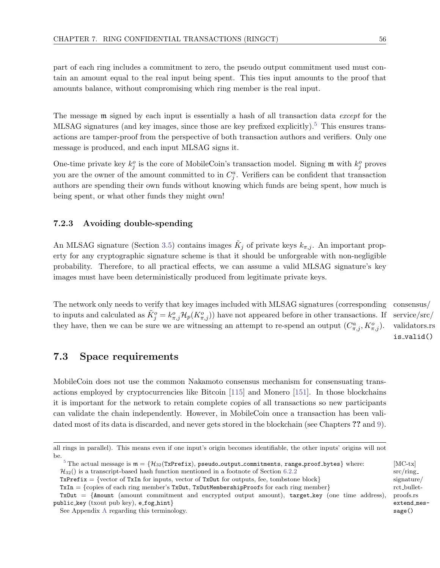part of each ring includes a commitment to zero, the pseudo output commitment used must contain an amount equal to the real input being spent. This ties input amounts to the proof that amounts balance, without compromising which ring member is the real input.

The message  $m$  signed by each input is essentially a hash of all transaction data *except* for the MLSAG signatures (and key images, since those are key prefixed explicitly).<sup>[5](#page-62-1)</sup> This ensures transactions are tamper-proof from the perspective of both transaction authors and verifiers. Only one message is produced, and each input MLSAG signs it.

One-time private key  $k_j^o$  is the core of MobileCoin's transaction model. Signing m with  $k_j^o$  proves you are the owner of the amount committed to in  $C_j^a$ . Verifiers can be confident that transaction authors are spending their own funds without knowing which funds are being spent, how much is being spent, or what other funds they might own!

#### <span id="page-62-0"></span>7.2.3 Avoiding double-spending

An MLSAG signature (Section [3.5\)](#page-41-4) contains images  $\tilde{K}_j$  of private keys  $k_{\pi,j}$ . An important property for any cryptographic signature scheme is that it should be unforgeable with non-negligible probability. Therefore, to all practical effects, we can assume a valid MLSAG signature's key images must have been deterministically produced from legitimate private keys.

The network only needs to verify that key images included with MLSAG signatures (corresponding consensus/ to inputs and calculated as  $\tilde{K}^o_j = k^o_{\pi,j} \mathcal{H}_p(K^o_{\pi,j})$  have not appeared before in other transactions. If service/src/ they have, then we can be sure we are witnessing an attempt to re-spend an output  $(C_{\pi,j}^a, K_{\pi,j}^o)$ .

<span id="page-62-2"></span>validators.rs is valid()

### 7.3 Space requirements

MobileCoin does not use the common Nakamoto consensus mechanism for consensuating transactions employed by cryptocurrencies like Bitcoin [\[115\]](#page-127-7) and Monero [\[151\]](#page-128-0). In those blockchains it is important for the network to retain complete copies of all transactions so new participants can validate the chain independently. However, in MobileCoin once a transaction has been validated most of its data is discarded, and never gets stored in the blockchain (see Chapters ?? and [9\)](#page-87-0).

src/ring signature/ rct bulletproofs.rs extend message()

all rings in parallel). This means even if one input's origin becomes identifiable, the other inputs' origins will not be.

<span id="page-62-1"></span><sup>&</sup>lt;sup>[5](#page-62-2)</sup> The actual message is  $\mathfrak{m} = \{ \mathcal{H}_{32}(\texttt{TxPrefix}), \texttt{pseudo\_output\_committments}, \texttt{range\_proof\_bytes} \}$  where:  $[\texttt{MC-tx}]$  $\mathcal{H}_{32}$ () is a transcript-based hash function mentioned in a footnote of Section [6.2.2](#page-57-8)

TxPrefix = {vector of TxIn for inputs, vector of TxOut for outputs, fee, tombstone block}

 $TxIn = \{ copies of each ring member's TxOut, TxOutMembershipProofs for each ring member\}$ 

 $TxOut = \{Amount (amount commitment and encrypted output amount), target_key (one time address),$ public key (txout pub key), e fog hint}

See Appendix [A](#page-131-0) regarding this terminology.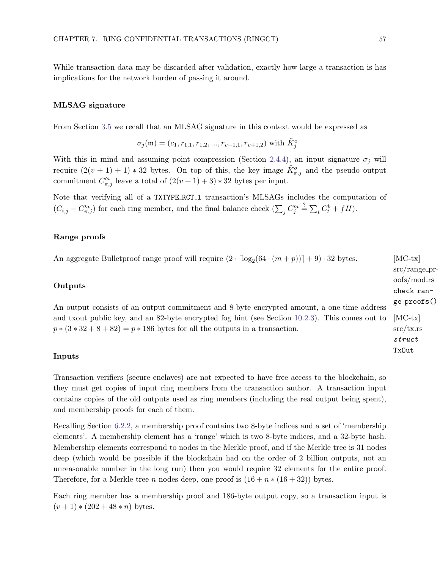While transaction data may be discarded after validation, exactly how large a transaction is has implications for the network burden of passing it around.

#### MLSAG signature

From Section [3.5](#page-41-4) we recall that an MLSAG signature in this context would be expressed as

$$
\sigma_j(\mathfrak{m}) = (c_1, r_{1,1}, r_{1,2}, ..., r_{v+1,1}, r_{v+1,2})
$$
 with  $\tilde{K}_j^o$ 

With this in mind and assuming point compression (Section [2.4.4\)](#page-29-0), an input signature  $\sigma_i$  will require  $(2(v+1)+1) * 32$  bytes. On top of this, the key image  $\tilde{K}^o_{\pi,j}$  and the pseudo output commitment  $C_{\pi,j}^{\prime a}$  leave a total of  $(2(v+1)+3)*32$  bytes per input.

Note that verifying all of a TXTYPE RCT 1 transaction's MLSAGs includes the computation of  $(C_{i,j} - C'^a_{\pi,j})$  for each ring member, and the final balance check  $(\sum_j C'^a_j \stackrel{?}{=} \sum_t C^b_t + fH)$ .

#### Range proofs

An aggregate Bulletproof range proof will require  $(2 \cdot \lceil \log_2(64 \cdot (m+p)) \rceil + 9) \cdot 32$  bytes. [MC-tx]

#### **Outputs**

An output consists of an output commitment and 8-byte encrypted amount, a one-time address and txout public key, and an 82-byte encrypted fog hint (see Section 10.2.3). This comes out to  $[MC-tx]$  $p*(3*32+8+82)=p*186$  bytes for all the outputs in a transaction.

#### Inputs

Transaction verifiers (secure enclaves) are not expected to have free access to the blockchain, so they must get copies of input ring members from the transaction author. A transaction input contains copies of the old outputs used as ring members (including the real output being spent), and membership proofs for each of them.

Recalling Section [6.2.2,](#page-57-8) a membership proof contains two 8-byte indices and a set of 'membership elements'. A membership element has a 'range' which is two 8-byte indices, and a 32-byte hash. Membership elements correspond to nodes in the Merkle proof, and if the Merkle tree is 31 nodes deep (which would be possible if the blockchain had on the order of 2 billion outputs, not an unreasonable number in the long run) then you would require 32 elements for the entire proof. Therefore, for a Merkle tree n nodes deep, one proof is  $(16 + n * (16 + 32))$  bytes.

Each ring member has a membership proof and 186-byte output copy, so a transaction input is  $(v + 1) * (202 + 48 * n)$  bytes.

 $src/range_pr$ oofs/mod.rs check\_range proofs()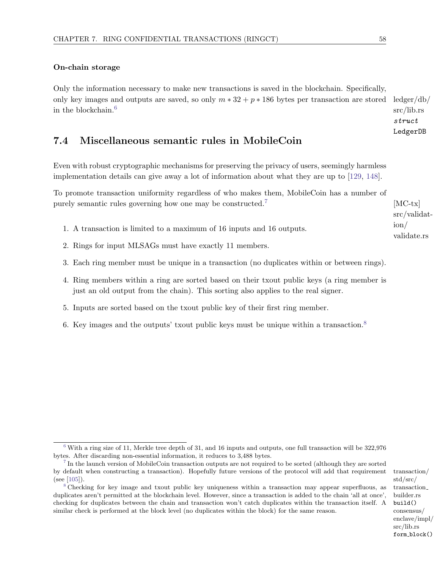#### On-chain storage

<span id="page-64-3"></span>Only the information necessary to make new transactions is saved in the blockchain. Specifically, only key images and outputs are saved, so only  $m * 32 + p * 186$  bytes per transaction are stored ledger/db/ in the blockchain.[6](#page-64-0)

## 7.4 Miscellaneous semantic rules in MobileCoin

Even with robust cryptographic mechanisms for preserving the privacy of users, seemingly harmless implementation details can give away a lot of information about what they are up to [\[129,](#page-127-8) [148\]](#page-128-2).

To promote transaction uniformity regardless of who makes them, MobileCoin has a number of purely semantic rules governing how one may be constructed.<sup>[7](#page-64-1)</sup> [MC-tx]

- 1. A transaction is limited to a maximum of 16 inputs and 16 outputs.
- 2. Rings for input MLSAGs must have exactly 11 members.
- 3. Each ring member must be unique in a transaction (no duplicates within or between rings).
- 4. Ring members within a ring are sorted based on their txout public keys (a ring member is just an old output from the chain). This sorting also applies to the real signer.
- 5. Inputs are sorted based on the txout public key of their first ring member.
- 6. Key images and the outputs' txout public keys must be unique within a transaction.[8](#page-64-2)

std/src/ transaction builder.rs build() enclave/impl/ src/lib.rs form block()

src/lib.rs struct LedgerDB

<span id="page-64-4"></span>src/validat-

<span id="page-64-5"></span>validate.rs

ion/

<span id="page-64-0"></span> $6$  With a ring size of 11, Merkle tree depth of 31, and 16 inputs and outputs, one full transaction will be 322,976 bytes. After discarding non-essential information, it reduces to 3,488 bytes.

<span id="page-64-1"></span><sup>&</sup>lt;sup>[7](#page-64-4)</sup> In the launch version of MobileCoin transaction outputs are not required to be sorted (although they are sorted by default when constructing a transaction). Hopefully future versions of the protocol will add that requirement transaction/ (see [\[105\]](#page-126-6)).

<span id="page-64-2"></span>[<sup>8</sup>](#page-64-5) Checking for key image and txout public key uniqueness within a transaction may appear superfluous, as duplicates aren't permitted at the blockchain level. However, since a transaction is added to the chain 'all at once', checking for duplicates between the chain and transaction won't catch duplicates within the transaction itself. A similar check is performed at the block level (no duplicates within the block) for the same reason. consensus/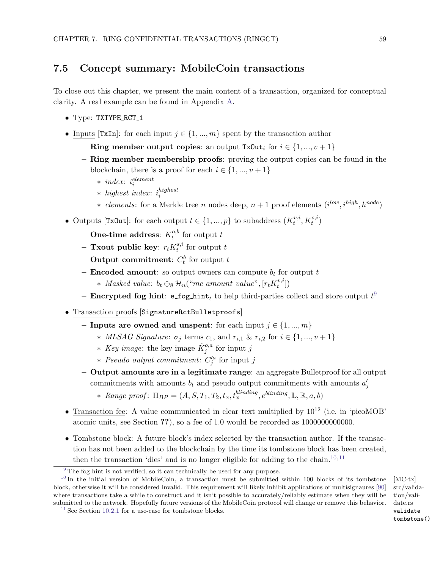# <span id="page-65-0"></span>7.5 Concept summary: MobileCoin transactions

To close out this chapter, we present the main content of a transaction, organized for conceptual clarity. A real example can be found in Appendix [A.](#page-131-0)

- Type: TXTYPE\_RCT\_1
- Inputs [TxIn]: for each input  $j \in \{1, ..., m\}$  spent by the transaction author
	- Ring member output copies: an output TxOut<sub>i</sub> for  $i \in \{1, ..., v + 1\}$
	- Ring member membership proofs: proving the output copies can be found in the blockchain, there is a proof for each  $i \in \{1, ..., v + 1\}$ 
		- $*$  *index*:  $i_i^{element}$
		- $*$  highest index:  $i_i^{highest}$ i
		- ∗ elements: for a Merkle tree n nodes deep,  $n+1$  proof elements  $(i^{low}, i^{high}, h^{node})$
- Outputs [TxOut]: for each output  $t \in \{1, ..., p\}$  to subaddress  $(K_t^{v,i})$  $t^{v,i}, K_t^{s,i})$ 
	- One-time address:  $K_t^{o,b}$  $t_t^{o,o}$  for output  $t$
	- Txout public key:  $r_t K_t^{s,i}$  $t^{s,i}$  for output  $t$
	- Output commitment:  $C_t^b$  for output  $t$
	- **Encoded amount:** so output owners can compute  $b_t$  for output t
		- ∗ Masked value:  $b_t \oplus_8 \mathcal{H}_n$ ("mc\_amount\_value", [ $r_t K_t^{v,i}$  $\binom{v, v}{t}$
	- Encrypted fog hint: e\_fog\_hint $_t$  to help third-parties collect and store output  $t^9$  $t^9$
- Transaction proofs [SignatureRctBulletproofs]
	- Inputs are owned and unspent: for each input  $j \in \{1, ..., m\}$ 
		- ∗ MLSAG Signature: σ<sup>j</sup> terms c1, and ri,<sup>1</sup> & ri,<sup>2</sup> for i ∈ {1, ..., v + 1}
		- ∗ Key image: the key image  $\tilde{K}^{o,a}_j$  for input j
		- ∗ Pseudo output commitment:  $C_j^{\prime a}$  for input j
	- Output amounts are in a legitimate range: an aggregate Bulletproof for all output commitments with amounts  $b_t$  and pseudo output commitments with amounts  $a'_j$ 
		- \* Range proof:  $\Pi_{BP} = (A, S, T_1, T_2, t_x, t_x^{blinding}, e^{blinding}, \mathbb{L}, \mathbb{R}, a, b)$
- Transaction fee: A value communicated in clear text multiplied by  $10^{12}$  (i.e. in 'picoMOB' atomic units, see Section ??), so a fee of 1.0 would be recorded as 1000000000000.
- Tombstone block: A future block's index selected by the transaction author. If the transaction has not been added to the blockchain by the time its tombstone block has been created, then the transaction 'dies' and is no longer eligible for adding to the chain.<sup>[10,](#page-65-2)[11](#page-65-3)</sup>

<span id="page-65-6"></span><span id="page-65-5"></span><span id="page-65-4"></span>src/validation/validate.rs validate tombstone()

<span id="page-65-2"></span><span id="page-65-1"></span><sup>&</sup>lt;sup>[9](#page-65-4)</sup> The fog hint is not verified, so it can technically be used for any purpose.

<sup>&</sup>lt;sup>[10](#page-65-5)</sup> In the initial version of MobileCoin, a transaction must be submitted within 100 blocks of its tombstone [MC-tx] block, otherwise it will be considered invalid. This requirement will likely inhibit applications of multisignaures [\[90\]](#page-125-3) where transactions take a while to construct and it isn't possible to accurately/reliably estimate when they will be submitted to the network. Hopefully future versions of the MobileCoin protocol will change or remove this behavior.

<span id="page-65-3"></span><sup>&</sup>lt;sup>[11](#page-65-6)</sup> See Section [10.2.1](#page-112-0) for a use-case for tombstone blocks.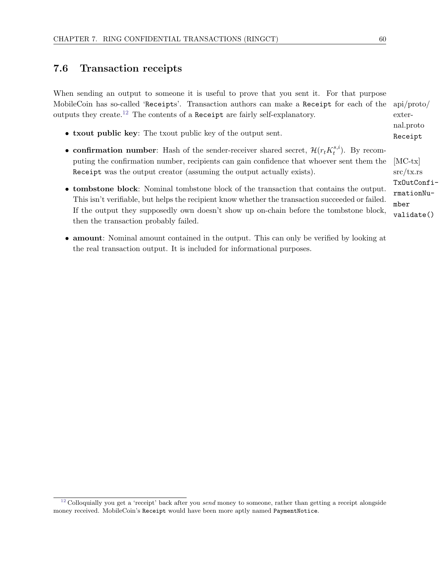# 7.6 Transaction receipts

When sending an output to someone it is useful to prove that you sent it. For that purpose MobileCoin has so-called 'Receipts'. Transaction authors can make a Receipt for each of the  $\,$  api/proto/  $\,$ outputs they create.[12](#page-66-0) The contents of a Receipt are fairly self-explanatory.

- <span id="page-66-1"></span>• txout public key: The txout public key of the output sent.
- confirmation number: Hash of the sender-receiver shared secret,  $\mathcal{H}(r_t K_t^{s,i})$  $t^{s,i}$ ). By recomputing the confirmation number, recipients can gain confidence that whoever sent them the [MC-tx] Receipt was the output creator (assuming the output actually exists).
- tombstone block: Nominal tombstone block of the transaction that contains the output. This isn't verifiable, but helps the recipient know whether the transaction succeeded or failed. If the output they supposedly own doesn't show up on-chain before the tombstone block, then the transaction probably failed.
- amount: Nominal amount contained in the output. This can only be verified by looking at the real transaction output. It is included for informational purposes.

external.proto Receipt

src/tx.rs TxOutConfirmationNumber validate()

<span id="page-66-0"></span> $12$  Colloquially you get a 'receipt' back after you send money to someone, rather than getting a receipt alongside money received. MobileCoin's Receipt would have been more aptly named PaymentNotice.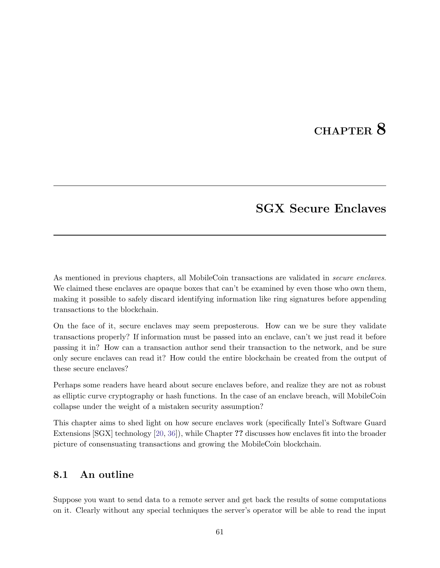# CHAPTER<sub>8</sub>

# SGX Secure Enclaves

<span id="page-67-0"></span>As mentioned in previous chapters, all MobileCoin transactions are validated in *secure enclaves*. We claimed these enclaves are opaque boxes that can't be examined by even those who own them, making it possible to safely discard identifying information like ring signatures before appending transactions to the blockchain.

On the face of it, secure enclaves may seem preposterous. How can we be sure they validate transactions properly? If information must be passed into an enclave, can't we just read it before passing it in? How can a transaction author send their transaction to the network, and be sure only secure enclaves can read it? How could the entire blockchain be created from the output of these secure enclaves?

Perhaps some readers have heard about secure enclaves before, and realize they are not as robust as elliptic curve cryptography or hash functions. In the case of an enclave breach, will MobileCoin collapse under the weight of a mistaken security assumption?

This chapter aims to shed light on how secure enclaves work (specifically Intel's Software Guard Extensions [SGX] technology [\[20,](#page-122-5) [36\]](#page-123-8)), while Chapter ?? discusses how enclaves fit into the broader picture of consensuating transactions and growing the MobileCoin blockchain.

# 8.1 An outline

Suppose you want to send data to a remote server and get back the results of some computations on it. Clearly without any special techniques the server's operator will be able to read the input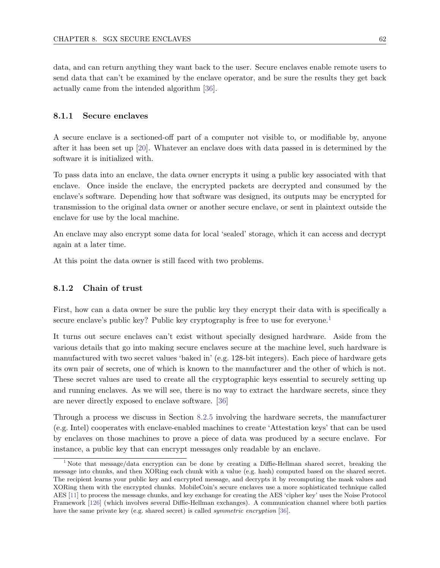data, and can return anything they want back to the user. Secure enclaves enable remote users to send data that can't be examined by the enclave operator, and be sure the results they get back actually came from the intended algorithm [\[36\]](#page-123-8).

#### 8.1.1 Secure enclaves

A secure enclave is a sectioned-off part of a computer not visible to, or modifiable by, anyone after it has been set up [\[20\]](#page-122-5). Whatever an enclave does with data passed in is determined by the software it is initialized with.

To pass data into an enclave, the data owner encrypts it using a public key associated with that enclave. Once inside the enclave, the encrypted packets are decrypted and consumed by the enclave's software. Depending how that software was designed, its outputs may be encrypted for transmission to the original data owner or another secure enclave, or sent in plaintext outside the enclave for use by the local machine.

An enclave may also encrypt some data for local 'sealed' storage, which it can access and decrypt again at a later time.

At this point the data owner is still faced with two problems.

#### 8.1.2 Chain of trust

<span id="page-68-1"></span>First, how can a data owner be sure the public key they encrypt their data with is specifically a secure enclave's public key? Public key cryptography is free to use for everyone.<sup>[1](#page-68-0)</sup>

It turns out secure enclaves can't exist without specially designed hardware. Aside from the various details that go into making secure enclaves secure at the machine level, such hardware is manufactured with two secret values 'baked in' (e.g. 128-bit integers). Each piece of hardware gets its own pair of secrets, one of which is known to the manufacturer and the other of which is not. These secret values are used to create all the cryptographic keys essential to securely setting up and running enclaves. As we will see, there is no way to extract the hardware secrets, since they are never directly exposed to enclave software. [\[36\]](#page-123-8)

Through a process we discuss in Section [8.2.5](#page-81-0) involving the hardware secrets, the manufacturer (e.g. Intel) cooperates with enclave-enabled machines to create 'Attestation keys' that can be used by enclaves on those machines to prove a piece of data was produced by a secure enclave. For instance, a public key that can encrypt messages only readable by an enclave.

<span id="page-68-0"></span>[<sup>1</sup>](#page-68-1) Note that message/data encryption can be done by creating a Diffie-Hellman shared secret, breaking the message into chunks, and then XORing each chunk with a value (e.g. hash) computed based on the shared secret. The recipient learns your public key and encrypted message, and decrypts it by recomputing the mask values and XORing them with the encrypted chunks. MobileCoin's secure enclaves use a more sophisticated technique called AES [\[11\]](#page-121-1) to process the message chunks, and key exchange for creating the AES 'cipher key' uses the Noise Protocol Framework [\[126\]](#page-127-9) (which involves several Diffie-Hellman exchanges). A communication channel where both parties have the same private key (e.g. shared secret) is called *symmetric encryption* [\[36\]](#page-123-8).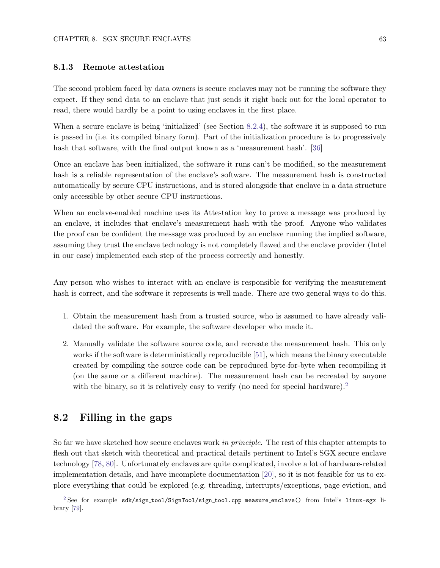#### 8.1.3 Remote attestation

The second problem faced by data owners is secure enclaves may not be running the software they expect. If they send data to an enclave that just sends it right back out for the local operator to read, there would hardly be a point to using enclaves in the first place.

When a secure enclave is being 'initialized' (see Section [8.2.4\)](#page-76-0), the software it is supposed to run is passed in (i.e. its compiled binary form). Part of the initialization procedure is to progressively hash that software, with the final output known as a 'measurement hash'. [\[36\]](#page-123-8)

Once an enclave has been initialized, the software it runs can't be modified, so the measurement hash is a reliable representation of the enclave's software. The measurement hash is constructed automatically by secure CPU instructions, and is stored alongside that enclave in a data structure only accessible by other secure CPU instructions.

When an enclave-enabled machine uses its Attestation key to prove a message was produced by an enclave, it includes that enclave's measurement hash with the proof. Anyone who validates the proof can be confident the message was produced by an enclave running the implied software, assuming they trust the enclave technology is not completely flawed and the enclave provider (Intel in our case) implemented each step of the process correctly and honestly.

Any person who wishes to interact with an enclave is responsible for verifying the measurement hash is correct, and the software it represents is well made. There are two general ways to do this.

- 1. Obtain the measurement hash from a trusted source, who is assumed to have already validated the software. For example, the software developer who made it.
- <span id="page-69-1"></span>2. Manually validate the software source code, and recreate the measurement hash. This only works if the software is deterministically reproducible [\[51\]](#page-123-9), which means the binary executable created by compiling the source code can be reproduced byte-for-byte when recompiling it (on the same or a different machine). The measurement hash can be recreated by anyone with the binary, so it is relatively easy to verify (no need for special hardware).<sup>[2](#page-69-0)</sup>

## 8.2 Filling in the gaps

So far we have sketched how secure enclaves work in principle. The rest of this chapter attempts to flesh out that sketch with theoretical and practical details pertinent to Intel's SGX secure enclave technology [\[78,](#page-125-5) [80\]](#page-125-6). Unfortunately enclaves are quite complicated, involve a lot of hardware-related implementation details, and have incomplete documentation [\[20\]](#page-122-5), so it is not feasible for us to explore everything that could be explored (e.g. threading, interrupts/exceptions, page eviction, and

<span id="page-69-0"></span> $2$  See for example sdk/sign\_tool/SignTool/sign\_tool.cpp measure\_enclave() from Intel's linux-sgx library [\[79\]](#page-125-7).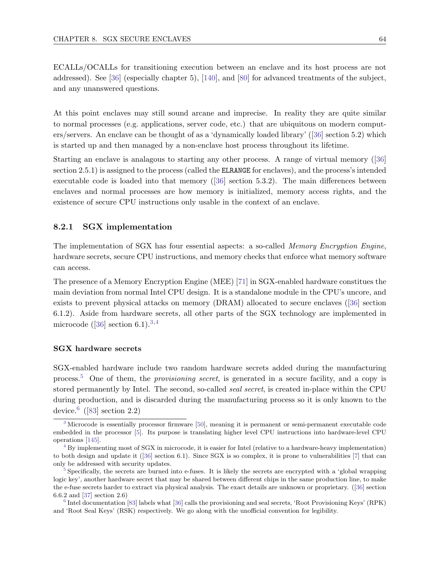ECALLs/OCALLs for transitioning execution between an enclave and its host process are not addressed). See [\[36\]](#page-123-8) (especially chapter 5), [\[140\]](#page-128-6), and [\[80\]](#page-125-6) for advanced treatments of the subject, and any unanswered questions.

At this point enclaves may still sound arcane and imprecise. In reality they are quite similar to normal processes (e.g. applications, server code, etc.) that are ubiquitous on modern computers/servers. An enclave can be thought of as a 'dynamically loaded library' ([\[36\]](#page-123-8) section 5.2) which is started up and then managed by a non-enclave host process throughout its lifetime.

Starting an enclave is analagous to starting any other process. A range of virtual memory ([\[36\]](#page-123-8) section 2.5.1) is assigned to the process (called the ELRANGE for enclaves), and the process's intended executable code is loaded into that memory ([\[36\]](#page-123-8) section 5.3.2). The main differences between enclaves and normal processes are how memory is initialized, memory access rights, and the existence of secure CPU instructions only usable in the context of an enclave.

#### 8.2.1 SGX implementation

The implementation of SGX has four essential aspects: a so-called *Memory Encryption Engine*, hardware secrets, secure CPU instructions, and memory checks that enforce what memory software can access.

The presence of a Memory Encryption Engine (MEE) [\[71\]](#page-124-5) in SGX-enabled hardware constitues the main deviation from normal Intel CPU design. It is a standalone module in the CPU's uncore, and exists to prevent physical attacks on memory (DRAM) allocated to secure enclaves ([\[36\]](#page-123-8) section 6.1.2). Aside from hardware secrets, all other parts of the SGX technology are implemented in microcode ([\[36\]](#page-123-8) section 6.1).<sup>[3,](#page-70-0)[4](#page-70-1)</sup>

#### <span id="page-70-5"></span><span id="page-70-4"></span>SGX hardware secrets

<span id="page-70-6"></span>SGX-enabled hardware include two random hardware secrets added during the manufacturing process.[5](#page-70-2) One of them, the provisioning secret, is generated in a secure facility, and a copy is stored permanently by Intel. The second, so-called seal secret, is created in-place within the CPU during production, and is discarded during the manufacturing process so it is only known to the device.<sup>[6](#page-70-3)</sup> ([\[83\]](#page-125-8) section 2.2)

<span id="page-70-7"></span><span id="page-70-0"></span>[<sup>3</sup>](#page-70-4) Microcode is essentially processor firmware [\[50\]](#page-123-10), meaning it is permanent or semi-permanent executable code embedded in the processor [\[5\]](#page-121-2). Its purpose is translating higher level CPU instructions into hardware-level CPU operations [\[145\]](#page-128-7).

<span id="page-70-1"></span><sup>&</sup>lt;sup>[4](#page-70-5)</sup> By implementing most of SGX in microcode, it is easier for Intel (relative to a hardware-heavy implementation) to both design and update it ([\[36\]](#page-123-8) section 6.1). Since SGX is so complex, it is prone to vulnerabilities [\[7\]](#page-121-3) that can only be addressed with security updates.

<span id="page-70-2"></span> $5$  Specifically, the secrets are burned into e-fuses. It is likely the secrets are encrypted with a 'global wrapping logic key', another hardware secret that may be shared between different chips in the same production line, to make the e-fuse secrets harder to extract via physical analysis. The exact details are unknown or proprietary. ([\[36\]](#page-123-8) section 6.6.2 and [\[37\]](#page-123-11) section 2.6)

<span id="page-70-3"></span>[<sup>6</sup>](#page-70-7) Intel documentation [\[83\]](#page-125-8) labels what [\[36\]](#page-123-8) calls the provisioning and seal secrets, 'Root Provisioning Keys' (RPK) and 'Root Seal Keys' (RSK) respectively. We go along with the unofficial convention for legibility.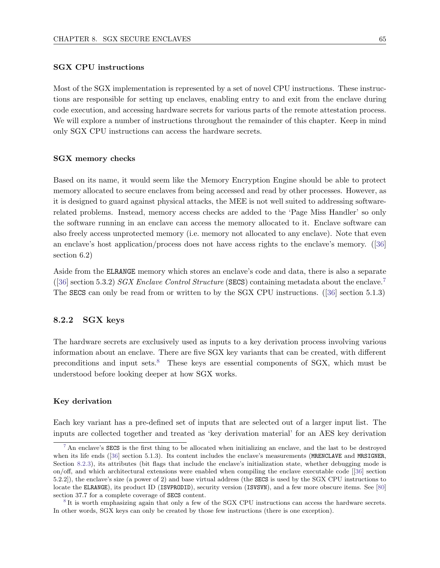#### SGX CPU instructions

Most of the SGX implementation is represented by a set of novel CPU instructions. These instructions are responsible for setting up enclaves, enabling entry to and exit from the enclave during code execution, and accessing hardware secrets for various parts of the remote attestation process. We will explore a number of instructions throughout the remainder of this chapter. Keep in mind only SGX CPU instructions can access the hardware secrets.

#### SGX memory checks

Based on its name, it would seem like the Memory Encryption Engine should be able to protect memory allocated to secure enclaves from being accessed and read by other processes. However, as it is designed to guard against physical attacks, the MEE is not well suited to addressing softwarerelated problems. Instead, memory access checks are added to the 'Page Miss Handler' so only the software running in an enclave can access the memory allocated to it. Enclave software can also freely access unprotected memory (i.e. memory not allocated to any enclave). Note that even an enclave's host application/process does not have access rights to the enclave's memory. ([\[36\]](#page-123-8) section 6.2)

<span id="page-71-2"></span>Aside from the ELRANGE memory which stores an enclave's code and data, there is also a separate  $(36)$  section 5.3.2) SGX Enclave Control Structure (SECS) containing metadata about the enclave. The SECS can only be read from or written to by the SGX CPU instructions. ([\[36\]](#page-123-8) section 5.1.3)

#### 8.2.2 SGX keys

<span id="page-71-3"></span>The hardware secrets are exclusively used as inputs to a key derivation process involving various information about an enclave. There are five SGX key variants that can be created, with different preconditions and input sets.[8](#page-71-1) These keys are essential components of SGX, which must be understood before looking deeper at how SGX works.

#### Key derivation

Each key variant has a pre-defined set of inputs that are selected out of a larger input list. The inputs are collected together and treated as 'key derivation material' for an AES key derivation

<span id="page-71-0"></span> $7 \text{ An envelope's }$  $7 \text{ An envelope's }$ SECS is the first thing to be allocated when initializing an enclave, and the last to be destroyed when its life ends ([\[36\]](#page-123-8) section 5.1.3). Its content includes the enclave's measurements (MRENCLAVE and MRSIGNER, Section [8.2.3\)](#page-75-0), its attributes (bit flags that include the enclave's initialization state, whether debugging mode is on/off, and which architectural extensions were enabled when compiling the enclave executable code [[\[36\]](#page-123-8) section 5.2.2]), the enclave's size (a power of 2) and base virtual address (the SECS is used by the SGX CPU instructions to locate the ELRANGE), its product ID (ISVPRODID), security version (ISVSVN), and a few more obscure items. See [\[80\]](#page-125-6) section 37.7 for a complete coverage of SECS content.

<span id="page-71-1"></span><sup>&</sup>lt;sup>[8](#page-71-3)</sup> It is worth emphasizing again that only a few of the SGX CPU instructions can access the hardware secrets. In other words, SGX keys can only be created by those few instructions (there is one exception).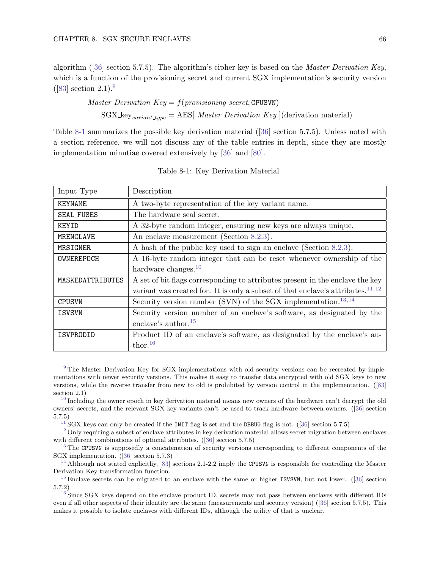algorithm ([\[36\]](#page-123-0) section 5.7.5). The algorithm's cipher key is based on the Master Derivation Key, which is a function of the provisioning secret and current SGX implementation's security version  $([83] \text{ section } 2.1).$  $([83] \text{ section } 2.1).$  $([83] \text{ section } 2.1).$ <sup>[9](#page-72-0)</sup>

> <span id="page-72-2"></span>Master Derivation  $Key = f(provisioning secret, CPUsVM)$  $SGX_{\text{key}_{variant\_type}} = AES[ \text{ Master Derivation Key } | (\text{derivation material})$

Table [8-1](#page-72-1) summarizes the possible key derivation material ([\[36\]](#page-123-0) section 5.7.5). Unless noted with a section reference, we will not discuss any of the table entries in-depth, since they are mostly implementation minutiae covered extensively by [\[36\]](#page-123-0) and [\[80\]](#page-125-1).

<span id="page-72-1"></span>

| Input Type        | Description                                                                           |
|-------------------|---------------------------------------------------------------------------------------|
| KEYNAME           | A two-byte representation of the key variant name.                                    |
| <b>SEAL_FUSES</b> | The hardware seal secret.                                                             |
| KEYID             | A 32-byte random integer, ensuring new keys are always unique.                        |
| MRENCLAVE         | An enclave measurement (Section 8.2.3).                                               |
| MRSIGNER          | A hash of the public key used to sign an enclave (Section 8.2.3).                     |
| OWNEREPOCH        | A 16-byte random integer that can be reset whenever ownership of the                  |
|                   | hardware changes. $10$                                                                |
| MASKEDATTRIBUTES  | A set of bit flags corresponding to attributes present in the enclave the key         |
|                   | variant was created for. It is only a subset of that enclave's attributes. $^{11,12}$ |
| <b>CPUSVN</b>     | Security version number (SVN) of the SGX implementation. $^{13,14}$                   |
| <b>ISVSVN</b>     | Security version number of an enclave's software, as designated by the                |
|                   | enclave's author. <sup>15</sup>                                                       |
| ISVPRODID         | Product ID of an enclave's software, as designated by the enclave's au-               |
|                   | thor. $16$                                                                            |

Table 8-1: Key Derivation Material

<span id="page-72-0"></span><sup>&</sup>lt;sup>[9](#page-72-2)</sup> The Master Derivation Key for SGX implementations with old security versions can be recreated by implementations with newer security versions. This makes it easy to transfer data encrypted with old SGX keys to new versions, while the reverse transfer from new to old is prohibited by version control in the implementation. ([\[83\]](#page-125-0) section 2.1)

<sup>&</sup>lt;sup>[10](#page-72-2)</sup> Including the owner epoch in key derivation material means new owners of the hardware can't decrypt the old owners' secrets, and the relevant SGX key variants can't be used to track hardware between owners. ([\[36\]](#page-123-0) section 5.7.5)

<sup>&</sup>lt;sup>[11](#page-72-2)</sup> SGX keys can only be created if the INIT flag is set and the DEBUG flag is not. ([\[36\]](#page-123-0) section 5.7.5)

 $12$  Only requiring a subset of enclave attributes in key derivation material allows secret migration between enclaves with different combinations of optional attributes. ([\[36\]](#page-123-0) section 5.7.5)

<sup>&</sup>lt;sup>[13](#page-72-2)</sup> The CPUSVN is supposedly a concatenation of security versions corresponding to different components of the SGX implementation. ([\[36\]](#page-123-0) section 5.7.3)

<sup>&</sup>lt;sup>[14](#page-72-2)</sup> Although not stated explicitliy, [\[83\]](#page-125-0) sections 2.1-2.2 imply the CPUSVN is responsible for controlling the Master Derivation Key transformation function.

<sup>&</sup>lt;sup>[15](#page-72-2)</sup> Enclave secrets can be migrated to an enclave with the same or higher ISVSVN, but not lower. ([\[36\]](#page-123-0) section 5.7.2)

 $16$  Since SGX keys depend on the enclave product ID, secrets may not pass between enclaves with different IDs even if all other aspects of their identity are the same (measurements and security version) ([\[36\]](#page-123-0) section 5.7.5). This makes it possible to isolate enclaves with different IDs, although the utility of that is unclear.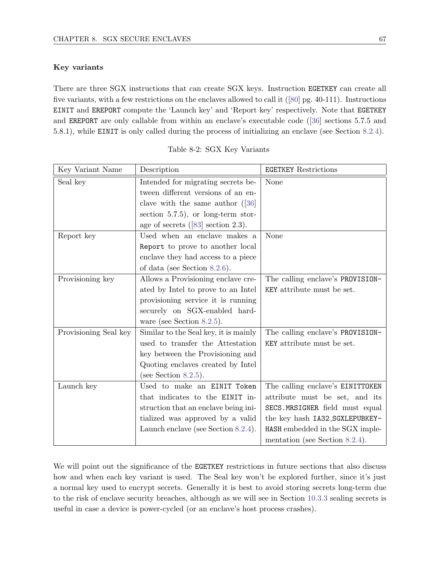#### Key variants

There are three SGX instructions that can create SGX keys. Instruction EGETKEY can create all five variants, with a few restrictions on the enclaves allowed to call it ([\[80\]](#page-125-1) pg. 40-111). Instructions EINIT and EREPORT compute the 'Launch key' and 'Report key' respectively. Note that EGETKEY and EREPORT are only callable from within an enclave's executable code ([\[36\]](#page-123-0) sections 5.7.5 and 5.8.1), while EINIT is only called during the process of initializing an enclave (see Section [8.2.4\)](#page-76-0).

<span id="page-73-0"></span>

| Key Variant Name      | Description                                    | <b>EGETKEY Restrictions</b>      |
|-----------------------|------------------------------------------------|----------------------------------|
| Seal key              | Intended for migrating secrets be-             | None                             |
|                       | tween different versions of an en-             |                                  |
|                       | clave with the same author $(36)$              |                                  |
|                       | section $5.7.5$ ), or long-term stor-          |                                  |
|                       | age of secrets $([83] \text{ section } 2.3)$ . |                                  |
| Report key            | Used when an enclave makes a                   | None                             |
|                       | Report to prove to another local               |                                  |
|                       | enclave they had access to a piece             |                                  |
|                       | of data (see Section 8.2.6).                   |                                  |
| Provisioning key      | Allows a Provisioning enclave cre-             | The calling enclave's PROVISION- |
|                       | ated by Intel to prove to an Intel             | KEY attribute must be set.       |
|                       | provisioning service it is running             |                                  |
|                       | securely on SGX-enabled hard-                  |                                  |
|                       | ware (see Section 8.2.5).                      |                                  |
| Provisioning Seal key | Similar to the Seal key, it is mainly          | The calling enclave's PROVISION- |
|                       | used to transfer the Attestation               | KEY attribute must be set.       |
|                       | key between the Provisioning and               |                                  |
|                       | Quoting enclaves created by Intel              |                                  |
|                       | (see Section 8.2.5).                           |                                  |
| Launch key            | Used to make an EINIT Token                    | The calling enclave's EINITTOKEN |
|                       | that indicates to the EINIT in-                | attribute must be set, and its   |
|                       | struction that an enclave being ini-           | SECS.MRSIGNER field must equal   |
|                       | tialized was approved by a valid               | the key hash IA32_SGXLEPUBKEY-   |
|                       | Launch enclave (see Section 8.2.4).            | HASH embedded in the SGX imple-  |
|                       |                                                | mentation (see Section 8.2.4).   |

We will point out the significance of the EGETKEY restrictions in future sections that also discuss how and when each key variant is used. The Seal key won't be explored further, since it's just a normal key used to encrypt secrets. Generally it is best to avoid storing secrets long-term due to the risk of enclave security breaches, although as we will see in Section [10.3.3](#page-117-0) sealing secrets is useful in case a device is power-cycled (or an enclave's host process crashes).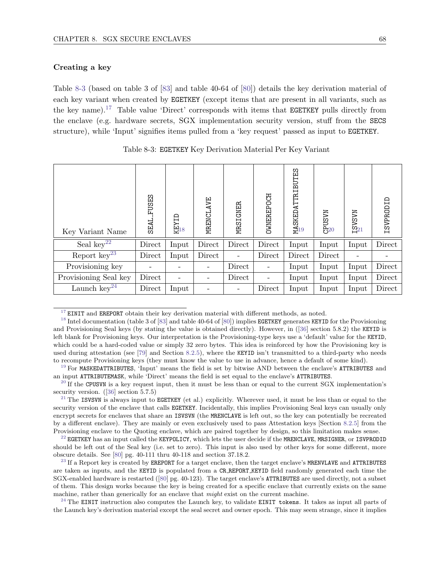#### Creating a key

Table [8-3](#page-74-0) (based on table 3 of [\[83\]](#page-125-0) and table 40-64 of [\[80\]](#page-125-1)) details the key derivation material of each key variant when created by EGETKEY (except items that are present in all variants, such as the key name).[17](#page-74-1) Table value 'Direct' corresponds with items that EGETKEY pulls directly from the enclave (e.g. hardware secrets, SGX implementation security version, stuff from the SECS structure), while 'Input' signifies items pulled from a 'key request' passed as input to EGETKEY.

<span id="page-74-0"></span>

| Key Variant Name         | <b>FUSES</b><br>SEAL | $\frac{\text{KEYID}}{\text{3}}$ | MRENCLAVE                | MRSIGNER | <b>OWNEREPOCH</b>        | MASKED ATTR IBUTES | $C_{20}^{PUSVM}$ | $I_2$ VSVM | ISVPRODID |
|--------------------------|----------------------|---------------------------------|--------------------------|----------|--------------------------|--------------------|------------------|------------|-----------|
| Seal $key^{22}$          | Direct               | Input                           | Direct                   | Direct   | Direct                   | Input              | Input            | Input      | Direct    |
| Report $\text{key}^{23}$ | Direct               | Input                           | Direct                   |          | Direct                   | Direct             | Direct           |            |           |
| Provisioning key         |                      |                                 | $\overline{\phantom{a}}$ | Direct   | $\overline{\phantom{a}}$ | Input              | Input            | Input      | Direct    |
| Provisioning Seal key    | Direct               |                                 | Ξ.                       | Direct   | $\qquad \qquad -$        | Input              | Input            | Input      | Direct    |
| Launch $\text{key}^{24}$ | Direct               | Input                           | $\qquad \qquad -$        |          | Direct                   | Input              | Input            | Input      | Direct    |

<span id="page-74-2"></span>

| Table 8-3: EGETKEY Key Derivation Material Per Key Variant |  |  |  |  |  |  |  |  |  |
|------------------------------------------------------------|--|--|--|--|--|--|--|--|--|
|------------------------------------------------------------|--|--|--|--|--|--|--|--|--|

<span id="page-74-1"></span> $17$  EINIT and EREPORT obtain their key derivation material with different methods, as noted.

<sup>[18](#page-74-2)</sup> Intel documentation (table 3 of [\[83\]](#page-125-0) and table 40-64 of [\[80\]](#page-125-1)) implies EGETKEY generates KEYID for the Provisioning and Provisioning Seal keys (by stating the value is obtained directly). However, in ([\[36\]](#page-123-0) section 5.8.2) the KEYID is left blank for Provisioning keys. Our interpretation is the Provisioning-type keys use a 'default' value for the KEYID, which could be a hard-coded value or simply 32 zero bytes. This idea is reinforced by how the Provisioning key is used during attestation (see [\[79\]](#page-125-2) and Section [8.2.5\)](#page-81-0), where the KEYID isn't transmitted to a third-party who needs to recompute Provisioning keys (they must know the value to use in advance, hence a default of some kind).

 $19$  For MASKEDATTRIBUTES, 'Input' means the field is set by bitwise AND between the enclave's ATTRIBUTES and an input ATTRIBUTEMASK, while 'Direct' means the field is set equal to the enclave's ATTRIBUTES.

 $20$  If the CPUSVN is a key request input, then it must be less than or equal to the current SGX implementation's security version.  $([36]$  $([36]$  section 5.7.5)

 $21$  The ISVSVN is always input to EGETKEY (et al.) explicitly. Wherever used, it must be less than or equal to the security version of the enclave that calls EGETKEY. Incidentally, this implies Provisioning Seal keys can usually only encrypt secrets for enclaves that share an ISVSVN (the MRENCLAVE is left out, so the key can potentially be recreated by a different enclave). They are mainly or even exclusively used to pass Attestation keys [Section [8.2.5\]](#page-81-0) from the Provisioning enclave to the Quoting enclave, which are paired together by design, so this limitation makes sense.

 $^{22}$  $^{22}$  $^{22}$  EGETKEY has an input called the KEYPOLICY, which lets the user decide if the MRENCLAVE, MRSIGNER, or ISVPRODID should be left out of the Seal key (i.e. set to zero). This input is also used by other keys for some different, more obscure details. See [\[80\]](#page-125-1) pg. 40-111 thru 40-118 and section 37.18.2.

 $^{23}$  $^{23}$  $^{23}$  If a Report key is created by EREPORT for a target enclave, then the target enclave's MRENVLAVE and ATTRIBUTES are taken as inputs, and the KEYID is populated from a CR REPORT KEYID field randomly generated each time the SGX-enabled hardware is restarted ([\[80\]](#page-125-1) pg. 40-123). The target enclave's ATTRIBUTES are used directly, not a subset of them. This design works because the key is being created for a specific enclave that currently exists on the same machine, rather than generically for an enclave that *might* exist on the current machine.

 $^{24}$  $^{24}$  $^{24}$  The EINIT instruction also computes the Launch key, to validate EINIT tokens. It takes as input all parts of the Launch key's derivation material except the seal secret and owner epoch. This may seem strange, since it implies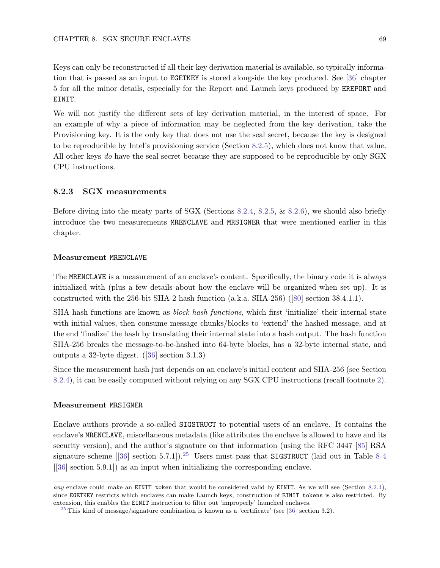Keys can only be reconstructed if all their key derivation material is available, so typically information that is passed as an input to EGETKEY is stored alongside the key produced. See [\[36\]](#page-123-0) chapter 5 for all the minor details, especially for the Report and Launch keys produced by EREPORT and EINIT.

We will not justify the different sets of key derivation material, in the interest of space. For an example of why a piece of information may be neglected from the key derivation, take the Provisioning key. It is the only key that does not use the seal secret, because the key is designed to be reproducible by Intel's provisioning service (Section [8.2.5\)](#page-81-0), which does not know that value. All other keys do have the seal secret because they are supposed to be reproducible by only SGX CPU instructions.

## <span id="page-75-0"></span>8.2.3 SGX measurements

Before diving into the meaty parts of SGX (Sections [8.2.4,](#page-76-0) [8.2.5,](#page-81-0) & [8.2.6\)](#page-83-0), we should also briefly introduce the two measurements MRENCLAVE and MRSIGNER that were mentioned earlier in this chapter.

#### Measurement MRENCLAVE

The MRENCLAVE is a measurement of an enclave's content. Specifically, the binary code it is always initialized with (plus a few details about how the enclave will be organized when set up). It is constructed with the 256-bit SHA-2 hash function (a.k.a. SHA-256) ([\[80\]](#page-125-1) section 38.4.1.1).

SHA hash functions are known as block hash functions, which first 'initialize' their internal state with initial values, then consume message chunks/blocks to 'extend' the hashed message, and at the end 'finalize' the hash by translating their internal state into a hash output. The hash function SHA-256 breaks the message-to-be-hashed into 64-byte blocks, has a 32-byte internal state, and outputs a 32-byte digest. ([\[36\]](#page-123-0) section 3.1.3)

Since the measurement hash just depends on an enclave's initial content and SHA-256 (see Section [8.2.4\)](#page-76-0), it can be easily computed without relying on any SGX CPU instructions (recall footnote [2\)](#page-69-0).

#### Measurement MRSIGNER

<span id="page-75-3"></span>Enclave authors provide a so-called SIGSTRUCT to potential users of an enclave. It contains the enclave's MRENCLAVE, miscellaneous metadata (like attributes the enclave is allowed to have and its security version), and the author's signature on that information (using the RFC 3447 [\[85\]](#page-125-3) RSA signature scheme [[\[36\]](#page-123-0) section 5.7.1]).<sup>[25](#page-75-1)</sup> Users must pass that SIGSTRUCT (laid out in Table [8-4](#page-75-2) [[\[36\]](#page-123-0) section 5.9.1]) as an input when initializing the corresponding enclave.

<span id="page-75-2"></span>any enclave could make an EINIT token that would be considered valid by EINIT. As we will see (Section [8.2.4\)](#page-76-0), since EGETKEY restricts which enclaves can make Launch keys, construction of EINIT tokens is also restricted. By extension, this enables the EINIT instruction to filter out 'improperly' launched enclaves.

<span id="page-75-1"></span><sup>&</sup>lt;sup>[25](#page-75-3)</sup> This kind of message/signature combination is known as a 'certificate' (see [\[36\]](#page-123-0) section 3.2).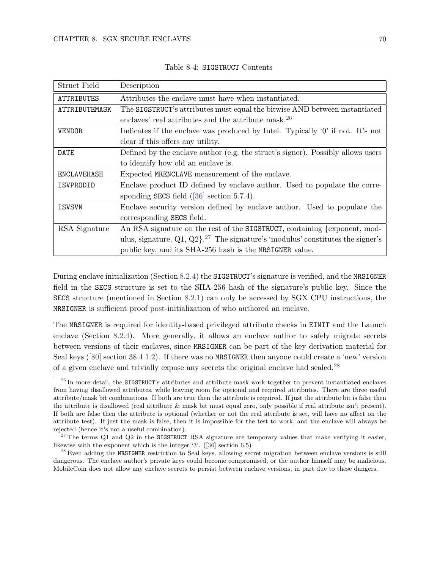| Struct Field      | Description                                                                                       |
|-------------------|---------------------------------------------------------------------------------------------------|
| <b>ATTRIBUTES</b> | Attributes the enclave must have when instantiated.                                               |
| ATTRIBUTEMASK     | The SIGSTRUCT's attributes must equal the bitwise AND between instantiated                        |
|                   | enclaves' real attributes and the attribute mask. <sup>26</sup>                                   |
| <b>VENDOR</b>     | Indicates if the enclave was produced by Intel. Typically '0' if not. It's not                    |
|                   | clear if this offers any utility.                                                                 |
| DATE              | Defined by the enclave author (e.g. the struct's signer). Possibly allows users                   |
|                   | to identify how old an enclave is.                                                                |
| ENCLAVEHASH       | Expected MRENCLAVE measurement of the enclave.                                                    |
| ISVPRODID         | Enclave product ID defined by enclave author. Used to populate the corre-                         |
|                   | sponding SECS field $([36] \text{ section } 5.7.4)$ .                                             |
| ISVSVN            | Enclave security version defined by enclave author. Used to populate the                          |
|                   | corresponding SECS field.                                                                         |
| RSA Signature     | An RSA signature on the rest of the SIGSTRUCT, containing {exponent, mod-                         |
|                   | ulus, signature, $Q_1$ , $Q_2$ . <sup>27</sup> The signature's 'modulus' constitutes the signer's |
|                   | public key, and its SHA-256 hash is the MRSIGNER value.                                           |

Table 8-4: SIGSTRUCT Contents

During enclave initialization (Section [8.2.4\)](#page-76-0) the SIGSTRUCT's signature is verified, and the MRSIGNER field in the SECS structure is set to the SHA-256 hash of the signature's public key. Since the SECS structure (mentioned in Section [8.2.1\)](#page-70-0) can only be accessed by SGX CPU instructions, the MRSIGNER is sufficient proof post-initialization of who authored an enclave.

The MRSIGNER is required for identity-based privileged attribute checks in EINIT and the Launch enclave (Section [8.2.4\)](#page-76-0). More generally, it allows an enclave author to safely migrate secrets between versions of their enclaves, since MRSIGNER can be part of the key derivation material for Seal keys ([\[80\]](#page-125-1) section 38.4.1.2). If there was no MRSIGNER then anyone could create a 'new' version of a given enclave and trivially expose any secrets the original enclave had sealed.[28](#page-76-1)

<span id="page-76-2"></span><span id="page-76-0"></span> $^{26}$  $^{26}$  $^{26}$  In more detail, the SIGSTRUCT's attributes and attribute mask work together to prevent instantiated enclaves from having disallowed attributes, while leaving room for optional and required attributes. There are three useful attribute/mask bit combinations. If both are true then the attribute is required. If just the attribute bit is false then the attribute is disallowed (real attribute & mask bit must equal zero, only possible if real attribute isn't present). If both are false then the attribute is optional (whether or not the real attribute is set, will have no affect on the attribute test). If just the mask is false, then it is impossible for the test to work, and the enclave will always be rejected (hence it's not a useful combination).

<sup>&</sup>lt;sup>[27](#page-75-3)</sup> The terms Q1 and Q2 in the SIGSTRUCT RSA signature are temporary values that make verifying it easier, likewise with the exponent which is the integer '3'. ([\[36\]](#page-123-0) section 6.5)

<span id="page-76-1"></span> $^{28}$  $^{28}$  $^{28}$  Even adding the MRSIGNER restriction to Seal keys, allowing secret migration between enclave versions is still dangerous. The enclave author's private keys could become compromised, or the author himself may be malicious. MobileCoin does not allow any enclave secrets to persist between enclave versions, in part due to these dangers.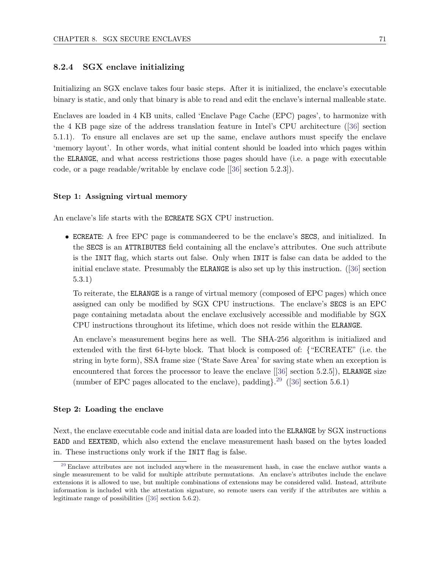# 8.2.4 SGX enclave initializing

Initializing an SGX enclave takes four basic steps. After it is initialized, the enclave's executable binary is static, and only that binary is able to read and edit the enclave's internal malleable state.

Enclaves are loaded in 4 KB units, called 'Enclave Page Cache (EPC) pages', to harmonize with the 4 KB page size of the address translation feature in Intel's CPU architecture ([\[36\]](#page-123-0) section 5.1.1). To ensure all enclaves are set up the same, enclave authors must specify the enclave 'memory layout'. In other words, what initial content should be loaded into which pages within the ELRANGE, and what access restrictions those pages should have (i.e. a page with executable code, or a page readable/writable by enclave code [[\[36\]](#page-123-0) section 5.2.3]).

#### Step 1: Assigning virtual memory

An enclave's life starts with the ECREATE SGX CPU instruction.

• ECREATE: A free EPC page is commandeered to be the enclave's SECS, and initialized. In the SECS is an ATTRIBUTES field containing all the enclave's attributes. One such attribute is the INIT flag, which starts out false. Only when INIT is false can data be added to the initial enclave state. Presumably the ELRANGE is also set up by this instruction. ([\[36\]](#page-123-0) section 5.3.1)

To reiterate, the ELRANGE is a range of virtual memory (composed of EPC pages) which once assigned can only be modified by SGX CPU instructions. The enclave's SECS is an EPC page containing metadata about the enclave exclusively accessible and modifiable by SGX CPU instructions throughout its lifetime, which does not reside within the ELRANGE.

<span id="page-77-1"></span>An enclave's measurement begins here as well. The SHA-256 algorithm is initialized and extended with the first 64-byte block. That block is composed of: {"ECREATE" (i.e. the string in byte form), SSA frame size ('State Save Area' for saving state when an exception is encountered that forces the processor to leave the enclave  $[36]$  section 5.2.5]), ELRANGE size (number of EPC pages allocated to the enclave), padding $\}^{29}$  $\}^{29}$  $\}^{29}$  ([\[36\]](#page-123-0) section 5.6.1)

## Step 2: Loading the enclave

Next, the enclave executable code and initial data are loaded into the ELRANGE by SGX instructions EADD and EEXTEND, which also extend the enclave measurement hash based on the bytes loaded in. These instructions only work if the INIT flag is false.

<span id="page-77-0"></span> $29$  Enclave attributes are not included anywhere in the measurement hash, in case the enclave author wants a single measurement to be valid for multiple attribute permutations. An enclave's attributes include the enclave extensions it is allowed to use, but multiple combinations of extensions may be considered valid. Instead, attribute information is included with the attestation signature, so remote users can verify if the attributes are within a legitimate range of possibilities ([\[36\]](#page-123-0) section 5.6.2).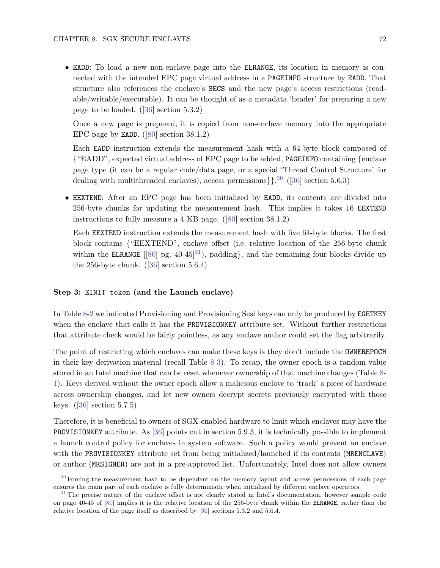• EADD: To load a new non-enclave page into the ELRANGE, its location in memory is connected with the intended EPC page virtual address in a PAGEINFO structure by EADD. That structure also references the enclave's SECS and the new page's access restrictions (readable/writable/executable). It can be thought of as a metadata 'header' for preparing a new page to be loaded. ([\[36\]](#page-123-0) section 5.3.2)

Once a new page is prepared, it is copied from non-enclave memory into the appropriate EPC page by EADD. ([\[80\]](#page-125-1) section 38.1.2)

<span id="page-78-2"></span>Each EADD instruction extends the measurement hash with a 64-byte block composed of {"EADD", expected virtual address of EPC page to be added, PAGEINFO containing {enclave page type (it can be a regular code/data page, or a special 'Thread Control Structure' for dealing with multithreaded enclaves), access permissions  $\}$ .<sup>[30](#page-78-0)</sup> ([\[36\]](#page-123-0) section 5.6.3)

• EEXTEND: After an EPC page has been initialized by EADD, its contents are divided into 256-byte chunks for updating the measurement hash. This implies it takes 16 EEXTEND instructions to fully measure a 4 KB page. ([\[80\]](#page-125-1) section 38.1.2)

<span id="page-78-3"></span>Each EEXTEND instruction extends the measurement hash with five 64-byte blocks. The first block contains {"EEXTEND", enclave offset (i.e. relative location of the 256-byte chunk within the ELRANGE [[\[80\]](#page-125-1) pg. 40-45]<sup>[31](#page-78-1)</sup>), padding, and the remaining four blocks divide up the 256-byte chunk.  $([36] \text{ section } 5.6.4)$  $([36] \text{ section } 5.6.4)$  $([36] \text{ section } 5.6.4)$ 

## Step 3: EINIT token (and the Launch enclave)

In Table [8-2](#page-73-0) we indicated Provisioning and Provisioning Seal keys can only be produced by EGETKEY when the enclave that calls it has the PROVISIONKEY attribute set. Without further restrictions that attribute check would be fairly pointless, as any enclave author could set the flag arbitrarily.

The point of restricting which enclaves can make these keys is they don't include the OWNEREPOCH in their key derivation material (recall Table [8-3\)](#page-74-0). To recap, the owner epoch is a random value stored in an Intel machine that can be reset whenever ownership of that machine changes (Table [8-](#page-72-1) [1\)](#page-72-1). Keys derived without the owner epoch allow a malicious enclave to 'track' a piece of hardware across ownership changes, and let new owners decrypt secrets previously encrypted with those keys. ([\[36\]](#page-123-0) section 5.7.5)

Therefore, it is beneficial to owners of SGX-enabled hardware to limit which enclaves may have the PROVISIONKEY attribute. As [\[36\]](#page-123-0) points out in section 5.9.3, it is technically possible to implement a launch control policy for enclaves in system software. Such a policy would prevent an enclave with the PROVISIONKEY attribute set from being initialized/launched if its contents (MRENCLAVE) or author (MRSIGNER) are not in a pre-approved list. Unfortunately, Intel does not allow owners

<span id="page-78-0"></span><sup>&</sup>lt;sup>[30](#page-78-2)</sup> Forcing the measurement hash to be dependent on the memory layout and access permissions of each page ensures the main part of each enclave is fully deterministic when initialized by different enclave operators.

<span id="page-78-1"></span><sup>&</sup>lt;sup>[31](#page-78-3)</sup> The precise nature of the enclave offset is not clearly stated in Intel's documentation, however sample code on page 40-45 of [\[80\]](#page-125-1) implies it is the relative location of the 256-byte chunk within the ELRANGE, rather than the relative location of the page itself as described by [\[36\]](#page-123-0) sections 5.3.2 and 5.6.4.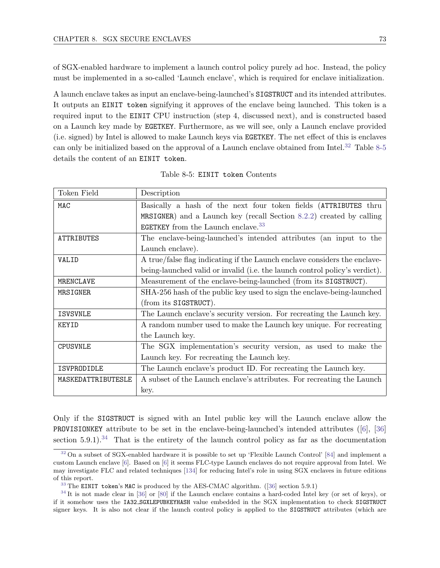of SGX-enabled hardware to implement a launch control policy purely ad hoc. Instead, the policy must be implemented in a so-called 'Launch enclave', which is required for enclave initialization.

A launch enclave takes as input an enclave-being-launched's SIGSTRUCT and its intended attributes. It outputs an EINIT token signifying it approves of the enclave being launched. This token is a required input to the EINIT CPU instruction (step 4, discussed next), and is constructed based on a Launch key made by EGETKEY. Furthermore, as we will see, only a Launch enclave provided (i.e. signed) by Intel is allowed to make Launch keys via EGETKEY. The net effect of this is enclaves can only be initialized based on the approval of a Launch enclave obtained from Intel.<sup>[32](#page-79-0)</sup> Table [8-5](#page-79-1) details the content of an EINIT token.

<span id="page-79-1"></span>

| Token Field        | Description                                                                 |
|--------------------|-----------------------------------------------------------------------------|
| MAC                | Basically a hash of the next four token fields (ATTRIBUTES thru             |
|                    | MRSIGNER) and a Launch key (recall Section $8.2.2$ ) created by calling     |
|                    | EGETKEY from the Launch enclave. $33$                                       |
| ATTRIBUTES         | The enclave-being-launched's intended attributes (an input to the           |
|                    | Launch enclave).                                                            |
| VALID              | A true/false flag indicating if the Launch enclave considers the enclave-   |
|                    | being-launched valid or invalid (i.e. the launch control policy's verdict). |
| MRENCLAVE          | Measurement of the enclave-being-launched (from its SIGSTRUCT).             |
| MRSIGNER           | SHA-256 hash of the public key used to sign the enclave-being-launched      |
|                    | (from its SIGSTRUCT).                                                       |
| <b>ISVSVNLE</b>    | The Launch enclave's security version. For recreating the Launch key.       |
| KEYID              | A random number used to make the Launch key unique. For recreating          |
|                    | the Launch key.                                                             |
| <b>CPUSVNLE</b>    | The SGX implementation's security version, as used to make the              |
|                    | Launch key. For recreating the Launch key.                                  |
| ISVPRODIDLE        | The Launch enclave's product ID. For recreating the Launch key.             |
| MASKEDATTRIBUTESLE | A subset of the Launch enclave's attributes. For recreating the Launch      |
|                    | key.                                                                        |

<span id="page-79-3"></span>Table 8-5: EINIT token Contents

<span id="page-79-4"></span>Only if the SIGSTRUCT is signed with an Intel public key will the Launch enclave allow the PROVISIONKEY attribute to be set in the enclave-being-launched's intended attributes ([\[6\]](#page-121-0), [\[36\]](#page-123-0) section  $5.9.1$ ).<sup>[34](#page-79-2)</sup> That is the entirety of the launch control policy as far as the documentation

<span id="page-79-0"></span>[<sup>32</sup>](#page-79-3) On a subset of SGX-enabled hardware it is possible to set up 'Flexible Launch Control' [\[84\]](#page-125-4) and implement a custom Launch enclave [\[6\]](#page-121-0). Based on [\[6\]](#page-121-0) it seems FLC-type Launch enclaves do not require approval from Intel. We may investigate FLC and related techniques [\[134\]](#page-128-0) for reducing Intel's role in using SGX enclaves in future editions of this report.

<span id="page-79-2"></span>[<sup>33</sup>](#page-79-3) The EINIT token's MAC is produced by the AES-CMAC algorithm. ([\[36\]](#page-123-0) section 5.9.1)

 $34$  It is not made clear in [\[36\]](#page-123-0) or [\[80\]](#page-125-1) if the Launch enclave contains a hard-coded Intel key (or set of keys), or if it somehow uses the IA32 SGXLEPUBKEYHASH value embedded in the SGX implementation to check SIGSTRUCT signer keys. It is also not clear if the launch control policy is applied to the SIGSTRUCT attributes (which are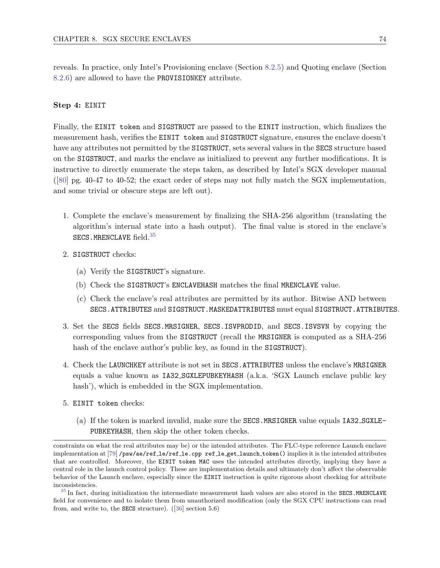reveals. In practice, only Intel's Provisioning enclave (Section [8.2.5\)](#page-81-0) and Quoting enclave (Section [8.2.6\)](#page-83-0) are allowed to have the PROVISIONKEY attribute.

#### Step 4: EINIT

Finally, the EINIT token and SIGSTRUCT are passed to the EINIT instruction, which finalizes the measurement hash, verifies the EINIT token and SIGSTRUCT signature, ensures the enclave doesn't have any attributes not permitted by the SIGSTRUCT, sets several values in the SECS structure based on the SIGSTRUCT, and marks the enclave as initialized to prevent any further modifications. It is instructive to directly enumerate the steps taken, as described by Intel's SGX developer manual ([\[80\]](#page-125-1) pg. 40-47 to 40-52; the exact order of steps may not fully match the SGX implementation, and some trivial or obscure steps are left out).

- <span id="page-80-1"></span>1. Complete the enclave's measurement by finalizing the SHA-256 algorithm (translating the algorithm's internal state into a hash output). The final value is stored in the enclave's SECS.MRENCLAVE field.[35](#page-80-0)
- 2. SIGSTRUCT checks:
	- (a) Verify the SIGSTRUCT's signature.
	- (b) Check the SIGSTRUCT's ENCLAVEHASH matches the final MRENCLAVE value.
	- (c) Check the enclave's real attributes are permitted by its author. Bitwise AND between SECS.ATTRIBUTES and SIGSTRUCT.MASKEDATTRIBUTES must equal SIGSTRUCT.ATTRIBUTES.
- 3. Set the SECS fields SECS.MRSIGNER, SECS.ISVPRODID, and SECS.ISVSVN by copying the corresponding values from the SIGSTRUCT (recall the MRSIGNER is computed as a SHA-256 hash of the enclave author's public key, as found in the SIGSTRUCT).
- 4. Check the LAUNCHKEY attribute is not set in SECS.ATTRIBUTES unless the enclave's MRSIGNER equals a value known as IA32 SGXLEPUBKEYHASH (a.k.a. 'SGX Launch enclave public key hash'), which is embedded in the SGX implementation.
- 5. EINIT token checks:
	- (a) If the token is marked invalid, make sure the SECS.MRSIGNER value equals IA32 SGXLE-PUBKEYHASH, then skip the other token checks.

constraints on what the real attributes may be) or the intended attributes. The FLC-type reference Launch enclave implementation at [\[79\]](#page-125-2) /psw/ae/ref le/ref le.cpp ref le get launch token() implies it is the intended attributes that are controlled. Moreover, the EINIT token MAC uses the intended attributes directly, implying they have a central role in the launch control policy. These are implementation details and ultimately don't affect the observable behavior of the Launch enclave, especially since the EINIT instruction is quite rigorous about checking for attribute inconsistencies.

<span id="page-80-0"></span> $35$  In fact, during initialization the intermediate measurement hash values are also stored in the SECS.MRENCLAVE field for convenience and to isolate them from unauthorized modification (only the SGX CPU instructions can read from, and write to, the SECS structure). ([\[36\]](#page-123-0) section 5.6)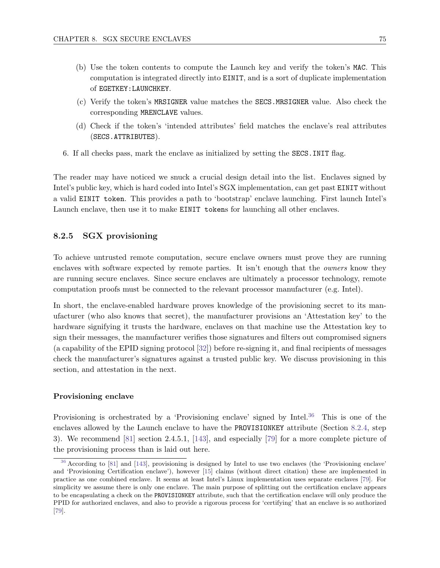- (b) Use the token contents to compute the Launch key and verify the token's MAC. This computation is integrated directly into EINIT, and is a sort of duplicate implementation of EGETKEY:LAUNCHKEY.
- (c) Verify the token's MRSIGNER value matches the SECS.MRSIGNER value. Also check the corresponding MRENCLAVE values.
- (d) Check if the token's 'intended attributes' field matches the enclave's real attributes (SECS.ATTRIBUTES).
- 6. If all checks pass, mark the enclave as initialized by setting the SECS.INIT flag.

The reader may have noticed we snuck a crucial design detail into the list. Enclaves signed by Intel's public key, which is hard coded into Intel's SGX implementation, can get past EINIT without a valid EINIT token. This provides a path to 'bootstrap' enclave launching. First launch Intel's Launch enclave, then use it to make EINIT tokens for launching all other enclaves.

# <span id="page-81-0"></span>8.2.5 SGX provisioning

To achieve untrusted remote computation, secure enclave owners must prove they are running enclaves with software expected by remote parties. It isn't enough that the *owners* know they are running secure enclaves. Since secure enclaves are ultimately a processor technology, remote computation proofs must be connected to the relevant processor manufacturer (e.g. Intel).

In short, the enclave-enabled hardware proves knowledge of the provisioning secret to its manufacturer (who also knows that secret), the manufacturer provisions an 'Attestation key' to the hardware signifying it trusts the hardware, enclaves on that machine use the Attestation key to sign their messages, the manufacturer verifies those signatures and filters out compromised signers (a capability of the EPID signing protocol [\[32\]](#page-122-0)) before re-signing it, and final recipients of messages check the manufacturer's signatures against a trusted public key. We discuss provisioning in this section, and attestation in the next.

#### Provisioning enclave

<span id="page-81-2"></span>Provisioning is orchestrated by a 'Provisioning enclave' signed by Intel.<sup>[36](#page-81-1)</sup> This is one of the enclaves allowed by the Launch enclave to have the PROVISIONKEY attribute (Section [8.2.4,](#page-76-0) step 3). We recommend [\[81\]](#page-125-5) section 2.4.5.1, [\[143\]](#page-128-1), and especially [\[79\]](#page-125-2) for a more complete picture of the provisioning process than is laid out here.

<span id="page-81-1"></span>[<sup>36</sup>](#page-81-2) According to [\[81\]](#page-125-5) and [\[143\]](#page-128-1), provisioning is designed by Intel to use two enclaves (the 'Provisioning enclave' and 'Provisioning Certification enclave'), however [\[15\]](#page-121-1) claims (without direct citation) these are implemented in practice as one combined enclave. It seems at least Intel's Linux implementation uses separate enclaves [\[79\]](#page-125-2). For simplicity we assume there is only one enclave. The main purpose of splitting out the certification enclave appears to be encapsulating a check on the PROVISIONKEY attribute, such that the certification enclave will only produce the PPID for authorized enclaves, and also to provide a rigorous process for 'certifying' that an enclave is so authorized [\[79\]](#page-125-2).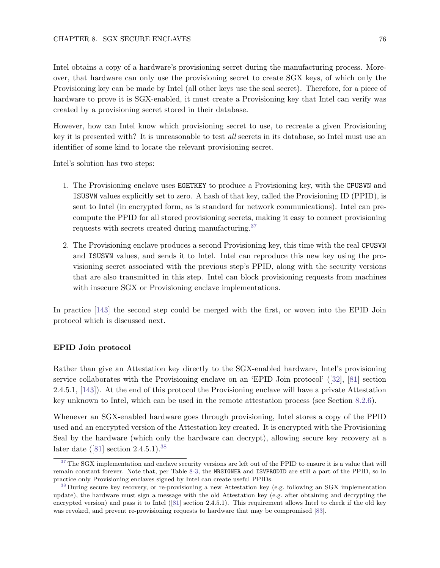Intel obtains a copy of a hardware's provisioning secret during the manufacturing process. Moreover, that hardware can only use the provisioning secret to create SGX keys, of which only the Provisioning key can be made by Intel (all other keys use the seal secret). Therefore, for a piece of hardware to prove it is SGX-enabled, it must create a Provisioning key that Intel can verify was created by a provisioning secret stored in their database.

However, how can Intel know which provisioning secret to use, to recreate a given Provisioning key it is presented with? It is unreasonable to test all secrets in its database, so Intel must use an identifier of some kind to locate the relevant provisioning secret.

Intel's solution has two steps:

- 1. The Provisioning enclave uses EGETKEY to produce a Provisioning key, with the CPUSVN and ISUSVN values explicitly set to zero. A hash of that key, called the Provisioning ID (PPID), is sent to Intel (in encrypted form, as is standard for network communications). Intel can precompute the PPID for all stored provisioning secrets, making it easy to connect provisioning requests with secrets created during manufacturing.<sup>[37](#page-82-0)</sup>
- <span id="page-82-2"></span>2. The Provisioning enclave produces a second Provisioning key, this time with the real CPUSVN and ISUSVN values, and sends it to Intel. Intel can reproduce this new key using the provisioning secret associated with the previous step's PPID, along with the security versions that are also transmitted in this step. Intel can block provisioning requests from machines with insecure SGX or Provisioning enclave implementations.

In practice [\[143\]](#page-128-1) the second step could be merged with the first, or woven into the EPID Join protocol which is discussed next.

#### EPID Join protocol

Rather than give an Attestation key directly to the SGX-enabled hardware, Intel's provisioning service collaborates with the Provisioning enclave on an 'EPID Join protocol' ([\[32\]](#page-122-0), [\[81\]](#page-125-5) section 2.4.5.1, [\[143\]](#page-128-1)). At the end of this protocol the Provisioning enclave will have a private Attestation key unknown to Intel, which can be used in the remote attestation process (see Section [8.2.6\)](#page-83-0).

Whenever an SGX-enabled hardware goes through provisioning, Intel stores a copy of the PPID used and an encrypted version of the Attestation key created. It is encrypted with the Provisioning Seal by the hardware (which only the hardware can decrypt), allowing secure key recovery at a later date ([\[81\]](#page-125-5) section 2.4.5.1).[38](#page-82-1)

<span id="page-82-3"></span><span id="page-82-0"></span> $37$  The SGX implementation and enclave security versions are left out of the PPID to ensure it is a value that will remain constant forever. Note that, per Table [8-3,](#page-74-0) the MRSIGNER and ISVPRODID are still a part of the PPID, so in practice only Provisioning enclaves signed by Intel can create useful PPIDs.

<span id="page-82-1"></span><sup>&</sup>lt;sup>[38](#page-82-3)</sup> During secure key recovery, or re-provisioning a new Attestation key (e.g. following an SGX implementation update), the hardware must sign a message with the old Attestation key (e.g. after obtaining and decrypting the encrypted version) and pass it to Intel ([\[81\]](#page-125-5) section 2.4.5.1). This requirement allows Intel to check if the old key was revoked, and prevent re-provisioning requests to hardware that may be compromised [\[83\]](#page-125-0).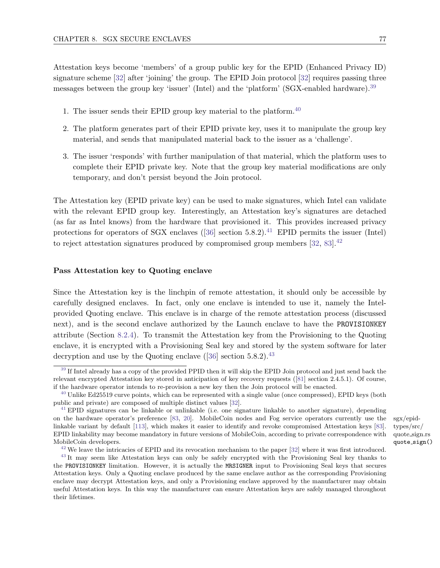Attestation keys become 'members' of a group public key for the EPID (Enhanced Privacy ID) signature scheme [\[32\]](#page-122-0) after 'joining' the group. The EPID Join protocol [32] requires passing three messages between the group key 'issuer' (Intel) and the 'platform' (SGX-enabled hardware).[39](#page-83-1)

- <span id="page-83-7"></span><span id="page-83-6"></span>1. The issuer sends their EPID group key material to the platform.  $40$
- 2. The platform generates part of their EPID private key, uses it to manipulate the group key material, and sends that manipulated material back to the issuer as a 'challenge'.
- 3. The issuer 'responds' with further manipulation of that material, which the platform uses to complete their EPID private key. Note that the group key material modifications are only temporary, and don't persist beyond the Join protocol.

<span id="page-83-8"></span>The Attestation key (EPID private key) can be used to make signatures, which Intel can validate with the relevant EPID group key. Interestingly, an Attestation key's signatures are detached (as far as Intel knows) from the hardware that provisioned it. This provides increased privacy protections for operators of SGX enclaves  $(36)$  section 5.8.2).<sup>[41](#page-83-3)</sup> EPID permits the issuer (Intel) to reject attestation signatures produced by compromised group members  $[32, 83]$  $[32, 83]$  $[32, 83]$ .<sup>[42](#page-83-4)</sup>

#### <span id="page-83-9"></span>Pass Attestation key to Quoting enclave

Since the Attestation key is the linchpin of remote attestation, it should only be accessible by carefully designed enclaves. In fact, only one enclave is intended to use it, namely the Intelprovided Quoting enclave. This enclave is in charge of the remote attestation process (discussed next), and is the second enclave authorized by the Launch enclave to have the PROVISIONKEY attribute (Section [8.2.4\)](#page-76-0). To transmit the Attestation key from the Provisioning to the Quoting enclave, it is encrypted with a Provisioning Seal key and stored by the system software for later decryption and use by the Quoting enclave  $(36)$  section 5.8.2).<sup>[43](#page-83-5)</sup>

<span id="page-83-10"></span><span id="page-83-1"></span><span id="page-83-0"></span><sup>&</sup>lt;sup>[39](#page-83-6)</sup> If Intel already has a copy of the provided PPID then it will skip the EPID Join protocol and just send back the relevant encrypted Attestation key stored in anticipation of key recovery requests ([\[81\]](#page-125-5) section 2.4.5.1). Of course, if the hardware operator intends to re-provision a new key then the Join protocol will be enacted.

<span id="page-83-2"></span> $^{40}$  $^{40}$  $^{40}$  Unlike Ed25519 curve points, which can be represented with a single value (once compressed), EPID keys (both public and private) are composed of multiple distinct values [\[32\]](#page-122-0).

<span id="page-83-3"></span> $^{41}$  $^{41}$  $^{41}$  EPID signatures can be linkable or unlinkable (i.e. one signature linkable to another signature), depending on the hardware operator's preference [\[83,](#page-125-0) [20\]](#page-122-1). MobileCoin nodes and Fog service operators currently use the  $sgx/epid$ linkable variant by default [\[113\]](#page-127-0), which makes it easier to identify and revoke compromised Attestation keys [\[83\]](#page-125-0). EPID linkability may become mandatory in future versions of MobileCoin, according to private correspondence with MobileCoin developers.

<span id="page-83-5"></span><span id="page-83-4"></span> $42$  We leave the intricacies of EPID and its revocation mechanism to the paper [\[32\]](#page-122-0) where it was first introduced.

<sup>&</sup>lt;sup>[43](#page-83-10)</sup> It may seem like Attestation keys can only be safely encrypted with the Provisioning Seal key thanks to the PROVISIONKEY limitation. However, it is actually the MRSIGNER input to Provisioning Seal keys that secures Attestation keys. Only a Quoting enclave produced by the same enclave author as the corresponding Provisioning enclave may decrypt Attestation keys, and only a Provisioning enclave approved by the manufacturer may obtain useful Attestation keys. In this way the manufacturer can ensure Attestation keys are safely managed throughout their lifetimes.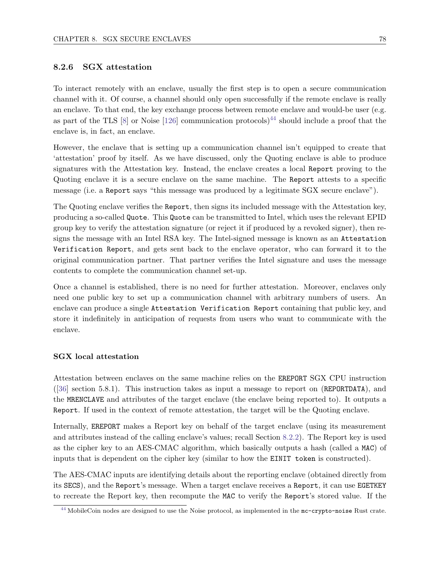# 8.2.6 SGX attestation

<span id="page-84-1"></span>To interact remotely with an enclave, usually the first step is to open a secure communication channel with it. Of course, a channel should only open successfully if the remote enclave is really an enclave. To that end, the key exchange process between remote enclave and would-be user (e.g. as part of the TLS [\[8\]](#page-121-2) or Noise [\[126\]](#page-127-1) communication protocols]<sup>[44](#page-84-0)</sup> should include a proof that the enclave is, in fact, an enclave.

However, the enclave that is setting up a communication channel isn't equipped to create that 'attestation' proof by itself. As we have discussed, only the Quoting enclave is able to produce signatures with the Attestation key. Instead, the enclave creates a local Report proving to the Quoting enclave it is a secure enclave on the same machine. The Report attests to a specific message (i.e. a Report says "this message was produced by a legitimate SGX secure enclave").

The Quoting enclave verifies the Report, then signs its included message with the Attestation key, producing a so-called Quote. This Quote can be transmitted to Intel, which uses the relevant EPID group key to verify the attestation signature (or reject it if produced by a revoked signer), then resigns the message with an Intel RSA key. The Intel-signed message is known as an Attestation Verification Report, and gets sent back to the enclave operator, who can forward it to the original communication partner. That partner verifies the Intel signature and uses the message contents to complete the communication channel set-up.

Once a channel is established, there is no need for further attestation. Moreover, enclaves only need one public key to set up a communication channel with arbitrary numbers of users. An enclave can produce a single Attestation Verification Report containing that public key, and store it indefinitely in anticipation of requests from users who want to communicate with the enclave.

## SGX local attestation

Attestation between enclaves on the same machine relies on the EREPORT SGX CPU instruction ([\[36\]](#page-123-0) section 5.8.1). This instruction takes as input a message to report on (REPORTDATA), and the MRENCLAVE and attributes of the target enclave (the enclave being reported to). It outputs a Report. If used in the context of remote attestation, the target will be the Quoting enclave.

Internally, EREPORT makes a Report key on behalf of the target enclave (using its measurement and attributes instead of the calling enclave's values; recall Section [8.2.2\)](#page-71-0). The Report key is used as the cipher key to an AES-CMAC algorithm, which basically outputs a hash (called a MAC) of inputs that is dependent on the cipher key (similar to how the EINIT token is constructed).

The AES-CMAC inputs are identifying details about the reporting enclave (obtained directly from its SECS), and the Report's message. When a target enclave receives a Report, it can use EGETKEY to recreate the Report key, then recompute the MAC to verify the Report's stored value. If the

<span id="page-84-0"></span>[<sup>44</sup>](#page-84-1) MobileCoin nodes are designed to use the Noise protocol, as implemented in the mc-crypto-noise Rust crate.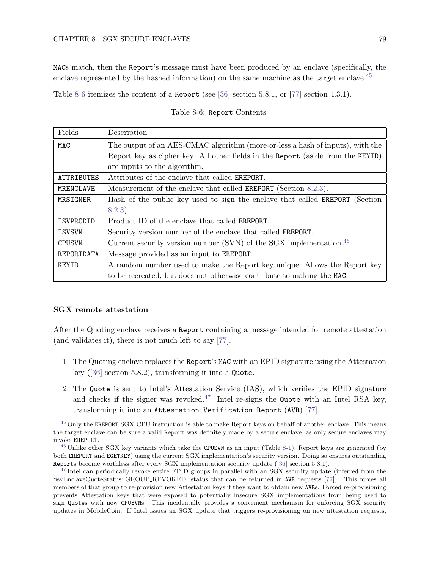MACs match, then the Report's message must have been produced by an enclave (specifically, the enclave represented by the hashed information) on the same machine as the target enclave.<sup>[45](#page-85-0)</sup>

<span id="page-85-1"></span>Table [8-6](#page-85-1) itemizes the content of a Report (see [\[36\]](#page-123-0) section 5.8.1, or [\[77\]](#page-125-6) section 4.3.1).

#### <span id="page-85-3"></span>Table 8-6: Report Contents

| Fields        | Description                                                                         |
|---------------|-------------------------------------------------------------------------------------|
| MAC           | The output of an AES-CMAC algorithm (more-or-less a hash of inputs), with the       |
|               | Report key as cipher key. All other fields in the Report (aside from the KEYID)     |
|               | are inputs to the algorithm.                                                        |
| ATTRIBUTES    | Attributes of the enclave that called <b>EREPORT</b> .                              |
| MRENCLAVE     | Measurement of the enclave that called <b>EREPORT</b> (Section 8.2.3).              |
| MRSIGNER      | Hash of the public key used to sign the enclave that called <b>EREPORT</b> (Section |
|               | $8.2.3$ ).                                                                          |
| ISVPRODID     | Product ID of the enclave that called EREPORT.                                      |
| ISVSVN        | Security version number of the enclave that called <b>EREPORT</b> .                 |
| <b>CPUSVN</b> | Current security version number (SVN) of the SGX implementation. $46$               |
| REPORTDATA    | Message provided as an input to <b>EREPORT</b> .                                    |
| KEYID         | A random number used to make the Report key unique. Allows the Report key           |
|               | to be recreated, but does not otherwise contribute to making the MAC.               |

#### SGX remote attestation

After the Quoting enclave receives a Report containing a message intended for remote attestation (and validates it), there is not much left to say [\[77\]](#page-125-6).

- 1. The Quoting enclave replaces the Report's MAC with an EPID signature using the Attestation key ([\[36\]](#page-123-0) section 5.8.2), transforming it into a Quote.
- <span id="page-85-4"></span>2. The Quote is sent to Intel's Attestation Service (IAS), which verifies the EPID signature and checks if the signer was revoked.<sup>[47](#page-85-2)</sup> Intel re-signs the Quote with an Intel RSA key, transforming it into an Attestation Verification Report (AVR) [\[77\]](#page-125-6).

<span id="page-85-0"></span><sup>&</sup>lt;sup>[45](#page-85-3)</sup> Only the EREPORT SGX CPU instruction is able to make Report keys on behalf of another enclave. This means the target enclave can be sure a valid Report was definitely made by a secure enclave, as only secure enclaves may invoke EREPORT.

 $^{46}$  $^{46}$  $^{46}$  Unlike other SGX key variants which take the CPUSVN as an input (Table [8-1\)](#page-72-1), Report keys are generated (by both EREPORT and EGETKEY) using the current SGX implementation's security version. Doing so ensures outstanding Reports become worthless after every SGX implementation security update ([\[36\]](#page-123-0) section 5.8.1).

<span id="page-85-2"></span><sup>&</sup>lt;sup>[47](#page-85-4)</sup> Intel can periodically revoke entire EPID groups in parallel with an SGX security update (inferred from the 'isvEnclaveQuoteStatus::GROUP REVOKED' status that can be returned in AVR requests [\[77\]](#page-125-6)). This forces all members of that group to re-provision new Attestation keys if they want to obtain new AVRs. Forced re-provisioning prevents Attestation keys that were exposed to potentially insecure SGX implementations from being used to sign Quotes with new CPUSVNs. This incidentally provides a convenient mechanism for enforcing SGX security updates in MobileCoin. If Intel issues an SGX update that triggers re-provisioning on new attestation requests,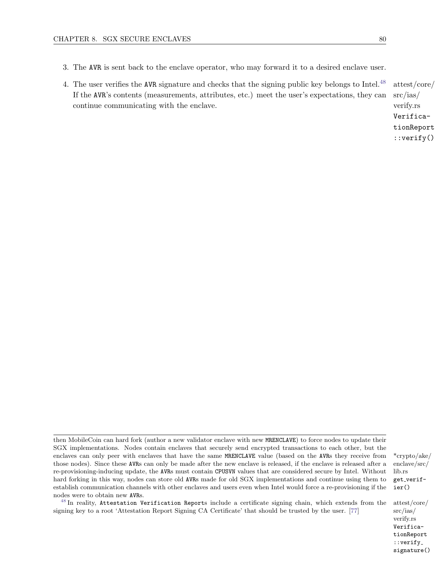- 3. The AVR is sent back to the enclave operator, who may forward it to a desired enclave user.
- 4. The user verifies the AVR signature and checks that the signing public key belongs to Intel.<sup>[48](#page-86-0)</sup> attest/core/ src/ias/ verify.rs If the AVR's contents (measurements, attributes, etc.) meet the user's expectations, they can continue communicating with the enclave.

<span id="page-86-1"></span>VerificationReport ::verify()

<span id="page-86-0"></span> $^{48}$  $^{48}$  $^{48}$  In reality, Attestation Verification Reports include a certificate signing chain, which extends from the attest/core/ signing key to a root 'Attestation Report Signing CA Certificate' that should be trusted by the user. [\[77\]](#page-125-6)

src/ias/ verify.rs VerificationReport ::verify signature()

then MobileCoin can hard fork (author a new validator enclave with new MRENCLAVE) to force nodes to update their SGX implementations. Nodes contain enclaves that securely send encrypted transactions to each other, but the enclaves can only peer with enclaves that have the same MRENCLAVE value (based on the AVRs they receive from  $*$ crypto/ake/ those nodes). Since these AVRs can only be made after the new enclave is released, if the enclave is released after a re-provisioning-inducing update, the AVRs must contain CPUSVN values that are considered secure by Intel. Without hard forking in this way, nodes can store old AVRs made for old SGX implementations and continue using them to establish communication channels with other enclaves and users even when Intel would force a re-provisioning if the nodes were to obtain new AVRs.

enclave/src/ lib.rs get\_verifier()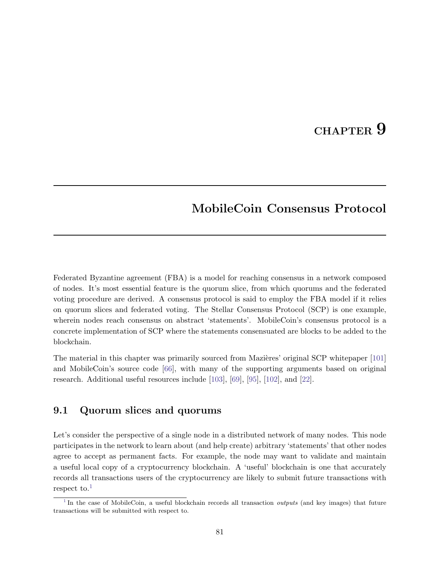# CHAPTER 9

# MobileCoin Consensus Protocol

Federated Byzantine agreement (FBA) is a model for reaching consensus in a network composed of nodes. It's most essential feature is the quorum slice, from which quorums and the federated voting procedure are derived. A consensus protocol is said to employ the FBA model if it relies on quorum slices and federated voting. The Stellar Consensus Protocol (SCP) is one example, wherein nodes reach consensus on abstract 'statements'. MobileCoin's consensus protocol is a concrete implementation of SCP where the statements consensuated are blocks to be added to the blockchain.

The material in this chapter was primarily sourced from Mazières' original SCP whitepaper [\[101\]](#page-126-0) and MobileCoin's source code [\[66\]](#page-124-0), with many of the supporting arguments based on original research. Additional useful resources include [\[103\]](#page-126-1), [\[69\]](#page-124-1), [\[95\]](#page-126-2), [\[102\]](#page-126-3), and [\[22\]](#page-122-2).

# 9.1 Quorum slices and quorums

Let's consider the perspective of a single node in a distributed network of many nodes. This node participates in the network to learn about (and help create) arbitrary 'statements' that other nodes agree to accept as permanent facts. For example, the node may want to validate and maintain a useful local copy of a cryptocurrency blockchain. A 'useful' blockchain is one that accurately records all transactions users of the cryptocurrency are likely to submit future transactions with respect to. $<sup>1</sup>$  $<sup>1</sup>$  $<sup>1</sup>$ </sup>

<span id="page-87-1"></span><span id="page-87-0"></span><sup>&</sup>lt;sup>[1](#page-87-1)</sup> In the case of MobileCoin, a useful blockchain records all transaction *outputs* (and key images) that future transactions will be submitted with respect to.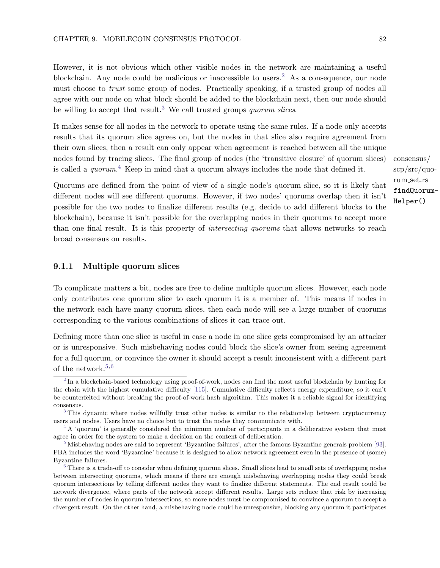However, it is not obvious which other visible nodes in the network are maintaining a useful blockchain. Any node could be malicious or inaccessible to users.<sup>[2](#page-88-0)</sup> As a consequence, our node must choose to trust some group of nodes. Practically speaking, if a trusted group of nodes all agree with our node on what block should be added to the blockchain next, then our node should be willing to accept that result.<sup>[3](#page-88-1)</sup> We call trusted groups *quorum slices*.

<span id="page-88-6"></span>It makes sense for all nodes in the network to operate using the same rules. If a node only accepts results that its quorum slice agrees on, but the nodes in that slice also require agreement from their own slices, then a result can only appear when agreement is reached between all the unique nodes found by tracing slices. The final group of nodes (the 'transitive closure' of quorum slices) consensus/ is called a *quorum*.<sup>[4](#page-88-2)</sup> Keep in mind that a quorum always includes the node that defined it.

<span id="page-88-7"></span>Quorums are defined from the point of view of a single node's quorum slice, so it is likely that different nodes will see different quorums. However, if two nodes' quorums overlap then it isn't possible for the two nodes to finalize different results (e.g. decide to add different blocks to the blockchain), because it isn't possible for the overlapping nodes in their quorums to accept more than one final result. It is this property of intersecting quorums that allows networks to reach broad consensus on results.

## 9.1.1 Multiple quorum slices

To complicate matters a bit, nodes are free to define multiple quorum slices. However, each node only contributes one quorum slice to each quorum it is a member of. This means if nodes in the network each have many quorum slices, then each node will see a large number of quorums corresponding to the various combinations of slices it can trace out.

Defining more than one slice is useful in case a node in one slice gets compromised by an attacker or is unresponsive. Such misbehaving nodes could block the slice's owner from seeing agreement for a full quorum, or convince the owner it should accept a result inconsistent with a different part of the network.<sup>[5,](#page-88-3)[6](#page-88-4)</sup>

<span id="page-88-5"></span>scp/src/quorum set.rs findQuorum-Helper()

<span id="page-88-9"></span><span id="page-88-8"></span><span id="page-88-0"></span><sup>&</sup>lt;sup>[2](#page-88-5)</sup> In a blockchain-based technology using proof-of-work, nodes can find the most useful blockchain by hunting for the chain with the highest cumulative difficulty [\[115\]](#page-127-2). Cumulative difficulty reflects energy expenditure, so it can't be counterfeited without breaking the proof-of-work hash algorithm. This makes it a reliable signal for identifying consensus.

<span id="page-88-1"></span><sup>&</sup>lt;sup>[3](#page-88-6)</sup> This dynamic where nodes willfully trust other nodes is similar to the relationship between cryptocurrency users and nodes. Users have no choice but to trust the nodes they communicate with.

<span id="page-88-2"></span><sup>&</sup>lt;sup>[4](#page-88-7)</sup> A 'quorum' is generally considered the minimum number of participants in a deliberative system that must agree in order for the system to make a decision on the content of deliberation.

<span id="page-88-3"></span>[<sup>5</sup>](#page-88-8) Misbehaving nodes are said to represent 'Byzantine failures', after the famous Byzantine generals problem [\[93\]](#page-126-4). FBA includes the word 'Byzantine' because it is designed to allow network agreement even in the presence of (some) Byzantine failures.

<span id="page-88-4"></span><sup>&</sup>lt;sup>[6](#page-88-9)</sup> There is a trade-off to consider when defining quorum slices. Small slices lead to small sets of overlapping nodes between intersecting quorums, which means if there are enough misbehaving overlapping nodes they could break quorum intersections by telling different nodes they want to finalize different statements. The end result could be network divergence, where parts of the network accept different results. Large sets reduce that risk by increasing the number of nodes in quorum intersections, so more nodes must be compromised to convince a quorum to accept a divergent result. On the other hand, a misbehaving node could be unresponsive, blocking any quorum it participates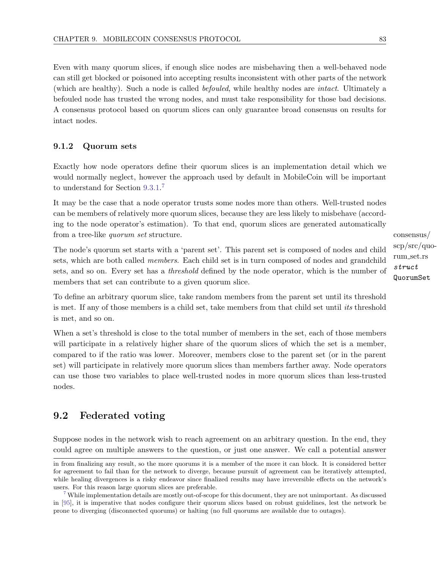Even with many quorum slices, if enough slice nodes are misbehaving then a well-behaved node can still get blocked or poisoned into accepting results inconsistent with other parts of the network (which are healthy). Such a node is called befouled, while healthy nodes are intact. Ultimately a befouled node has trusted the wrong nodes, and must take responsibility for those bad decisions. A consensus protocol based on quorum slices can only guarantee broad consensus on results for intact nodes.

# <span id="page-89-2"></span>9.1.2 Quorum sets

<span id="page-89-1"></span>Exactly how node operators define their quorum slices is an implementation detail which we would normally neglect, however the approach used by default in MobileCoin will be important to understand for Section [9.3.1.](#page-93-0) [7](#page-89-0)

It may be the case that a node operator trusts some nodes more than others. Well-trusted nodes can be members of relatively more quorum slices, because they are less likely to misbehave (according to the node operator's estimation). To that end, quorum slices are generated automatically from a tree-like *quorum set* structure.  $\cos\theta$ 

The node's quorum set starts with a 'parent set'. This parent set is composed of nodes and child sets, which are both called *members*. Each child set is in turn composed of nodes and grandchild sets, and so on. Every set has a threshold defined by the node operator, which is the number of members that set can contribute to a given quorum slice.

To define an arbitrary quorum slice, take random members from the parent set until its threshold is met. If any of those members is a child set, take members from that child set until its threshold is met, and so on.

When a set's threshold is close to the total number of members in the set, each of those members will participate in a relatively higher share of the quorum slices of which the set is a member, compared to if the ratio was lower. Moreover, members close to the parent set (or in the parent set) will participate in relatively more quorum slices than members farther away. Node operators can use those two variables to place well-trusted nodes in more quorum slices than less-trusted nodes.

# <span id="page-89-3"></span>9.2 Federated voting

Suppose nodes in the network wish to reach agreement on an arbitrary question. In the end, they could agree on multiple answers to the question, or just one answer. We call a potential answer

scp/src/quorum set.rs struct QuorumSet

in from finalizing any result, so the more quorums it is a member of the more it can block. It is considered better for agreement to fail than for the network to diverge, because pursuit of agreement can be iteratively attempted, while healing divergences is a risky endeavor since finalized results may have irreversible effects on the network's users. For this reason large quorum slices are preferable.

<span id="page-89-0"></span><sup>&</sup>lt;sup>[7](#page-89-1)</sup> While implementation details are mostly out-of-scope for this document, they are not unimportant. As discussed in [\[95\]](#page-126-2), it is imperative that nodes configure their quorum slices based on robust guidelines, lest the network be prone to diverging (disconnected quorums) or halting (no full quorums are available due to outages).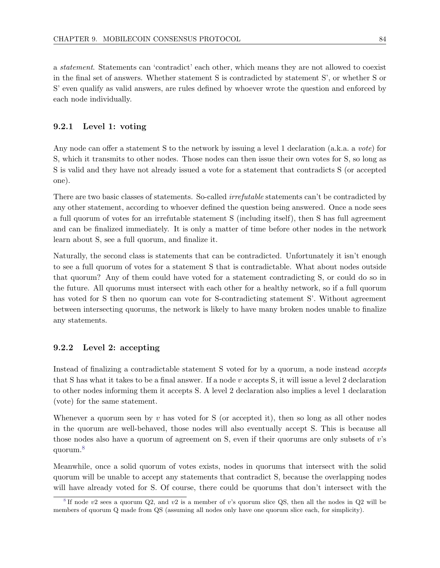a statement. Statements can 'contradict' each other, which means they are not allowed to coexist in the final set of answers. Whether statement S is contradicted by statement S', or whether S or S' even qualify as valid answers, are rules defined by whoever wrote the question and enforced by each node individually.

# 9.2.1 Level 1: voting

Any node can offer a statement S to the network by issuing a level 1 declaration (a.k.a. a vote) for S, which it transmits to other nodes. Those nodes can then issue their own votes for S, so long as S is valid and they have not already issued a vote for a statement that contradicts S (or accepted one).

There are two basic classes of statements. So-called *irrefutable* statements can't be contradicted by any other statement, according to whoever defined the question being answered. Once a node sees a full quorum of votes for an irrefutable statement S (including itself), then S has full agreement and can be finalized immediately. It is only a matter of time before other nodes in the network learn about S, see a full quorum, and finalize it.

Naturally, the second class is statements that can be contradicted. Unfortunately it isn't enough to see a full quorum of votes for a statement S that is contradictable. What about nodes outside that quorum? Any of them could have voted for a statement contradicting S, or could do so in the future. All quorums must intersect with each other for a healthy network, so if a full quorum has voted for S then no quorum can vote for S-contradicting statement S'. Without agreement between intersecting quorums, the network is likely to have many broken nodes unable to finalize any statements.

# <span id="page-90-2"></span>9.2.2 Level 2: accepting

Instead of finalizing a contradictable statement S voted for by a quorum, a node instead accepts that S has what it takes to be a final answer. If a node  $v$  accepts S, it will issue a level 2 declaration to other nodes informing them it accepts S. A level 2 declaration also implies a level 1 declaration (vote) for the same statement.

Whenever a quorum seen by  $v$  has voted for S (or accepted it), then so long as all other nodes in the quorum are well-behaved, those nodes will also eventually accept S. This is because all those nodes also have a quorum of agreement on S, even if their quorums are only subsets of v's quorum.[8](#page-90-0)

<span id="page-90-1"></span>Meanwhile, once a solid quorum of votes exists, nodes in quorums that intersect with the solid quorum will be unable to accept any statements that contradict S, because the overlapping nodes will have already voted for S. Of course, there could be quorums that don't intersect with the

<span id="page-90-0"></span> $8$  If node v2 sees a quorum Q2, and v2 is a member of v's quorum slice QS, then all the nodes in Q2 will be members of quorum Q made from QS (assuming all nodes only have one quorum slice each, for simplicity).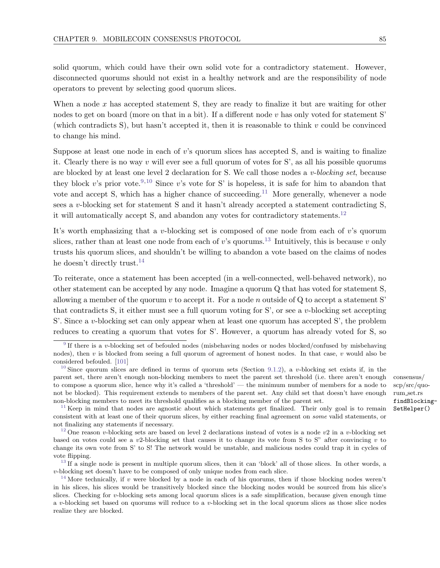solid quorum, which could have their own solid vote for a contradictory statement. However, disconnected quorums should not exist in a healthy network and are the responsibility of node operators to prevent by selecting good quorum slices.

When a node  $x$  has accepted statement S, they are ready to finalize it but are waiting for other nodes to get on board (more on that in a bit). If a different node  $v$  has only voted for statement S' (which contradicts S), but hasn't accepted it, then it is reasonable to think  $v$  could be convinced to change his mind.

<span id="page-91-8"></span><span id="page-91-7"></span><span id="page-91-6"></span>Suppose at least one node in each of v's quorum slices has accepted S, and is waiting to finalize it. Clearly there is no way  $v$  will ever see a full quorum of votes for S', as all his possible quorums are blocked by at least one level 2 declaration for S. We call those nodes a v-blocking set, because they block v's prior vote.<sup>[9,](#page-91-0)[10](#page-91-1)</sup> Since v's vote for S' is hopeless, it is safe for him to abandon that vote and accept S, which has a higher chance of succeeding.<sup>[11](#page-91-2)</sup> More generally, whenever a node sees a v-blocking set for statement S and it hasn't already accepted a statement contradicting S, it will automatically accept S, and abandon any votes for contradictory statements.<sup>[12](#page-91-3)</sup>

It's worth emphasizing that a v-blocking set is composed of one node from each of v's quorum slices, rather than at least one node from each of v's quorums.<sup>[13](#page-91-4)</sup> Intuitively, this is because v only trusts his quorum slices, and shouldn't be willing to abandon a vote based on the claims of nodes he doesn't directly trust.<sup>[14](#page-91-5)</sup>

<span id="page-91-11"></span>To reiterate, once a statement has been accepted (in a well-connected, well-behaved network), no other statement can be accepted by any node. Imagine a quorum Q that has voted for statement S, allowing a member of the quorum  $v$  to accept it. For a node  $n$  outside of  $Q$  to accept a statement S' that contradicts S, it either must see a full quorum voting for S', or see a  $v$ -blocking set accepting S'. Since a v-blocking set can only appear when at least one quorum has accepted S', the problem reduces to creating a quorum that votes for S'. However, a quorum has already voted for S, so

<span id="page-91-10"></span><span id="page-91-9"></span>scp/src/quorum set.rs findBlocking-SetHelper()

<span id="page-91-0"></span><sup>&</sup>lt;sup>[9](#page-91-6)</sup> If there is a v-blocking set of befouled nodes (misbehaving nodes or nodes blocked/confused by misbehaving nodes), then  $v$  is blocked from seeing a full quorum of agreement of honest nodes. In that case,  $v$  would also be considered befouled. [\[101\]](#page-126-0)

<span id="page-91-1"></span><sup>&</sup>lt;sup>[10](#page-91-7)</sup> Since quorum slices are defined in terms of quorum sets (Section [9.1.2\)](#page-89-2), a v-blocking set exists if, in the parent set, there aren't enough non-blocking members to meet the parent set threshold (i.e. there aren't enough consensus/ to compose a quorum slice, hence why it's called a 'threshold' — the minimum number of members for a node to not be blocked). This requirement extends to members of the parent set. Any child set that doesn't have enough non-blocking members to meet its threshold qualifies as a blocking member of the parent set.

<span id="page-91-2"></span><sup>&</sup>lt;sup>[11](#page-91-8)</sup> Keep in mind that nodes are agnostic about which statements get finalized. Their only goal is to remain consistent with at least one of their quorum slices, by either reaching final agreement on some valid statements, or not finalizing any statements if necessary.

<span id="page-91-3"></span><sup>&</sup>lt;sup>[12](#page-91-9)</sup> One reason v-blocking sets are based on level 2 declarations instead of votes is a node v2 in a v-blocking set based on votes could see a v2-blocking set that causes it to change its vote from S to S" after convincing v to change its own vote from S' to S! The network would be unstable, and malicious nodes could trap it in cycles of vote flipping.

<span id="page-91-4"></span> $13$  If a single node is present in multiple quorum slices, then it can 'block' all of those slices. In other words, a v-blocking set doesn't have to be composed of only unique nodes from each slice.

<span id="page-91-5"></span><sup>&</sup>lt;sup>[14](#page-91-11)</sup> More technically, if v were blocked by a node in each of his quorums, then if those blocking nodes weren't in his slices, his slices would be transitively blocked since the blocking nodes would be sourced from his slice's slices. Checking for v-blocking sets among local quorum slices is a safe simplification, because given enough time a v-blocking set based on quorums will reduce to a v-blocking set in the local quorum slices as those slice nodes realize they are blocked.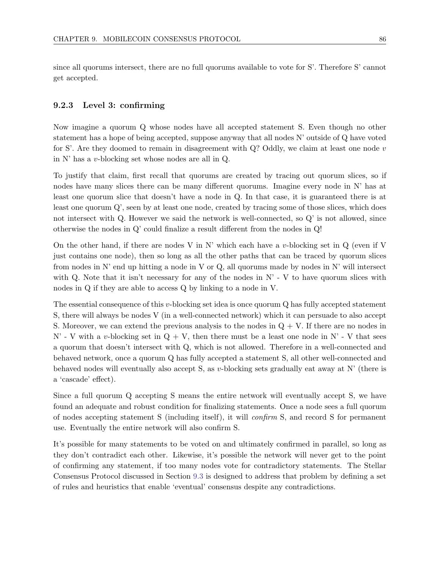since all quorums intersect, there are no full quorums available to vote for S'. Therefore S' cannot get accepted.

## 9.2.3 Level 3: confirming

Now imagine a quorum Q whose nodes have all accepted statement S. Even though no other statement has a hope of being accepted, suppose anyway that all nodes N' outside of Q have voted for S'. Are they doomed to remain in disagreement with  $Q$ ? Oddly, we claim at least one node v in N' has a v-blocking set whose nodes are all in Q.

To justify that claim, first recall that quorums are created by tracing out quorum slices, so if nodes have many slices there can be many different quorums. Imagine every node in N' has at least one quorum slice that doesn't have a node in Q. In that case, it is guaranteed there is at least one quorum Q', seen by at least one node, created by tracing some of those slices, which does not intersect with Q. However we said the network is well-connected, so Q' is not allowed, since otherwise the nodes in Q' could finalize a result different from the nodes in Q!

On the other hand, if there are nodes V in N' which each have a v-blocking set in  $Q$  (even if V just contains one node), then so long as all the other paths that can be traced by quorum slices from nodes in N' end up hitting a node in V or Q, all quorums made by nodes in N' will intersect with Q. Note that it isn't necessary for any of the nodes in  $N' - V$  to have quorum slices with nodes in Q if they are able to access Q by linking to a node in V.

The essential consequence of this  $v$ -blocking set idea is once quorum  $Q$  has fully accepted statement S, there will always be nodes V (in a well-connected network) which it can persuade to also accept S. Moreover, we can extend the previous analysis to the nodes in  $Q + V$ . If there are no nodes in N' - V with a v-blocking set in  $Q + V$ , then there must be a least one node in N' - V that sees a quorum that doesn't intersect with Q, which is not allowed. Therefore in a well-connected and behaved network, once a quorum Q has fully accepted a statement S, all other well-connected and behaved nodes will eventually also accept S, as v-blocking sets gradually eat away at  $N'$  (there is a 'cascade' effect).

Since a full quorum Q accepting S means the entire network will eventually accept S, we have found an adequate and robust condition for finalizing statements. Once a node sees a full quorum of nodes accepting statement S (including itself), it will confirm S, and record S for permanent use. Eventually the entire network will also confirm S.

It's possible for many statements to be voted on and ultimately confirmed in parallel, so long as they don't contradict each other. Likewise, it's possible the network will never get to the point of confirming any statement, if too many nodes vote for contradictory statements. The Stellar Consensus Protocol discussed in Section [9.3](#page-93-1) is designed to address that problem by defining a set of rules and heuristics that enable 'eventual' consensus despite any contradictions.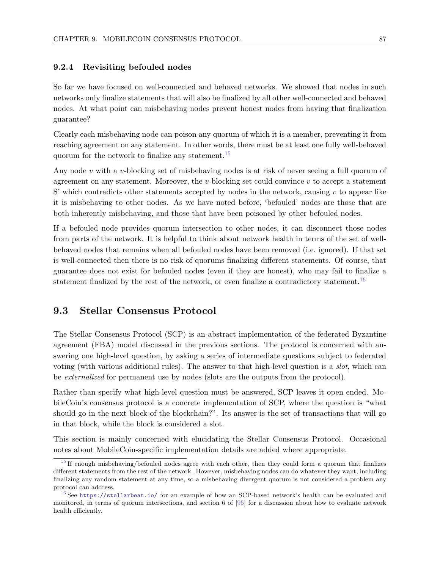## 9.2.4 Revisiting befouled nodes

So far we have focused on well-connected and behaved networks. We showed that nodes in such networks only finalize statements that will also be finalized by all other well-connected and behaved nodes. At what point can misbehaving nodes prevent honest nodes from having that finalization guarantee?

<span id="page-93-4"></span>Clearly each misbehaving node can poison any quorum of which it is a member, preventing it from reaching agreement on any statement. In other words, there must be at least one fully well-behaved quorum for the network to finalize any statement.[15](#page-93-2)

Any node  $v$  with a  $v$ -blocking set of misbehaving nodes is at risk of never seeing a full quorum of agreement on any statement. Moreover, the  $v$ -blocking set could convince  $v$  to accept a statement S' which contradicts other statements accepted by nodes in the network, causing  $v$  to appear like it is misbehaving to other nodes. As we have noted before, 'befouled' nodes are those that are both inherently misbehaving, and those that have been poisoned by other befouled nodes.

If a befouled node provides quorum intersection to other nodes, it can disconnect those nodes from parts of the network. It is helpful to think about network health in terms of the set of wellbehaved nodes that remains when all befouled nodes have been removed (i.e. ignored). If that set is well-connected then there is no risk of quorums finalizing different statements. Of course, that guarantee does not exist for befouled nodes (even if they are honest), who may fail to finalize a statement finalized by the rest of the network, or even finalize a contradictory statement.<sup>[16](#page-93-3)</sup>

# <span id="page-93-5"></span><span id="page-93-1"></span>9.3 Stellar Consensus Protocol

The Stellar Consensus Protocol (SCP) is an abstract implementation of the federated Byzantine agreement (FBA) model discussed in the previous sections. The protocol is concerned with answering one high-level question, by asking a series of intermediate questions subject to federated voting (with various additional rules). The answer to that high-level question is a *slot*, which can be externalized for permanent use by nodes (slots are the outputs from the protocol).

Rather than specify what high-level question must be answered, SCP leaves it open ended. MobileCoin's consensus protocol is a concrete implementation of SCP, where the question is "what should go in the next block of the blockchain?". Its answer is the set of transactions that will go in that block, while the block is considered a slot.

This section is mainly concerned with elucidating the Stellar Consensus Protocol. Occasional notes about MobileCoin-specific implementation details are added where appropriate.

<span id="page-93-2"></span><span id="page-93-0"></span><sup>&</sup>lt;sup>[15](#page-93-4)</sup> If enough misbehaving/befouled nodes agree with each other, then they could form a quorum that finalizes different statements from the rest of the network. However, misbehaving nodes can do whatever they want, including finalizing any random statement at any time, so a misbehaving divergent quorum is not considered a problem any protocol can address.

<span id="page-93-3"></span><sup>&</sup>lt;sup>[16](#page-93-5)</sup> See <https://stellarbeat.io/> for an example of how an SCP-based network's health can be evaluated and monitored, in terms of quorum intersections, and section 6 of [\[95\]](#page-126-2) for a discussion about how to evaluate network health efficiently.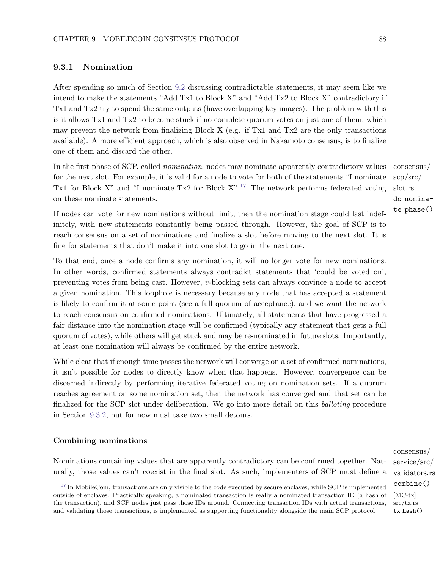# 9.3.1 Nomination

After spending so much of Section [9.2](#page-89-3) discussing contradictable statements, it may seem like we intend to make the statements "Add Tx1 to Block X" and "Add Tx2 to Block X" contradictory if Tx1 and Tx2 try to spend the same outputs (have overlapping key images). The problem with this is it allows Tx1 and Tx2 to become stuck if no complete quorum votes on just one of them, which may prevent the network from finalizing Block X (e.g. if Tx1 and Tx2 are the only transactions available). A more efficient approach, which is also observed in Nakamoto consensus, is to finalize one of them and discard the other.

<span id="page-94-1"></span>In the first phase of SCP, called *nomination*, nodes may nominate apparently contradictory values consensus/ for the next slot. For example, it is valid for a node to vote for both of the statements "I nominate Tx1 for Block X" and "I nominate Tx2 for Block  $X$ ".<sup>[17](#page-94-0)</sup> The network performs federated voting on these nominate statements.

If nodes can vote for new nominations without limit, then the nomination stage could last indefinitely, with new statements constantly being passed through. However, the goal of SCP is to reach consensus on a set of nominations and finalize a slot before moving to the next slot. It is fine for statements that don't make it into one slot to go in the next one.

To that end, once a node confirms any nomination, it will no longer vote for new nominations. In other words, confirmed statements always contradict statements that 'could be voted on', preventing votes from being cast. However, v-blocking sets can always convince a node to accept a given nomination. This loophole is necessary because any node that has accepted a statement is likely to confirm it at some point (see a full quorum of acceptance), and we want the network to reach consensus on confirmed nominations. Ultimately, all statements that have progressed a fair distance into the nomination stage will be confirmed (typically any statement that gets a full quorum of votes), while others will get stuck and may be re-nominated in future slots. Importantly, at least one nomination will always be confirmed by the entire network.

While clear that if enough time passes the network will converge on a set of confirmed nominations, it isn't possible for nodes to directly know when that happens. However, convergence can be discerned indirectly by performing iterative federated voting on nomination sets. If a quorum reaches agreement on some nomination set, then the network has converged and that set can be finalized for the SCP slot under deliberation. We go into more detail on this balloting procedure in Section [9.3.2,](#page-96-0) but for now must take two small detours.

#### Combining nominations

Nominations containing values that are apparently contradictory can be confirmed together. Naturally, those values can't coexist in the final slot. As such, implementers of SCP must define a

consensus/ service/src/ validators.rs combine() src/tx.rs tx hash()

<span id="page-94-0"></span> $17$  In MobileCoin, transactions are only visible to the code executed by secure enclaves, while SCP is implemented outside of enclaves. Practically speaking, a nominated transaction is really a nominated transaction ID (a hash of  $[MC-tx]$ the transaction), and SCP nodes just pass those IDs around. Connecting transaction IDs with actual transactions, and validating those transactions, is implemented as supporting functionality alongside the main SCP protocol.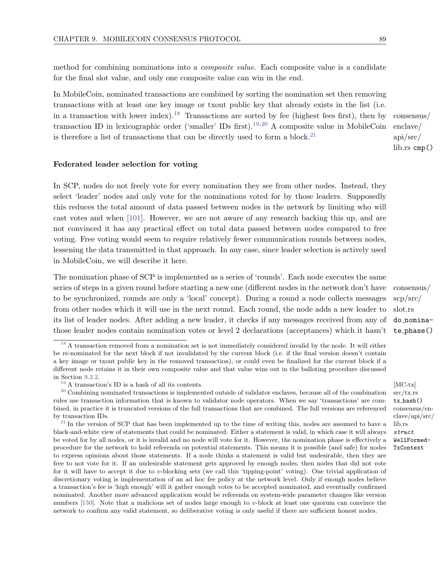method for combining nominations into a composite value. Each composite value is a candidate for the final slot value, and only one composite value can win in the end.

<span id="page-95-4"></span>In MobileCoin, nominated transactions are combined by sorting the nomination set then removing transactions with at least one key image or txout public key that already exists in the list (i.e. in a transaction with lower index).<sup>[18](#page-95-0)</sup> Transactions are sorted by fee (highest fees first), then by consensus/ enclave/ transaction ID in lexicographic order ('smaller' IDs first).<sup>[19,](#page-95-1)[20](#page-95-2)</sup> A composite value in MobileCoin is therefore a list of transactions that can be directly used to form a block.<sup>[21](#page-95-3)</sup>

<span id="page-95-7"></span><span id="page-95-6"></span><span id="page-95-5"></span>api/src/ lib.rs cmp()

### Federated leader selection for voting

In SCP, nodes do not freely vote for every nomination they see from other nodes. Instead, they select 'leader' nodes and only vote for the nominations voted for by those leaders. Supposedly this reduces the total amount of data passed between nodes in the network by limiting who will cast votes and when [\[101\]](#page-126-0). However, we are not aware of any research backing this up, and are not convinced it has any practical effect on total data passed between nodes compared to free voting. Free voting would seem to require relatively fewer communication rounds between nodes, lessening the data transmitted in that approach. In any case, since leader selection is actively used in MobileCoin, we will describe it here.

The nomination phase of SCP is implemented as a series of 'rounds'. Each node executes the same series of steps in a given round before starting a new one (different nodes in the network don't have consensus/ to be synchronized, rounds are only a 'local' concept). During a round a node collects messages from other nodes which it will use in the next round. Each round, the node adds a new leader to its list of leader nodes. After adding a new leader, it checks if any messages received from any of those leader nodes contain nomination votes or level 2 declarations (acceptances) which it hasn't

scp/src/ slot.rs do nominate phase()

src/tx.rs tx hash()

lib.rs struct WellFormed-TxContext

clave/api/src/

<span id="page-95-0"></span> $18$  A transaction removed from a nomination set is not immediately considered invalid by the node. It will either be re-nominated for the next block if not invalidated by the current block (i.e. if the final version doesn't contain a key image or txout public key in the removed transaction), or could even be finalized for the current block if a different node retains it in their own composite value and that value wins out in the balloting procedure discussed in Section [9.3.2.](#page-96-0)

<span id="page-95-2"></span><span id="page-95-1"></span><sup>&</sup>lt;sup>[19](#page-95-5)</sup> A transaction's ID is a hash of all its contents.  $[MC-tx]$ 

 $20$  Combining nominated transactions is implemented outside of validator enclaves, because all of the combination rules use transaction information that is known to validator node operators. When we say 'transactions' are combined, in practice it is truncated versions of the full transactions that are combined. The full versions are referenced consensus/enby transaction IDs.

<span id="page-95-3"></span> $21$  In the version of SCP that has been implemented up to the time of writing this, nodes are assumed to have a black-and-white view of statements that could be nominated. Either a statement is valid, in which case it will always be voted for by all nodes, or it is invalid and no node will vote for it. However, the nomination phase is effectively a procedure for the network to hold referenda on potential statements. This means it is possible (and safe) for nodes to express opinions about those statements. If a node thinks a statement is valid but undesirable, then they are free to not vote for it. If an undesirable statement gets approved by enough nodes, then nodes that did not vote for it will have to accept it due to v-blocking sets (we call this 'tipping-point' voting). One trivial application of discretionary voting is implementation of an ad hoc fee policy at the network level. Only if enough nodes believe a transaction's fee is 'high enough' will it gather enough votes to be accepted nominated, and eventually confirmed nominated. Another more advanced application would be referenda on system-wide parameter changes like version numbers [\[150\]](#page-128-2). Note that a malicious set of nodes large enough to v-block at least one quorum can convince the network to confirm any valid statement, so deliberative voting is only useful if there are sufficient honest nodes.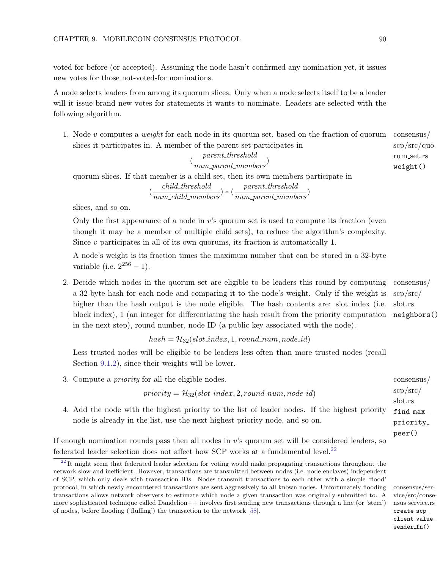voted for before (or accepted). Assuming the node hasn't confirmed any nomination yet, it issues new votes for those not-voted-for nominations.

A node selects leaders from among its quorum slices. Only when a node selects itself to be a leader will it issue brand new votes for statements it wants to nominate. Leaders are selected with the following algorithm.

1. Node v computes a weight for each node in its quorum set, based on the fraction of quorum consensus/ scp/src/quoslices it participates in. A member of the parent set participates in

$$
(\frac{parent\_threshold}{num\_parent\_members})
$$

quorum slices. If that member is a child set, then its own members participate in

$$
(\frac{child\_threshold}{num\_child\_members}) * (\frac{parent\_threshold}{num\_parent\_members})
$$

slices, and so on.

Only the first appearance of a node in  $v$ 's quorum set is used to compute its fraction (even though it may be a member of multiple child sets), to reduce the algorithm's complexity. Since  $v$  participates in all of its own quorums, its fraction is automatically 1.

A node's weight is its fraction times the maximum number that can be stored in a 32-byte variable (i.e.  $2^{256} - 1$ ).

2. Decide which nodes in the quorum set are eligible to be leaders this round by computing consensus/ slot.rs a 32-byte hash for each node and comparing it to the node's weight. Only if the weight is higher than the hash output is the node eligible. The hash contents are: slot index (i.e. block index), 1 (an integer for differentiating the hash result from the priority computation in the next step), round number, node ID (a public key associated with the node).

 $hash = H_{32}(slot\_index, 1, round\_num, node\_id)$ 

Less trusted nodes will be eligible to be leaders less often than more trusted nodes (recall Section [9.1.2\)](#page-89-2), since their weights will be lower.

3. Compute a *priority* for all the eligible nodes. consensus/

 $priority = H_{32}(slot_index, 2, round_number, node_id)$ 

find max priority 4. Add the node with the highest priority to the list of leader nodes. If the highest priority node is already in the list, use the next highest priority node, and so on.

If enough nomination rounds pass then all nodes in  $v$ 's quorum set will be considered leaders, so federated leader selection does not affect how SCP works at a fundamental level.[22](#page-96-1)

vice/src/consensus service.rs create\_scp\_ client\_value\_  $sender_fn()$ 

rum set.rs weight()

scp/src/ neighbors()

scp/src/ slot.rs

<span id="page-96-2"></span>peer()

<span id="page-96-1"></span><span id="page-96-0"></span> $^{22}$  $^{22}$  $^{22}$  It might seem that federated leader selection for voting would make propagating transactions throughout the network slow and inefficient. However, transactions are transmitted between nodes (i.e. node enclaves) independent of SCP, which only deals with transaction IDs. Nodes transmit transactions to each other with a simple 'flood' protocol, in which newly encountered transactions are sent aggressively to all known nodes. Unfortunately flooding consensus/sertransactions allows network observers to estimate which node a given transaction was originally submitted to. A more sophisticated technique called Dandelion++ involves first sending new transactions through a line (or 'stem') of nodes, before flooding ('fluffing') the transaction to the network [\[58\]](#page-124-2).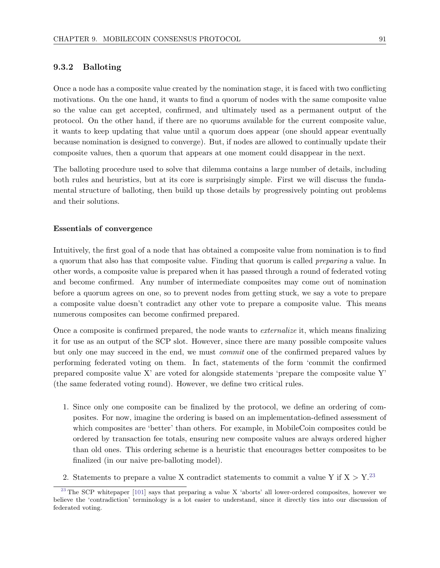# 9.3.2 Balloting

Once a node has a composite value created by the nomination stage, it is faced with two conflicting motivations. On the one hand, it wants to find a quorum of nodes with the same composite value so the value can get accepted, confirmed, and ultimately used as a permanent output of the protocol. On the other hand, if there are no quorums available for the current composite value, it wants to keep updating that value until a quorum does appear (one should appear eventually because nomination is designed to converge). But, if nodes are allowed to continually update their composite values, then a quorum that appears at one moment could disappear in the next.

The balloting procedure used to solve that dilemma contains a large number of details, including both rules and heuristics, but at its core is surprisingly simple. First we will discuss the fundamental structure of balloting, then build up those details by progressively pointing out problems and their solutions.

#### Essentials of convergence

Intuitively, the first goal of a node that has obtained a composite value from nomination is to find a quorum that also has that composite value. Finding that quorum is called preparing a value. In other words, a composite value is prepared when it has passed through a round of federated voting and become confirmed. Any number of intermediate composites may come out of nomination before a quorum agrees on one, so to prevent nodes from getting stuck, we say a vote to prepare a composite value doesn't contradict any other vote to prepare a composite value. This means numerous composites can become confirmed prepared.

Once a composite is confirmed prepared, the node wants to externalize it, which means finalizing it for use as an output of the SCP slot. However, since there are many possible composite values but only one may succeed in the end, we must commit one of the confirmed prepared values by performing federated voting on them. In fact, statements of the form 'commit the confirmed prepared composite value X' are voted for alongside statements 'prepare the composite value Y' (the same federated voting round). However, we define two critical rules.

- 1. Since only one composite can be finalized by the protocol, we define an ordering of composites. For now, imagine the ordering is based on an implementation-defined assessment of which composites are 'better' than others. For example, in MobileCoin composites could be ordered by transaction fee totals, ensuring new composite values are always ordered higher than old ones. This ordering scheme is a heuristic that encourages better composites to be finalized (in our naive pre-balloting model).
- <span id="page-97-1"></span><span id="page-97-0"></span>2. Statements to prepare a value X contradict statements to commit a value Y if  $X > Y^{23}$  $X > Y^{23}$  $X > Y^{23}$

<sup>&</sup>lt;sup>[23](#page-97-1)</sup> The SCP whitepaper  $[101]$  says that preparing a value X 'aborts' all lower-ordered composites, however we believe the 'contradiction' terminology is a lot easier to understand, since it directly ties into our discussion of federated voting.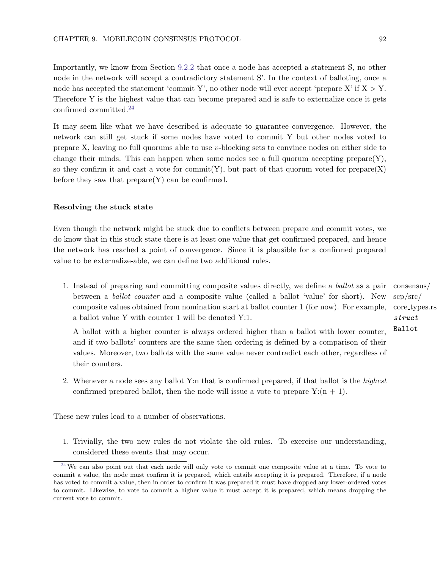Importantly, we know from Section [9.2.2](#page-90-2) that once a node has accepted a statement S, no other node in the network will accept a contradictory statement S'. In the context of balloting, once a node has accepted the statement 'commit Y', no other node will ever accept 'prepare X' if  $X > Y$ . Therefore Y is the highest value that can become prepared and is safe to externalize once it gets confirmed committed.[24](#page-98-0)

<span id="page-98-1"></span>It may seem like what we have described is adequate to guarantee convergence. However, the network can still get stuck if some nodes have voted to commit Y but other nodes voted to prepare X, leaving no full quorums able to use v-blocking sets to convince nodes on either side to change their minds. This can happen when some nodes see a full quorum accepting prepare $(Y)$ , so they confirm it and cast a vote for commit(Y), but part of that quorum voted for prepare(X) before they saw that  $prepare(Y)$  can be confirmed.

#### Resolving the stuck state

Even though the network might be stuck due to conflicts between prepare and commit votes, we do know that in this stuck state there is at least one value that get confirmed prepared, and hence the network has reached a point of convergence. Since it is plausible for a confirmed prepared value to be externalize-able, we can define two additional rules.

1. Instead of preparing and committing composite values directly, we define a ballot as a pair consensus/ between a ballot counter and a composite value (called a ballot 'value' for short). New composite values obtained from nomination start at ballot counter 1 (for now). For example, a ballot value Y with counter 1 will be denoted Y:1.

A ballot with a higher counter is always ordered higher than a ballot with lower counter, and if two ballots' counters are the same then ordering is defined by a comparison of their values. Moreover, two ballots with the same value never contradict each other, regardless of their counters.

2. Whenever a node sees any ballot Y:n that is confirmed prepared, if that ballot is the highest confirmed prepared ballot, then the node will issue a vote to prepare  $Y:(n + 1)$ .

These new rules lead to a number of observations.

1. Trivially, the two new rules do not violate the old rules. To exercise our understanding, considered these events that may occur.

scp/src/ core types.rs struct Ballot

<span id="page-98-0"></span> $24$  We can also point out that each node will only vote to commit one composite value at a time. To vote to commit a value, the node must confirm it is prepared, which entails accepting it is prepared. Therefore, if a node has voted to commit a value, then in order to confirm it was prepared it must have dropped any lower-ordered votes to commit. Likewise, to vote to commit a higher value it must accept it is prepared, which means dropping the current vote to commit.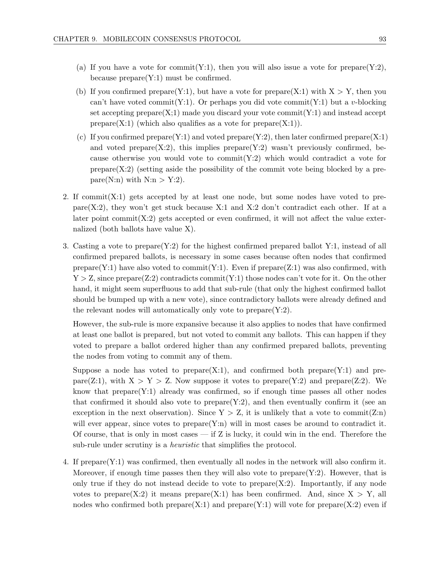- (a) If you have a vote for commit(Y:1), then you will also issue a vote for prepare(Y:2), because  $prepare(Y:1)$  must be confirmed.
- (b) If you confirmed prepare(Y:1), but have a vote for prepare(X:1) with  $X > Y$ , then you can't have voted commit  $(Y:1)$ . Or perhaps you did vote commit  $(Y:1)$  but a v-blocking set accepting  $prepare(X;1)$  made you discard your vote commit $(Y:1)$  and instead accept prepare $(X:1)$  (which also qualifies as a vote for prepare $(X:1)$ ).
- (c) If you confirmed prepare $(Y:1)$  and voted prepare $(Y:2)$ , then later confirmed prepare $(X:1)$ and voted prepare $(X:2)$ , this implies prepare $(Y:2)$  wasn't previously confirmed, because otherwise you would vote to commit  $(Y:2)$  which would contradict a vote for  $prepare(X:2)$  (setting aside the possibility of the commit vote being blocked by a prepare(N:n) with  $N:n > Y:2$ ).
- 2. If commit  $(X:1)$  gets accepted by at least one node, but some nodes have voted to prepare(X:2), they won't get stuck because X:1 and X:2 don't contradict each other. If at a later point commit $(X:2)$  gets accepted or even confirmed, it will not affect the value externalized (both ballots have value X).
- 3. Casting a vote to prepare(Y:2) for the highest confirmed prepared ballot Y:1, instead of all confirmed prepared ballots, is necessary in some cases because often nodes that confirmed prepare(Y:1) have also voted to commit(Y:1). Even if  $prepare(Z:1)$  was also confirmed, with  $Y > Z$ , since prepare(Z:2) contradicts commit(Y:1) those nodes can't vote for it. On the other hand, it might seem superfluous to add that sub-rule (that only the highest confirmed ballot should be bumped up with a new vote), since contradictory ballots were already defined and the relevant nodes will automatically only vote to  $prepare(Y:2)$ .

However, the sub-rule is more expansive because it also applies to nodes that have confirmed at least one ballot is prepared, but not voted to commit any ballots. This can happen if they voted to prepare a ballot ordered higher than any confirmed prepared ballots, preventing the nodes from voting to commit any of them.

Suppose a node has voted to prepare $(X:1)$ , and confirmed both prepare $(Y:1)$  and prepare(Z:1), with  $X > Y > Z$ . Now suppose it votes to prepare(Y:2) and prepare(Z:2). We know that prepare $(Y:1)$  already was confirmed, so if enough time passes all other nodes that confirmed it should also vote to  $prepare(Y:2)$ , and then eventually confirm it (see an exception in the next observation). Since  $Y > Z$ , it is unlikely that a vote to commit(Z:n) will ever appear, since votes to prepare $(Y:n)$  will in most cases be around to contradict it. Of course, that is only in most cases — if Z is lucky, it could win in the end. Therefore the sub-rule under scrutiny is a *heuristic* that simplifies the protocol.

4. If  $prepare(Y:1)$  was confirmed, then eventually all nodes in the network will also confirm it. Moreover, if enough time passes then they will also vote to  $prepare(Y:2)$ . However, that is only true if they do not instead decide to vote to  $prepare(X:2)$ . Importantly, if any node votes to prepare $(X:2)$  it means prepare $(X:1)$  has been confirmed. And, since  $X > Y$ , all nodes who confirmed both prepare $(X:1)$  and prepare $(Y:1)$  will vote for prepare $(X:2)$  even if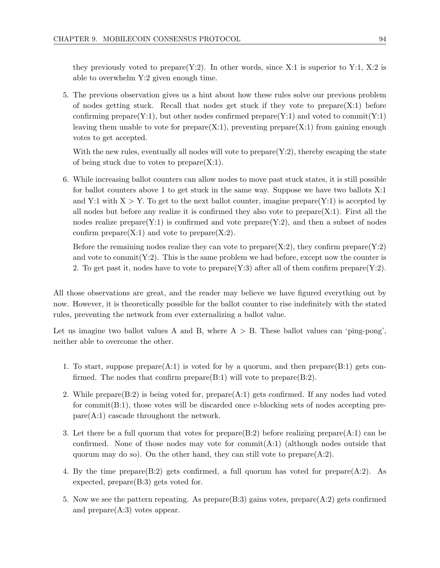they previously voted to prepare(Y:2). In other words, since X:1 is superior to Y:1, X:2 is able to overwhelm Y:2 given enough time.

5. The previous observation gives us a hint about how these rules solve our previous problem of nodes getting stuck. Recall that nodes get stuck if they vote to  $prepare(X:1)$  before confirming prepare(Y:1), but other nodes confirmed prepare(Y:1) and voted to commit(Y:1) leaving them unable to vote for  $prepare(X:1)$ , preventing  $prepare(X:1)$  from gaining enough votes to get accepted.

With the new rules, eventually all nodes will vote to  $prepare(Y:2)$ , thereby escaping the state of being stuck due to votes to prepare $(X:1)$ .

6. While increasing ballot counters can allow nodes to move past stuck states, it is still possible for ballot counters above 1 to get stuck in the same way. Suppose we have two ballots X:1 and Y:1 with  $X > Y$ . To get to the next ballot counter, imagine prepare(Y:1) is accepted by all nodes but before any realize it is confirmed they also vote to  $prepare(X:1)$ . First all the nodes realize prepare $(Y:1)$  is confirmed and vote prepare $(Y:2)$ , and then a subset of nodes confirm  $prepare(X:1)$  and vote to  $prepare(X:2)$ .

Before the remaining nodes realize they can vote to  $prepare(X:2)$ , they confirm  $prepare(Y:2)$ and vote to commit  $(Y:2)$ . This is the same problem we had before, except now the counter is 2. To get past it, nodes have to vote to prepare $(Y:3)$  after all of them confirm prepare $(Y:2)$ .

All those observations are great, and the reader may believe we have figured everything out by now. However, it is theoretically possible for the ballot counter to rise indefinitely with the stated rules, preventing the network from ever externalizing a ballot value.

Let us imagine two ballot values A and B, where  $A > B$ . These ballot values can 'ping-pong', neither able to overcome the other.

- 1. To start, suppose prepare $(A:1)$  is voted for by a quorum, and then prepare $(B:1)$  gets confirmed. The nodes that confirm prepare $(B:1)$  will vote to prepare $(B:2)$ .
- 2. While prepare $(B:2)$  is being voted for, prepare $(A:1)$  gets confirmed. If any nodes had voted for commit( $B:1$ ), those votes will be discarded once v-blocking sets of nodes accepting pre $pare(A:1)$  cascade throughout the network.
- 3. Let there be a full quorum that votes for prepare(B:2) before realizing prepare(A:1) can be confirmed. None of those nodes may vote for  $commit(A:1)$  (although nodes outside that quorum may do so). On the other hand, they can still vote to prepare $(A:2)$ .
- 4. By the time prepare(B:2) gets confirmed, a full quorum has voted for prepare(A:2). As expected, prepare(B:3) gets voted for.
- 5. Now we see the pattern repeating. As  $prepare(B:3)$  gains votes,  $prepare(A:2)$  gets confirmed and  $prepare(A:3)$  votes appear.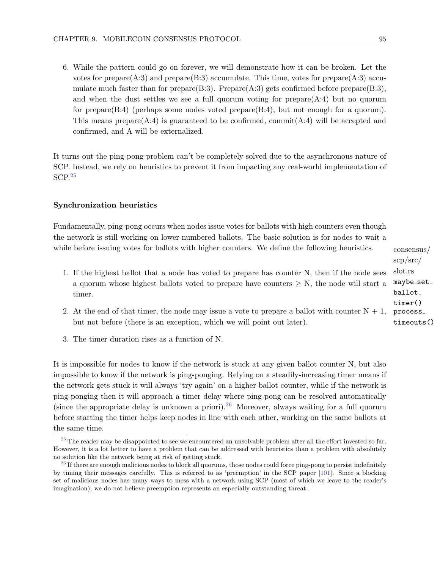6. While the pattern could go on forever, we will demonstrate how it can be broken. Let the votes for prepare $(A:3)$  and prepare $(B:3)$  accumulate. This time, votes for prepare $(A:3)$  accumulate much faster than for prepare(B:3). Prepare(A:3) gets confirmed before prepare(B:3), and when the dust settles we see a full quorum voting for prepare $(A:4)$  but no quorum for prepare $(B:4)$  (perhaps some nodes voted prepare $(B:4)$ , but not enough for a quorum). This means prepare $(A:4)$  is guaranteed to be confirmed, commit $(A:4)$  will be accepted and confirmed, and A will be externalized.

<span id="page-101-2"></span>It turns out the ping-pong problem can't be completely solved due to the asynchronous nature of SCP. Instead, we rely on heuristics to prevent it from impacting any real-world implementation of SCP.[25](#page-101-0)

#### Synchronization heuristics

Fundamentally, ping-pong occurs when nodes issue votes for ballots with high counters even though the network is still working on lower-numbered ballots. The basic solution is for nodes to wait a while before issuing votes for ballots with higher counters. We define the following heuristics.

- 1. If the highest ballot that a node has voted to prepare has counter N, then if the node sees a quorum whose highest ballots voted to prepare have counters  $\geq N$ , the node will start a timer.
- 2. At the end of that timer, the node may issue a vote to prepare a ballot with counter  $N + 1$ , process but not before (there is an exception, which we will point out later).
- <span id="page-101-3"></span>3. The timer duration rises as a function of N.

It is impossible for nodes to know if the network is stuck at any given ballot counter N, but also impossible to know if the network is ping-ponging. Relying on a steadily-increasing timer means if the network gets stuck it will always 'try again' on a higher ballot counter, while if the network is ping-ponging then it will approach a timer delay where ping-pong can be resolved automatically (since the appropriate delay is unknown a priori).<sup>[26](#page-101-1)</sup> Moreover, always waiting for a full quorum before starting the timer helps keep nodes in line with each other, working on the same ballots at the same time.

consensus/ scp/src/ slot.rs maybe\_set\_ ballot timer() timeouts()

<span id="page-101-0"></span> $25$  The reader may be disappointed to see we encountered an unsolvable problem after all the effort invested so far. However, it is a lot better to have a problem that can be addressed with heuristics than a problem with absolutely no solution like the network being at risk of getting stuck.

<span id="page-101-1"></span> $26$  If there are enough malicious nodes to block all quorums, those nodes could force ping-pong to persist indefinitely by timing their messages carefully. This is referred to as 'preemption' in the SCP paper [\[101\]](#page-126-0). Since a blocking set of malicious nodes has many ways to mess with a network using SCP (most of which we leave to the reader's imagination), we do not believe preemption represents an especially outstanding threat.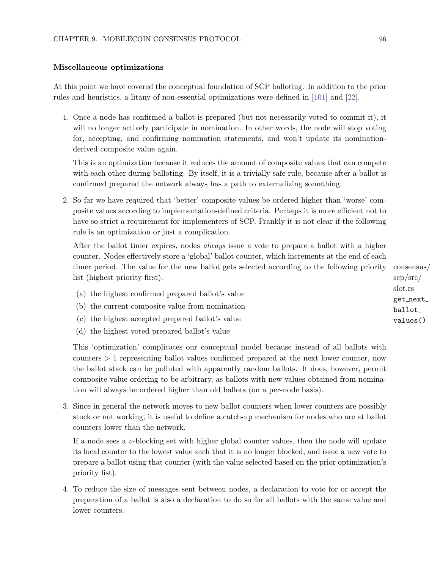#### Miscellaneous optimizations

At this point we have covered the conceptual foundation of SCP balloting. In addition to the prior rules and heuristics, a litany of non-essential optimizations were defined in [\[101\]](#page-126-0) and [\[22\]](#page-122-2).

1. Once a node has confirmed a ballot is prepared (but not necessarily voted to commit it), it will no longer actively participate in nomination. In other words, the node will stop voting for, accepting, and confirming nomination statements, and won't update its nominationderived composite value again.

This is an optimization because it reduces the amount of composite values that can compete with each other during balloting. By itself, it is a trivially safe rule, because after a ballot is confirmed prepared the network always has a path to externalizing something.

2. So far we have required that 'better' composite values be ordered higher than 'worse' composite values according to implementation-defined criteria. Perhaps it is more efficient not to have so strict a requirement for implementers of SCP. Frankly it is not clear if the following rule is an optimization or just a complication.

After the ballot timer expires, nodes always issue a vote to prepare a ballot with a higher counter. Nodes effectively store a 'global' ballot counter, which increments at the end of each timer period. The value for the new ballot gets selected according to the following priority consensus/ list (highest priority first).

- (a) the highest confirmed prepared ballot's value
- (b) the current composite value from nomination
- (c) the highest accepted prepared ballot's value
- (d) the highest voted prepared ballot's value

This 'optimization' complicates our conceptual model because instead of all ballots with counters > 1 representing ballot values confirmed prepared at the next lower counter, now the ballot stack can be polluted with apparently random ballots. It does, however, permit composite value ordering to be arbitrary, as ballots with new values obtained from nomination will always be ordered higher than old ballots (on a per-node basis).

3. Since in general the network moves to new ballot counters when lower counters are possibly stuck or not working, it is useful to define a catch-up mechanism for nodes who are at ballot counters lower than the network.

If a node sees a v-blocking set with higher global counter values, then the node will update its local counter to the lowest value such that it is no longer blocked, and issue a new vote to prepare a ballot using that counter (with the value selected based on the prior optimization's priority list).

4. To reduce the size of messages sent between nodes, a declaration to vote for or accept the preparation of a ballot is also a declaration to do so for all ballots with the same value and lower counters.

scp/src/ slot.rs get next ballot values()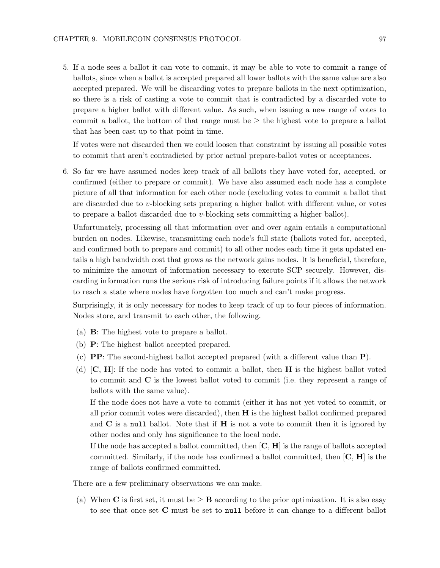5. If a node sees a ballot it can vote to commit, it may be able to vote to commit a range of ballots, since when a ballot is accepted prepared all lower ballots with the same value are also accepted prepared. We will be discarding votes to prepare ballots in the next optimization, so there is a risk of casting a vote to commit that is contradicted by a discarded vote to prepare a higher ballot with different value. As such, when issuing a new range of votes to commit a ballot, the bottom of that range must be ≥ the highest vote to prepare a ballot that has been cast up to that point in time.

If votes were not discarded then we could loosen that constraint by issuing all possible votes to commit that aren't contradicted by prior actual prepare-ballot votes or acceptances.

6. So far we have assumed nodes keep track of all ballots they have voted for, accepted, or confirmed (either to prepare or commit). We have also assumed each node has a complete picture of all that information for each other node (excluding votes to commit a ballot that are discarded due to v-blocking sets preparing a higher ballot with different value, or votes to prepare a ballot discarded due to v-blocking sets committing a higher ballot).

Unfortunately, processing all that information over and over again entails a computational burden on nodes. Likewise, transmitting each node's full state (ballots voted for, accepted, and confirmed both to prepare and commit) to all other nodes each time it gets updated entails a high bandwidth cost that grows as the network gains nodes. It is beneficial, therefore, to minimize the amount of information necessary to execute SCP securely. However, discarding information runs the serious risk of introducing failure points if it allows the network to reach a state where nodes have forgotten too much and can't make progress.

Surprisingly, it is only necessary for nodes to keep track of up to four pieces of information. Nodes store, and transmit to each other, the following.

- (a) B: The highest vote to prepare a ballot.
- (b) P: The highest ballot accepted prepared.
- (c) PP: The second-highest ballot accepted prepared (with a different value than P).
- (d)  $\mathbf{C}, \mathbf{H}$ : If the node has voted to commit a ballot, then **H** is the highest ballot voted to commit and C is the lowest ballot voted to commit (i.e. they represent a range of ballots with the same value).

If the node does not have a vote to commit (either it has not yet voted to commit, or all prior commit votes were discarded), then H is the highest ballot confirmed prepared and  $C$  is a null ballot. Note that if  $H$  is not a vote to commit then it is ignored by other nodes and only has significance to the local node.

If the node has accepted a ballot committed, then  $[C, H]$  is the range of ballots accepted committed. Similarly, if the node has confirmed a ballot committed, then  $[C, H]$  is the range of ballots confirmed committed.

There are a few preliminary observations we can make.

(a) When C is first set, it must be  $\geq$  B according to the prior optimization. It is also easy to see that once set C must be set to null before it can change to a different ballot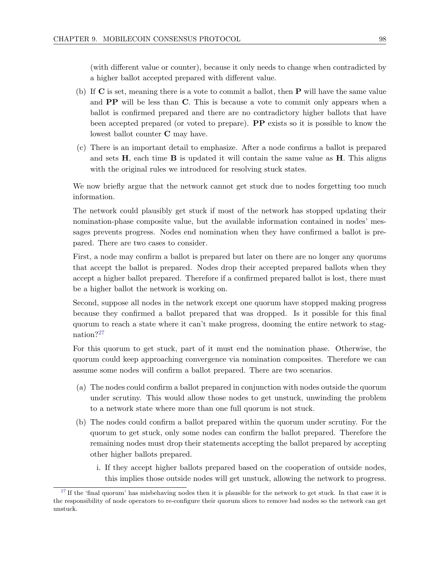(with different value or counter), because it only needs to change when contradicted by a higher ballot accepted prepared with different value.

- (b) If C is set, meaning there is a vote to commit a ballot, then P will have the same value and PP will be less than C. This is because a vote to commit only appears when a ballot is confirmed prepared and there are no contradictory higher ballots that have been accepted prepared (or voted to prepare). PP exists so it is possible to know the lowest ballot counter C may have.
- (c) There is an important detail to emphasize. After a node confirms a ballot is prepared and sets  $H$ , each time  $B$  is updated it will contain the same value as  $H$ . This aligns with the original rules we introduced for resolving stuck states.

We now briefly argue that the network cannot get stuck due to nodes forgetting too much information.

The network could plausibly get stuck if most of the network has stopped updating their nomination-phase composite value, but the available information contained in nodes' messages prevents progress. Nodes end nomination when they have confirmed a ballot is prepared. There are two cases to consider.

First, a node may confirm a ballot is prepared but later on there are no longer any quorums that accept the ballot is prepared. Nodes drop their accepted prepared ballots when they accept a higher ballot prepared. Therefore if a confirmed prepared ballot is lost, there must be a higher ballot the network is working on.

Second, suppose all nodes in the network except one quorum have stopped making progress because they confirmed a ballot prepared that was dropped. Is it possible for this final quorum to reach a state where it can't make progress, dooming the entire network to stagnation?[27](#page-104-0)

<span id="page-104-1"></span>For this quorum to get stuck, part of it must end the nomination phase. Otherwise, the quorum could keep approaching convergence via nomination composites. Therefore we can assume some nodes will confirm a ballot prepared. There are two scenarios.

- (a) The nodes could confirm a ballot prepared in conjunction with nodes outside the quorum under scrutiny. This would allow those nodes to get unstuck, unwinding the problem to a network state where more than one full quorum is not stuck.
- (b) The nodes could confirm a ballot prepared within the quorum under scrutiny. For the quorum to get stuck, only some nodes can confirm the ballot prepared. Therefore the remaining nodes must drop their statements accepting the ballot prepared by accepting other higher ballots prepared.
	- i. If they accept higher ballots prepared based on the cooperation of outside nodes, this implies those outside nodes will get unstuck, allowing the network to progress.

<span id="page-104-0"></span> $27$  If the 'final quorum' has misbehaving nodes then it is plausible for the network to get stuck. In that case it is the responsibility of node operators to re-configure their quorum slices to remove bad nodes so the network can get unstuck.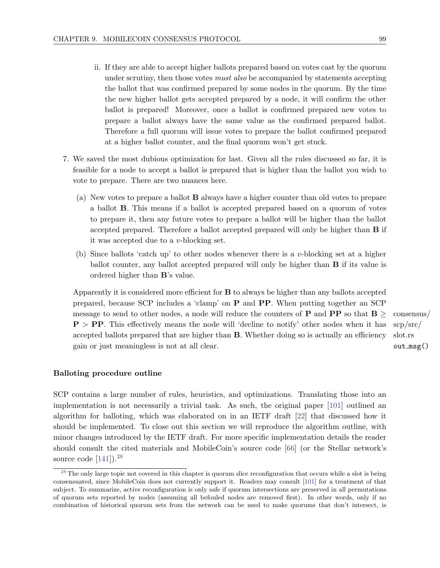- ii. If they are able to accept higher ballots prepared based on votes cast by the quorum under scrutiny, then those votes *must also* be accompanied by statements accepting the ballot that was confirmed prepared by some nodes in the quorum. By the time the new higher ballot gets accepted prepared by a node, it will confirm the other ballot is prepared! Moreover, once a ballot is confirmed prepared new votes to prepare a ballot always have the same value as the confirmed prepared ballot. Therefore a full quorum will issue votes to prepare the ballot confirmed prepared at a higher ballot counter, and the final quorum won't get stuck.
- 7. We saved the most dubious optimization for last. Given all the rules discussed so far, it is feasible for a node to accept a ballot is prepared that is higher than the ballot you wish to vote to prepare. There are two nuances here.
	- (a) New votes to prepare a ballot B always have a higher counter than old votes to prepare a ballot B. This means if a ballot is accepted prepared based on a quorum of votes to prepare it, then any future votes to prepare a ballot will be higher than the ballot accepted prepared. Therefore a ballot accepted prepared will only be higher than B if it was accepted due to a v-blocking set.
	- (b) Since ballots 'catch up' to other nodes whenever there is a v-blocking set at a higher ballot counter, any ballot accepted prepared will only be higher than B if its value is ordered higher than B's value.

Apparently it is considered more efficient for  $\bf{B}$  to always be higher than any ballots accepted prepared, because SCP includes a 'clamp' on P and PP. When putting together an SCP message to send to other nodes, a node will reduce the counters of **P** and **PP** so that  $B \geq \text{consensus}/B$  $P > PP$ . This effectively means the node will 'decline to notify' other nodes when it has accepted ballots prepared that are higher than **B**. Whether doing so is actually an efficiency gain or just meaningless is not at all clear.

scp/src/ slot.rs  $out_msg()$ 

#### Balloting procedure outline

SCP contains a large number of rules, heuristics, and optimizations. Translating those into an implementation is not necessarily a trivial task. As such, the original paper [\[101\]](#page-126-0) outlined an algorithm for balloting, which was elaborated on in an IETF draft [\[22\]](#page-122-2) that discussed how it should be implemented. To close out this section we will reproduce the algorithm outline, with minor changes introduced by the IETF draft. For more specific implementation details the reader should consult the cited materials and MobileCoin's source code [\[66\]](#page-124-0) (or the Stellar network's source code  $[141]$ .<sup>[28](#page-105-0)</sup>

<span id="page-105-1"></span><span id="page-105-0"></span><sup>&</sup>lt;sup>[28](#page-105-1)</sup> The only large topic not covered in this chapter is quorum slice reconfiguration that occurs while a slot is being consensuated, since MobileCoin does not currently support it. Readers may consult [\[101\]](#page-126-0) for a treatment of that subject. To summarize, active reconfiguration is only safe if quorum intersections are preserved in all permutations of quorum sets reported by nodes (assuming all befouled nodes are removed first). In other words, only if no combination of historical quorum sets from the network can be used to make quorums that don't intersect, is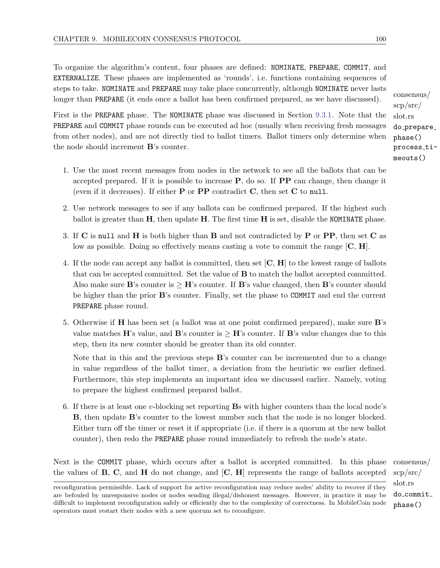To organize the algorithm's content, four phases are defined: NOMINATE, PREPARE, COMMIT, and EXTERNALIZE. These phases are implemented as 'rounds', i.e. functions containing sequences of steps to take. NOMINATE and PREPARE may take place concurrently, although NOMINATE never lasts longer than PREPARE (it ends once a ballot has been confirmed prepared, as we have discussed).

First is the PREPARE phase. The NOMINATE phase was discussed in Section [9.3.1.](#page-93-0) Note that the PREPARE and COMMIT phase rounds can be executed ad hoc (usually when receiving fresh messages from other nodes), and are not directly tied to ballot timers. Ballot timers only determine when the node should increment B's counter.

- 1. Use the most recent messages from nodes in the network to see all the ballots that can be accepted prepared. If it is possible to increase  $P$ , do so. If  $PP$  can change, then change it (even if it decreases). If either  $P$  or  $PP$  contradict  $C$ , then set  $C$  to null.
- 2. Use network messages to see if any ballots can be confirmed prepared. If the highest such ballot is greater than  $H$ , then update  $H$ . The first time  $H$  is set, disable the NOMINATE phase.
- 3. If  $\bf{C}$  is null and  $\bf{H}$  is both higher than  $\bf{B}$  and not contradicted by  $\bf{P}$  or  $\bf{PP}$ , then set  $\bf{C}$  as low as possible. Doing so effectively means casting a vote to commit the range  $[C, H]$ .
- 4. If the node can accept any ballot is committed, then set  $[\mathbf{C}, \mathbf{H}]$  to the lowest range of ballots that can be accepted committed. Set the value of B to match the ballot accepted committed. Also make sure **B**'s counter is  $\geq$  **H**'s counter. If **B**'s value changed, then **B**'s counter should be higher than the prior B's counter. Finally, set the phase to COMMIT and end the current PREPARE phase round.
- 5. Otherwise if H has been set (a ballot was at one point confirmed prepared), make sure B's value matches H's value, and B's counter is  $\geq$  H's counter. If B's value changes due to this step, then its new counter should be greater than its old counter.

Note that in this and the previous steps **B**'s counter can be incremented due to a change in value regardless of the ballot timer, a deviation from the heuristic we earlier defined. Furthermore, this step implements an important idea we discussed earlier. Namely, voting to prepare the highest confirmed prepared ballot.

6. If there is at least one v-blocking set reporting Bs with higher counters than the local node's B, then update B's counter to the lowest number such that the node is no longer blocked. Either turn off the timer or reset it if appropriate (i.e. if there is a quorum at the new ballot counter), then redo the PREPARE phase round immediately to refresh the node's state.

Next is the COMMIT phase, which occurs after a ballot is accepted committed. In this phase consensus/ the values of  $B$ ,  $C$ , and  $H$  do not change, and  $[C, H]$  represents the range of ballots accepted

consensus/ scp/src/ slot.rs do prepare phase() process timeouts()

scp/src/ slot.rs do commit phase()

reconfiguration permissible. Lack of support for active reconfiguration may reduce nodes' ability to recover if they are befouled by unresponsive nodes or nodes sending illegal/dishonest messages. However, in practice it may be difficult to implement reconfiguration safely or efficiently due to the complexity of correctness. In MobileCoin node operators must restart their nodes with a new quorum set to reconfigure.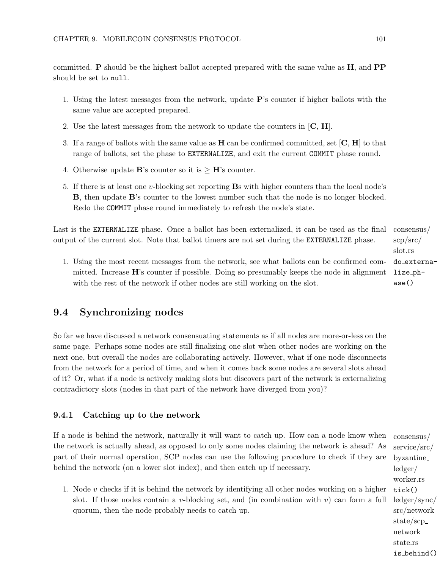committed. P should be the highest ballot accepted prepared with the same value as H, and PP should be set to null.

- 1. Using the latest messages from the network, update P's counter if higher ballots with the same value are accepted prepared.
- 2. Use the latest messages from the network to update the counters in  $[C, H]$ .
- 3. If a range of ballots with the same value as  $H$  can be confirmed committed, set  $[C, H]$  to that range of ballots, set the phase to EXTERNALIZE, and exit the current COMMIT phase round.
- 4. Otherwise update **B**'s counter so it is  $>$  **H**'s counter.
- 5. If there is at least one v-blocking set reporting Bs with higher counters than the local node's B, then update B's counter to the lowest number such that the node is no longer blocked. Redo the COMMIT phase round immediately to refresh the node's state.

Last is the **EXTERNALIZE** phase. Once a ballot has been externalized, it can be used as the final consensus/ output of the current slot. Note that ballot timers are not set during the EXTERNALIZE phase.

1. Using the most recent messages from the network, see what ballots can be confirmed committed. Increase  $\mathbf{H}$ 's counter if possible. Doing so presumably keeps the node in alignment with the rest of the network if other nodes are still working on the slot.

# 9.4 Synchronizing nodes

So far we have discussed a network consensuating statements as if all nodes are more-or-less on the same page. Perhaps some nodes are still finalizing one slot when other nodes are working on the next one, but overall the nodes are collaborating actively. However, what if one node disconnects from the network for a period of time, and when it comes back some nodes are several slots ahead of it? Or, what if a node is actively making slots but discovers part of the network is externalizing contradictory slots (nodes in that part of the network have diverged from you)?

# 9.4.1 Catching up to the network

If a node is behind the network, naturally it will want to catch up. How can a node know when the network is actually ahead, as opposed to only some nodes claiming the network is ahead? As part of their normal operation, SCP nodes can use the following procedure to check if they are behind the network (on a lower slot index), and then catch up if necessary.

1. Node  $v$  checks if it is behind the network by identifying all other nodes working on a higher slot. If those nodes contain a v-blocking set, and (in combination with  $v$ ) can form a full quorum, then the node probably needs to catch up.

scp/src/ slot.rs do externalize phase()

consensus/ service/src/ byzantine ledger/ worker.rs tick() ledger/sync/ src/network state/scp network state.rs is behind()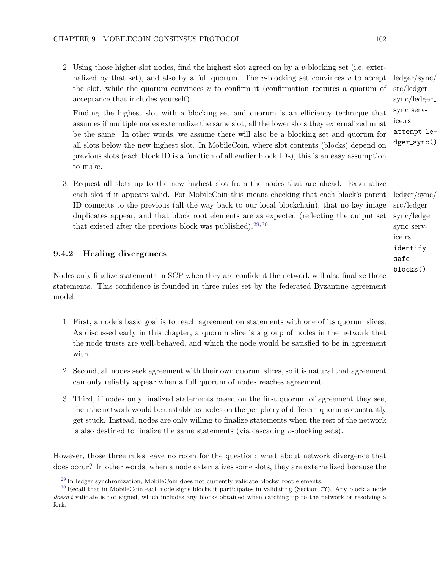2. Using those higher-slot nodes, find the highest slot agreed on by a v-blocking set (i.e. externalized by that set), and also by a full quorum. The v-blocking set convinces  $v$  to accept the slot, while the quorum convinces  $v$  to confirm it (confirmation requires a quorum of acceptance that includes yourself).

Finding the highest slot with a blocking set and quorum is an efficiency technique that assumes if multiple nodes externalize the same slot, all the lower slots they externalized must be the same. In other words, we assume there will also be a blocking set and quorum for all slots below the new highest slot. In MobileCoin, where slot contents (blocks) depend on previous slots (each block ID is a function of all earlier block IDs), this is an easy assumption to make.

3. Request all slots up to the new highest slot from the nodes that are ahead. Externalize each slot if it appears valid. For MobileCoin this means checking that each block's parent ID connects to the previous (all the way back to our local blockchain), that no key image duplicates appear, and that block root elements are as expected (reflecting the output set that existed after the previous block was published).<sup>[29](#page-108-0)[,30](#page-108-1)</sup>

#### 9.4.2 Healing divergences

Nodes only finalize statements in SCP when they are confident the network will also finalize those statements. This confidence is founded in three rules set by the federated Byzantine agreement model.

- 1. First, a node's basic goal is to reach agreement on statements with one of its quorum slices. As discussed early in this chapter, a quorum slice is a group of nodes in the network that the node trusts are well-behaved, and which the node would be satisfied to be in agreement with.
- 2. Second, all nodes seek agreement with their own quorum slices, so it is natural that agreement can only reliably appear when a full quorum of nodes reaches agreement.
- 3. Third, if nodes only finalized statements based on the first quorum of agreement they see, then the network would be unstable as nodes on the periphery of different quorums constantly get stuck. Instead, nodes are only willing to finalize statements when the rest of the network is also destined to finalize the same statements (via cascading  $v$ -blocking sets).

However, those three rules leave no room for the question: what about network divergence that does occur? In other words, when a node externalizes some slots, they are externalized because the

ledger/sync/ src/ledger sync/ledger sync service.rs attempt ledger\_sync()

<span id="page-108-3"></span><span id="page-108-2"></span>ledger/sync/ src/ledger sync/ledger sync service.rs identify safe blocks()

<span id="page-108-1"></span><span id="page-108-0"></span> $29$  In ledger synchronization, MobileCoin does not currently validate blocks' root elements.

<sup>&</sup>lt;sup>[30](#page-108-3)</sup> Recall that in MobileCoin each node signs blocks it participates in validating (Section ??). Any block a node doesn't validate is not signed, which includes any blocks obtained when catching up to the network or resolving a fork.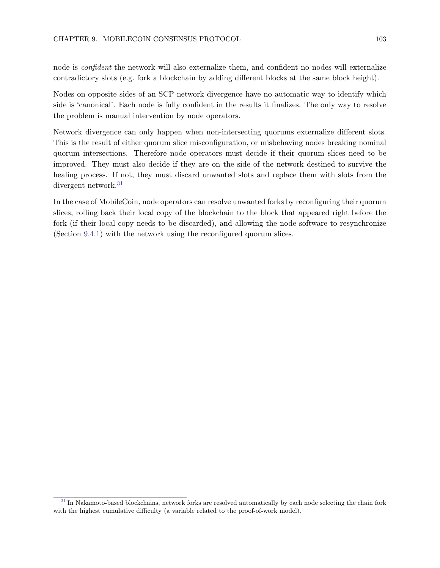node is confident the network will also externalize them, and confident no nodes will externalize contradictory slots (e.g. fork a blockchain by adding different blocks at the same block height).

Nodes on opposite sides of an SCP network divergence have no automatic way to identify which side is 'canonical'. Each node is fully confident in the results it finalizes. The only way to resolve the problem is manual intervention by node operators.

Network divergence can only happen when non-intersecting quorums externalize different slots. This is the result of either quorum slice misconfiguration, or misbehaving nodes breaking nominal quorum intersections. Therefore node operators must decide if their quorum slices need to be improved. They must also decide if they are on the side of the network destined to survive the healing process. If not, they must discard unwanted slots and replace them with slots from the divergent network.<sup>[31](#page-109-0)</sup>

<span id="page-109-1"></span>In the case of MobileCoin, node operators can resolve unwanted forks by reconfiguring their quorum slices, rolling back their local copy of the blockchain to the block that appeared right before the fork (if their local copy needs to be discarded), and allowing the node software to resynchronize (Section [9.4.1\)](#page-107-0) with the network using the reconfigured quorum slices.

<span id="page-109-0"></span><sup>&</sup>lt;sup>[31](#page-109-1)</sup> In Nakamoto-based blockchains, network forks are resolved automatically by each node selecting the chain fork with the highest cumulative difficulty (a variable related to the proof-of-work model).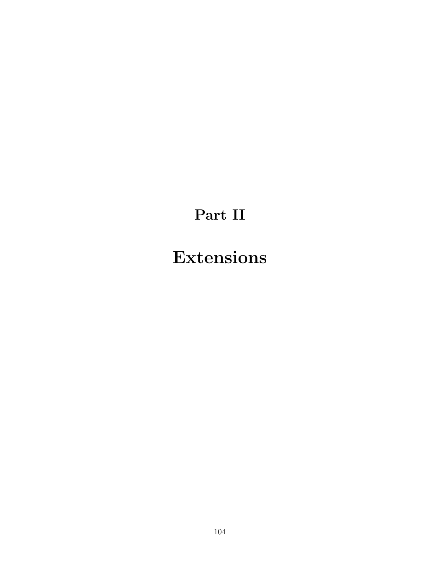## Part II

# Extensions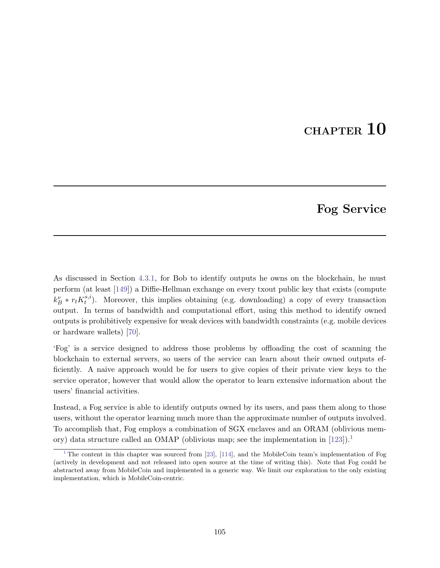## CHAPTER 10

### <span id="page-111-1"></span>Fog Service

As discussed in Section [4.3.1,](#page-46-0) for Bob to identify outputs he owns on the blockchain, he must perform (at least [\[149\]](#page-128-0)) a Diffie-Hellman exchange on every txout public key that exists (compute  $k_B^v * r_t K_t^{s,i}$  $t^{s,i}$ ). Moreover, this implies obtaining (e.g. downloading) a copy of every transaction output. In terms of bandwidth and computational effort, using this method to identify owned outputs is prohibitively expensive for weak devices with bandwidth constraints (e.g. mobile devices or hardware wallets) [\[70\]](#page-124-0).

'Fog' is a service designed to address those problems by offloading the cost of scanning the blockchain to external servers, so users of the service can learn about their owned outputs efficiently. A naive approach would be for users to give copies of their private view keys to the service operator, however that would allow the operator to learn extensive information about the users' financial activities.

Instead, a Fog service is able to identify outputs owned by its users, and pass them along to those users, without the operator learning much more than the approximate number of outputs involved. To accomplish that, Fog employs a combination of SGX enclaves and an ORAM (oblivious memory) data structure called an OMAP (oblivious map; see the implementation in  $[123]$ ).<sup>[1](#page-111-0)</sup>

<span id="page-111-2"></span><span id="page-111-0"></span> $1$ <sup>1</sup> The content in this chapter was sourced from [\[23\]](#page-122-0), [\[114\]](#page-127-1), and the MobileCoin team's implementation of Fog (actively in development and not released into open source at the time of writing this). Note that Fog could be abstracted away from MobileCoin and implemented in a generic way. We limit our exploration to the only existing implementation, which is MobileCoin-centric.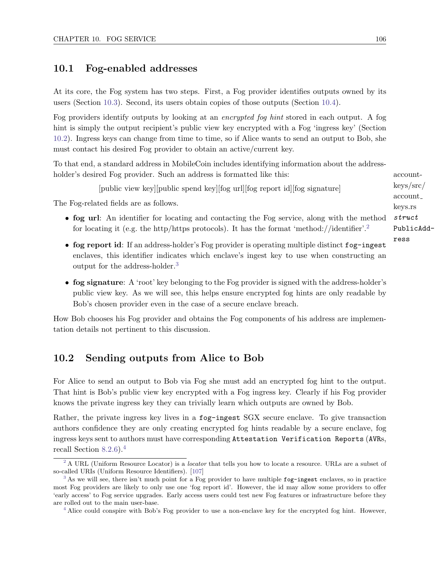#### 10.1 Fog-enabled addresses

At its core, the Fog system has two steps. First, a Fog provider identifies outputs owned by its users (Section [10.3\)](#page-114-0). Second, its users obtain copies of those outputs (Section [10.4\)](#page-118-0).

Fog providers identify outputs by looking at an encrypted fog hint stored in each output. A fog hint is simply the output recipient's public view key encrypted with a Fog 'ingress key' (Section [10.2\)](#page-112-0). Ingress keys can change from time to time, so if Alice wants to send an output to Bob, she must contact his desired Fog provider to obtain an active/current key.

To that end, a standard address in MobileCoin includes identifying information about the addressholder's desired Fog provider. Such an address is formatted like this: account-

<span id="page-112-5"></span>[public view key][public spend key][fog url][fog report id][fog signature]

The Fog-related fields are as follows.

- fog url: An identifier for locating and contacting the Fog service, along with the method for locating it (e.g. the http/https protocols). It has the format 'method://identifier'.<sup>[2](#page-112-1)</sup>
- fog report id: If an address-holder's Fog provider is operating multiple distinct fog-ingest enclaves, this identifier indicates which enclave's ingest key to use when constructing an output for the address-holder.[3](#page-112-2)
- fog signature: A 'root' key belonging to the Fog provider is signed with the address-holder's public view key. As we will see, this helps ensure encrypted fog hints are only readable by Bob's chosen provider even in the case of a secure enclave breach.

<span id="page-112-0"></span>How Bob chooses his Fog provider and obtains the Fog components of his address are implementation details not pertinent to this discussion.

#### 10.2 Sending outputs from Alice to Bob

For Alice to send an output to Bob via Fog she must add an encrypted fog hint to the output. That hint is Bob's public view key encrypted with a Fog ingress key. Clearly if his Fog provider knows the private ingress key they can trivially learn which outputs are owned by Bob.

Rather, the private ingress key lives in a fog-ingest SGX secure enclave. To give transaction authors confidence they are only creating encrypted fog hints readable by a secure enclave, fog ingress keys sent to authors must have corresponding Attestation Verification Reports (AVRs, recall Section [8.2.6\)](#page-83-0).[4](#page-112-3)

<span id="page-112-4"></span>keys/src/ account keys.rs struct PublicAddress

<span id="page-112-6"></span><span id="page-112-1"></span><sup>&</sup>lt;sup>[2](#page-112-4)</sup> A URL (Uniform Resource Locator) is a *locator* that tells you how to locate a resource. URLs are a subset of so-called URIs (Uniform Resource Identifiers). [\[107\]](#page-126-0)

<span id="page-112-2"></span><sup>&</sup>lt;sup>[3](#page-112-5)</sup> As we will see, there isn't much point for a Fog provider to have multiple fog-ingest enclaves, so in practice most Fog providers are likely to only use one 'fog report id'. However, the id may allow some providers to offer 'early access' to Fog service upgrades. Early access users could test new Fog features or infrastructure before they are rolled out to the main user-base.

<span id="page-112-3"></span><sup>&</sup>lt;sup>[4](#page-112-6)</sup> Alice could conspire with Bob's Fog provider to use a non-enclave key for the encrypted fog hint. However,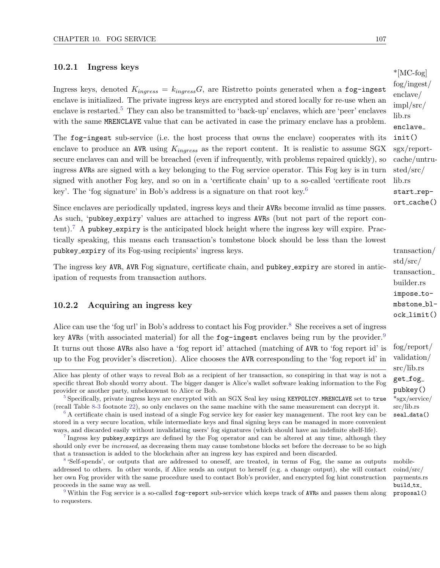#### 10.2.1 Ingress keys

<span id="page-113-5"></span>Ingress keys, denoted  $K_{ingress} = k_{ingress}G$ , are Ristretto points generated when a fog-ingest enclave is initialized. The private ingress keys are encrypted and stored locally for re-use when an enclave is restarted.<sup>[5](#page-113-0)</sup> They can also be transmitted to 'back-up' enclaves, which are 'peer' enclaves with the same MRENCLAVE value that can be activated in case the primary enclave has a problem.

The fog-ingest sub-service (i.e. the host process that owns the enclave) cooperates with its enclave to produce an AVR using  $K_{ingress}$  as the report content. It is realistic to assume SGX sgx/reportsecure enclaves can and will be breached (even if infrequently, with problems repaired quickly), so ingress AVRs are signed with a key belonging to the Fog service operator. This Fog key is in turn signed with another Fog key, and so on in a 'certificate chain' up to a so-called 'certificate root key'. The 'fog signature' in Bob's address is a signature on that root key.<sup>[6](#page-113-1)</sup>

<span id="page-113-7"></span>Since enclaves are periodically updated, ingress keys and their AVRs become invalid as time passes. As such, 'pubkey expiry' values are attached to ingress AVRs (but not part of the report con-tent).<sup>[7](#page-113-2)</sup> A pubkey expiry is the anticipated block height where the ingress key will expire. Practically speaking, this means each transaction's tombstone block should be less than the lowest pubkey\_expiry of its Fog-using recipients' ingress keys. transaction/

The ingress key AVR, AVR Fog signature, certificate chain, and pubkey expiry are stored in anticipation of requests from transaction authors.

#### 10.2.2 Acquiring an ingress key

Alice can use the 'fog url' in Bob's address to contact his Fog provider.<sup>[8](#page-113-3)</sup> She receives a set of ingress key AVRs (with associated material) for all the  $f$ og-ingest enclaves being run by the provider.<sup>[9](#page-113-4)</sup> It turns out those AVRs also have a 'fog report id' attached (matching of AVR to 'fog report id' is up to the Fog provider's discretion). Alice chooses the AVR corresponding to the 'fog report id' in

\*[MC-fog] fog/ingest/ enclave/ impl/src/ lib.rs enclave init() cache/untrusted/src/ lib.rs start\_rep $ort\_cache()$ 

<span id="page-113-6"></span>std/src/ transaction builder.rs impose\_tombstone block limit()

<span id="page-113-9"></span><span id="page-113-8"></span>fog/report/ validation/ src/lib.rs get\_fog\_ pubkey() src/lib.rs seal data()

coind/src/ payments.rs build\_tx\_ proposal()

Alice has plenty of other ways to reveal Bob as a recipient of her transaction, so conspiring in that way is not a specific threat Bob should worry about. The bigger danger is Alice's wallet software leaking information to the Fog provider or another party, unbeknownst to Alice or Bob.

<span id="page-113-0"></span><sup>&</sup>lt;sup>[5](#page-113-5)</sup> Specifically, private ingress keys are encrypted with an SGX Seal key using KEYPOLICY.MRENCLAVE set to true \*sgx/service/ (recall Table [8-3](#page-74-0) footnote [22\)](#page-74-1), so only enclaves on the same machine with the same measurement can decrypt it.

<span id="page-113-1"></span><sup>&</sup>lt;sup>[6](#page-113-6)</sup> A certificate chain is used instead of a single Fog service key for easier key management. The root key can be stored in a very secure location, while intermediate keys and final signing keys can be managed in more convenient ways, and discarded easily without invalidating users' fog signatures (which should have an indefinite shelf-life).

<span id="page-113-2"></span><sup>&</sup>lt;sup>[7](#page-113-7)</sup> Ingress key pubkey\_expirys are defined by the Fog operator and can be altered at any time, although they should only ever be *increased*, as decreasing them may cause tombstone blocks set before the decrease to be so high that a transaction is added to the blockchain after an ingress key has expired and been discarded.

<span id="page-113-3"></span><sup>&</sup>lt;sup>[8](#page-113-8)</sup> 'Self-spends', or outputs that are addressed to oneself, are treated, in terms of Fog, the same as outputs mobileaddressed to others. In other words, if Alice sends an output to herself (e.g. a change output), she will contact her own Fog provider with the same procedure used to contact Bob's provider, and encrypted fog hint construction proceeds in the same way as well.

<span id="page-113-4"></span>[<sup>9</sup>](#page-113-9) Within the Fog service is a so-called fog-report sub-service which keeps track of AVRs and passes them along to requesters.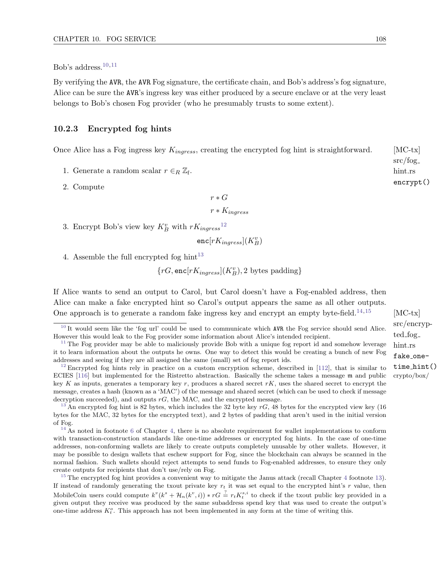<span id="page-114-8"></span><span id="page-114-7"></span>Bob's address.<sup>[10,](#page-114-1)[11](#page-114-2)</sup>

By verifying the AVR, the AVR Fog signature, the certificate chain, and Bob's address's fog signature, Alice can be sure the AVR's ingress key was either produced by a secure enclave or at the very least belongs to Bob's chosen Fog provider (who he presumably trusts to some extent).

#### <span id="page-114-13"></span>10.2.3 Encrypted fog hints

Once Alice has a Fog ingress key  $K_{ingress}$ , creating the encrypted fog hint is straightforward. [MC-tx]

- 1. Generate a random scalar  $r \in_R \mathbb{Z}_l$ .
- 2. Compute

 $r * G$ 

<span id="page-114-9"></span> $r * K_{in \, \text{arcsec}}$ 

3. Encrypt Bob's view key  $K_B^v$  with  $rK_{ingress}^{12}$  $rK_{ingress}^{12}$  $rK_{ingress}^{12}$ 

<span id="page-114-10"></span> $\mathsf{enc}[rK_{ingress}](K_B^v)$ 

4. Assemble the full encrypted fog hint<sup>[13](#page-114-4)</sup>

 $\{ {rG, \mathsf{enc}[rK_{ingress}](K_B^v), 2}$  bytes padding}

If Alice wants to send an output to Carol, but Carol doesn't have a Fog-enabled address, then Alice can make a fake encrypted hint so Carol's output appears the same as all other outputs. One approach is to generate a random fake ingress key and encrypt an empty byte-field.<sup>[14](#page-114-5)[,15](#page-114-6)</sup> [MC-tx]

<span id="page-114-12"></span><span id="page-114-11"></span>src/encrypted fog hint.rs fake onetime hint()

src/fog hint.rs encrypt()

<span id="page-114-1"></span><span id="page-114-0"></span><sup>&</sup>lt;sup>[10](#page-114-7)</sup> It would seem like the 'fog url' could be used to communicate which AVR the Fog service should send Alice. However this would leak to the Fog provider some information about Alice's intended recipient.

<span id="page-114-2"></span> $11$  The Fog provider may be able to maliciously provide Bob with a unique fog report id and somehow leverage it to learn information about the outputs he owns. One way to detect this would be creating a bunch of new Fog addresses and seeing if they are all assigned the same (small) set of fog report ids.

<span id="page-114-3"></span><sup>&</sup>lt;sup>[12](#page-114-9)</sup> Encrypted fog hints rely in practice on a custom encryption scheme, described in [\[112\]](#page-127-2), that is similar to ECIES [\[116\]](#page-127-3) but implemented for the Ristretto abstraction. Basically the scheme takes a message m and public crypto/box/ key K as inputs, generates a temporary key r, produces a shared secret rK, uses the shared secret to encrypt the message, creates a hash (known as a 'MAC') of the message and shared secret (which can be used to check if message decryption succeeded), and outputs  $rG$ , the MAC, and the encrypted message.

<span id="page-114-4"></span><sup>&</sup>lt;sup>[13](#page-114-10)</sup> An encrypted fog hint is 82 bytes, which includes the 32 byte key  $rG$ , 48 bytes for the encrypted view key (16) bytes for the MAC, 32 bytes for the encrypted text), and 2 bytes of padding that aren't used in the initial version of Fog.

<span id="page-114-5"></span> $14$  As noted in footnote [6](#page-44-0) of Chapter [4,](#page-43-0) there is no absolute requirement for wallet implementations to conform with transaction-construction standards like one-time addresses or encrypted fog hints. In the case of one-time addresses, non-conforming wallets are likely to create outputs completely unusable by other wallets. However, it may be possible to design wallets that eschew support for Fog, since the blockchain can always be scanned in the normal fashion. Such wallets should reject attempts to send funds to Fog-enabled addresses, to ensure they only create outputs for recipients that don't use/rely on Fog.

<span id="page-114-6"></span> $15$  The encrypted fog hint provides a convenient way to mitigate the Janus attack (recall Chapter [4](#page-43-0) footnote [13\)](#page-46-1). If instead of randomly generating the txout private key  $r_t$  it was set equal to the encrypted hint's r value, then MobileCoin users could compute  $k^v(k^s + \mathcal{H}_n(k^v, i)) * rG \stackrel{?}{=} r_t K_t^{s,i}$  to check if the txout public key provided in a given output they receive was produced by the same subaddress spend key that was used to create the output's one-time address  $K_t^o$ . This approach has not been implemented in any form at the time of writing this.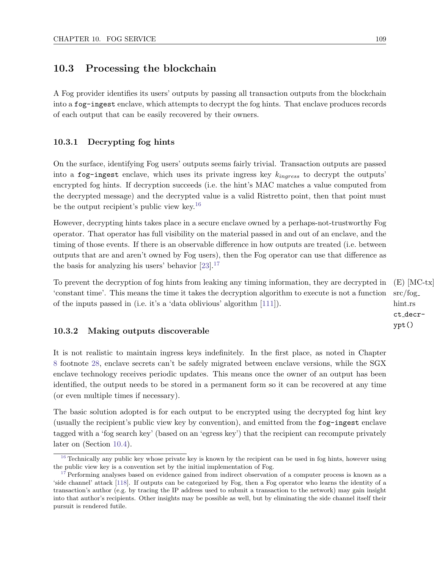#### 10.3 Processing the blockchain

A Fog provider identifies its users' outputs by passing all transaction outputs from the blockchain into a fog-ingest enclave, which attempts to decrypt the fog hints. That enclave produces records of each output that can be easily recovered by their owners.

#### 10.3.1 Decrypting fog hints

On the surface, identifying Fog users' outputs seems fairly trivial. Transaction outputs are passed into a fog-ingest enclave, which uses its private ingress key  $k_{ingress}$  to decrypt the outputs' encrypted fog hints. If decryption succeeds (i.e. the hint's MAC matches a value computed from the decrypted message) and the decrypted value is a valid Ristretto point, then that point must be the output recipient's public view key.<sup>[16](#page-115-0)</sup>

<span id="page-115-2"></span>However, decrypting hints takes place in a secure enclave owned by a perhaps-not-trustworthy Fog operator. That operator has full visibility on the material passed in and out of an enclave, and the timing of those events. If there is an observable difference in how outputs are treated (i.e. between outputs that are and aren't owned by Fog users), then the Fog operator can use that difference as the basis for analyzing his users' behavior  $[23]$ .<sup>[17](#page-115-1)</sup>

<span id="page-115-3"></span>To prevent the decryption of fog hints from leaking any timing information, they are decrypted in  $(E)$  [MC-tx] src/fog hint.rs 'constant time'. This means the time it takes the decryption algorithm to execute is not a function of the inputs passed in (i.e. it's a 'data oblivious' algorithm [\[111\]](#page-126-1)).

#### 10.3.2 Making outputs discoverable

It is not realistic to maintain ingress keys indefinitely. In the first place, as noted in Chapter [8](#page-67-0) footnote [28,](#page-76-0) enclave secrets can't be safely migrated between enclave versions, while the SGX enclave technology receives periodic updates. This means once the owner of an output has been identified, the output needs to be stored in a permanent form so it can be recovered at any time (or even multiple times if necessary).

The basic solution adopted is for each output to be encrypted using the decrypted fog hint key (usually the recipient's public view key by convention), and emitted from the fog-ingest enclave tagged with a 'fog search key' (based on an 'egress key') that the recipient can recompute privately later on (Section [10.4\)](#page-118-0).

ct decrypt()

<span id="page-115-0"></span> $16$  Technically any public key whose private key is known by the recipient can be used in fog hints, however using the public view key is a convention set by the initial implementation of Fog.

<span id="page-115-1"></span>[<sup>17</sup>](#page-115-3) Performing analyses based on evidence gained from indirect observation of a computer process is known as a 'side channel' attack [\[118\]](#page-127-4). If outputs can be categorized by Fog, then a Fog operator who learns the identity of a transaction's author (e.g. by tracing the IP address used to submit a transaction to the network) may gain insight into that author's recipients. Other insights may be possible as well, but by eliminating the side channel itself their pursuit is rendered futile.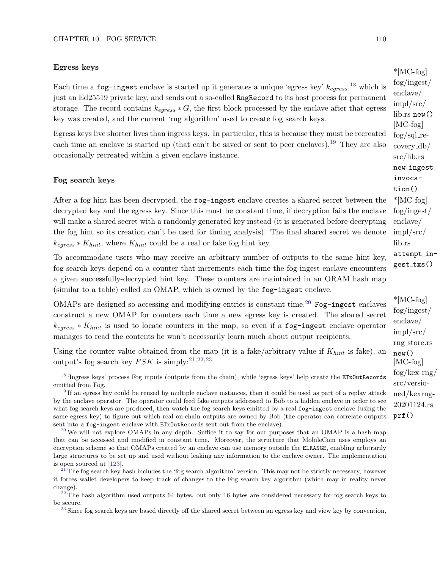#### Egress keys

<span id="page-116-8"></span><span id="page-116-7"></span><span id="page-116-6"></span>

Each time a fog-ingest enclave is started up it generates a unique 'egress key'  $k_{egress}$ , <sup>[18](#page-116-0)</sup> which is just an Ed25519 private key, and sends out a so-called RngRecord to its host process for permanent storage. The record contains  $k_{egress} * G$ , the first block processed by the enclave after that egress key was created, and the current 'rng algorithm' used to create fog search keys.

Egress keys live shorter lives than ingress keys. In particular, this is because they must be recreated each time an enclave is started up (that can't be saved or sent to peer enclaves).<sup>[19](#page-116-1)</sup> They are also occasionally recreated within a given enclave instance.

#### Fog search keys

After a fog hint has been decrypted, the  $f$ og-ingest enclave creates a shared secret between the  $*$ [MC-fog] decrypted key and the egress key. Since this must be constant time, if decryption fails the enclave will make a shared secret with a randomly generated key instead (it is generated before decrypting the fog hint so its creation can't be used for timing analysis). The final shared secret we denote  $k_{egress} * K_{hint}$ , where  $K_{hint}$  could be a real or fake fog hint key.

To accommodate users who may receive an arbitrary number of outputs to the same hint key, fog search keys depend on a counter that increments each time the fog-ingest enclave encounters a given successfully-decrypted hint key. These counters are maintained in an ORAM hash map (similar to a table) called an OMAP, which is owned by the fog-ingest enclave.

OMAPs are designed so accessing and modifying entries is constant time.<sup>[20](#page-116-2)</sup> Fog-ingest enclaves construct a new OMAP for counters each time a new egress key is created. The shared secret  $k_{egress} * K_{hint}$  is used to locate counters in the map, so even if a fog-ingest enclave operator manages to read the contents he won't necessarily learn much about output recipients.

<span id="page-116-11"></span><span id="page-116-10"></span><span id="page-116-9"></span>Using the counter value obtained from the map (it is a fake/arbitrary value if  $K_{hint}$  is fake), an output's fog search key  $FSK$  is simply:<sup>21,22,23</sup> [MC-fog]

<span id="page-116-0"></span><sup>&</sup>lt;sup>[18](#page-116-6)</sup> 'Ingress keys' process Fog inputs (outputs from the chain), while 'egress keys' help create the ETxOutRecords emitted from Fog.

<span id="page-116-1"></span> $19$  If an egress key could be reused by multiple enclave instances, then it could be used as part of a replay attack by the enclave operator. The operator could feed fake outputs addressed to Bob to a hidden enclave in order to see what fog search keys are produced, then watch the fog search keys emitted by a real fog-ingest enclave (using the same egress key) to figure out which real on-chain outputs are owned by Bob (the operator can correlate outputs sent into a fog-ingest enclave with ETxOutRecords sent out from the enclave).

<span id="page-116-2"></span> $^{20}$  $^{20}$  $^{20}$  We will not explore OMAPs in any depth. Suffice it to say for our purposes that an OMAP is a hash map that can be accessed and modified in constant time. Moreover, the structure that MobileCoin uses employs an encryption scheme so that OMAPs created by an enclave can use memory outside the ELRANGE, enabling arbitrarily large structures to be set up and used without leaking any information to the enclave owner. The implementation is open sourced at [\[123\]](#page-127-0).

<span id="page-116-3"></span> $21$  The fog search key hash includes the 'fog search algorithm' version. This may not be strictly necessary, however it forces wallet developers to keep track of changes to the Fog search key algorithm (which may in reality never change).

<span id="page-116-4"></span> $^{22}$  $^{22}$  $^{22}$  The hash algorithm used outputs 64 bytes, but only 16 bytes are considered necessary for fog search keys to be secure.

<span id="page-116-5"></span> $23$  Since fog search keys are based directly off the shared secret between an egress key and view key by convention,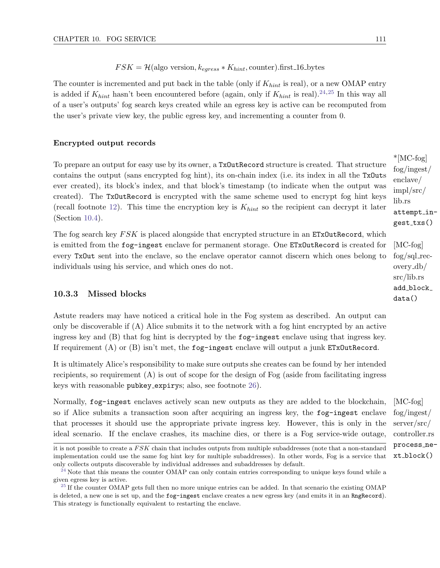$FSK = H(\text{algo version}, k_{earess} * K_{hint}, \text{counter}).$ first\_16\_bytes

The counter is incremented and put back in the table (only if  $K_{hint}$  is real), or a new OMAP entry is added if  $K_{hint}$  hasn't been encountered before (again, only if  $K_{hint}$  is real).<sup>[24,](#page-117-0)[25](#page-117-1)</sup> In this way all of a user's outputs' fog search keys created while an egress key is active can be recomputed from the user's private view key, the public egress key, and incrementing a counter from 0.

#### Encrypted output records

To prepare an output for easy use by its owner , a TxOutRecord structure is created. That structure contains the output (sans encrypted fog hint), its on-chain index (i.e. its index in all the TxOuts ever created), its block's index, and that block's timestamp (to indicate when the output was created). The TxOutRecord is encrypted with the same scheme used to encrypt fog hint keys (recall footnote [12\)](#page-114-3). This time the encryption key is  $K_{hint}$  so the recipient can decrypt it later (Section [10.4\)](#page-118-0).

The fog search key  $FSK$  is placed alongside that encrypted structure in an  $ETxOutRecord$ , which is emitted from the fog-ingest enclave for permanent storage. One ETxOutRecord is created for [MC-fog] every TxOut sent into the enclave, so the enclave operator cannot discern which ones belong to individuals using his service, and which ones do not.

#### 10.3.3 Missed blocks

Astute readers may have noticed a critical hole in the Fog system as described. An output can only be discoverable if (A) Alice submits it to the network with a fog hint encrypted by an active ingress key and (B) that fog hint is decrypted by the fog-ingest enclave using that ingress key. If requirement  $(A)$  or  $(B)$  isn't met, the fog-ingest enclave will output a junk ETxOutRecord.

It is ultimately Alice's responsibility to make sure outputs she creates can be found by her intended recipients, so requirement (A) is out of scope for the design of Fog (aside from facilitating ingress keys with reasonable pubkey expirys; also, see footnote [26\)](#page-118-1).

Normally, fog-ingest enclaves actively scan new outputs as they are added to the blockchain, [MC-fog] so if Alice submits a transaction soon after acquiring an ingress key, the fog-ingest enclave that processes it should use the appropriate private ingress key. However, this is only in the ideal scenario. If the enclave crashes, its machine dies, or there is a Fog service-wide outage,

<span id="page-117-3"></span><span id="page-117-2"></span>\*[MC-fog] fog/ingest/ enclave/ impl/src/ lib.rs attempt ingest\_txs()

 $fog/sql\_rec$ overy db/ src/lib.rs add\_block\_ data()

fog/ingest/ server/src/ controller.rs process next block()

it is not possible to create a  $FSK$  chain that includes outputs from multiple subaddresses (note that a non-standard implementation could use the same fog hint key for multiple subaddresses). In other words, Fog is a service that only collects outputs discoverable by individual addresses and subaddresses by default.

<span id="page-117-0"></span> $24$  Note that this means the counter OMAP can only contain entries corresponding to unique keys found while a given egress key is active.

<span id="page-117-1"></span><sup>&</sup>lt;sup>[25](#page-117-3)</sup> If the counter OMAP gets full then no more unique entries can be added. In that scenario the existing OMAP is deleted, a new one is set up, and the fog-ingest enclave creates a new egress key (and emits it in an RngRecord). This strategy is functionally equivalent to restarting the enclave.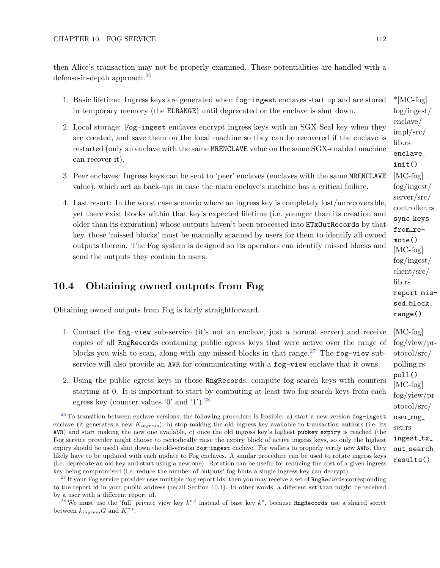then Alice's transaction may not be properly examined. These potentialities are handled with a defense-in-depth approach.<sup>[26](#page-118-1)</sup>

- <span id="page-118-4"></span>1. Basic lifetime: Ingress keys are generated when  $f$ og-ingest enclaves start up and are stored  $*$ [MC-fog] in temporary memory (the ELRANGE) until deprecated or the enclave is shut down.
- 2. Local storage: Fog-ingest enclaves encrypt ingress keys with an SGX Seal key when they are created, and save them on the local machine so they can be recovered if the enclave is restarted (only an enclave with the same MRENCLAVE value on the same SGX-enabled machine can recover it).
- 3. Peer enclaves: Ingress keys can be sent to 'peer' enclaves (enclaves with the same MRENCLAVE [MC-fog] value), which act as back-ups in case the main enclave's machine has a critical failure.
- 4. Last resort: In the worst case scenario where an ingress key is completely lost/unrecoverable, yet there exist blocks within that key's expected lifetime (i.e. younger than its creation and older than its expiration) whose outputs haven't been processed into ETxOutRecords by that key, those 'missed blocks' must be manually scanned by users for them to identify all owned outputs therein. The Fog system is designed so its operators can identify missed blocks and  $\text{[MC-fog]}$ send the outputs they contain to users.

#### <span id="page-118-0"></span>10.4 Obtaining owned outputs from Fog

Obtaining owned outputs from Fog is fairly straightforward.

- <span id="page-118-5"></span>1. Contact the fog-view sub-service (it's not an enclave, just a normal server) and receive [MC-fog] copies of all RngRecords containing public egress keys that were active over the range of blocks you wish to scan, along with any missed blocks in that range.<sup>[27](#page-118-2)</sup> The fog-view subservice will also provide an AVR for communicating with a fog-view enclave that it owns.
- <span id="page-118-6"></span>2. Using the public egress keys in those RngRecords , compute fog search keys with counters starting at 0. It is important to start by computing at least two fog search keys from each egress key (counter values '0' and '1').[28](#page-118-3)

<span id="page-118-1"></span> $26$  To transition between enclave versions, the following procedure is feasible: a) start a new-version fog-ingest enclave (it generates a new  $K_{ingress}$ ), b) stop making the old ingress key available to transaction authors (i.e. its AVR) and start making the new one available, c) once the old ingress key's highest pubkey expiry is reached (the Fog service provider might choose to periodically raise the expiry block of active ingress keys, so only the highest expiry should be used) shut down the old-version fog-ingest enclave. For wallets to properly verify new AVRs, they likely have to be updated with each update to Fog enclaves. A similar procedure can be used to rotate ingress keys (i.e. deprecate an old key and start using a new one). Rotation can be useful for reducing the cost of a given ingress key being compromised (i.e. reduce the number of outputs' fog hints a single ingress key can decrypt).

<span id="page-118-2"></span><sup>&</sup>lt;sup>[27](#page-118-5)</sup> If your Fog service provider uses multiple 'fog report ids' then you may receive a set of  $\texttt{Rangecords}$  corresponding to the report id in your public address (recall Section [10.1\)](#page-111-2). In other words, a different set than might be received by a user with a different report id.

<span id="page-118-3"></span><sup>&</sup>lt;sup>[28](#page-118-6)</sup> We must use the 'full' private view key  $k^{v,i}$  instead of base key  $k^v$ , because **RngRecords** use a shared secret between  $k_{ingress}G$  and  $K^{v,i}$ .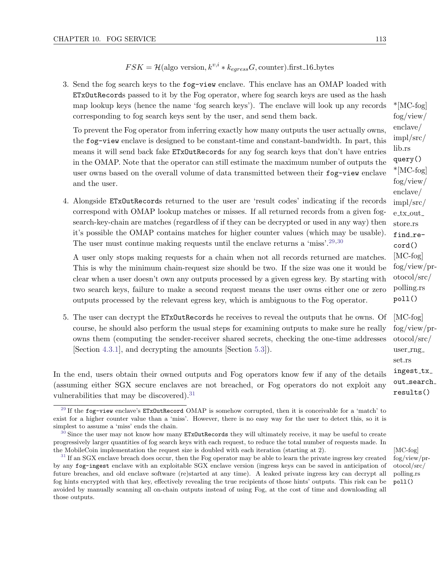#### $FSK = \mathcal{H}(\text{algo version}, k^{v,i} * k_{exress}G, \text{counter}).$ first\_16\_bytes

3. Send the fog search keys to the fog-view enclave. This enclave has an OMAP loaded with ETxOutRecords passed to it by the Fog operator, where fog search keys are used as the hash map lookup keys (hence the name 'fog search keys'). The enclave will look up any records  $*$ [MC-fog] corresponding to fog search keys sent by the user, and send them back.

To prevent the Fog operator from inferring exactly how many outputs the user actually owns, the fog-view enclave is designed to be constant-time and constant-bandwidth. In part, this means it will send back fake ETxOutRecords for any fog search keys that don't have entries in the OMAP. Note that the operator can still estimate the maximum number of outputs the user owns based on the overall volume of data transmitted between their  $f \circ g$ -view enclave and the user.

4. Alongside ETxOutRecords returned to the user are 'result codes' indicating if the records correspond with OMAP lookup matches or misses. If all returned records from a given fogsearch-key-chain are matches (regardless of if they can be decrypted or used in any way) then it's possible the OMAP contains matches for higher counter values (which may be usable). The user must continue making requests until the enclave returns a 'miss'.[29,](#page-119-0)[30](#page-119-1)

A user only stops making requests for a chain when not all records returned are matches. This is why the minimum chain-request size should be two. If the size was one it would be clear when a user doesn't own any outputs processed by a given egress key. By starting with two search keys, failure to make a second request means the user owns either one or zero outputs processed by the relevant egress key, which is ambiguous to the Fog operator.

5. The user can decrypt the ETxOutRecords he receives to reveal the outputs that he owns. Of [MC-fog] course, he should also perform the usual steps for examining outputs to make sure he really owns them (computing the sender-receiver shared secrets, checking the one-time addresses [Section [4.3.1\]](#page-46-0), and decrypting the amounts [Section [5.3\]](#page-49-0)).

<span id="page-119-5"></span>In the end, users obtain their owned outputs and Fog operators know few if any of the details (assuming either SGX secure enclaves are not breached, or Fog operators do not exploit any vulnerabilities that may be discovered).<sup>[31](#page-119-2)</sup>

fog/view/ enclave/ impl/src/ lib.rs query() \*[MC-fog] fog/view/ enclave/ impl/src/ e\_tx\_out\_ store.rs find\_record() [MC-fog] fog/view/protocol/src/ polling.rs poll()

<span id="page-119-4"></span><span id="page-119-3"></span>fog/view/protocol/src/ user\_rng\_ set.rs ingest\_tx\_ out\_search\_ results()

<span id="page-119-0"></span><sup>&</sup>lt;sup>[29](#page-119-3)</sup> If the fog-view enclave's ETxOutRecord OMAP is somehow corrupted, then it is conceivable for a 'match' to exist for a higher counter value than a 'miss'. However, there is no easy way for the user to detect this, so it is simplest to assume a 'miss' ends the chain.

<span id="page-119-1"></span> $30$  Since the user may not know how many ETxOutRecords they will ultimately receive, it may be useful to create progressively larger quantities of fog search keys with each request, to reduce the total number of requests made. In the MobileCoin implementation the request size is doubled with each iteration (starting at 2). [MC-fog]

<span id="page-119-2"></span> $31$  If an SGX enclave breach does occur, then the Fog operator may be able to learn the private ingress key created by any fog-ingest enclave with an exploitable SGX enclave version (ingress keys can be saved in anticipation of future breaches, and old enclave software (re)started at any time). A leaked private ingress key can decrypt all fog hints encrypted with that key, effectively revealing the true recipients of those hints' outputs. This risk can be avoided by manually scanning all on-chain outputs instead of using Fog, at the cost of time and downloading all those outputs.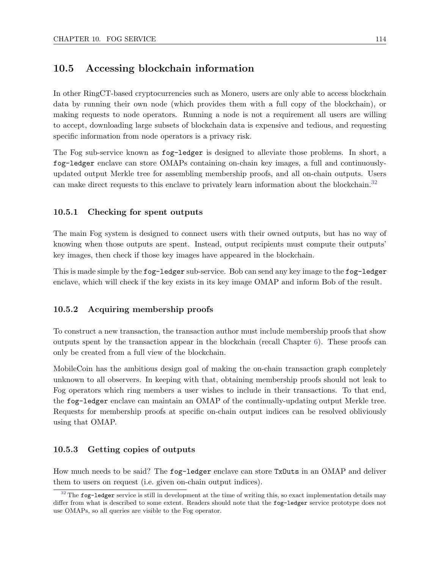#### 10.5 Accessing blockchain information

In other RingCT-based cryptocurrencies such as Monero, users are only able to access blockchain data by running their own node (which provides them with a full copy of the blockchain), or making requests to node operators. Running a node is not a requirement all users are willing to accept, downloading large subsets of blockchain data is expensive and tedious, and requesting specific information from node operators is a privacy risk.

<span id="page-120-1"></span>The Fog sub-service known as fog-ledger is designed to alleviate those problems. In short, a fog-ledger enclave can store OMAPs containing on-chain key images, a full and continuouslyupdated output Merkle tree for assembling membership proofs, and all on-chain outputs. Users can make direct requests to this enclave to privately learn information about the blockchain.<sup>[32](#page-120-0)</sup>

#### 10.5.1 Checking for spent outputs

The main Fog system is designed to connect users with their owned outputs, but has no way of knowing when those outputs are spent. Instead, output recipients must compute their outputs' key images, then check if those key images have appeared in the blockchain.

This is made simple by the fog-ledger sub-service. Bob can send any key image to the fog-ledger enclave, which will check if the key exists in its key image OMAP and inform Bob of the result.

#### 10.5.2 Acquiring membership proofs

To construct a new transaction, the transaction author must include membership proofs that show outputs spent by the transaction appear in the blockchain (recall Chapter [6\)](#page-53-0). These proofs can only be created from a full view of the blockchain.

MobileCoin has the ambitious design goal of making the on-chain transaction graph completely unknown to all observers. In keeping with that, obtaining membership proofs should not leak to Fog operators which ring members a user wishes to include in their transactions. To that end, the fog-ledger enclave can maintain an OMAP of the continually-updating output Merkle tree. Requests for membership proofs at specific on-chain output indices can be resolved obliviously using that OMAP.

#### 10.5.3 Getting copies of outputs

How much needs to be said? The fog-ledger enclave can store TxOuts in an OMAP and deliver them to users on request (i.e. given on-chain output indices).

<span id="page-120-0"></span> $32$  The fog-ledger service is still in development at the time of writing this, so exact implementation details may differ from what is described to some extent. Readers should note that the fog-ledger service prototype does not use OMAPs, so all queries are visible to the Fog operator.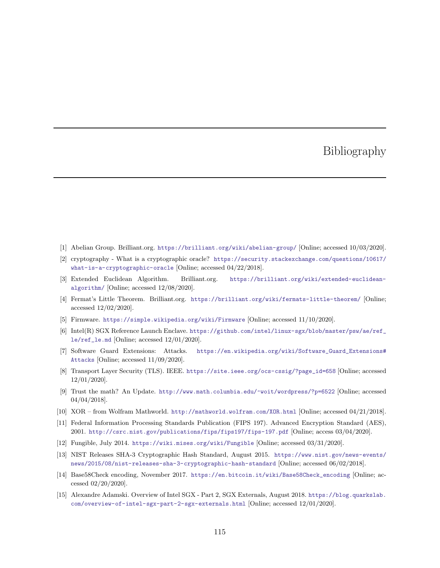### Bibliography

- [1] Abelian Group. Brilliant.org. <https://brilliant.org/wiki/abelian-group/> [Online; accessed 10/03/2020].
- [2] cryptography What is a cryptographic oracle? [https://security.stackexchange.com/questions/10617/](https://security.stackexchange.com/questions/10617/what-is-a-cryptographic-oracle) [what-is-a-cryptographic-oracle](https://security.stackexchange.com/questions/10617/what-is-a-cryptographic-oracle) [Online; accessed 04/22/2018].
- [3] Extended Euclidean Algorithm. Brilliant.org. [https://brilliant.org/wiki/extended-euclidean](https://brilliant.org/wiki/extended-euclidean-algorithm/)[algorithm/](https://brilliant.org/wiki/extended-euclidean-algorithm/) [Online; accessed 12/08/2020].
- [4] Fermat's Little Theorem. Brilliant.org. <https://brilliant.org/wiki/fermats-little-theorem/> [Online; accessed 12/02/2020].
- [5] Firmware. <https://simple.wikipedia.org/wiki/Firmware> [Online; accessed 11/10/2020].
- [6] Intel(R) SGX Reference Launch Enclave. [https://github.com/intel/linux-sgx/blob/master/psw/ae/ref\\_](https://github.com/intel/linux-sgx/blob/master/psw/ae/ref_le/ref_le.md) [le/ref\\_le.md](https://github.com/intel/linux-sgx/blob/master/psw/ae/ref_le/ref_le.md) [Online; accessed 12/01/2020].
- [7] Software Guard Extensions: Attacks. [https://en.wikipedia.org/wiki/Software\\_Guard\\_Extensions#](https://en.wikipedia.org/wiki/Software_Guard_Extensions#Attacks) [Attacks](https://en.wikipedia.org/wiki/Software_Guard_Extensions#Attacks) [Online; accessed 11/09/2020].
- [8] Transport Layer Security (TLS). IEEE. [https://site.ieee.org/ocs-cssig/?page\\_id=658](https://site.ieee.org/ocs-cssig/?page_id=658) [Online; accessed 12/01/2020].
- [9] Trust the math? An Update. <http://www.math.columbia.edu/~woit/wordpress/?p=6522> [Online; accessed 04/04/2018].
- [10] XOR from Wolfram Mathworld. <http://mathworld.wolfram.com/XOR.html> [Online; accessed 04/21/2018].
- [11] Federal Information Processing Standards Publication (FIPS 197). Advanced Encryption Standard (AES), 2001. <http://csrc.nist.gov/publications/fips/fips197/fips-197.pdf> [Online; access 03/04/2020].
- [12] Fungible, July 2014. <https://wiki.mises.org/wiki/Fungible> [Online; accessed 03/31/2020].
- [13] NIST Releases SHA-3 Cryptographic Hash Standard, August 2015. [https://www.nist.gov/news-events/](https://www.nist.gov/news-events/news/2015/08/nist-releases-sha-3-cryptographic-hash-standard) [news/2015/08/nist-releases-sha-3-cryptographic-hash-standard](https://www.nist.gov/news-events/news/2015/08/nist-releases-sha-3-cryptographic-hash-standard) [Online; accessed 06/02/2018].
- [14] Base58Check encoding, November 2017. [https://en.bitcoin.it/wiki/Base58Check\\_encoding](https://en.bitcoin.it/wiki/Base58Check_encoding) [Online; accessed 02/20/2020].
- [15] Alexandre Adamski. Overview of Intel SGX Part 2, SGX Externals, August 2018. [https://blog.quarkslab.](https://blog.quarkslab.com/overview-of-intel-sgx-part-2-sgx-externals.html) [com/overview-of-intel-sgx-part-2-sgx-externals.html](https://blog.quarkslab.com/overview-of-intel-sgx-part-2-sgx-externals.html) [Online; accessed 12/01/2020].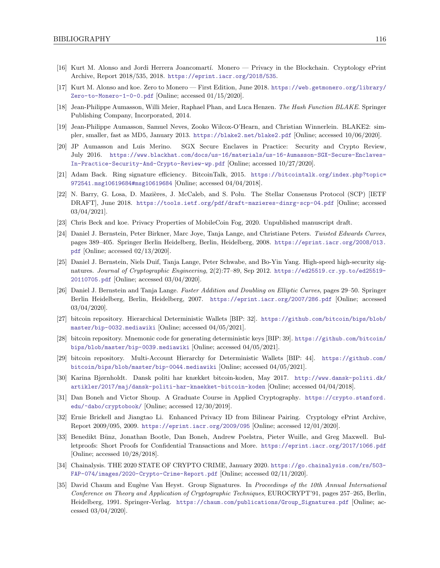- [16] Kurt M. Alonso and Jordi Herrera Joancomartí. Monero Privacy in the Blockchain. Cryptology ePrint Archive, Report 2018/535, 2018. <https://eprint.iacr.org/2018/535>.
- [17] Kurt M. Alonso and koe. Zero to Monero First Edition, June 2018. [https://web.getmonero.org/library/](https://web.getmonero.org/library/Zero-to-Monero-1-0-0.pdf) [Zero-to-Monero-1-0-0.pdf](https://web.getmonero.org/library/Zero-to-Monero-1-0-0.pdf) [Online; accessed 01/15/2020].
- [18] Jean-Philippe Aumasson, Willi Meier, Raphael Phan, and Luca Henzen. The Hash Function BLAKE. Springer Publishing Company, Incorporated, 2014.
- [19] Jean-Philippe Aumasson, Samuel Neves, Zooko Wilcox-O'Hearn, and Christian Winnerlein. BLAKE2: simpler, smaller, fast as MD5, January 2013. <https://blake2.net/blake2.pdf> [Online; accessed 10/06/2020].
- [20] JP Aumasson and Luis Merino. SGX Secure Enclaves in Practice: Security and Crypto Review, July 2016. [https://www.blackhat.com/docs/us-16/materials/us-16-Aumasson-SGX-Secure-Enclaves-](https://www.blackhat.com/docs/us-16/materials/us-16-Aumasson-SGX-Secure-Enclaves-In-Practice-Security-And-Crypto-Review-wp.pdf)[In-Practice-Security-And-Crypto-Review-wp.pdf](https://www.blackhat.com/docs/us-16/materials/us-16-Aumasson-SGX-Secure-Enclaves-In-Practice-Security-And-Crypto-Review-wp.pdf) [Online; accessed 10/27/2020].
- [21] Adam Back. Ring signature efficiency. BitcoinTalk, 2015. [https://bitcointalk.org/index.php?topic=](https://bitcointalk.org/index.php?topic=972541.msg10619684#msg10619684) [972541.msg10619684#msg10619684](https://bitcointalk.org/index.php?topic=972541.msg10619684#msg10619684) [Online; accessed 04/04/2018].
- [22] N. Barry, G. Losa, D. Mazières, J. McCaleb, and S. Polu. The Stellar Consensus Protocol (SCP) [IETF DRAFT], June 2018. <https://tools.ietf.org/pdf/draft-mazieres-dinrg-scp-04.pdf> [Online; accessed 03/04/2021].
- <span id="page-122-0"></span>[23] Chris Beck and koe. Privacy Properties of MobileCoin Fog, 2020. Unpublished manuscript draft.
- [24] Daniel J. Bernstein, Peter Birkner, Marc Joye, Tanja Lange, and Christiane Peters. Twisted Edwards Curves, pages 389–405. Springer Berlin Heidelberg, Berlin, Heidelberg, 2008. [https://eprint.iacr.org/2008/013.](https://eprint.iacr.org/2008/013.pdf) [pdf](https://eprint.iacr.org/2008/013.pdf) [Online; accessed 02/13/2020].
- [25] Daniel J. Bernstein, Niels Duif, Tanja Lange, Peter Schwabe, and Bo-Yin Yang. High-speed high-security signatures. Journal of Cryptographic Engineering, 2(2):77–89, Sep 2012. [https://ed25519.cr.yp.to/ed25519-](https://ed25519.cr.yp.to/ed25519-20110705.pdf) [20110705.pdf](https://ed25519.cr.yp.to/ed25519-20110705.pdf) [Online; accessed 03/04/2020].
- [26] Daniel J. Bernstein and Tanja Lange. Faster Addition and Doubling on Elliptic Curves, pages 29–50. Springer Berlin Heidelberg, Berlin, Heidelberg, 2007. <https://eprint.iacr.org/2007/286.pdf> [Online; accessed 03/04/2020].
- [27] bitcoin repository. Hierarchical Deterministic Wallets [BIP: 32]. [https://github.com/bitcoin/bips/blob/](https://github.com/bitcoin/bips/blob/master/bip-0032.mediawiki) [master/bip-0032.mediawiki](https://github.com/bitcoin/bips/blob/master/bip-0032.mediawiki) [Online; accessed 04/05/2021].
- [28] bitcoin repository. Mnemonic code for generating deterministic keys [BIP: 39]. [https://github.com/bitcoin/](https://github.com/bitcoin/bips/blob/master/bip-0039.mediawiki) [bips/blob/master/bip-0039.mediawiki](https://github.com/bitcoin/bips/blob/master/bip-0039.mediawiki) [Online; accessed 04/05/2021].
- [29] bitcoin repository. Multi-Account Hierarchy for Deterministic Wallets [BIP: 44]. [https://github.com/](https://github.com/bitcoin/bips/blob/master/bip-0044.mediawiki) [bitcoin/bips/blob/master/bip-0044.mediawiki](https://github.com/bitcoin/bips/blob/master/bip-0044.mediawiki) [Online; accessed 04/05/2021].
- [30] Karina Bjørnholdt. Dansk politi har knækket bitcoin-koden, May 2017. [http://www.dansk-politi.dk/](http://www.dansk-politi.dk/artikler/2017/maj/dansk-politi-har-knaekket-bitcoin-koden) [artikler/2017/maj/dansk-politi-har-knaekket-bitcoin-koden](http://www.dansk-politi.dk/artikler/2017/maj/dansk-politi-har-knaekket-bitcoin-koden) [Online; accessed 04/04/2018].
- [31] Dan Boneh and Victor Shoup. A Graduate Course in Applied Cryptography. [https://crypto.stanford.](https://crypto.stanford.edu/~dabo/cryptobook/) [edu/~dabo/cryptobook/](https://crypto.stanford.edu/~dabo/cryptobook/) [Online; accessed 12/30/2019].
- [32] Ernie Brickell and Jiangtao Li. Enhanced Privacy ID from Bilinear Pairing. Cryptology ePrint Archive, Report 2009/095, 2009. <https://eprint.iacr.org/2009/095> [Online; accessed 12/01/2020].
- [33] Benedikt Bünz, Jonathan Bootle, Dan Boneh, Andrew Poelstra, Pieter Wuille, and Greg Maxwell. Bulletproofs: Short Proofs for Confidential Transactions and More. <https://eprint.iacr.org/2017/1066.pdf> [Online; accessed 10/28/2018].
- [34] Chainalysis. THE 2020 STATE OF CRYPTO CRIME, January 2020. [https://go.chainalysis.com/rs/503-](https://go.chainalysis.com/rs/503-FAP-074/images/2020-Crypto-Crime-Report.pdf) [FAP-074/images/2020-Crypto-Crime-Report.pdf](https://go.chainalysis.com/rs/503-FAP-074/images/2020-Crypto-Crime-Report.pdf) [Online; accessed 02/11/2020].
- [35] David Chaum and Eugène Van Heyst. Group Signatures. In Proceedings of the 10th Annual International Conference on Theory and Application of Cryptographic Techniques, EUROCRYPT'91, pages 257–265, Berlin, Heidelberg, 1991. Springer-Verlag. [https://chaum.com/publications/Group\\_Signatures.pdf](https://chaum.com/publications/Group_Signatures.pdf) [Online; accessed 03/04/2020].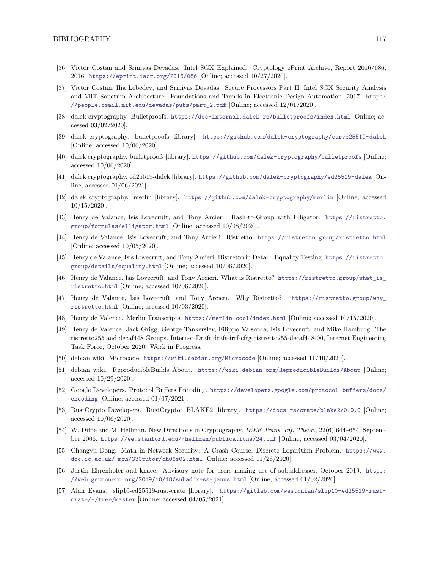- [36] Victor Costan and Srinivas Devadas. Intel SGX Explained. Cryptology ePrint Archive, Report 2016/086, 2016. <https://eprint.iacr.org/2016/086> [Online; accessed 10/27/2020].
- [37] Victor Costan, Ilia Lebedev, and Srinivas Devadas. Secure Processors Part II: Intel SGX Security Analysis and MIT Sanctum Architecture. Foundations and Trends in Electronic Design Automation, 2017. [https:](https://people.csail.mit.edu/devadas/pubs/part_2.pdf) [//people.csail.mit.edu/devadas/pubs/part\\_2.pdf](https://people.csail.mit.edu/devadas/pubs/part_2.pdf) [Online; accessed 12/01/2020].
- [38] dalek cryptography. Bulletproofs. <https://doc-internal.dalek.rs/bulletproofs/index.html> [Online; accessed 03/02/2020].
- [39] dalek cryptography. bulletproofs [library]. <https://github.com/dalek-cryptography/curve25519-dalek> [Online; accessed 10/06/2020].
- [40] dalek cryptography. bulletproofs [library]. <https://github.com/dalek-cryptography/bulletproofs> [Online; accessed 10/06/2020].
- [41] dalek cryptography. ed25519-dalek [library]. <https://github.com/dalek-cryptography/ed25519-dalek> [Online; accessed 01/06/2021].
- [42] dalek cryptography. merlin [library]. <https://github.com/dalek-cryptography/merlin> [Online; accessed 10/15/2020].
- [43] Henry de Valance, Isis Lovecruft, and Tony Arcieri. Hash-to-Group with Elligator. [https://ristretto.](https://ristretto.group/formulas/elligator.html) [group/formulas/elligator.html](https://ristretto.group/formulas/elligator.html) [Online; accessed 10/08/2020].
- [44] Henry de Valance, Isis Lovecruft, and Tony Arcieri. Ristretto. <https://ristretto.group/ristretto.html> [Online; accessed 10/05/2020].
- [45] Henry de Valance, Isis Lovecruft, and Tony Arcieri. Ristretto in Detail: Equality Testing. [https://ristretto.](https://ristretto.group/details/equality.html) [group/details/equality.html](https://ristretto.group/details/equality.html) [Online; accessed 10/06/2020].
- [46] Henry de Valance, Isis Lovecruft, and Tony Arcieri. What is Ristretto? [https://ristretto.group/what\\_is\\_](https://ristretto.group/what_is_ristretto.html) [ristretto.html](https://ristretto.group/what_is_ristretto.html) [Online; accessed 10/06/2020].
- [47] Henry de Valance, Isis Lovecruft, and Tony Arcieri. Why Ristretto? [https://ristretto.group/why\\_](https://ristretto.group/why_ristretto.html) [ristretto.html](https://ristretto.group/why_ristretto.html) [Online; accessed 10/03/2020].
- [48] Henry de Valence. Merlin Transcripts. <https://merlin.cool/index.html> [Online; accessed 10/15/2020].
- [49] Henry de Valence, Jack Grigg, George Tankersley, Filippo Valsorda, Isis Lovecruft, and Mike Hamburg. The ristretto255 and decaf448 Groups. Internet-Draft draft-irtf-cfrg-ristretto255-decaf448-00, Internet Engineering Task Force, October 2020. Work in Progress.
- [50] debian wiki. Microcode. <https://wiki.debian.org/Microcode> [Online; accessed 11/10/2020].
- [51] debian wiki. ReproducibleBuilds About. <https://wiki.debian.org/ReproducibleBuilds/About> [Online; accessed 10/29/2020].
- [52] Google Developers. Protocol Buffers Encoding. [https://developers.google.com/protocol-buffers/docs/](https://developers.google.com/protocol-buffers/docs/encoding) [encoding](https://developers.google.com/protocol-buffers/docs/encoding) [Online; accessed 01/07/2021].
- [53] RustCrypto Developers. RustCrypto: BLAKE2 [library]. <https://docs.rs/crate/blake2/0.9.0> [Online; accessed 10/06/2020].
- [54] W. Diffie and M. Hellman. New Directions in Cryptography. IEEE Trans. Inf. Theor., 22(6):644–654, September 2006. <https://ee.stanford.edu/~hellman/publications/24.pdf> [Online; accessed 03/04/2020].
- [55] Changyu Dong. Math in Network Security: A Crash Course; Discrete Logarithm Problem. [https://www.](https://www.doc.ic.ac.uk/~mrh/330tutor/ch06s02.html) [doc.ic.ac.uk/~mrh/330tutor/ch06s02.html](https://www.doc.ic.ac.uk/~mrh/330tutor/ch06s02.html) [Online; accessed 11/26/2020].
- [56] Justin Ehrenhofer and knacc. Advisory note for users making use of subaddresses, October 2019. [https:](https://web.getmonero.org/2019/10/18/subaddress-janus.html) [//web.getmonero.org/2019/10/18/subaddress-janus.html](https://web.getmonero.org/2019/10/18/subaddress-janus.html) [Online; accessed 01/02/2020].
- [57] Alan Evans. slip10-ed25519-rust-crate [library]. [https://gitlab.com/westonian/slip10-ed25519-rust](https://gitlab.com/westonian/slip10-ed25519-rust-crate/-/tree/master)[crate/-/tree/master](https://gitlab.com/westonian/slip10-ed25519-rust-crate/-/tree/master) [Online; accessed 04/05/2021].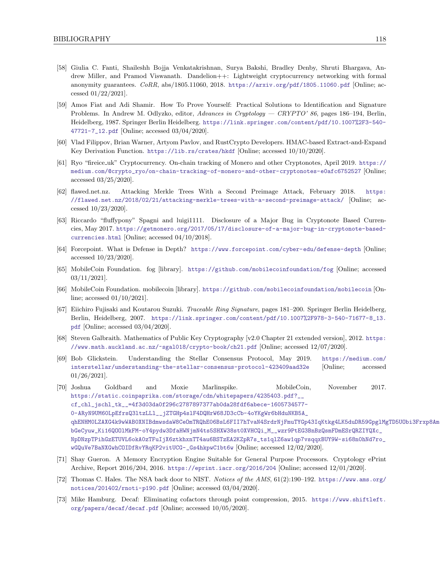- [58] Giulia C. Fanti, Shaileshh Bojja Venkatakrishnan, Surya Bakshi, Bradley Denby, Shruti Bhargava, Andrew Miller, and Pramod Viswanath. Dandelion++: Lightweight cryptocurrency networking with formal anonymity guarantees. CoRR, abs/1805.11060, 2018. <https://arxiv.org/pdf/1805.11060.pdf> [Online; accessed 01/22/2021].
- [59] Amos Fiat and Adi Shamir. How To Prove Yourself: Practical Solutions to Identification and Signature Problems. In Andrew M. Odlyzko, editor, Advances in Cryptology — CRYPTO' 86, pages 186–194, Berlin, Heidelberg, 1987. Springer Berlin Heidelberg. [https://link.springer.com/content/pdf/10.1007%2F3-540-](https://link.springer.com/content/pdf/10.1007%2F3-540-47721-7_12.pdf) [47721-7\\_12.pdf](https://link.springer.com/content/pdf/10.1007%2F3-540-47721-7_12.pdf) [Online; accessed 03/04/2020].
- [60] Vlad Filippov, Brian Warner, Artyom Pavlov, and RustCrypto Developers. HMAC-based Extract-and-Expand Key Derivation Function. <https://lib.rs/crates/hkdf> [Online; accessed 10/10/2020].
- [61] Ryo "fireice uk" Cryptocurrency. On-chain tracking of Monero and other Cryptonotes, April 2019. [https://](https://medium.com/@crypto_ryo/on-chain-tracking-of-monero-and-other-cryptonotes-e0afc6752527) [medium.com/@crypto\\_ryo/on-chain-tracking-of-monero-and-other-cryptonotes-e0afc6752527](https://medium.com/@crypto_ryo/on-chain-tracking-of-monero-and-other-cryptonotes-e0afc6752527) [Online; accessed 03/25/2020].
- [62] flawed.net.nz. Attacking Merkle Trees With a Second Preimage Attack, February 2018. [https:](https://flawed.net.nz/2018/02/21/attacking-merkle-trees-with-a-second-preimage-attack/) [//flawed.net.nz/2018/02/21/attacking-merkle-trees-with-a-second-preimage-attack/](https://flawed.net.nz/2018/02/21/attacking-merkle-trees-with-a-second-preimage-attack/) [Online; accessed 10/23/2020].
- [63] Riccardo "fluffypony" Spagni and luigi1111. Disclosure of a Major Bug in Cryptonote Based Currencies, May 2017. [https://getmonero.org/2017/05/17/disclosure-of-a-major-bug-in-cryptonote-based](https://getmonero.org/2017/05/17/disclosure-of-a-major-bug-in-cryptonote-based-currencies.html)[currencies.html](https://getmonero.org/2017/05/17/disclosure-of-a-major-bug-in-cryptonote-based-currencies.html) [Online; accessed 04/10/2018].
- [64] Forcepoint. What is Defense in Depth? <https://www.forcepoint.com/cyber-edu/defense-depth> [Online; accessed 10/23/2020].
- [65] MobileCoin Foundation. fog [library]. <https://github.com/mobilecoinfoundation/fog> [Online; accessed 03/11/2021].
- [66] MobileCoin Foundation. mobilecoin [library]. <https://github.com/mobilecoinfoundation/mobilecoin> [Online; accessed 01/10/2021].
- [67] Eiichiro Fujisaki and Koutarou Suzuki. Traceable Ring Signature, pages 181–200. Springer Berlin Heidelberg, Berlin, Heidelberg, 2007. [https://link.springer.com/content/pdf/10.1007%2F978-3-540-71677-8\\_13.](https://link.springer.com/content/pdf/10.1007%2F978-3-540-71677-8_13.pdf) [pdf](https://link.springer.com/content/pdf/10.1007%2F978-3-540-71677-8_13.pdf) [Online; accessed 03/04/2020].
- [68] Steven Galbraith. Mathematics of Public Key Cryptography [v2.0 Chapter 21 extended version], 2012. [https:](https://www.math.auckland.ac.nz/~sgal018/crypto-book/ch21.pdf) [//www.math.auckland.ac.nz/~sgal018/crypto-book/ch21.pdf](https://www.math.auckland.ac.nz/~sgal018/crypto-book/ch21.pdf) [Online; accessed 12/07/2020].
- [69] Bob Glickstein. Understanding the Stellar Consensus Protocol, May 2019. [https://medium.com/](https://medium.com/interstellar/understanding-the-stellar-consensus-protocol-423409aad32e) [interstellar/understanding-the-stellar-consensus-protocol-423409aad32e](https://medium.com/interstellar/understanding-the-stellar-consensus-protocol-423409aad32e) [Online; accessed 01/26/2021].
- <span id="page-124-0"></span>[70] Joshua Goldbard and Moxie Marlinspike. MobileCoin, November 2017. [https://static.coinpaprika.com/storage/cdn/whitepapers/4235403.pdf?\\_\\_](https://static.coinpaprika.com/storage/cdn/whitepapers/4235403.pdf?__cf_chl_jschl_tk__=4f3d03da0f296c2787897377ab0da28fdf6abece-1605734577-0-ARyN9UM60LpEfrsQ3ltzLLl__jZTGHp4slF4DQHrW68JD3cCb-4oYKgWr6bHduNKB5A_qhENHM0LZAXG4k9wWAB0XNIBdmwsdaW8CeOmTRQhE06BsL6FII7hTvaN4SrdrNjFmuTYGp43IqKtkg4LK5duDR59GpglMgTD5UObi3Frxp8AmcvFUCOV58h2oPwoHu-bGeCyuw_Ki16QOOlMkFM-oY4pydw3DfaHWNjmN4ts5SHXW38st0XVHCQi_M__wzr9PtEG3BnBzQsmFDmESrQRZIYQXc_NpDNzpTPihGzETUVL6okA0zTFuIjX6ztkhxnTT4au6BSTzEA2KZpR7s_ts1qlZ6aw1qp7vsqqxBUY9W-si68n0hNd7ro_wGQuVe7BaNXGwhCOIDfRvYRqKP2vitUCG-_Gs4hkpwC1bt6w) [cf\\_chl\\_jschl\\_tk\\_\\_=4f3d03da0f296c2787897377ab0da28fdf6abece-1605734577-](https://static.coinpaprika.com/storage/cdn/whitepapers/4235403.pdf?__cf_chl_jschl_tk__=4f3d03da0f296c2787897377ab0da28fdf6abece-1605734577-0-ARyN9UM60LpEfrsQ3ltzLLl__jZTGHp4slF4DQHrW68JD3cCb-4oYKgWr6bHduNKB5A_qhENHM0LZAXG4k9wWAB0XNIBdmwsdaW8CeOmTRQhE06BsL6FII7hTvaN4SrdrNjFmuTYGp43IqKtkg4LK5duDR59GpglMgTD5UObi3Frxp8AmcvFUCOV58h2oPwoHu-bGeCyuw_Ki16QOOlMkFM-oY4pydw3DfaHWNjmN4ts5SHXW38st0XVHCQi_M__wzr9PtEG3BnBzQsmFDmESrQRZIYQXc_NpDNzpTPihGzETUVL6okA0zTFuIjX6ztkhxnTT4au6BSTzEA2KZpR7s_ts1qlZ6aw1qp7vsqqxBUY9W-si68n0hNd7ro_wGQuVe7BaNXGwhCOIDfRvYRqKP2vitUCG-_Gs4hkpwC1bt6w) [0-ARyN9UM60LpEfrsQ3ltzLLl\\_\\_jZTGHp4slF4DQHrW68JD3cCb-4oYKgWr6bHduNKB5A\\_](https://static.coinpaprika.com/storage/cdn/whitepapers/4235403.pdf?__cf_chl_jschl_tk__=4f3d03da0f296c2787897377ab0da28fdf6abece-1605734577-0-ARyN9UM60LpEfrsQ3ltzLLl__jZTGHp4slF4DQHrW68JD3cCb-4oYKgWr6bHduNKB5A_qhENHM0LZAXG4k9wWAB0XNIBdmwsdaW8CeOmTRQhE06BsL6FII7hTvaN4SrdrNjFmuTYGp43IqKtkg4LK5duDR59GpglMgTD5UObi3Frxp8AmcvFUCOV58h2oPwoHu-bGeCyuw_Ki16QOOlMkFM-oY4pydw3DfaHWNjmN4ts5SHXW38st0XVHCQi_M__wzr9PtEG3BnBzQsmFDmESrQRZIYQXc_NpDNzpTPihGzETUVL6okA0zTFuIjX6ztkhxnTT4au6BSTzEA2KZpR7s_ts1qlZ6aw1qp7vsqqxBUY9W-si68n0hNd7ro_wGQuVe7BaNXGwhCOIDfRvYRqKP2vitUCG-_Gs4hkpwC1bt6w) qhENHMOLZAXG4k9wWABOXNIBdmwsdaW8CeOmTRQhE06BsL6FII7hTvaN4SrdrNjFmuTYGp43IqKtkg4LK5duDR59GpglMgTD5UObi3Frxp8Am [bGeCyuw\\_Ki16QOOlMkFM-oY4pydw3DfaHWNjmN4ts5SHXW38st0XVHCQi\\_M\\_\\_wzr9PtEG3BnBzQsmFDmESrQRZIYQXc\\_](https://static.coinpaprika.com/storage/cdn/whitepapers/4235403.pdf?__cf_chl_jschl_tk__=4f3d03da0f296c2787897377ab0da28fdf6abece-1605734577-0-ARyN9UM60LpEfrsQ3ltzLLl__jZTGHp4slF4DQHrW68JD3cCb-4oYKgWr6bHduNKB5A_qhENHM0LZAXG4k9wWAB0XNIBdmwsdaW8CeOmTRQhE06BsL6FII7hTvaN4SrdrNjFmuTYGp43IqKtkg4LK5duDR59GpglMgTD5UObi3Frxp8AmcvFUCOV58h2oPwoHu-bGeCyuw_Ki16QOOlMkFM-oY4pydw3DfaHWNjmN4ts5SHXW38st0XVHCQi_M__wzr9PtEG3BnBzQsmFDmESrQRZIYQXc_NpDNzpTPihGzETUVL6okA0zTFuIjX6ztkhxnTT4au6BSTzEA2KZpR7s_ts1qlZ6aw1qp7vsqqxBUY9W-si68n0hNd7ro_wGQuVe7BaNXGwhCOIDfRvYRqKP2vitUCG-_Gs4hkpwC1bt6w) [NpDNzpTPihGzETUVL6okA0zTFuIjX6ztkhxnTT4au6BSTzEA2KZpR7s\\_ts1qlZ6aw1qp7vsqqxBUY9W-si68n0hNd7ro\\_](https://static.coinpaprika.com/storage/cdn/whitepapers/4235403.pdf?__cf_chl_jschl_tk__=4f3d03da0f296c2787897377ab0da28fdf6abece-1605734577-0-ARyN9UM60LpEfrsQ3ltzLLl__jZTGHp4slF4DQHrW68JD3cCb-4oYKgWr6bHduNKB5A_qhENHM0LZAXG4k9wWAB0XNIBdmwsdaW8CeOmTRQhE06BsL6FII7hTvaN4SrdrNjFmuTYGp43IqKtkg4LK5duDR59GpglMgTD5UObi3Frxp8AmcvFUCOV58h2oPwoHu-bGeCyuw_Ki16QOOlMkFM-oY4pydw3DfaHWNjmN4ts5SHXW38st0XVHCQi_M__wzr9PtEG3BnBzQsmFDmESrQRZIYQXc_NpDNzpTPihGzETUVL6okA0zTFuIjX6ztkhxnTT4au6BSTzEA2KZpR7s_ts1qlZ6aw1qp7vsqqxBUY9W-si68n0hNd7ro_wGQuVe7BaNXGwhCOIDfRvYRqKP2vitUCG-_Gs4hkpwC1bt6w) [wGQuVe7BaNXGwhCOIDfRvYRqKP2vitUCG-\\_Gs4hkpwC1bt6w](https://static.coinpaprika.com/storage/cdn/whitepapers/4235403.pdf?__cf_chl_jschl_tk__=4f3d03da0f296c2787897377ab0da28fdf6abece-1605734577-0-ARyN9UM60LpEfrsQ3ltzLLl__jZTGHp4slF4DQHrW68JD3cCb-4oYKgWr6bHduNKB5A_qhENHM0LZAXG4k9wWAB0XNIBdmwsdaW8CeOmTRQhE06BsL6FII7hTvaN4SrdrNjFmuTYGp43IqKtkg4LK5duDR59GpglMgTD5UObi3Frxp8AmcvFUCOV58h2oPwoHu-bGeCyuw_Ki16QOOlMkFM-oY4pydw3DfaHWNjmN4ts5SHXW38st0XVHCQi_M__wzr9PtEG3BnBzQsmFDmESrQRZIYQXc_NpDNzpTPihGzETUVL6okA0zTFuIjX6ztkhxnTT4au6BSTzEA2KZpR7s_ts1qlZ6aw1qp7vsqqxBUY9W-si68n0hNd7ro_wGQuVe7BaNXGwhCOIDfRvYRqKP2vitUCG-_Gs4hkpwC1bt6w) [Online; accessed 12/02/2020].
- [71] Shay Gueron. A Memory Encryption Engine Suitable for General Purpose Processors. Cryptology ePrint Archive, Report 2016/204, 2016. <https://eprint.iacr.org/2016/204> [Online; accessed 12/01/2020].
- [72] Thomas C. Hales. The NSA back door to NIST. Notices of the AMS, 61(2):190–192. [https://www.ams.org/](https://www.ams.org/notices/201402/rnoti-p190.pdf) [notices/201402/rnoti-p190.pdf](https://www.ams.org/notices/201402/rnoti-p190.pdf) [Online; accessed 03/04/2020].
- [73] Mike Hamburg. Decaf: Eliminating cofactors through point compression, 2015. [https://www.shiftleft.](https://www.shiftleft.org/papers/decaf/decaf.pdf) [org/papers/decaf/decaf.pdf](https://www.shiftleft.org/papers/decaf/decaf.pdf) [Online; accessed 10/05/2020].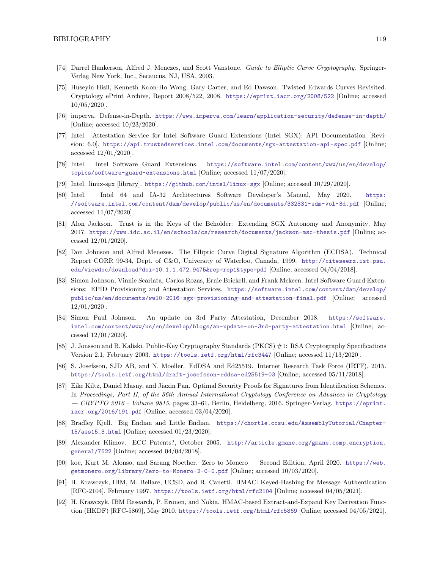- [74] Darrel Hankerson, Alfred J. Menezes, and Scott Vanstone. Guide to Elliptic Curve Cryptography. Springer-Verlag New York, Inc., Secaucus, NJ, USA, 2003.
- [75] Huseyin Hisil, Kenneth Koon-Ho Wong, Gary Carter, and Ed Dawson. Twisted Edwards Curves Revisited. Cryptology ePrint Archive, Report 2008/522, 2008. <https://eprint.iacr.org/2008/522> [Online; accessed 10/05/2020].
- [76] imperva. Defense-in-Depth. <https://www.imperva.com/learn/application-security/defense-in-depth/> [Online; accessed 10/23/2020].
- [77] Intel. Attestation Service for Intel Software Guard Extensions (Intel SGX): API Documentation [Revision: 6.0]. <https://api.trustedservices.intel.com/documents/sgx-attestation-api-spec.pdf> [Online; accessed 12/01/2020].
- [78] Intel. Intel Software Guard Extensions. [https://software.intel.com/content/www/us/en/develop/](https://software.intel.com/content/www/us/en/develop/topics/software-guard-extensions.html) [topics/software-guard-extensions.html](https://software.intel.com/content/www/us/en/develop/topics/software-guard-extensions.html) [Online; accessed 11/07/2020].
- [79] Intel. linux-sgx [library]. <https://github.com/intel/linux-sgx> [Online; accessed 10/29/2020].
- [80] Intel. Intel 64 and IA-32 Architectures Software Developer's Manual, May 2020. [https:](https://software.intel.com/content/dam/develop/public/us/en/documents/332831-sdm-vol-3d.pdf) [//software.intel.com/content/dam/develop/public/us/en/documents/332831-sdm-vol-3d.pdf](https://software.intel.com/content/dam/develop/public/us/en/documents/332831-sdm-vol-3d.pdf) [Online; accessed 11/07/2020].
- [81] Alon Jackson. Trust is in the Keys of the Beholder: Extending SGX Autonomy and Anonymity, May 2017. <https://www.idc.ac.il/en/schools/cs/research/documents/jackson-msc-thesis.pdf> [Online; accessed 12/01/2020].
- [82] Don Johnson and Alfred Menezes. The Elliptic Curve Digital Signature Algorithm (ECDSA). Technical Report CORR 99-34, Dept. of C&O, University of Waterloo, Canada, 1999. [http://citeseerx.ist.psu.](http://citeseerx.ist.psu.edu/viewdoc/download?doi=10.1.1.472.9475&rep=rep1&type=pdf) [edu/viewdoc/download?doi=10.1.1.472.9475&rep=rep1&type=pdf](http://citeseerx.ist.psu.edu/viewdoc/download?doi=10.1.1.472.9475&rep=rep1&type=pdf) [Online; accessed 04/04/2018].
- [83] Simon Johnson, Vinnie Scarlata, Carlos Rozas, Ernie Brickell, and Frank Mckeen. Intel Software Guard Extensions: EPID Provisioning and Attestation Services. [https://software.intel.com/content/dam/develop/](https://software.intel.com/content/dam/develop/public/us/en/documents/ww10-2016-sgx-provisioning-and-attestation-final.pdf) [public/us/en/documents/ww10-2016-sgx-provisioning-and-attestation-final.pdf](https://software.intel.com/content/dam/develop/public/us/en/documents/ww10-2016-sgx-provisioning-and-attestation-final.pdf) [Online; accessed 12/01/2020].
- [84] Simon Paul Johnson. An update on 3rd Party Attestation, December 2018. [https://software.](https://software.intel.com/content/www/us/en/develop/blogs/an-update-on-3rd-party-attestation.html) [intel.com/content/www/us/en/develop/blogs/an-update-on-3rd-party-attestation.html](https://software.intel.com/content/www/us/en/develop/blogs/an-update-on-3rd-party-attestation.html) [Online; accessed 12/01/2020].
- [85] J. Jonsson and B. Kaliski. Public-Key Cryptography Standards (PKCS) #1: RSA Cryptography Specifications Version 2.1, February 2003. <https://tools.ietf.org/html/rfc3447> [Online; accessed 11/13/2020].
- [86] S. Josefsson, SJD AB, and N. Moeller. EdDSA and Ed25519. Internet Research Task Force (IRTF), 2015. <https://tools.ietf.org/html/draft-josefsson-eddsa-ed25519-03> [Online; accessed 05/11/2018].
- [87] Eike Kiltz, Daniel Masny, and Jiaxin Pan. Optimal Security Proofs for Signatures from Identification Schemes. In Proceedings, Part II, of the 36th Annual International Cryptology Conference on Advances in Cryptology — CRYPTO 2016 - Volume 9815, pages 33–61, Berlin, Heidelberg, 2016. Springer-Verlag. [https://eprint.](https://eprint.iacr.org/2016/191.pdf) [iacr.org/2016/191.pdf](https://eprint.iacr.org/2016/191.pdf) [Online; accessed 03/04/2020].
- [88] Bradley Kjell. Big Endian and Little Endian. [https://chortle.ccsu.edu/AssemblyTutorial/Chapter-](https://chortle.ccsu.edu/AssemblyTutorial/Chapter-15/ass15_3.html)[15/ass15\\_3.html](https://chortle.ccsu.edu/AssemblyTutorial/Chapter-15/ass15_3.html) [Online; accessed 01/23/2020].
- [89] Alexander Klimov. ECC Patents?, October 2005. [http://article.gmane.org/gmane.comp.encryption.](http://article.gmane.org/gmane.comp.encryption.general/7522) [general/7522](http://article.gmane.org/gmane.comp.encryption.general/7522) [Online; accessed 04/04/2018].
- [90] koe, Kurt M. Alonso, and Sarang Noether. Zero to Monero Second Edition, April 2020. [https://web.](https://web.getmonero.org/library/Zero-to-Monero-2-0-0.pdf) [getmonero.org/library/Zero-to-Monero-2-0-0.pdf](https://web.getmonero.org/library/Zero-to-Monero-2-0-0.pdf) [Online; accessed 10/03/2020].
- [91] H. Krawczyk, IBM, M. Bellare, UCSD, and R. Canetti. HMAC: Keyed-Hashing for Message Authentication [RFC-2104], February 1997. <https://tools.ietf.org/html/rfc2104> [Online; accessed 04/05/2021].
- [92] H. Krawczyk, IBM Research, P. Eronen, and Nokia. HMAC-based Extract-and-Expand Key Derivation Function (HKDF) [RFC-5869], May 2010. <https://tools.ietf.org/html/rfc5869> [Online; accessed 04/05/2021].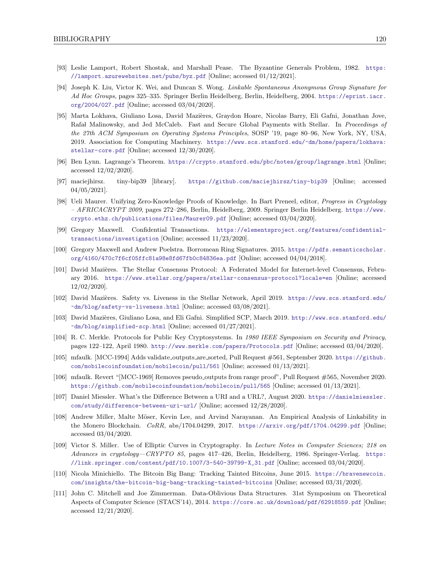- [93] Leslie Lamport, Robert Shostak, and Marshall Pease. The Byzantine Generals Problem, 1982. [https:](https://lamport.azurewebsites.net/pubs/byz.pdf) [//lamport.azurewebsites.net/pubs/byz.pdf](https://lamport.azurewebsites.net/pubs/byz.pdf) [Online; accessed 01/12/2021].
- [94] Joseph K. Liu, Victor K. Wei, and Duncan S. Wong. Linkable Spontaneous Anonymous Group Signature for Ad Hoc Groups, pages 325–335. Springer Berlin Heidelberg, Berlin, Heidelberg, 2004. [https://eprint.iacr.](https://eprint.iacr.org/2004/027.pdf) [org/2004/027.pdf](https://eprint.iacr.org/2004/027.pdf) [Online; accessed 03/04/2020].
- [95] Marta Lokhava, Giuliano Losa, David Mazières, Graydon Hoare, Nicolas Barry, Eli Gafni, Jonathan Jove, Rafa Malinowsky, and Jed McCaleb. Fast and Secure Global Payments with Stellar. In Proceedings of the 27th ACM Symposium on Operating Systems Principles, SOSP '19, page 80–96, New York, NY, USA, 2019. Association for Computing Machinery. [https://www.scs.stanford.edu/~dm/home/papers/lokhava:](https://www.scs.stanford.edu/~dm/home/papers/lokhava:stellar-core.pdf) [stellar-core.pdf](https://www.scs.stanford.edu/~dm/home/papers/lokhava:stellar-core.pdf) [Online; accessed 12/30/2020].
- [96] Ben Lynn. Lagrange's Theorem. <https://crypto.stanford.edu/pbc/notes/group/lagrange.html> [Online; accessed 12/02/2020].
- [97] maciejhirsz. tiny-bip39 [library]. <https://github.com/maciejhirsz/tiny-bip39> [Online; accessed 04/05/2021].
- [98] Ueli Maurer. Unifying Zero-Knowledge Proofs of Knowledge. In Bart Preneel, editor, Progress in Cryptology – AFRICACRYPT 2009, pages 272–286, Berlin, Heidelberg, 2009. Springer Berlin Heidelberg. [https://www.](https://www.crypto.ethz.ch/publications/files/Maurer09.pdf) [crypto.ethz.ch/publications/files/Maurer09.pdf](https://www.crypto.ethz.ch/publications/files/Maurer09.pdf) [Online; accessed 03/04/2020].
- [99] Gregory Maxwell. Confidential Transactions. [https://elementsproject.org/features/confidential](https://elementsproject.org/features/confidential-transactions/investigation)[transactions/investigation](https://elementsproject.org/features/confidential-transactions/investigation) [Online; accessed 11/23/2020].
- [100] Gregory Maxwell and Andrew Poelstra. Borromean Ring Signatures. 2015. [https://pdfs.semanticscholar.](https://pdfs.semanticscholar.org/4160/470c7f6cf05ffc81a98e8fd67fb0c84836ea.pdf) [org/4160/470c7f6cf05ffc81a98e8fd67fb0c84836ea.pdf](https://pdfs.semanticscholar.org/4160/470c7f6cf05ffc81a98e8fd67fb0c84836ea.pdf) [Online; accessed 04/04/2018].
- [101] David Mazières. The Stellar Consensus Protocol: A Federated Model for Internet-level Consensus, February 2016. <https://www.stellar.org/papers/stellar-consensus-protocol?locale=en> [Online; accessed 12/02/2020].
- [102] David Mazi`eres. Safety vs. Liveness in the Stellar Network, April 2019. [https://www.scs.stanford.edu/](https://www.scs.stanford.edu/~dm/blog/safety-vs-liveness.html) [~dm/blog/safety-vs-liveness.html](https://www.scs.stanford.edu/~dm/blog/safety-vs-liveness.html) [Online; accessed 03/08/2021].
- [103] David Mazières, Giuliano Losa, and Eli Gafni. Simplified SCP, March 2019. [http://www.scs.stanford.edu/](http://www.scs.stanford.edu/~dm/blog/simplified-scp.html) [~dm/blog/simplified-scp.html](http://www.scs.stanford.edu/~dm/blog/simplified-scp.html) [Online; accessed 01/27/2021].
- [104] R. C. Merkle. Protocols for Public Key Cryptosystems. In 1980 IEEE Symposium on Security and Privacy, pages 122–122, April 1980. <http://www.merkle.com/papers/Protocols.pdf> [Online; accessed 03/04/2020].
- [105] mfaulk. [MCC-1994] Adds validate outputs are sorted, Pull Request #561, September 2020. [https://github.](https://github.com/mobilecoinfoundation/mobilecoin/pull/561) [com/mobilecoinfoundation/mobilecoin/pull/561](https://github.com/mobilecoinfoundation/mobilecoin/pull/561) [Online; accessed 01/13/2021].
- [106] mfaulk. Revert "[MCC-1969] Removes pseudo outputs from range proof", Pull Request #565, November 2020. <https://github.com/mobilecoinfoundation/mobilecoin/pull/565> [Online; accessed 01/13/2021].
- <span id="page-126-0"></span>[107] Daniel Miessler. What's the Difference Between a URI and a URL?, August 2020. [https://danielmiessler.](https://danielmiessler.com/study/difference-between-uri-url/) [com/study/difference-between-uri-url/](https://danielmiessler.com/study/difference-between-uri-url/) [Online; accessed 12/28/2020].
- [108] Andrew Miller, Malte Möser, Kevin Lee, and Arvind Narayanan. An Empirical Analysis of Linkability in the Monero Blockchain. CoRR, abs/1704.04299, 2017. <https://arxiv.org/pdf/1704.04299.pdf> [Online; accessed 03/04/2020.
- [109] Victor S. Miller. Use of Elliptic Curves in Cryptography. In Lecture Notes in Computer Sciences; 218 on Advances in cryptology—CRYPTO 85, pages 417–426, Berlin, Heidelberg, 1986. Springer-Verlag. [https:](https://link.springer.com/content/pdf/10.1007/3-540-39799-X_31.pdf) [//link.springer.com/content/pdf/10.1007/3-540-39799-X\\_31.pdf](https://link.springer.com/content/pdf/10.1007/3-540-39799-X_31.pdf) [Online; accessed 03/04/2020].
- [110] Nicola Minichiello. The Bitcoin Big Bang: Tracking Tainted Bitcoins, June 2015. [https://bravenewcoin.](https://bravenewcoin.com/insights/the-bitcoin-big-bang-tracking-tainted-bitcoins) [com/insights/the-bitcoin-big-bang-tracking-tainted-bitcoins](https://bravenewcoin.com/insights/the-bitcoin-big-bang-tracking-tainted-bitcoins) [Online; accessed 03/31/2020].
- <span id="page-126-1"></span>[111] John C. Mitchell and Joe Zimmerman. Data-Oblivious Data Structures. 31st Symposium on Theoretical Aspects of Computer Science (STACS'14), 2014. <https://core.ac.uk/download/pdf/62918559.pdf> [Online; accessed 12/21/2020].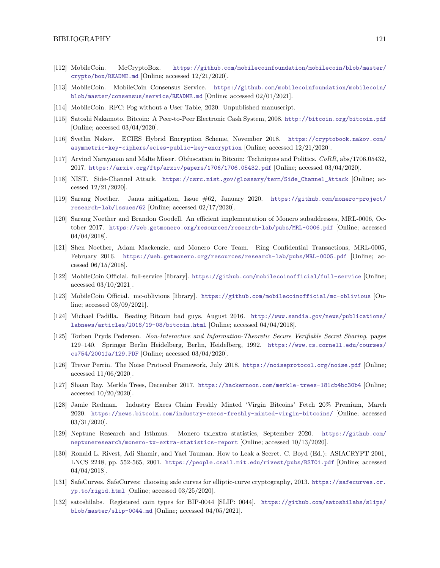- <span id="page-127-2"></span>[112] MobileCoin. McCryptoBox. [https://github.com/mobilecoinfoundation/mobilecoin/blob/master/](https://github.com/mobilecoinfoundation/mobilecoin/blob/master/crypto/box/README.md) [crypto/box/README.md](https://github.com/mobilecoinfoundation/mobilecoin/blob/master/crypto/box/README.md) [Online; accessed 12/21/2020].
- [113] MobileCoin. MobileCoin Consensus Service. [https://github.com/mobilecoinfoundation/mobilecoin/](https://github.com/mobilecoinfoundation/mobilecoin/blob/master/consensus/service/README.md) [blob/master/consensus/service/README.md](https://github.com/mobilecoinfoundation/mobilecoin/blob/master/consensus/service/README.md) [Online; accessed 02/01/2021].
- <span id="page-127-1"></span>[114] MobileCoin. RFC: Fog without a User Table, 2020. Unpublished manuscript.
- [115] Satoshi Nakamoto. Bitcoin: A Peer-to-Peer Electronic Cash System, 2008. <http://bitcoin.org/bitcoin.pdf> [Online; accessed 03/04/2020].
- <span id="page-127-3"></span>[116] Svetlin Nakov. ECIES Hybrid Encryption Scheme, November 2018. [https://cryptobook.nakov.com/](https://cryptobook.nakov.com/asymmetric-key-ciphers/ecies-public-key-encryption) [asymmetric-key-ciphers/ecies-public-key-encryption](https://cryptobook.nakov.com/asymmetric-key-ciphers/ecies-public-key-encryption) [Online; accessed 12/21/2020].
- [117] Arvind Narayanan and Malte Möser. Obfuscation in Bitcoin: Techniques and Politics.  $CORR$ , abs/1706.05432, 2017. <https://arxiv.org/ftp/arxiv/papers/1706/1706.05432.pdf> [Online; accessed 03/04/2020].
- <span id="page-127-4"></span>[118] NIST. Side-Channel Attack. [https://csrc.nist.gov/glossary/term/Side\\_Channel\\_Attack](https://csrc.nist.gov/glossary/term/Side_Channel_Attack) [Online; accessed 12/21/2020].
- [119] Sarang Noether. Janus mitigation, Issue #62, January 2020. [https://github.com/monero-project/](https://github.com/monero-project/research-lab/issues/62) [research-lab/issues/62](https://github.com/monero-project/research-lab/issues/62) [Online; accessed 02/17/2020].
- [120] Sarang Noether and Brandon Goodell. An efficient implementation of Monero subaddresses, MRL-0006, October 2017. <https://web.getmonero.org/resources/research-lab/pubs/MRL-0006.pdf> [Online; accessed 04/04/2018].
- [121] Shen Noether, Adam Mackenzie, and Monero Core Team. Ring Confidential Transactions, MRL-0005, February 2016. <https://web.getmonero.org/resources/research-lab/pubs/MRL-0005.pdf> [Online; accessed 06/15/2018].
- <span id="page-127-5"></span>[122] MobileCoin Official. full-service [library]. <https://github.com/mobilecoinofficial/full-service> [Online; accessed 03/10/2021].
- <span id="page-127-0"></span>[123] MobileCoin Official. mc-oblivious [library]. <https://github.com/mobilecoinofficial/mc-oblivious> [Online; accessed 03/09/2021].
- [124] Michael Padilla. Beating Bitcoin bad guys, August 2016. [http://www.sandia.gov/news/publications/](http://www.sandia.gov/news/publications/labnews/articles/2016/19-08/bitcoin.html) [labnews/articles/2016/19-08/bitcoin.html](http://www.sandia.gov/news/publications/labnews/articles/2016/19-08/bitcoin.html) [Online; accessed 04/04/2018].
- [125] Torben Pryds Pedersen. Non-Interactive and Information-Theoretic Secure Verifiable Secret Sharing, pages 129–140. Springer Berlin Heidelberg, Berlin, Heidelberg, 1992. [https://www.cs.cornell.edu/courses/](https://www.cs.cornell.edu/courses/cs754/2001fa/129.PDF) [cs754/2001fa/129.PDF](https://www.cs.cornell.edu/courses/cs754/2001fa/129.PDF) [Online; accessed 03/04/2020].
- [126] Trevor Perrin. The Noise Protocol Framework, July 2018. <https://noiseprotocol.org/noise.pdf> [Online; accessed 11/06/2020].
- [127] Shaan Ray. Merkle Trees, December 2017. <https://hackernoon.com/merkle-trees-181cb4bc30b4> [Online; accessed 10/20/2020].
- [128] Jamie Redman. Industry Execs Claim Freshly Minted 'Virgin Bitcoins' Fetch 20% Premium, March 2020. <https://news.bitcoin.com/industry-execs-freshly-minted-virgin-bitcoins/> [Online; accessed 03/31/2020].
- [129] Neptune Research and Isthmus. Monero tx extra statistics, September 2020. [https://github.com/](https://github.com/neptuneresearch/monero-tx-extra-statistics-report) [neptuneresearch/monero-tx-extra-statistics-report](https://github.com/neptuneresearch/monero-tx-extra-statistics-report) [Online; accessed 10/13/2020].
- [130] Ronald L. Rivest, Adi Shamir, and Yael Tauman. How to Leak a Secret. C. Boyd (Ed.): ASIACRYPT 2001, LNCS 2248, pp. 552-565, 2001. <https://people.csail.mit.edu/rivest/pubs/RST01.pdf> [Online; accessed 04/04/2018].
- [131] SafeCurves. SafeCurves: choosing safe curves for elliptic-curve cryptography, 2013. [https://safecurves.cr.](https://safecurves.cr.yp.to/rigid.html) [yp.to/rigid.html](https://safecurves.cr.yp.to/rigid.html) [Online; accessed 03/25/2020].
- [132] satoshilabs. Registered coin types for BIP-0044 [SLIP: 0044]. [https://github.com/satoshilabs/slips/](https://github.com/satoshilabs/slips/blob/master/slip-0044.md) [blob/master/slip-0044.md](https://github.com/satoshilabs/slips/blob/master/slip-0044.md) [Online; accessed 04/05/2021].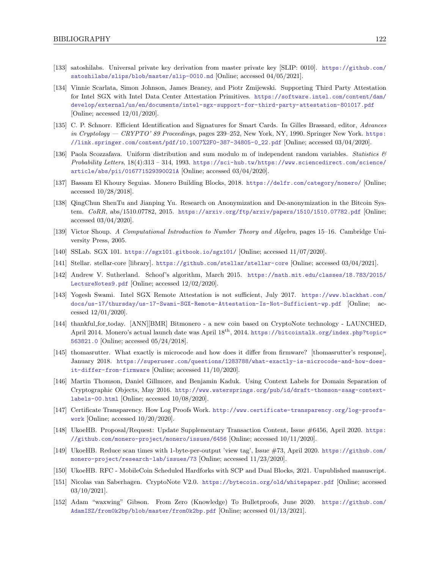- [133] satoshilabs. Universal private key derivation from master private key [SLIP: 0010]. [https://github.com/](https://github.com/satoshilabs/slips/blob/master/slip-0010.md) [satoshilabs/slips/blob/master/slip-0010.md](https://github.com/satoshilabs/slips/blob/master/slip-0010.md) [Online; accessed 04/05/2021].
- [134] Vinnie Scarlata, Simon Johnson, James Beaney, and Piotr Zmijewski. Supporting Third Party Attestation for Intel SGX with Intel Data Center Attestation Primitives. [https://software.intel.com/content/dam/](https://software.intel.com/content/dam/develop/external/us/en/documents/intel-sgx-support-for-third-party-attestation-801017.pdf) [develop/external/us/en/documents/intel-sgx-support-for-third-party-attestation-801017.pdf](https://software.intel.com/content/dam/develop/external/us/en/documents/intel-sgx-support-for-third-party-attestation-801017.pdf) [Online; accessed 12/01/2020].
- [135] C. P. Schnorr. Efficient Identification and Signatures for Smart Cards. In Gilles Brassard, editor, Advances in Cryptology — CRYPTO' 89 Proceedings, pages 239–252, New York, NY, 1990. Springer New York. [https:](https://link.springer.com/content/pdf/10.1007%2F0-387-34805-0_22.pdf) [//link.springer.com/content/pdf/10.1007%2F0-387-34805-0\\_22.pdf](https://link.springer.com/content/pdf/10.1007%2F0-387-34805-0_22.pdf) [Online; accessed 03/04/2020].
- [136] Paola Scozzafava. Uniform distribution and sum modulo m of independent random variables. Statistics & Probability Letters, 18(4):313 – 314, 1993. [https://sci-hub.tw/https://www.sciencedirect.com/science/](https://sci-hub.tw/https://www.sciencedirect.com/science/article/abs/pii/016771529390021A) [article/abs/pii/016771529390021A](https://sci-hub.tw/https://www.sciencedirect.com/science/article/abs/pii/016771529390021A) [Online; accessed 03/04/2020].
- [137] Bassam El Khoury Seguias. Monero Building Blocks, 2018. <https://delfr.com/category/monero/> [Online; accessed 10/28/2018].
- [138] QingChun ShenTu and Jianping Yu. Research on Anonymization and De-anonymization in the Bitcoin System. CoRR, abs/1510.07782, 2015. <https://arxiv.org/ftp/arxiv/papers/1510/1510.07782.pdf> [Online; accessed 03/04/2020].
- [139] Victor Shoup. A Computational Introduction to Number Theory and Algebra, pages 15–16. Cambridge University Press, 2005.
- [140] SSLab. SGX 101. <https://sgx101.gitbook.io/sgx101/> [Online; accessed 11/07/2020].
- [141] Stellar. stellar-core [library]. <https://github.com/stellar/stellar-core> [Online; accessed 03/04/2021].
- [142] Andrew V. Sutherland. Schoof's algorithm, March 2015. [https://math.mit.edu/classes/18.783/2015/](https://math.mit.edu/classes/18.783/2015/LectureNotes9.pdf) [LectureNotes9.pdf](https://math.mit.edu/classes/18.783/2015/LectureNotes9.pdf) [Online; accessed 12/02/2020].
- [143] Yogesh Swami. Intel SGX Remote Attestation is not sufficient, July 2017. [https://www.blackhat.com/](https://www.blackhat.com/docs/us-17/thursday/us-17-Swami-SGX-Remote-Attestation-Is-Not-Sufficient-wp.pdf) [docs/us-17/thursday/us-17-Swami-SGX-Remote-Attestation-Is-Not-Sufficient-wp.pdf](https://www.blackhat.com/docs/us-17/thursday/us-17-Swami-SGX-Remote-Attestation-Is-Not-Sufficient-wp.pdf) [Online; accessed 12/01/2020].
- [144] thankful for today. [ANN][BMR] Bitmonero a new coin based on CryptoNote technology LAUNCHED, April 2014. Monero's actual launch date was April 18th, 2014. [https://bitcointalk.org/index.php?topic=](https://bitcointalk.org/index.php?topic=563821.0) [563821.0](https://bitcointalk.org/index.php?topic=563821.0) [Online; accessed 05/24/2018].
- [145] thomasrutter. What exactly is microcode and how does it differ from firmware? [thomasrutter's response], January 2018. [https://superuser.com/questions/1283788/what-exactly-is-microcode-and-how-does](https://superuser.com/questions/1283788/what-exactly-is-microcode-and-how-does-it-differ-from-firmware)[it-differ-from-firmware](https://superuser.com/questions/1283788/what-exactly-is-microcode-and-how-does-it-differ-from-firmware) [Online; accessed 11/10/2020].
- [146] Martin Thomson, Daniel Gillmore, and Benjamin Kaduk. Using Context Labels for Domain Separation of Cryptographic Objects, May 2016. [http://www.watersprings.org/pub/id/draft-thomson-saag-context](http://www.watersprings.org/pub/id/draft-thomson-saag-context-labels-00.html)[labels-00.html](http://www.watersprings.org/pub/id/draft-thomson-saag-context-labels-00.html) [Online; accessed 10/08/2020].
- [147] Certificate Transparency. How Log Proofs Work. [http://www.certificate-transparency.org/log-proofs](http://www.certificate-transparency.org/log-proofs-work)[work](http://www.certificate-transparency.org/log-proofs-work) [Online; accessed 10/20/2020].
- [148] UkoeHB. Proposal/Request: Update Supplementary Transaction Content, Issue #6456, April 2020. [https:](https://github.com/monero-project/monero/issues/6456) [//github.com/monero-project/monero/issues/6456](https://github.com/monero-project/monero/issues/6456) [Online; accessed 10/11/2020].
- <span id="page-128-0"></span>[149] UkoeHB. Reduce scan times with 1-byte-per-output 'view tag', Issue #73, April 2020. [https://github.com/](https://github.com/monero-project/research-lab/issues/73) [monero-project/research-lab/issues/73](https://github.com/monero-project/research-lab/issues/73) [Online; accessed 11/23/2020].
- [150] UkoeHB. RFC MobileCoin Scheduled Hardforks with SCP and Dual Blocks, 2021. Unpublished manuscript.
- [151] Nicolas van Saberhagen. CryptoNote V2.0. <https://bytecoin.org/old/whitepaper.pdf> [Online; accessed 03/10/2021].
- [152] Adam "waxwing" Gibson. From Zero (Knowledge) To Bulletproofs, June 2020. [https://github.com/](https://github.com/AdamISZ/from0k2bp/blob/master/from0k2bp.pdf) [AdamISZ/from0k2bp/blob/master/from0k2bp.pdf](https://github.com/AdamISZ/from0k2bp/blob/master/from0k2bp.pdf) [Online; accessed 01/13/2021].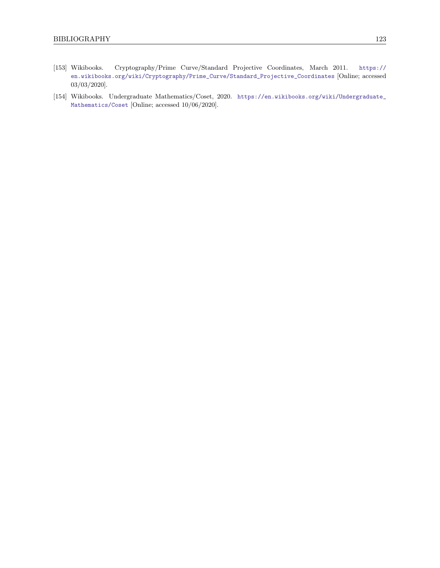- [153] Wikibooks. Cryptography/Prime Curve/Standard Projective Coordinates, March 2011. [https://](https://en.wikibooks.org/wiki/Cryptography/Prime_Curve/Standard_Projective_Coordinates) [en.wikibooks.org/wiki/Cryptography/Prime\\_Curve/Standard\\_Projective\\_Coordinates](https://en.wikibooks.org/wiki/Cryptography/Prime_Curve/Standard_Projective_Coordinates) [Online; accessed 03/03/2020].
- [154] Wikibooks. Undergraduate Mathematics/Coset, 2020. [https://en.wikibooks.org/wiki/Undergraduate\\_](https://en.wikibooks.org/wiki/Undergraduate_Mathematics/Coset) [Mathematics/Coset](https://en.wikibooks.org/wiki/Undergraduate_Mathematics/Coset) [Online; accessed 10/06/2020].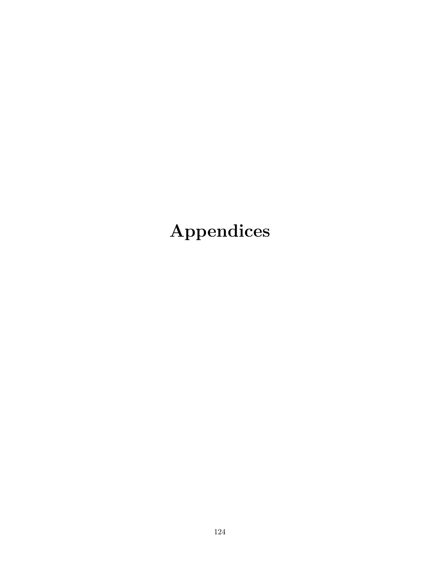# Appendices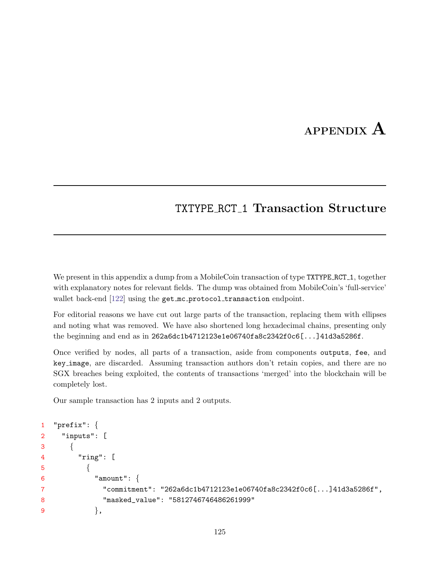## APPENDIX A

### TXTYPE RCT 1 Transaction Structure

We present in this appendix a dump from a MobileCoin transaction of type TXTYPE RCT<sub>1</sub>, together with explanatory notes for relevant fields. The dump was obtained from MobileCoin's 'full-service' wallet back-end  $[122]$  using the get mc protocol transaction endpoint.

For editorial reasons we have cut out large parts of the transaction, replacing them with ellipses and noting what was removed. We have also shortened long hexadecimal chains, presenting only the beginning and end as in 262a6dc1b4712123e1e06740fa8c2342f0c6[...]41d3a5286f.

Once verified by nodes, all parts of a transaction, aside from components outputs, fee, and key image, are discarded. Assuming transaction authors don't retain copies, and there are no SGX breaches being exploited, the contents of transactions 'merged' into the blockchain will be completely lost.

Our sample transaction has 2 inputs and 2 outputs.

```
1 "prefix": {
2 "inputs": [
3 {
4 "ring": [
5 \{6 "amount": {
7 "commitment": "262a6dc1b4712123e1e06740fa8c2342f0c6[...]41d3a5286f",
8 "masked_value": "5812746746486261999"
9 },
```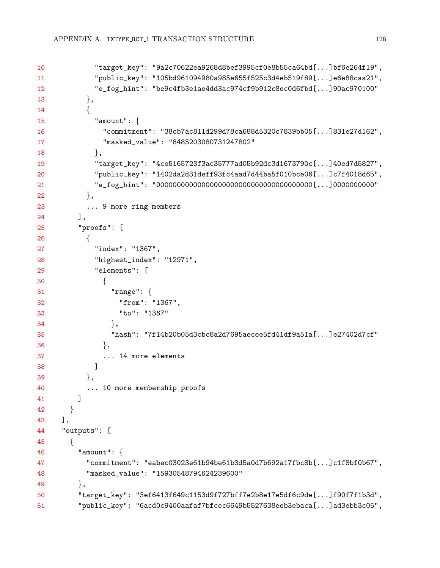```
10 "target_key": "9a2c70622ea9268d8bef3995cf0e8b55ca64bd[...]bf6e264f19",
11 "public_key": "105bd961094980a985e655f525c3d4eb519f89[...]e6e88caa21",
12 "e_fog_hint": "be9c4fb3e1ae4dd3ac974cf9b912c8ec0d6fbd[...]90ac970100"
13 },
14 {
15 "amount": {
16 "commitment": "38cb7ac811d299d78ca688d5320c7839bb05[...]831e27d162",
17 "masked_value": "8485203080731247802"
18 },
19 "target_key": "4ce5165723f3ac35777ad05b92dc3d1673790c[...]40ed7d5827",
20 "public_key": "1402da2d31deff93fc4aad7d44ba5f010bce06[...]c7f4018d65",
21 "e_fog_hint": "00000000000000000000000000000000000000[...]0000000000"
22 },
23 ... 9 more ring members
24 ],
25 "proofs": [
26 {
27 "index": "1367",
28 "highest_index": "12971",
29 "elements": [
30 {
31 "range": {
32 "from": "1367",
33 "to": "1367"
34 },
35 "hash": "7f14b20b05d3cbc8a2d7695aecee5fd41df9a51a[...]e27402d7cf"
36 },
37 ... 14 more elements
38 ]
39 \t\t \t\t \t},
40 ... 10 more membership proofs
41 ]
42 }
43 ],
44 "outputs": [
45 {
46 "amount": {
47 "commitment": "eabec03023e61b94be61b3d5a0d7b692a17fbc8b[...]c1f8bf0b67",
48 "masked_value": "15930548794624239600"
49,
50 "target_key": "3ef6413f649c1153d9f727bff7e2b8e17e5df6c9de[...]f90f7f1b3d",
51 "public_key": "6acd0c9400aafaf7bfcec6649b5527638eeb3ebaca[...]ad3ebb3c05",
```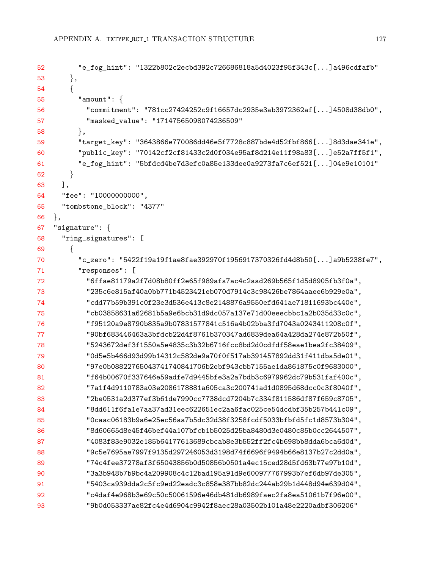```
52 "e_fog_hint": "1322b802c2ecbd392c726686818a5d4023f95f343c[...]a496cdfafb"
53 \qquad \},
54 {
55 "amount": {
56 "commitment": "781cc27424252c9f16657dc2935e3ab3972362af[...]4508d38db0",
57 "masked_value": "17147565098074236509"
58 },
59 "target_key": "3643866e770086dd46e5f7728c887bde4d52fbf866[...]8d3dae341e",
60 "public_key": "70142cf2cf81433c2d0f034e95af8d214e11f98a83[...]e52a7ff5f1",
61 "e_fog_hint": "5bfdcd4be7d3efc0a85e133dee0a9273fa7c6ef521[...]04e9e10101"
62 }
63 ],
64 "fee": "10000000000",
65 "tombstone_block": "4377"
66 },
67 "signature": {
68 "ring_signatures": [
69 {
70 "c_zero": "5422f19a19f1ae8fae392970f1956917370326fd4d8b50[...]a9b5238fe7",
71 "responses": [
72 "6ffae81179a2f7d08b80ff2e65f989afa7ac4c2aad269b565f1d5d8905fb3f0a",
73 "235c6e815af40a0bb771b4523421eb070d7914c3c98426be7864aaee6b929e0a",
74 "cdd77b59b391c0f23e3d536e413c8e2148876a9550efd641ae71811693bc440e",
75 "cb03858631a62681b5a9e6bcb31d9dc057a137e71d00eeecbbc1a2b035d33c0c",
76 "f95120a9e8790b835a9b07831577841c516a4b02bba3fd7043a0243411208c0f",
77 "90bf683446463a3bfdcb22d4f8761b370347ad6839dea64a428da274e872b50f",
78 "5243672def3f1550a5e4835c3b32b6716fcc8bd2d0cdfdf58eae1bea2fc38409",
79 "0d5e5b466d93d99b14312c582de9a70f0f517ab391457892dd31f411dba5de01",
80 "97e0b08822765043741740841706b2ebf943cbb7155ae1da861875c0f9683000",
81 "f64b00670f337646e59adfe7d9445bfe3a2a7bdb3c6979962dc79b531faf400c",
82 "7a1f4d9110783a03e2086178881a605ca3c200741ad1d0895d68dcc0c3f8040f",
83 "2be0531a2d377ef3b61de7990cc7738dcd7204b7c334f811586df87f659c8705",
84 "8dd611f6fa1e7aa37ad31eec622651ec2aa6fac025ce54dcdbf35b257b441c09",
85 "0caac06183b9a6e25ec56aa7b5dc32d38f3258fcdf5033bfbfd5fc1d8573b304",
86 "8d60665d8e45f46bef44a107bfcb1b5025d25ba8480d3e0480c85b0cc2644507",
87 "4083f83e9032e185b64177613689cbcab8e3b552ff2fc4b698bb8dda6bca6d0d",
88 "9c5e7695ae7997f9135d297246053d3198d74f6696f9494b66e8137b27c2dd0a",
89 "74c4fee37278af3f65043856b0d50856b0501a4ec15ced28d5fd63b77e97b10d",
90 "3a3b948b7b9bc4a209908c4c12bad195a91d9e600977767993b7ef6db97de305",
91 "5403ca939dda2c5fc9ed22eadc3c858e387bb82dc244ab29b1d448d94e639d04",
92 "c4daf4e968b3e69c50c50061596e46db481db6989faec2fa8ea51061b7f96e00",
93 "9b0d053337ae82fc4e4d6904c9942f8aec28a03502b101a48e2220adbf306206"
```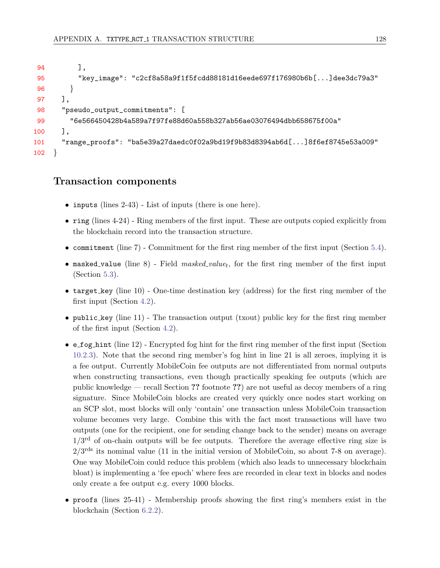```
94 ],
95 "key_image": "c2cf8a58a9f1f5fcdd88181d16eede697f176980b6b[...]dee3dc79a3"
96 }
97 ],
98 "pseudo_output_commitments": [
99 "6e566450428b4a589a7f97fe88d60a558b327ab56ae03076494dbb658675f00a"
100 ],
101 "range_proofs": "ba5e39a27daedc0f02a9bd19f9b83d8394ab6d[...]8f6ef8745e53a009"
102 }
```
#### Transaction components

- inputs (lines 2-43) List of inputs (there is one here).
- ring (lines 4-24) Ring members of the first input. These are outputs copied explicitly from the blockchain record into the transaction structure.
- commitment (line 7) Commitment for the first ring member of the first input (Section [5.4\)](#page-50-0).
- masked value (line 8) Field  $masked\_value_t$ , for the first ring member of the first input (Section [5.3\)](#page-49-0).
- target key (line 10) One-time destination key (address) for the first ring member of the first input (Section [4.2\)](#page-44-1).
- public key (line 11) The transaction output (txout) public key for the first ring member of the first input (Section [4.2\)](#page-44-1).
- $\bullet$  e\_fog\_hint (line 12) Encrypted fog hint for the first ring member of the first input (Section [10.2.3\)](#page-114-13). Note that the second ring member's fog hint in line 21 is all zeroes, implying it is a fee output. Currently MobileCoin fee outputs are not differentiated from normal outputs when constructing transactions, even though practically speaking fee outputs (which are public knowledge — recall Section ?? footnote ??) are not useful as decoy members of a ring signature. Since MobileCoin blocks are created very quickly once nodes start working on an SCP slot, most blocks will only 'contain' one transaction unless MobileCoin transaction volume becomes very large. Combine this with the fact most transactions will have two outputs (one for the recipient, one for sending change back to the sender) means on average  $1/3<sup>rd</sup>$  of on-chain outputs will be fee outputs. Therefore the average effective ring size is  $2/3^{\text{rds}}$  its nominal value (11 in the initial version of MobileCoin, so about 7-8 on average). One way MobileCoin could reduce this problem (which also leads to unnecessary blockchain bloat) is implementing a 'fee epoch' where fees are recorded in clear text in blocks and nodes only create a fee output e.g. every 1000 blocks.
- proofs (lines 25-41) Membership proofs showing the first ring's members exist in the blockchain (Section [6.2.2\)](#page-57-0).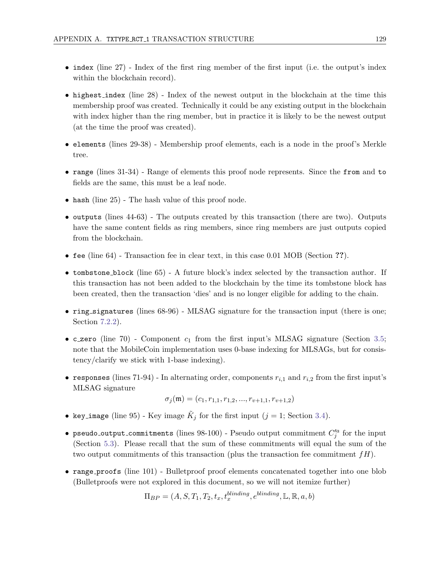- index (line 27) Index of the first ring member of the first input (i.e. the output's index within the blockchain record).
- highest index (line 28) Index of the newest output in the blockchain at the time this membership proof was created. Technically it could be any existing output in the blockchain with index higher than the ring member, but in practice it is likely to be the newest output (at the time the proof was created).
- elements (lines 29-38) Membership proof elements, each is a node in the proof's Merkle tree.
- range (lines 31-34) Range of elements this proof node represents. Since the from and to fields are the same, this must be a leaf node.
- hash (line 25) The hash value of this proof node.
- outputs (lines 44-63) The outputs created by this transaction (there are two). Outputs have the same content fields as ring members, since ring members are just outputs copied from the blockchain.
- fee (line 64) Transaction fee in clear text, in this case 0.01 MOB (Section ??).
- tombstone block (line 65) A future block's index selected by the transaction author. If this transaction has not been added to the blockchain by the time its tombstone block has been created, then the transaction 'dies' and is no longer eligible for adding to the chain.
- ring\_signatures (lines 68-96) MLSAG signature for the transaction input (there is one; Section [7.2.2\)](#page-61-0).
- c zero (line 70) Component  $c_1$  from the first input's MLSAG signature (Section [3.5;](#page-41-0) note that the MobileCoin implementation uses 0-base indexing for MLSAGs, but for consistency/clarify we stick with 1-base indexing).
- responses (lines 71-94) In alternating order, components  $r_{i,1}$  and  $r_{i,2}$  from the first input's MLSAG signature

 $\sigma_j(\mathfrak{m}) = (c_1, r_{1,1}, r_{1,2}, ..., r_{\nu+1,1}, r_{\nu+1,2})$ 

- key\_image (line 95) Key image  $\tilde{K}_j$  for the first input ( $j = 1$ ; Section [3.4\)](#page-38-0).
- pseudo\_output\_commitments (lines  $98-100$ ) Pseudo output commitment  $C_j^{\prime a}$  for the input (Section [5.3\)](#page-49-0). Please recall that the sum of these commitments will equal the sum of the two output commitments of this transaction (plus the transaction fee commitment  $fH$ ).
- range proofs (line 101) Bulletproof proof elements concatenated together into one blob (Bulletproofs were not explored in this document, so we will not itemize further)

$$
\Pi_{BP} = (A, S, T_1, T_2, t_x, t_x^{blinding}, e^{blinding}, \mathbb{L}, \mathbb{R}, a, b)
$$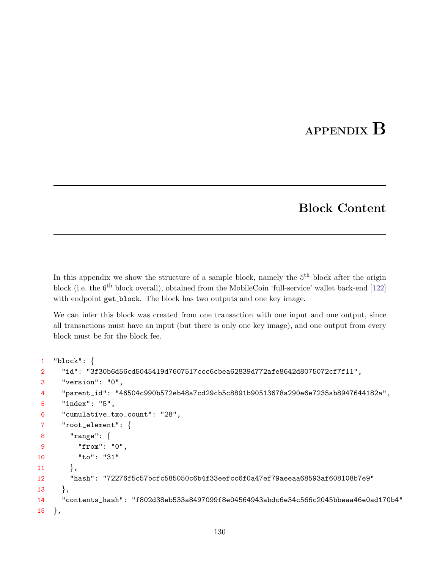## APPENDIX B

### Block Content

<span id="page-136-0"></span>In this appendix we show the structure of a sample block, namely the  $5<sup>th</sup>$  block after the origin block (i.e. the 6<sup>th</sup> block overall), obtained from the MobileCoin 'full-service' wallet back-end [\[122\]](#page-127-5) with endpoint get\_block. The block has two outputs and one key image.

We can infer this block was created from one transaction with one input and one output, since all transactions must have an input (but there is only one key image), and one output from every block must be for the block fee.

```
1 "block": {
2 "id": "3f30b6d56cd5045419d7607517ccc6cbea62839d772afe8642d8075072cf7f11",
3 "version": "0",
4 "parent_id": "46504c990b572eb48a7cd29cb5c8891b90513678a290e6e7235ab8947644182a",
5 "index": "5",
6 "cumulative_txo_count": "28",
7 "root_element": {
8 "range": {
9 "from": "0",
10 "to": "31"
11 \Big\},
12 "hash": "72276f5c57bcfc585050c6b4f33eefcc6f0a47ef79aeeaa68593af608108b7e9"
13 \quad \quad \}14 "contents_hash": "f802d38eb533a8497099f8e04564943abdc6e34c566c2045bbeaa46e0ad170b4"
15 \quad \},
```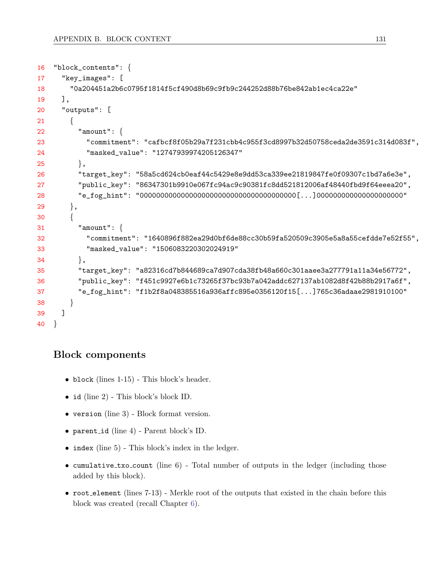```
16 "block_contents": {
17 "key_images": [
18 "0a204451a2b6c0795f1814f5cf490d8b69c9fb9c244252d88b76be842ab1ec4ca22e"
19 ],
20 "outputs": [
21 {
22 "amount": {
23 "commitment": "cafbcf8f05b29a7f231cbb4c955f3cd8997b32d50758ceda2de3591c314d083f",
24 "masked_value": "12747939974205126347"
25 },
26 "target_key": "58a5cd624cb0eaf44c5429e8e9dd53ca339ee21819847fe0f09307c1bd7a6e3e",
27 "public_key": "86347301b9910e067fc94ac9c90381fc8dd521812006af48440fbd9f64eeea20",
28 "e_fog_hint": "00000000000000000000000000000000000000[...]000000000000000000000"
29 \qquad \},
30 {
31 "amount": {
32 "commitment": "1640896f882ea29d0bf6de88cc30b59fa520509c3905e5a8a55cefdde7e52f55",
33 "masked_value": "1506083220302024919"
34,
35 "target_key": "a82316cd7b844689ca7d907cda38fb48a660c301aaee3a277791a11a34e56772",
36 "public_key": "f451c9927e6b1c73265f37bc93b7a042addc627137ab1082d8f42b88b2917a6f",
37 "e_fog_hint": "f1b2f8a048385516a936affc895e0356120f15[...]765c36adaae2981910100"
38 }
39 ]
40 }
```
#### Block components

- block (lines 1-15) This block's header.
- id (line 2) This block's block ID.
- version (line 3) Block format version.
- parent id (line 4) Parent block's ID.
- index (line 5) This block's index in the ledger.
- cumulative\_txo\_count (line ) Total number of outputs in the ledger (including those added by this block).
- root element (lines 7-13) Merkle root of the outputs that existed in the chain before this block was created (recall Chapter [6\)](#page-53-0).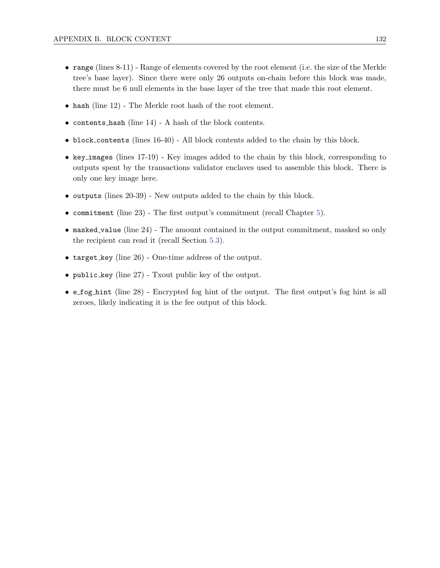- range (lines 8-11) Range of elements covered by the root element (i.e. the size of the Merkle tree's base layer). Since there were only 26 outputs on-chain before this block was made, there must be 6 null elements in the base layer of the tree that made this root element.
- hash (line 12) The Merkle root hash of the root element.
- contents hash (line 14) A hash of the block contents.
- block contents (lines 16-40) All block contents added to the chain by this block.
- key images (lines 17-19) Key images added to the chain by this block, corresponding to outputs spent by the transactions validator enclaves used to assemble this block. There is only one key image here.
- outputs (lines 20-39) New outputs added to the chain by this block.
- commitment (line 23) The first output's commitment (recall Chapter [5\)](#page-48-0).
- masked value (line 24) The amount contained in the output commitment, masked so only the recipient can read it (recall Section [5.3\)](#page-49-0).
- target key (line 26) One-time address of the output.
- public key (line  $27$ ) Txout public key of the output.
- e fog hint (line 28) Encrypted fog hint of the output. The first output's fog hint is all zeroes, likely indicating it is the fee output of this block.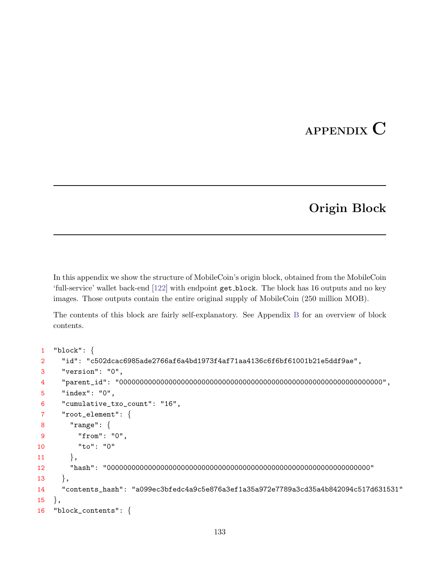## APPENDIX C

### Origin Block

In this appendix we show the structure of MobileCoin's origin block, obtained from the MobileCoin 'full-service' wallet back-end [\[122\]](#page-127-5) with endpoint get block. The block has 16 outputs and no key images. Those outputs contain the entire original supply of MobileCoin (250 million MOB).

The contents of this block are fairly self-explanatory. See Appendix [B](#page-136-0) for an overview of block contents.

```
1 "block": {
2 "id": "c502dcac6985ade2766af6a4bd1973f4af71aa4136c6f6bf61001b21e5ddf9ae",
3 "version": "0",
4 "parent_id": "0000000000000000000000000000000000000000000000000000000000000000",
5 "index": "0",
6 "cumulative_txo_count": "16",
7 "root_element": {
8 "range": {
9 "from": "0",
10 "to": "0"
11 },
12 "hash": "0000000000000000000000000000000000000000000000000000000000000000"
13 \quad \quad \}14 "contents_hash": "a099ec3bfedc4a9c5e876a3ef1a35a972e7789a3cd35a4b842094c517d631531"
15 \, },
16 "block_contents": {
```